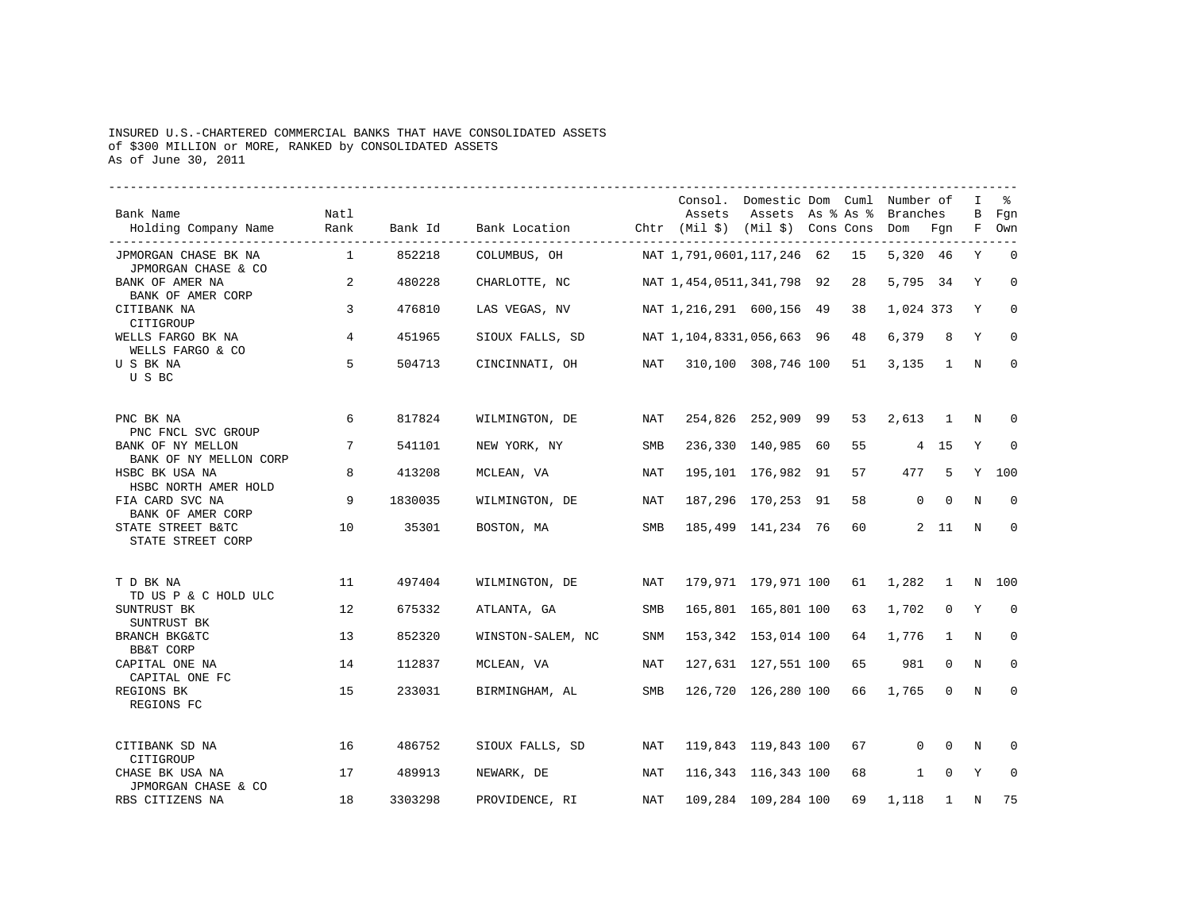## INSURED U.S.-CHARTERED COMMERCIAL BANKS THAT HAVE CONSOLIDATED ASSETS of \$300 MILLION or MORE, RANKED by CONSOLIDATED ASSETS As of June 30, 2011

| Bank Name<br>Holding Company Name                           | Natl<br>Rank    |         | Bank Id Bank Location Chtr (Mil \$) (Mil \$) Cons Cons Dom Fgn F Own |     | Consol. Domestic Dom Cuml Number of | Assets Assets As % As % Branches |    |                |                | $\mathbf{I}$ | B Fgn        |
|-------------------------------------------------------------|-----------------|---------|----------------------------------------------------------------------|-----|-------------------------------------|----------------------------------|----|----------------|----------------|--------------|--------------|
| JPMORGAN CHASE BK NA                                        | $\sim$ 1        | 852218  |                                                                      |     |                                     |                                  |    | 5,320 46       |                | Y            | $\Omega$     |
| JPMORGAN CHASE & CO<br>BANK OF AMER NA<br>BANK OF AMER CORP | 2               | 480228  | CHARLOTTE, NC                                                        |     | NAT 1,454,0511,341,798 92           |                                  | 28 | 5,795 34 Y     |                |              | $\mathbf 0$  |
| CITIBANK NA<br>CITIGROUP                                    | $\overline{3}$  | 476810  | LAS VEGAS, NV                                                        |     | NAT 1,216,291 600,156 49 38         |                                  |    | 1,024 373      |                | Y            | $\mathbf{0}$ |
| WELLS FARGO BK NA<br>WELLS FARGO & CO                       | $4\overline{ }$ | 451965  | SIOUX FALLS, SD                                                      |     | NAT 1, 104, 8331, 056, 663 96 48    |                                  |    | $6,379$ 8      |                | Y            | $\Omega$     |
| U S BK NA<br>USBC                                           | 5               | 504713  | CINCINNATI, OH                                                       | NAT |                                     | 310,100 308,746 100              | 51 | $3,135$ 1 N    |                |              | $\mathbf 0$  |
| PNC BK NA<br>PNC FNCL SVC GROUP                             | 6               | 817824  | WILMINGTON, DE                                                       | NAT |                                     | 254,826 252,909 99               | 53 | $2,613$ 1 N    |                |              | $\Omega$     |
| BANK OF NY MELLON<br>BANK OF NY MELLON CORP                 | $7\overline{ }$ | 541101  | NEW YORK, NY                                                         | SMB |                                     | 236,330 140,985 60               | 55 | 4 15 Y         |                |              | $\mathbf 0$  |
| HSBC BK USA NA<br>HSBC NORTH AMER HOLD                      | 8               | 413208  | MCLEAN, VA                                                           | NAT |                                     | 195,101 176,982 91               | 57 |                | 477 5 Y 100    |              |              |
| FIA CARD SVC NA<br>BANK OF AMER CORP                        | 9               | 1830035 | WILMINGTON, DE                                                       | NAT |                                     | 187,296 170,253 91               | 58 |                | $0\qquad 0$    | N            | $\Omega$     |
| STATE STREET B&TC<br>STATE STREET CORP                      | 10              | 35301   | BOSTON, MA                                                           | SMB |                                     | 185,499 141,234 76               | 60 |                | 2 11           | N            | $\mathbf 0$  |
| T D BK NA<br>TD US P & C HOLD ULC                           | 11              | 497404  | WILMINGTON, DE                                                       | NAT |                                     | 179,971 179,971 100 61 1,282 1 N |    |                |                |              | 100          |
| SUNTRUST BK<br>SUNTRUST BK                                  | 12              | 675332  | ATLANTA, GA                                                          | SMB |                                     | 165,801 165,801 100 63           |    | 1,702 0 Y      |                |              | $\mathbf 0$  |
| BRANCH BKG&TC<br>BB&T CORP                                  | 13              | 852320  | WINSTON-SALEM, NC                                                    | SNM |                                     | 153,342 153,014 100 64           |    | 1,776          | $\overline{1}$ | N            | $\Omega$     |
| CAPITAL ONE NA<br>CAPITAL ONE FC                            | 14              | 112837  | MCLEAN, VA                                                           | NAT |                                     | 127,631 127,551 100              |    | 65 981         | $\Omega$       | N            | $\mathbf 0$  |
| REGIONS BK<br>REGIONS FC                                    | 1.5             | 233031  | BIRMINGHAM, AL                                                       | SMB |                                     | 126,720 126,280 100              |    | 66 1,765 0 N   |                |              | $\mathbf 0$  |
| CITIBANK SD NA<br>CITIGROUP                                 | 16              | 486752  | SIOUX FALLS, SD                                                      | NAT |                                     | 119,843 119,843 100 67           |    | $\overline{0}$ |                | 0 N          | $\Omega$     |
| CHASE BK USA NA<br>JPMORGAN CHASE & CO                      | 17              | 489913  | NEWARK, DE                                                           | NAT |                                     | 116,343 116,343 100 68           |    | $\mathbf{1}$   | $\overline{0}$ | Y            | $\mathbf 0$  |
| RBS CITIZENS NA                                             | 18              | 3303298 | PROVIDENCE, RI                                                       | NAT |                                     | 109,284 109,284 100              |    | 69 1,118       | $\mathbf{1}$   | N            | 75           |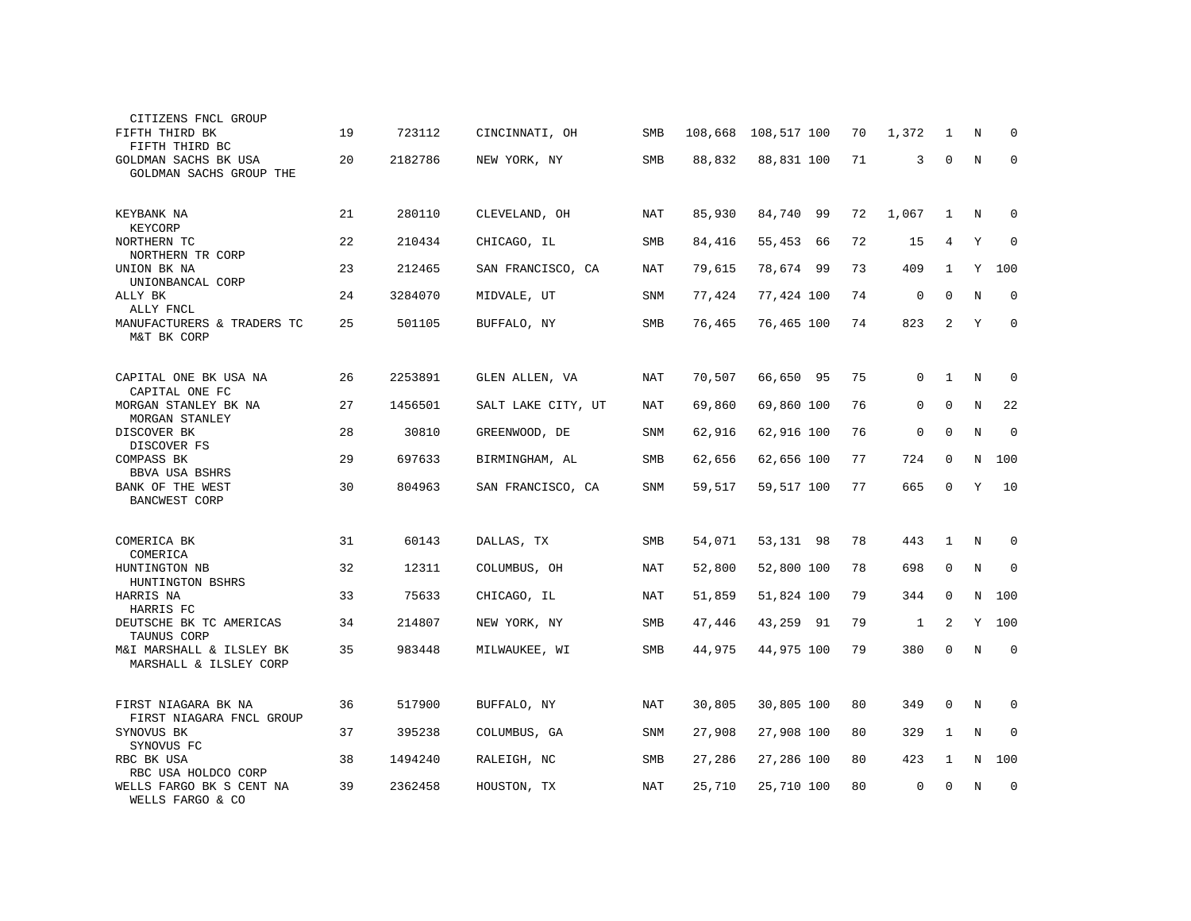| CITIZENS FNCL GROUP<br>FIFTH THIRD BK<br>FIFTH THIRD BC             | 19 | 723112  | CINCINNATI, OH     | <b>SMB</b> | 108,668 | 108,517 100 | 70 | 1,372        | 1            | N           | 0           |
|---------------------------------------------------------------------|----|---------|--------------------|------------|---------|-------------|----|--------------|--------------|-------------|-------------|
| GOLDMAN SACHS BK USA<br>GOLDMAN SACHS GROUP THE                     | 20 | 2182786 | NEW YORK, NY       | SMB        | 88,832  | 88,831 100  | 71 | 3            | $\mathbf 0$  | $\mathbf N$ | $\mathbf 0$ |
| KEYBANK NA<br>KEYCORP                                               | 21 | 280110  | CLEVELAND, OH      | NAT        | 85,930  | 84,740 99   | 72 | 1,067        | 1            | N           | $\Omega$    |
| NORTHERN TC<br>NORTHERN TR CORP                                     | 22 | 210434  | CHICAGO, IL        | SMB        | 84,416  | 55,453 66   | 72 | 15           | 4            | Υ           | $\mathbf 0$ |
| UNION BK NA<br>UNIONBANCAL CORP                                     | 23 | 212465  | SAN FRANCISCO, CA  | <b>NAT</b> | 79,615  | 78,674 99   | 73 | 409          | $\mathbf{1}$ | Y           | 100         |
| ALLY BK<br>ALLY FNCL                                                | 24 | 3284070 | MIDVALE, UT        | SNM        | 77,424  | 77,424 100  | 74 | 0            | $\Omega$     | N           | $\Omega$    |
| MANUFACTURERS & TRADERS TC<br>M&T BK CORP                           | 25 | 501105  | BUFFALO, NY        | SMB        | 76,465  | 76,465 100  | 74 | 823          | 2            | Y           | $\mathbf 0$ |
| CAPITAL ONE BK USA NA                                               | 26 | 2253891 | GLEN ALLEN, VA     | NAT        | 70,507  | 66,650 95   | 75 | $\Omega$     | $\mathbf{1}$ | N           | 0           |
| CAPITAL ONE FC<br>MORGAN STANLEY BK NA                              | 27 | 1456501 | SALT LAKE CITY, UT | NAT        | 69,860  | 69,860 100  | 76 | $\mathbf{0}$ | $\mathbf 0$  | N           | 22          |
| MORGAN STANLEY                                                      |    |         |                    |            |         |             |    |              |              |             |             |
| DISCOVER BK<br>DISCOVER FS                                          | 28 | 30810   | GREENWOOD, DE      | SNM        | 62,916  | 62,916 100  | 76 | $\mathbf 0$  | $\Omega$     | N           | $\mathbf 0$ |
| COMPASS BK<br>BBVA USA BSHRS                                        | 29 | 697633  | BIRMINGHAM, AL     | SMB        | 62,656  | 62,656 100  | 77 | 724          | $\mathbf 0$  | N           | 100         |
| BANK OF THE WEST<br><b>BANCWEST CORP</b>                            | 30 | 804963  | SAN FRANCISCO, CA  | <b>SNM</b> | 59,517  | 59,517 100  | 77 | 665          | $\Omega$     | Υ           | 10          |
| COMERICA BK<br>COMERICA                                             | 31 | 60143   | DALLAS, TX         | SMB        | 54,071  | 53,131 98   | 78 | 443          | 1            | N           | 0           |
| HUNTINGTON NB<br>HUNTINGTON BSHRS                                   | 32 | 12311   | COLUMBUS, OH       | <b>NAT</b> | 52,800  | 52,800 100  | 78 | 698          | $\Omega$     | $\mathbf N$ | $\Omega$    |
| HARRIS NA<br>HARRIS FC                                              | 33 | 75633   | CHICAGO, IL        | NAT        | 51,859  | 51,824 100  | 79 | 344          | 0            | N           | 100         |
| DEUTSCHE BK TC AMERICAS<br>TAUNUS CORP                              | 34 | 214807  | NEW YORK, NY       | SMB        | 47,446  | 43,259 91   | 79 | 1            | 2            | Y           | 100         |
| M&I MARSHALL & ILSLEY BK<br>MARSHALL & ILSLEY CORP                  | 35 | 983448  | MILWAUKEE, WI      | <b>SMB</b> | 44,975  | 44,975 100  | 79 | 380          | $\Omega$     | N           | $\Omega$    |
| FIRST NIAGARA BK NA<br>FIRST NIAGARA FNCL GROUP                     | 36 | 517900  | BUFFALO, NY        | NAT        | 30,805  | 30,805 100  | 80 | 349          | 0            | N           | 0           |
| SYNOVUS BK<br>SYNOVUS FC                                            | 37 | 395238  | COLUMBUS, GA       | <b>SNM</b> | 27,908  | 27,908 100  | 80 | 329          | 1            | N           | 0           |
| RBC BK USA                                                          | 38 | 1494240 | RALEIGH, NC        | SMB        | 27,286  | 27,286 100  | 80 | 423          | 1            | $\mathbf N$ | 100         |
| RBC USA HOLDCO CORP<br>WELLS FARGO BK S CENT NA<br>WELLS FARGO & CO | 39 | 2362458 | HOUSTON, TX        | NAT        | 25,710  | 25,710 100  | 80 | $\Omega$     | $\Omega$     | N           | 0           |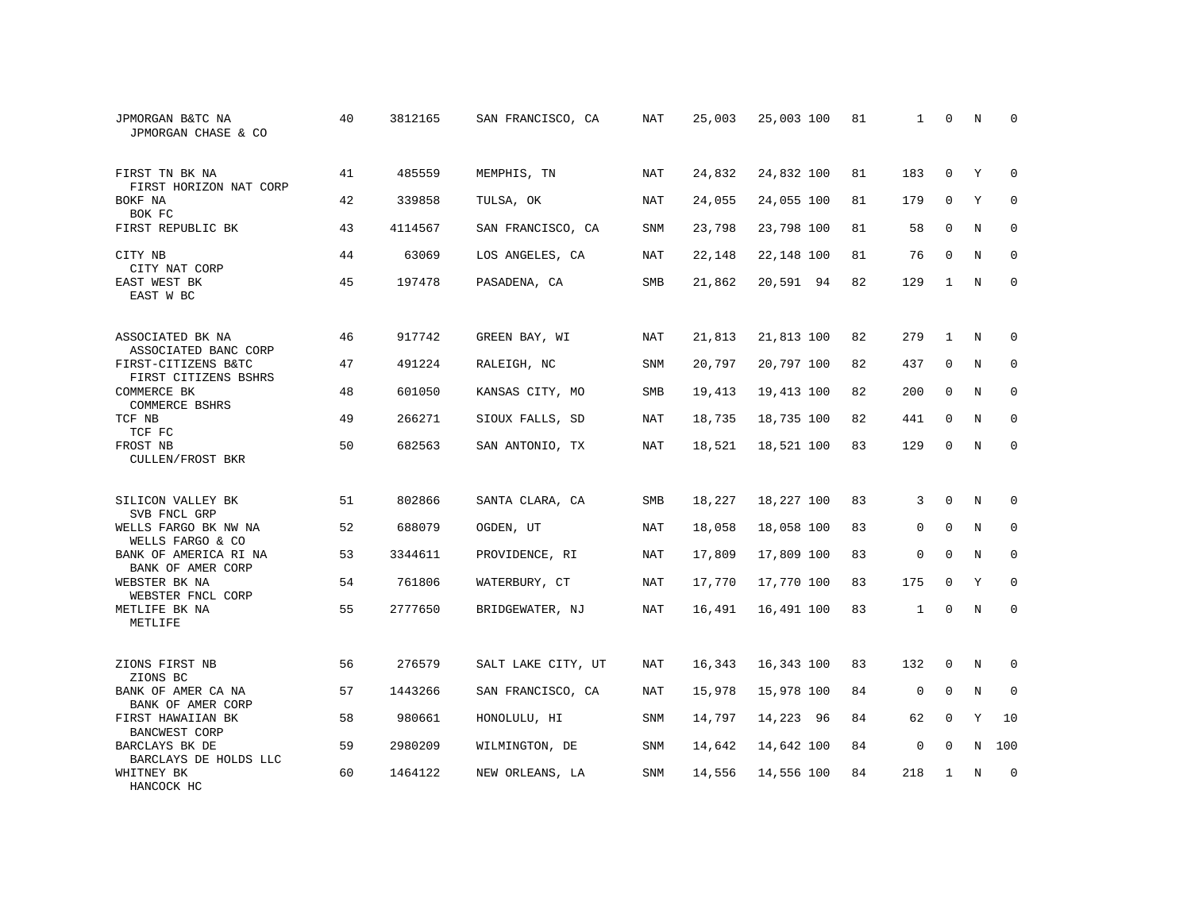| JPMORGAN B&TC NA<br>JPMORGAN CHASE & CO                      | 40 | 3812165 | SAN FRANCISCO, CA  | NAT        | 25,003 | 25,003 100 | 81 | 1            | $\Omega$     | N           | $\Omega$    |
|--------------------------------------------------------------|----|---------|--------------------|------------|--------|------------|----|--------------|--------------|-------------|-------------|
| FIRST TN BK NA                                               | 41 | 485559  | MEMPHIS, TN        | NAT        | 24,832 | 24,832 100 | 81 | 183          | $\Omega$     | Y           | $\Omega$    |
| FIRST HORIZON NAT CORP<br>BOKF NA<br>BOK FC                  | 42 | 339858  | TULSA, OK          | NAT        | 24,055 | 24,055 100 | 81 | 179          | $\mathbf 0$  | Y           | $\mathbf 0$ |
| FIRST REPUBLIC BK                                            | 43 | 4114567 | SAN FRANCISCO, CA  | <b>SNM</b> | 23,798 | 23,798 100 | 81 | 58           | $\mathbf 0$  | N           | $\mathbf 0$ |
| CITY NB                                                      | 44 | 63069   | LOS ANGELES, CA    | NAT        | 22,148 | 22,148 100 | 81 | 76           | 0            | N           | 0           |
| CITY NAT CORP<br>EAST WEST BK<br>EAST W BC                   | 45 | 197478  | PASADENA, CA       | SMB        | 21,862 | 20,591 94  | 82 | 129          | $\mathbf{1}$ | N           | $\mathbf 0$ |
| ASSOCIATED BK NA                                             | 46 | 917742  | GREEN BAY, WI      | NAT        | 21,813 | 21,813 100 | 82 | 279          | $\mathbf{1}$ | N           | 0           |
| ASSOCIATED BANC CORP<br>FIRST-CITIZENS B&TC                  | 47 | 491224  | RALEIGH, NC        | <b>SNM</b> | 20,797 | 20,797 100 | 82 | 437          | $\mathbf 0$  | $\mathbf N$ | $\mathbf 0$ |
| FIRST CITIZENS BSHRS<br>COMMERCE BK<br><b>COMMERCE BSHRS</b> | 48 | 601050  | KANSAS CITY, MO    | SMB        | 19,413 | 19,413 100 | 82 | 200          | $\mathbf 0$  | N           | 0           |
| TCF NB<br>TCF FC                                             | 49 | 266271  | SIOUX FALLS, SD    | <b>NAT</b> | 18,735 | 18,735 100 | 82 | 441          | $\mathbf 0$  | N           | $\mathbf 0$ |
| FROST NB<br><b>CULLEN/FROST BKR</b>                          | 50 | 682563  | SAN ANTONIO, TX    | <b>NAT</b> | 18,521 | 18,521 100 | 83 | 129          | $\Omega$     | $_{\rm N}$  | $\Omega$    |
| SILICON VALLEY BK<br>SVB FNCL GRP                            | 51 | 802866  | SANTA CLARA, CA    | <b>SMB</b> | 18,227 | 18,227 100 | 83 | 3            | $\Omega$     | N           | $\Omega$    |
| WELLS FARGO BK NW NA<br>WELLS FARGO & CO                     | 52 | 688079  | OGDEN, UT          | NAT        | 18,058 | 18,058 100 | 83 | $\mathbf{0}$ | $\mathbf 0$  | N           | 0           |
| BANK OF AMERICA RI NA<br>BANK OF AMER CORP                   | 53 | 3344611 | PROVIDENCE, RI     | NAT        | 17,809 | 17,809 100 | 83 | $\mathbf{0}$ | $\Omega$     | N           | 0           |
| WEBSTER BK NA<br>WEBSTER FNCL CORP                           | 54 | 761806  | WATERBURY, CT      | NAT        | 17,770 | 17,770 100 | 83 | 175          | $\Omega$     | Y           | $\Omega$    |
| METLIFE BK NA<br>METLIFE                                     | 55 | 2777650 | BRIDGEWATER, NJ    | NAT        | 16,491 | 16,491 100 | 83 | $\mathbf{1}$ | $\mathbf 0$  | N           | 0           |
| ZIONS FIRST NB<br>ZIONS BC                                   | 56 | 276579  | SALT LAKE CITY, UT | NAT        | 16,343 | 16,343 100 | 83 | 132          | $\mathbf 0$  | N           | 0           |
| BANK OF AMER CA NA<br>BANK OF AMER CORP                      | 57 | 1443266 | SAN FRANCISCO, CA  | NAT        | 15,978 | 15,978 100 | 84 | $\mathbf 0$  | $\mathbf 0$  | N           | 0           |
| FIRST HAWAIIAN BK<br>BANCWEST CORP                           | 58 | 980661  | HONOLULU, HI       | SNM        | 14,797 | 14,223 96  | 84 | 62           | $\mathbf 0$  | Y           | 10          |
| BARCLAYS BK DE<br>BARCLAYS DE HOLDS LLC                      | 59 | 2980209 | WILMINGTON, DE     | SNM        | 14,642 | 14,642 100 | 84 | 0            | 0            | N           | 100         |
| WHITNEY BK<br>HANCOCK HC                                     | 60 | 1464122 | NEW ORLEANS, LA    | SNM        | 14,556 | 14,556 100 | 84 | 218          | $\mathbf{1}$ | N           | $\mathbf 0$ |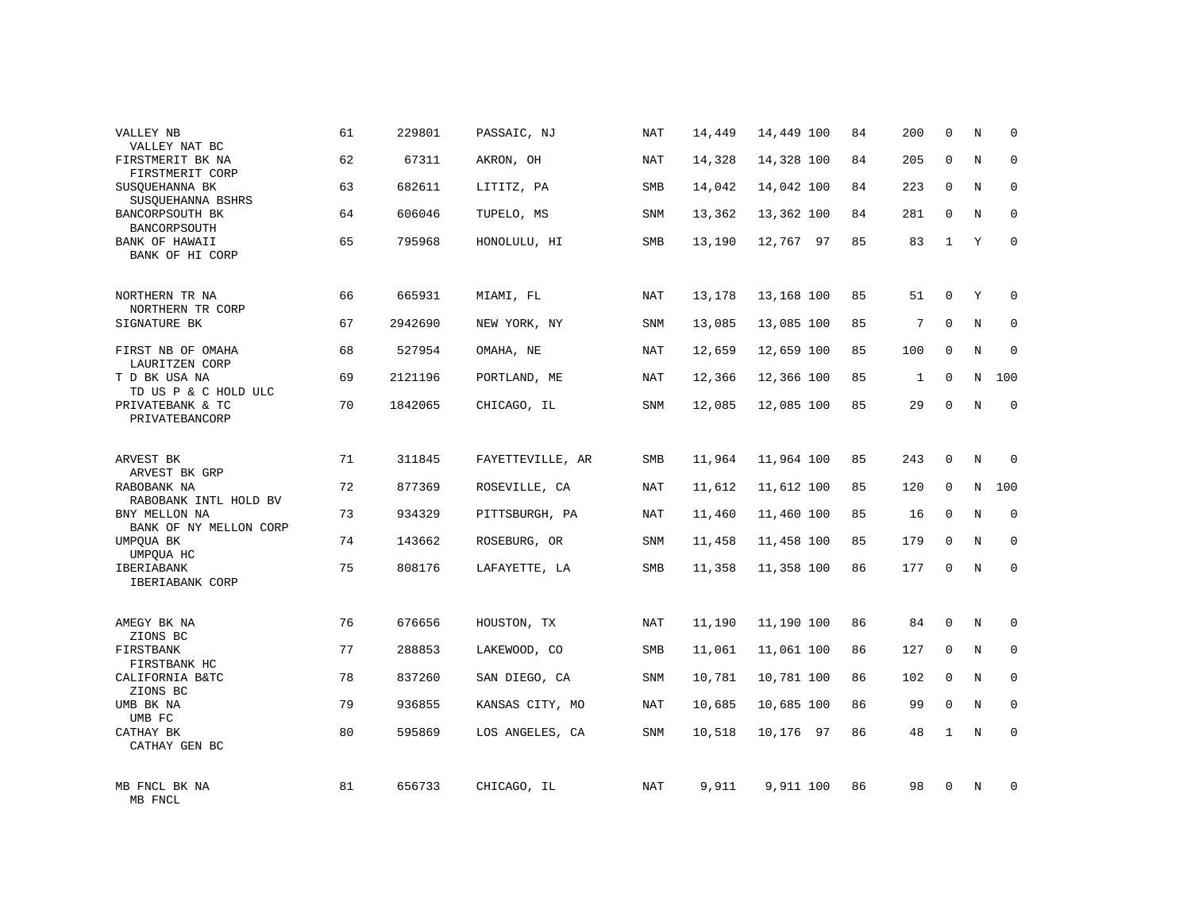| VALLEY NB<br>VALLEY NAT BC              | 61 | 229801  | PASSAIC, NJ      | NAT        | 14,449 | 14,449 100 | 84 | 200          | 0            | N           | $\mathbf 0$ |
|-----------------------------------------|----|---------|------------------|------------|--------|------------|----|--------------|--------------|-------------|-------------|
| FIRSTMERIT BK NA<br>FIRSTMERIT CORP     | 62 | 67311   | AKRON, OH        | <b>NAT</b> | 14,328 | 14,328 100 | 84 | 205          | $\Omega$     | N           | $\mathbf 0$ |
| SUSQUEHANNA BK<br>SUSQUEHANNA BSHRS     | 63 | 682611  | LITITZ, PA       | <b>SMB</b> | 14,042 | 14,042 100 | 84 | 223          | $\mathbf 0$  | N           | $\mathbf 0$ |
| BANCORPSOUTH BK<br><b>BANCORPSOUTH</b>  | 64 | 606046  | TUPELO, MS       | <b>SNM</b> | 13,362 | 13,362 100 | 84 | 281          | $\mathbf 0$  | N           | $\mathbf 0$ |
| BANK OF HAWAII<br>BANK OF HI CORP       | 65 | 795968  | HONOLULU, HI     | SMB        | 13,190 | 12,767 97  | 85 | 83           | $\mathbf{1}$ | Y           | $\mathbf 0$ |
| NORTHERN TR NA                          | 66 | 665931  | MIAMI, FL        | NAT        | 13,178 | 13,168 100 | 85 | 51           | $\mathbf 0$  | Y           | $\mathbf 0$ |
| NORTHERN TR CORP<br>SIGNATURE BK        | 67 | 2942690 | NEW YORK, NY     | SNM        | 13,085 | 13,085 100 | 85 | 7            | $\mathbf 0$  | N           | $\mathbf 0$ |
| FIRST NB OF OMAHA<br>LAURITZEN CORP     | 68 | 527954  | OMAHA, NE        | NAT        | 12,659 | 12,659 100 | 85 | 100          | $\mathbf 0$  | $\mathbf N$ | $\mathbf 0$ |
| T D BK USA NA<br>TD US P & C HOLD ULC   | 69 | 2121196 | PORTLAND, ME     | NAT        | 12,366 | 12,366 100 | 85 | $\mathbf{1}$ | 0            | N           | 100         |
| PRIVATEBANK & TC<br>PRIVATEBANCORP      | 70 | 1842065 | CHICAGO, IL      | SNM        | 12,085 | 12,085 100 | 85 | 29           | $\mathbf 0$  | $\rm N$     | $\mathbf 0$ |
| ARVEST BK<br>ARVEST BK GRP              | 71 | 311845  | FAYETTEVILLE, AR | <b>SMB</b> | 11,964 | 11,964 100 | 85 | 243          | $\Omega$     | $\mathbb N$ | $\Omega$    |
| RABOBANK NA<br>RABOBANK INTL HOLD BV    | 72 | 877369  | ROSEVILLE, CA    | NAT        | 11,612 | 11,612 100 | 85 | 120          | 0            | N           | 100         |
| BNY MELLON NA<br>BANK OF NY MELLON CORP | 73 | 934329  | PITTSBURGH, PA   | <b>NAT</b> | 11,460 | 11,460 100 | 85 | 16           | $\mathbf 0$  | N           | $\mathbf 0$ |
| UMPQUA BK<br>UMPQUA HC                  | 74 | 143662  | ROSEBURG, OR     | SNM        | 11,458 | 11,458 100 | 85 | 179          | 0            | N           | 0           |
| IBERIABANK<br>IBERIABANK CORP           | 75 | 808176  | LAFAYETTE, LA    | <b>SMB</b> | 11,358 | 11,358 100 | 86 | 177          | $\Omega$     | $_{\rm N}$  | $\mathbf 0$ |
| AMEGY BK NA                             | 76 | 676656  | HOUSTON, TX      | <b>NAT</b> | 11,190 | 11,190 100 | 86 | 84           | $\Omega$     | N           | $\mathbf 0$ |
| ZIONS BC<br>FIRSTBANK<br>FIRSTBANK HC   | 77 | 288853  | LAKEWOOD, CO     | SMB        | 11,061 | 11,061 100 | 86 | 127          | 0            | N           | $\mathbf 0$ |
| CALIFORNIA B&TC<br>ZIONS BC             | 78 | 837260  | SAN DIEGO, CA    | <b>SNM</b> | 10,781 | 10,781 100 | 86 | 102          | 0            | N           | $\mathbf 0$ |
| UMB BK NA<br>UMB FC                     | 79 | 936855  | KANSAS CITY, MO  | NAT        | 10,685 | 10,685 100 | 86 | 99           | $\mathbf 0$  | N           | $\mathbf 0$ |
| CATHAY BK<br>CATHAY GEN BC              | 80 | 595869  | LOS ANGELES, CA  | <b>SNM</b> | 10,518 | 10,176 97  | 86 | 48           | 1            | N           | $\mathbf 0$ |
| MB FNCL BK NA<br>MB FNCL                | 81 | 656733  | CHICAGO, IL      | NAT        | 9,911  | 9,911 100  | 86 | 98           | $\Omega$     | N           | $\Omega$    |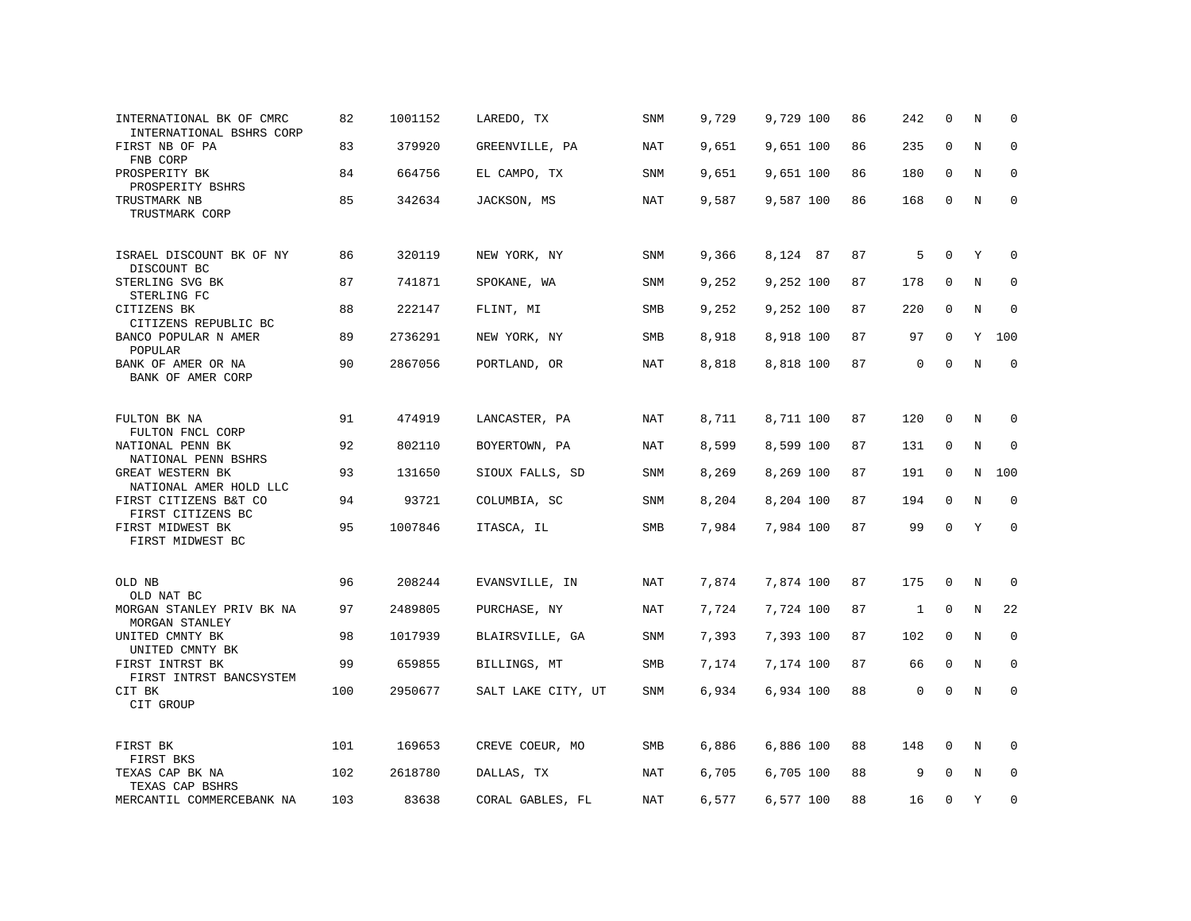| INTERNATIONAL BK OF CMRC<br>INTERNATIONAL BSHRS CORP | 82  | 1001152 | LAREDO, TX         | SNM        | 9,729 | 9,729 100 | 86 | 242          | $\mathbf 0$  | N       | 0            |
|------------------------------------------------------|-----|---------|--------------------|------------|-------|-----------|----|--------------|--------------|---------|--------------|
| FIRST NB OF PA<br>FNB CORP                           | 83  | 379920  | GREENVILLE, PA     | NAT        | 9,651 | 9,651 100 | 86 | 235          | 0            | N       | 0            |
| PROSPERITY BK<br>PROSPERITY BSHRS                    | 84  | 664756  | EL CAMPO, TX       | SNM        | 9,651 | 9,651 100 | 86 | 180          | 0            | N       | 0            |
| TRUSTMARK NB<br>TRUSTMARK CORP                       | 85  | 342634  | JACKSON, MS        | <b>NAT</b> | 9,587 | 9,587 100 | 86 | 168          | $\mathbf 0$  | N       | $\mathbf 0$  |
| ISRAEL DISCOUNT BK OF NY<br>DISCOUNT BC              | 86  | 320119  | NEW YORK, NY       | <b>SNM</b> | 9,366 | 8,124 87  | 87 | 5            | $\Omega$     | Y       | $\mathbf 0$  |
| STERLING SVG BK<br>STERLING FC                       | 87  | 741871  | SPOKANE, WA        | SNM        | 9,252 | 9,252 100 | 87 | 178          | 0            | N       | $\mathbf 0$  |
| CITIZENS BK<br>CITIZENS REPUBLIC BC                  | 88  | 222147  | FLINT, MI          | SMB        | 9,252 | 9,252 100 | 87 | 220          | 0            | N       | $\mathbf 0$  |
| BANCO POPULAR N AMER<br>POPULAR                      | 89  | 2736291 | NEW YORK, NY       | SMB        | 8,918 | 8,918 100 | 87 | 97           | $\mathbf 0$  | Υ       | 100          |
| BANK OF AMER OR NA<br>BANK OF AMER CORP              | 90  | 2867056 | PORTLAND, OR       | NAT        | 8,818 | 8,818 100 | 87 | 0            | 0            | N       | $\mathbf 0$  |
| FULTON BK NA<br>FULTON FNCL CORP                     | 91  | 474919  | LANCASTER, PA      | NAT        | 8,711 | 8,711 100 | 87 | 120          | $\mathbf{0}$ | N       | $\Omega$     |
| NATIONAL PENN BK<br>NATIONAL PENN BSHRS              | 92  | 802110  | BOYERTOWN, PA      | NAT        | 8,599 | 8,599 100 | 87 | 131          | 0            | $\rm N$ | 0            |
| GREAT WESTERN BK<br>NATIONAL AMER HOLD LLC           | 93  | 131650  | SIOUX FALLS, SD    | <b>SNM</b> | 8,269 | 8,269 100 | 87 | 191          | $\mathbf 0$  | N       | 100          |
| FIRST CITIZENS B&T CO<br>FIRST CITIZENS BC           | 94  | 93721   | COLUMBIA, SC       | <b>SNM</b> | 8,204 | 8,204 100 | 87 | 194          | $\mathbf 0$  | N       | $\mathbf 0$  |
| FIRST MIDWEST BK<br>FIRST MIDWEST BC                 | 95  | 1007846 | ITASCA, IL         | SMB        | 7,984 | 7,984 100 | 87 | 99           | $\mathbf 0$  | Y       | $\mathbf 0$  |
| OLD NB<br>OLD NAT BC                                 | 96  | 208244  | EVANSVILLE, IN     | <b>NAT</b> | 7,874 | 7,874 100 | 87 | 175          | 0            | N       | $\mathbf 0$  |
| MORGAN STANLEY PRIV BK NA<br>MORGAN STANLEY          | 97  | 2489805 | PURCHASE, NY       | NAT        | 7,724 | 7,724 100 | 87 | $\mathbf{1}$ | 0            | N       | 22           |
| UNITED CMNTY BK<br>UNITED CMNTY BK                   | 98  | 1017939 | BLAIRSVILLE, GA    | SNM        | 7,393 | 7,393 100 | 87 | 102          | $\mathbf 0$  | N       | $\mathbf 0$  |
| FIRST INTRST BK<br>FIRST INTRST BANCSYSTEM           | 99  | 659855  | BILLINGS, MT       | SMB        | 7,174 | 7,174 100 | 87 | 66           | 0            | N       | 0            |
| CIT BK<br>CIT GROUP                                  | 100 | 2950677 | SALT LAKE CITY, UT | SNM        | 6,934 | 6,934 100 | 88 | 0            | 0            | $\rm N$ | $\Omega$     |
| FIRST BK<br>FIRST BKS                                | 101 | 169653  | CREVE COEUR, MO    | SMB        | 6,886 | 6,886 100 | 88 | 148          | 0            | N       | <sup>0</sup> |
| TEXAS CAP BK NA<br>TEXAS CAP BSHRS                   | 102 | 2618780 | DALLAS, TX         | <b>NAT</b> | 6,705 | 6,705 100 | 88 | 9            | $\Omega$     | N       | $\mathbf 0$  |
| MERCANTIL COMMERCEBANK NA                            | 103 | 83638   | CORAL GABLES, FL   | NAT        | 6,577 | 6,577 100 | 88 | 16           | $\Omega$     | Y       | 0            |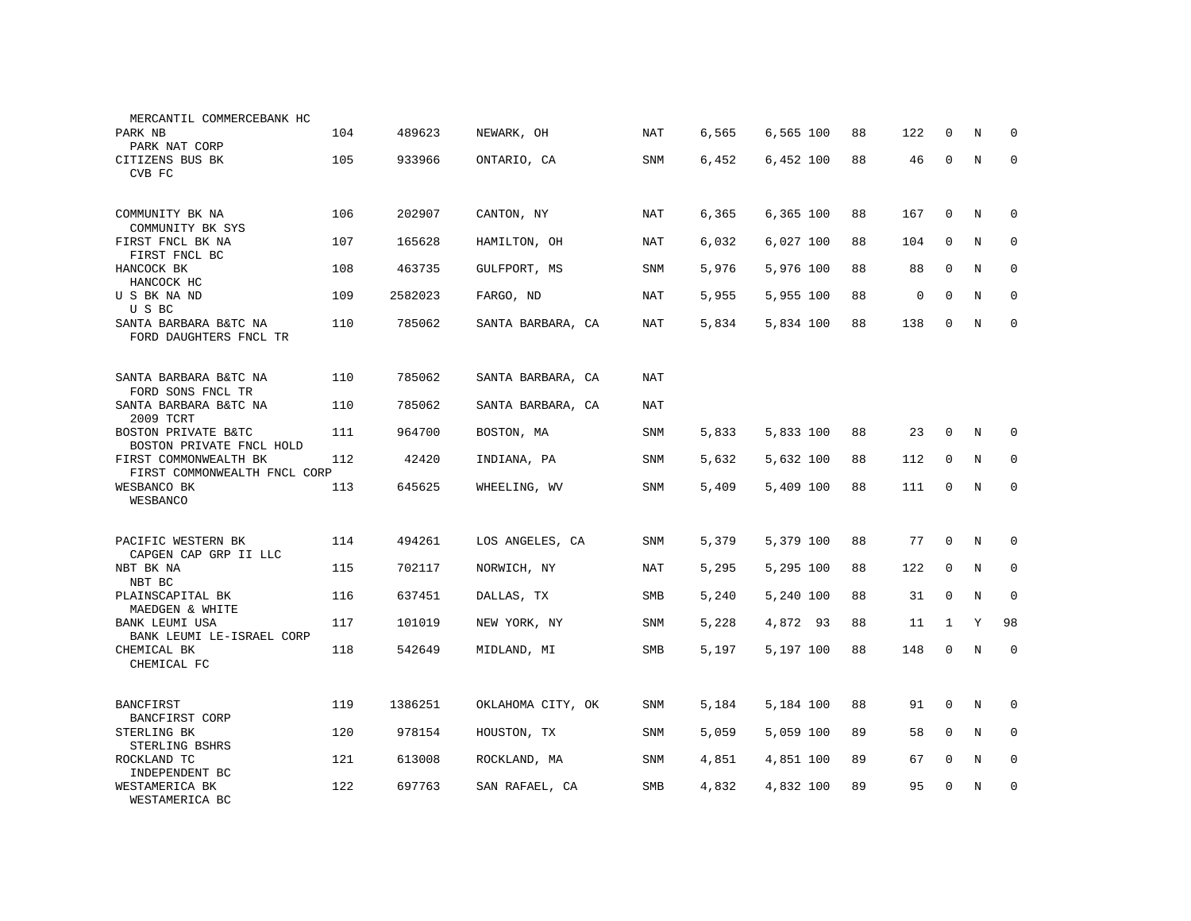| MERCANTIL COMMERCEBANK HC                             |     |         |                   |            |       |           |    |             |              |         |             |
|-------------------------------------------------------|-----|---------|-------------------|------------|-------|-----------|----|-------------|--------------|---------|-------------|
| PARK NB<br>PARK NAT CORP                              | 104 | 489623  | NEWARK, OH        | NAT        | 6,565 | 6,565 100 | 88 | 122         | $\Omega$     | N       | U           |
| CITIZENS BUS BK<br>CVB FC                             | 105 | 933966  | ONTARIO, CA       | SNM        | 6,452 | 6,452 100 | 88 | 46          | $\mathbf 0$  | N       | $\mathbf 0$ |
| COMMUNITY BK NA<br>COMMUNITY BK SYS                   | 106 | 202907  | CANTON, NY        | NAT        | 6,365 | 6,365 100 | 88 | 167         | $\mathbf{0}$ | N       | $\mathbf 0$ |
| FIRST FNCL BK NA<br>FIRST FNCL BC                     | 107 | 165628  | HAMILTON, OH      | NAT        | 6,032 | 6,027 100 | 88 | 104         | 0            | N       | 0           |
| HANCOCK BK<br>HANCOCK HC                              | 108 | 463735  | GULFPORT, MS      | SNM        | 5,976 | 5,976 100 | 88 | 88          | 0            | N       | $\mathbf 0$ |
| U S BK NA ND<br>U S BC                                | 109 | 2582023 | FARGO, ND         | NAT        | 5,955 | 5,955 100 | 88 | $\mathsf 0$ | $\mathbf 0$  | N       | $\mathbf 0$ |
| SANTA BARBARA B&TC NA<br>FORD DAUGHTERS FNCL TR       | 110 | 785062  | SANTA BARBARA, CA | NAT        | 5,834 | 5,834 100 | 88 | 138         | $\mathbf 0$  | $\rm N$ | $\mathbf 0$ |
| SANTA BARBARA B&TC NA<br>FORD SONS FNCL TR            | 110 | 785062  | SANTA BARBARA, CA | NAT        |       |           |    |             |              |         |             |
| SANTA BARBARA B&TC NA<br>2009 TCRT                    | 110 | 785062  | SANTA BARBARA, CA | NAT        |       |           |    |             |              |         |             |
| BOSTON PRIVATE B&TC<br>BOSTON PRIVATE FNCL HOLD       | 111 | 964700  | BOSTON, MA        | SNM        | 5,833 | 5,833 100 | 88 | 23          | $\mathbf 0$  | N       | $\Omega$    |
| FIRST COMMONWEALTH BK<br>FIRST COMMONWEALTH FNCL CORP | 112 | 42420   | INDIANA, PA       | SNM        | 5,632 | 5,632 100 | 88 | 112         | $\mathbf 0$  | N       | 0           |
| WESBANCO BK<br>WESBANCO                               | 113 | 645625  | WHEELING, WV      | <b>SNM</b> | 5,409 | 5,409 100 | 88 | 111         | 0            | N       | $\mathbf 0$ |
| PACIFIC WESTERN BK<br>CAPGEN CAP GRP II LLC           | 114 | 494261  | LOS ANGELES, CA   | SNM        | 5,379 | 5,379 100 | 88 | 77          | $\mathbf 0$  | N       | U           |
| NBT BK NA<br>NBT BC                                   | 115 | 702117  | NORWICH, NY       | <b>NAT</b> | 5,295 | 5,295 100 | 88 | 122         | $\mathbf{0}$ | N       | $\mathbf 0$ |
| PLAINSCAPITAL BK<br>MAEDGEN & WHITE                   | 116 | 637451  | DALLAS, TX        | SMB        | 5,240 | 5,240 100 | 88 | 31          | $\Omega$     | N       | $\mathbf 0$ |
| BANK LEUMI USA<br>BANK LEUMI LE-ISRAEL CORP           | 117 | 101019  | NEW YORK, NY      | SNM        | 5,228 | 4,872 93  | 88 | 11          | $\mathbf{1}$ | Y       | 98          |
| CHEMICAL BK<br>CHEMICAL FC                            | 118 | 542649  | MIDLAND, MI       | SMB        | 5,197 | 5,197 100 | 88 | 148         | $\mathbf 0$  | N       | $\mathbf 0$ |
| <b>BANCFIRST</b><br>BANCFIRST CORP                    | 119 | 1386251 | OKLAHOMA CITY, OK | SNM        | 5,184 | 5,184 100 | 88 | 91          | $\mathbf 0$  | N       | 0           |
| STERLING BK<br>STERLING BSHRS                         | 120 | 978154  | HOUSTON, TX       | SNM        | 5,059 | 5,059 100 | 89 | 58          | $\mathbf{0}$ | N       | $\mathbf 0$ |
| ROCKLAND TC<br>INDEPENDENT BC                         | 121 | 613008  | ROCKLAND, MA      | SNM        | 4,851 | 4,851 100 | 89 | 67          | $\mathbf 0$  | N       | 0           |
| WESTAMERICA BK<br>WESTAMERICA BC                      | 122 | 697763  | SAN RAFAEL, CA    | SMB        | 4,832 | 4,832 100 | 89 | 95          | $\mathbf 0$  | N       | $\mathbf 0$ |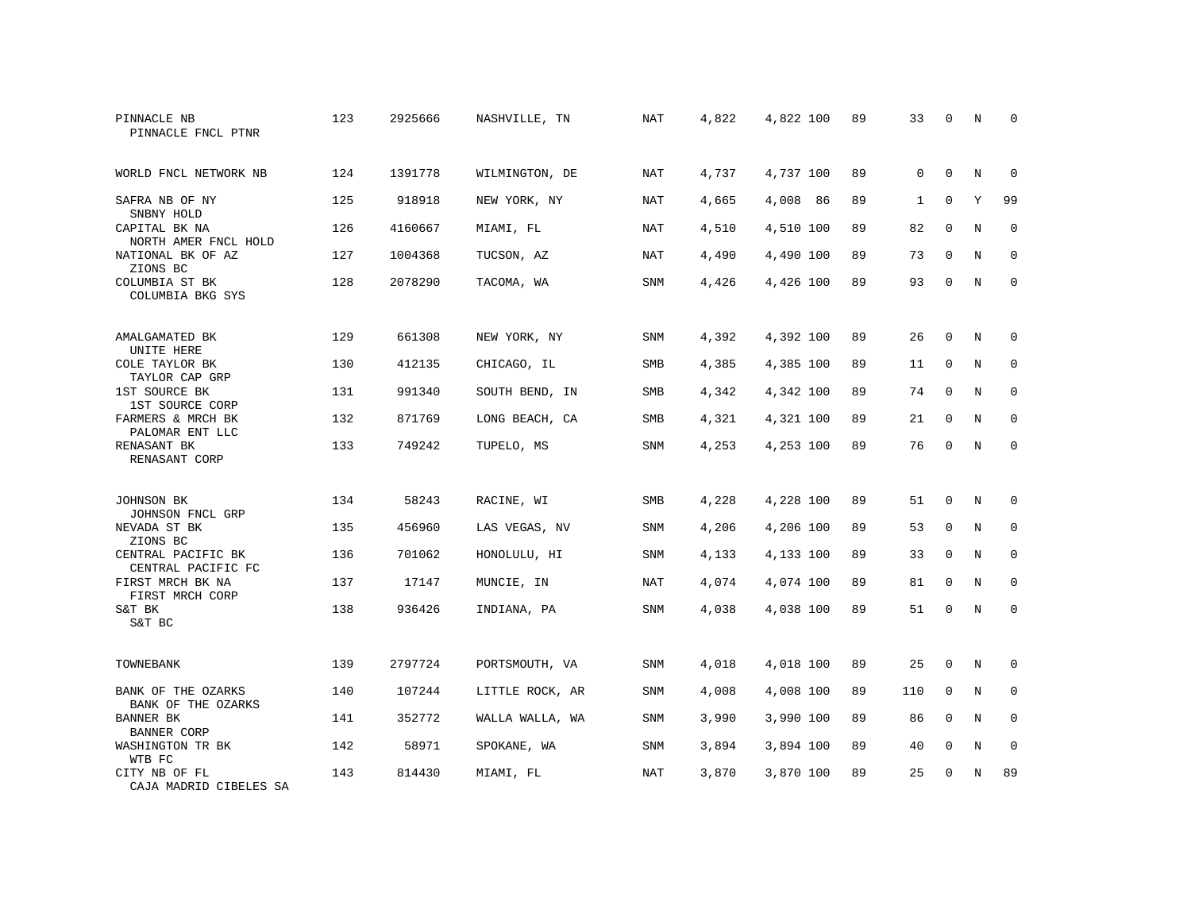| PINNACLE NB<br>PINNACLE FNCL PTNR        | 123 | 2925666 | NASHVILLE, TN   | NAT        | 4,822 | 4,822 100 | 89 | 33          | $\Omega$    | N           | $\Omega$    |
|------------------------------------------|-----|---------|-----------------|------------|-------|-----------|----|-------------|-------------|-------------|-------------|
| WORLD FNCL NETWORK NB                    | 124 | 1391778 | WILMINGTON, DE  | <b>NAT</b> | 4,737 | 4,737 100 | 89 | $\mathbf 0$ | $\mathbf 0$ | N           | 0           |
| SAFRA NB OF NY<br>SNBNY HOLD             | 125 | 918918  | NEW YORK, NY    | NAT        | 4,665 | 4,008 86  | 89 | 1           | $\mathbf 0$ | Y           | 99          |
| CAPITAL BK NA<br>NORTH AMER FNCL HOLD    | 126 | 4160667 | MIAMI, FL       | NAT        | 4,510 | 4,510 100 | 89 | 82          | $\Omega$    | N           | $\Omega$    |
| NATIONAL BK OF AZ<br>ZIONS BC            | 127 | 1004368 | TUCSON, AZ      | <b>NAT</b> | 4,490 | 4,490 100 | 89 | 73          | $\mathbf 0$ | N           | $\mathbf 0$ |
| COLUMBIA ST BK<br>COLUMBIA BKG SYS       | 128 | 2078290 | TACOMA, WA      | <b>SNM</b> | 4,426 | 4,426 100 | 89 | 93          | $\Omega$    | N           | $\Omega$    |
| AMALGAMATED BK<br>UNITE HERE             | 129 | 661308  | NEW YORK, NY    | <b>SNM</b> | 4,392 | 4,392 100 | 89 | 26          | $\mathbf 0$ | N           | 0           |
| COLE TAYLOR BK<br>TAYLOR CAP GRP         | 130 | 412135  | CHICAGO, IL     | SMB        | 4,385 | 4,385 100 | 89 | 11          | $\mathbf 0$ | N           | $\mathbf 0$ |
| 1ST SOURCE BK<br>1ST SOURCE CORP         | 131 | 991340  | SOUTH BEND, IN  | SMB        | 4,342 | 4,342 100 | 89 | 74          | $\Omega$    | N           | $\mathbf 0$ |
| FARMERS & MRCH BK<br>PALOMAR ENT LLC     | 132 | 871769  | LONG BEACH, CA  | SMB        | 4,321 | 4,321 100 | 89 | 21          | $\mathbf 0$ | N           | $\mathbf 0$ |
| RENASANT BK<br>RENASANT CORP             | 133 | 749242  | TUPELO, MS      | <b>SNM</b> | 4,253 | 4,253 100 | 89 | 76          | $\mathbf 0$ | N           | $\mathbf 0$ |
| JOHNSON BK<br>JOHNSON FNCL GRP           | 134 | 58243   | RACINE, WI      | <b>SMB</b> | 4,228 | 4,228 100 | 89 | 51          | 0           | N           | 0           |
| NEVADA ST BK<br>ZIONS BC                 | 135 | 456960  | LAS VEGAS, NV   | SNM        | 4,206 | 4,206 100 | 89 | 53          | $\mathbf 0$ | $\mathbf N$ | $\mathbf 0$ |
| CENTRAL PACIFIC BK<br>CENTRAL PACIFIC FC | 136 | 701062  | HONOLULU, HI    | SNM        | 4,133 | 4,133 100 | 89 | 33          | $\mathbf 0$ | N           | 0           |
| FIRST MRCH BK NA<br>FIRST MRCH CORP      | 137 | 17147   | MUNCIE, IN      | <b>NAT</b> | 4,074 | 4,074 100 | 89 | 81          | $\mathbf 0$ | N           | $\mathbf 0$ |
| S&T BK<br>S&T BC                         | 138 | 936426  | INDIANA, PA     | SNM        | 4,038 | 4,038 100 | 89 | 51          | $\mathbf 0$ | $\mathbf N$ | $\mathbf 0$ |
| TOWNEBANK                                | 139 | 2797724 | PORTSMOUTH, VA  | SNM        | 4,018 | 4,018 100 | 89 | 25          | $\Omega$    | N           | 0           |
| BANK OF THE OZARKS<br>BANK OF THE OZARKS | 140 | 107244  | LITTLE ROCK, AR | SNM        | 4,008 | 4,008 100 | 89 | 110         | $\mathbf 0$ | N           | 0           |
| BANNER BK<br><b>BANNER CORP</b>          | 141 | 352772  | WALLA WALLA, WA | SNM        | 3,990 | 3,990 100 | 89 | 86          | $\mathbf 0$ | N           | $\mathbf 0$ |
| WASHINGTON TR BK<br>WTB FC               | 142 | 58971   | SPOKANE, WA     | SNM        | 3,894 | 3,894 100 | 89 | 40          | 0           | N           | 0           |
| CITY NB OF FL<br>CAJA MADRID CIBELES SA  | 143 | 814430  | MIAMI, FL       | <b>NAT</b> | 3,870 | 3,870 100 | 89 | 25          | $\Omega$    | N           | 89          |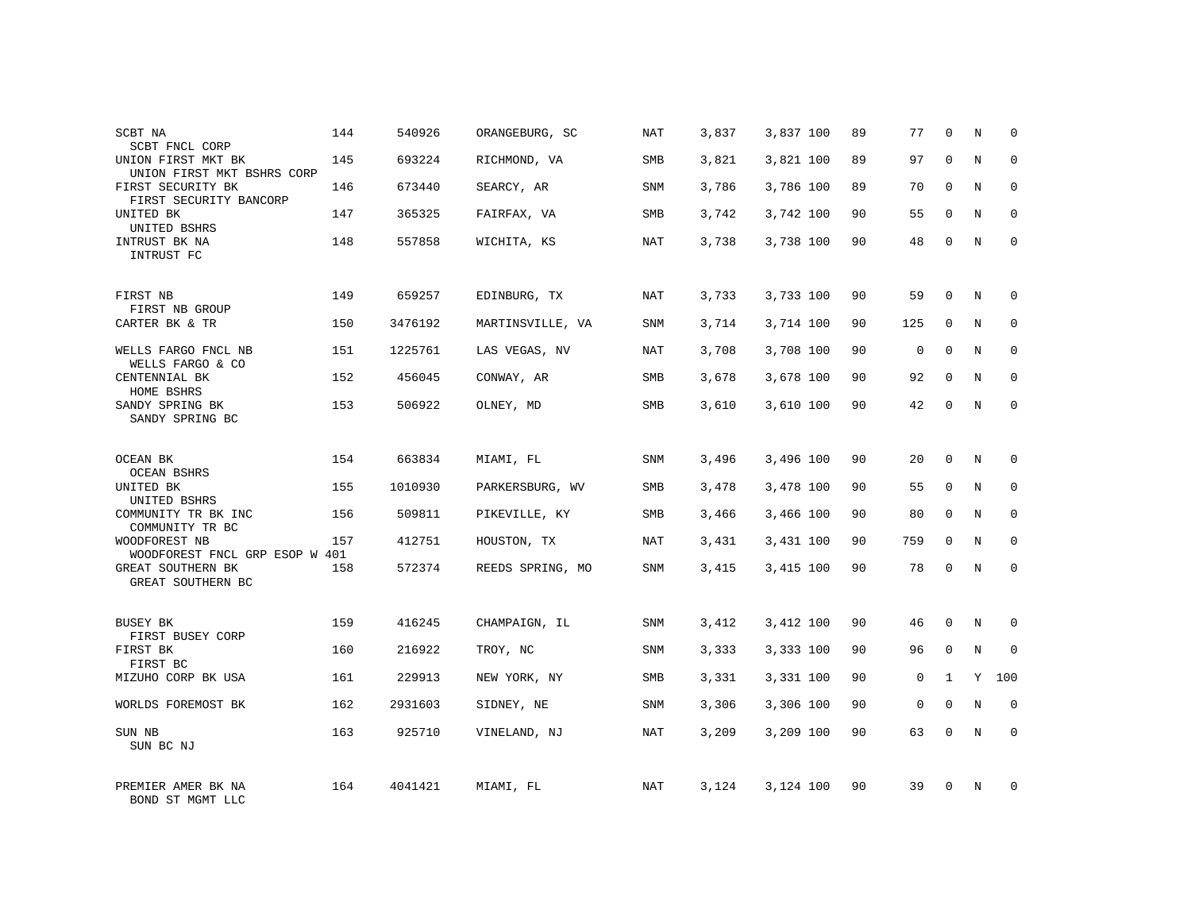| SCBT NA<br>SCBT FNCL CORP                        | 144 | 540926  | ORANGEBURG, SC   | NAT | 3,837 | 3,837 100 | 89 | 77          | 0            | N | 0            |
|--------------------------------------------------|-----|---------|------------------|-----|-------|-----------|----|-------------|--------------|---|--------------|
| UNION FIRST MKT BK<br>UNION FIRST MKT BSHRS CORP | 145 | 693224  | RICHMOND, VA     | SMB | 3,821 | 3,821 100 | 89 | 97          | $\Omega$     | N | $\mathbf 0$  |
| FIRST SECURITY BK<br>FIRST SECURITY BANCORP      | 146 | 673440  | SEARCY, AR       | SNM | 3,786 | 3,786 100 | 89 | 70          | $\Omega$     | N | 0            |
| UNITED BK<br>UNITED BSHRS                        | 147 | 365325  | FAIRFAX, VA      | SMB | 3,742 | 3,742 100 | 90 | 55          | $\Omega$     | N | $\Omega$     |
| INTRUST BK NA<br>INTRUST FC                      | 148 | 557858  | WICHITA, KS      | NAT | 3,738 | 3,738 100 | 90 | 48          | $\Omega$     | N | $\mathbf{0}$ |
| FIRST NB                                         | 149 | 659257  | EDINBURG, TX     | NAT | 3,733 | 3,733 100 | 90 | 59          | $\Omega$     | N | $\Omega$     |
| FIRST NB GROUP<br>CARTER BK & TR                 | 150 | 3476192 | MARTINSVILLE, VA | SNM | 3,714 | 3,714 100 | 90 | 125         | 0            | N | $\mathbf 0$  |
| WELLS FARGO FNCL NB<br>WELLS FARGO & CO          | 151 | 1225761 | LAS VEGAS, NV    | NAT | 3,708 | 3,708 100 | 90 | $\Omega$    | $\Omega$     | N | $\mathbf 0$  |
| CENTENNIAL BK<br>HOME BSHRS                      | 152 | 456045  | CONWAY, AR       | SMB | 3,678 | 3,678 100 | 90 | 92          | $\mathbf 0$  | N | $\mathbf 0$  |
| SANDY SPRING BK<br>SANDY SPRING BC               | 153 | 506922  | OLNEY, MD        | SMB | 3,610 | 3,610 100 | 90 | 42          | $\mathbf 0$  | N | $\mathbf{0}$ |
| OCEAN BK<br><b>OCEAN BSHRS</b>                   | 154 | 663834  | MIAMI, FL        | SNM | 3,496 | 3,496 100 | 90 | 20          | $\Omega$     | N | $\Omega$     |
| UNITED BK<br>UNITED BSHRS                        | 155 | 1010930 | PARKERSBURG, WV  | SMB | 3,478 | 3,478 100 | 90 | 55          | $\mathbf 0$  | N | $\mathbf 0$  |
| COMMUNITY TR BK INC<br>COMMUNITY TR BC           | 156 | 509811  | PIKEVILLE, KY    | SMB | 3,466 | 3,466 100 | 90 | 80          | $\mathbf 0$  | N | $\mathbf 0$  |
| WOODFOREST NB<br>WOODFOREST FNCL GRP ESOP W 401  | 157 | 412751  | HOUSTON, TX      | NAT | 3,431 | 3,431 100 | 90 | 759         | $\mathbf 0$  | N | $\mathbf 0$  |
| GREAT SOUTHERN BK<br>GREAT SOUTHERN BC           | 158 | 572374  | REEDS SPRING, MO | SNM | 3,415 | 3,415 100 | 90 | 78          | 0            | N | $\mathbf 0$  |
| BUSEY BK                                         | 159 | 416245  | CHAMPAIGN, IL    | SNM | 3,412 | 3,412 100 | 90 | 46          | 0            | N | 0            |
| FIRST BUSEY CORP<br>FIRST BK<br>FIRST BC         | 160 | 216922  | TROY, NC         | SNM | 3,333 | 3,333 100 | 90 | 96          | $\mathbf 0$  | N | $\mathbf{0}$ |
| MIZUHO CORP BK USA                               | 161 | 229913  | NEW YORK, NY     | SMB | 3,331 | 3,331 100 | 90 | 0           | $\mathbf{1}$ | Y | 100          |
| WORLDS FOREMOST BK                               | 162 | 2931603 | SIDNEY, NE       | SNM | 3,306 | 3,306 100 | 90 | $\mathbf 0$ | $\Omega$     | N | $\mathbf{0}$ |
| SUN NB<br>SUN BC NJ                              | 163 | 925710  | VINELAND, NJ     | NAT | 3,209 | 3,209 100 | 90 | 63          | 0            | N | $\mathbf{0}$ |
| PREMIER AMER BK NA<br>BOND ST MGMT LLC           | 164 | 4041421 | MIAMI, FL        | NAT | 3,124 | 3,124 100 | 90 | 39          | $\Omega$     | N | $\Omega$     |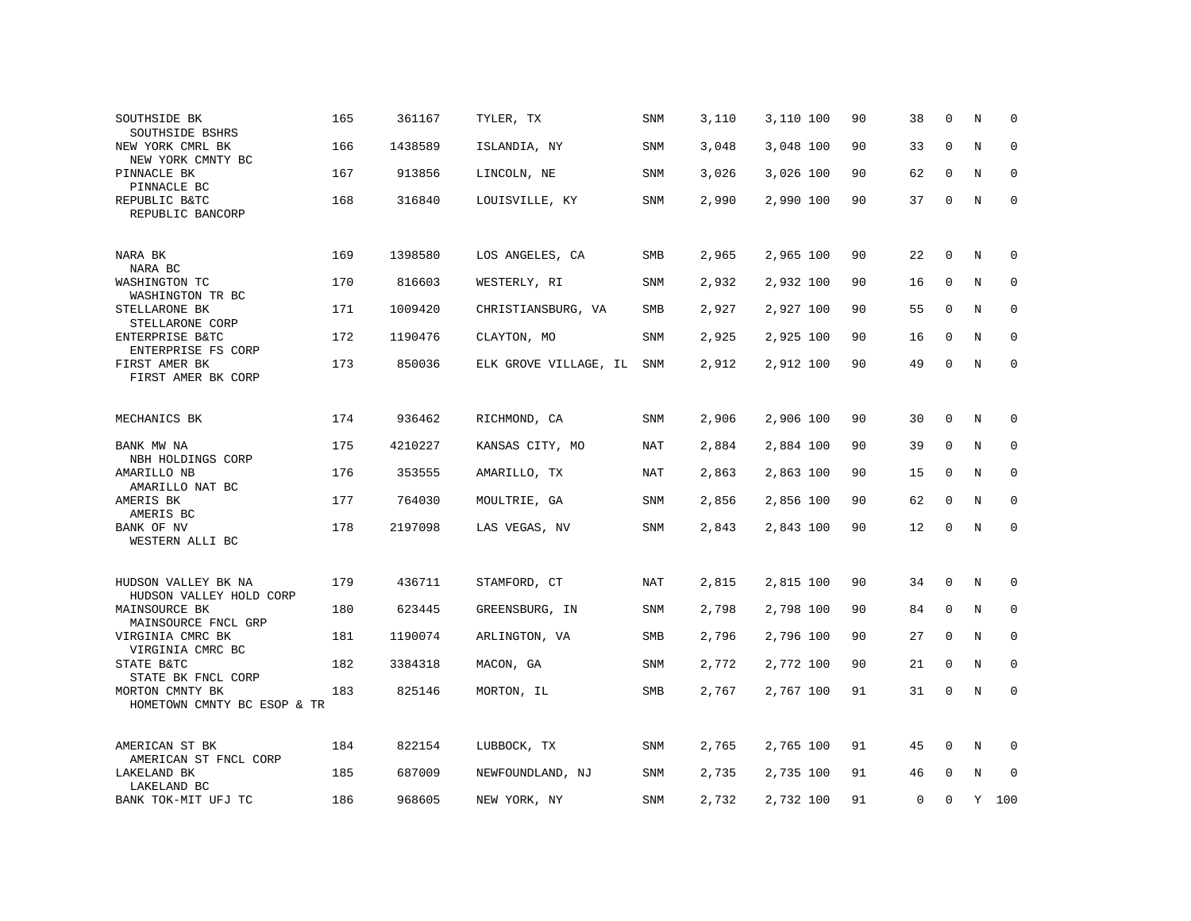| SOUTHSIDE BK<br>SOUTHSIDE BSHRS                | 165 | 361167  | TYLER, TX             | SNM        | 3,110 | 3,110 100 | 90 | 38          | $\Omega$    | N | $\mathbf 0$  |
|------------------------------------------------|-----|---------|-----------------------|------------|-------|-----------|----|-------------|-------------|---|--------------|
| NEW YORK CMRL BK<br>NEW YORK CMNTY BC          | 166 | 1438589 | ISLANDIA, NY          | SNM        | 3,048 | 3,048 100 | 90 | 33          | $\mathbf 0$ | N | $\mathbf 0$  |
| PINNACLE BK<br>PINNACLE BC                     | 167 | 913856  | LINCOLN, NE           | <b>SNM</b> | 3,026 | 3,026 100 | 90 | 62          | $\mathbf 0$ | N | $\mathbf 0$  |
| REPUBLIC B&TC<br>REPUBLIC BANCORP              | 168 | 316840  | LOUISVILLE, KY        | SNM        | 2,990 | 2,990 100 | 90 | 37          | 0           | N | $\mathsf 0$  |
| NARA BK<br>NARA BC                             | 169 | 1398580 | LOS ANGELES, CA       | SMB        | 2,965 | 2,965 100 | 90 | 22          | 0           | N | 0            |
| WASHINGTON TC<br>WASHINGTON TR BC              | 170 | 816603  | WESTERLY, RI          | SNM        | 2,932 | 2,932 100 | 90 | 16          | 0           | N | $\mathbf 0$  |
| STELLARONE BK<br>STELLARONE CORP               | 171 | 1009420 | CHRISTIANSBURG, VA    | <b>SMB</b> | 2,927 | 2,927 100 | 90 | 55          | $\mathbf 0$ | N | $\mathbf 0$  |
| ENTERPRISE B&TC<br>ENTERPRISE FS CORP          | 172 | 1190476 | CLAYTON, MO           | SNM        | 2,925 | 2,925 100 | 90 | 16          | $\mathbf 0$ | N | $\mathbf 0$  |
| FIRST AMER BK<br>FIRST AMER BK CORP            | 173 | 850036  | ELK GROVE VILLAGE, IL | SNM        | 2,912 | 2,912 100 | 90 | 49          | 0           | N | $\mathbf 0$  |
| MECHANICS BK                                   | 174 | 936462  | RICHMOND, CA          | <b>SNM</b> | 2,906 | 2,906 100 | 90 | 30          | $\Omega$    | N | $\mathbf 0$  |
| BANK MW NA<br>NBH HOLDINGS CORP                | 175 | 4210227 | KANSAS CITY, MO       | NAT        | 2,884 | 2,884 100 | 90 | 39          | 0           | N | 0            |
| AMARILLO NB<br>AMARILLO NAT BC                 | 176 | 353555  | AMARILLO, TX          | NAT        | 2,863 | 2,863 100 | 90 | 15          | $\mathbf 0$ | N | $\mathbf 0$  |
| AMERIS BK<br>AMERIS BC                         | 177 | 764030  | MOULTRIE, GA          | SNM        | 2,856 | 2,856 100 | 90 | 62          | $\mathbf 0$ | N | $\mathbf{0}$ |
| BANK OF NV<br>WESTERN ALLI BC                  | 178 | 2197098 | LAS VEGAS, NV         | SNM        | 2,843 | 2,843 100 | 90 | 12          | $\mathbf 0$ | N | $\mathbf 0$  |
| HUDSON VALLEY BK NA<br>HUDSON VALLEY HOLD CORP | 179 | 436711  | STAMFORD, CT          | NAT        | 2,815 | 2,815 100 | 90 | 34          | 0           | N | 0            |
| MAINSOURCE BK<br>MAINSOURCE FNCL GRP           | 180 | 623445  | GREENSBURG, IN        | <b>SNM</b> | 2,798 | 2,798 100 | 90 | 84          | $\mathbf 0$ | N | $\mathbf 0$  |
| VIRGINIA CMRC BK<br>VIRGINIA CMRC BC           | 181 | 1190074 | ARLINGTON, VA         | <b>SMB</b> | 2,796 | 2,796 100 | 90 | 27          | $\mathbf 0$ | N | $\mathbf 0$  |
| STATE B&TC<br>STATE BK FNCL CORP               | 182 | 3384318 | MACON, GA             | <b>SNM</b> | 2,772 | 2,772 100 | 90 | 21          | $\mathbf 0$ | N | $\Omega$     |
| MORTON CMNTY BK<br>HOMETOWN CMNTY BC ESOP & TR | 183 | 825146  | MORTON, IL            | SMB        | 2,767 | 2,767 100 | 91 | 31          | $\mathbf 0$ | N | $\mathbf{0}$ |
| AMERICAN ST BK<br>AMERICAN ST FNCL CORP        | 184 | 822154  | LUBBOCK, TX           | SNM        | 2,765 | 2,765 100 | 91 | 45          | 0           | N | $\Omega$     |
| LAKELAND BK<br>LAKELAND BC                     | 185 | 687009  | NEWFOUNDLAND, NJ      | SNM        | 2,735 | 2,735 100 | 91 | 46          | 0           | N | $\mathbf 0$  |
| BANK TOK-MIT UFJ TC                            | 186 | 968605  | NEW YORK, NY          | <b>SNM</b> | 2,732 | 2,732 100 | 91 | $\mathbf 0$ | $\Omega$    | Y | 100          |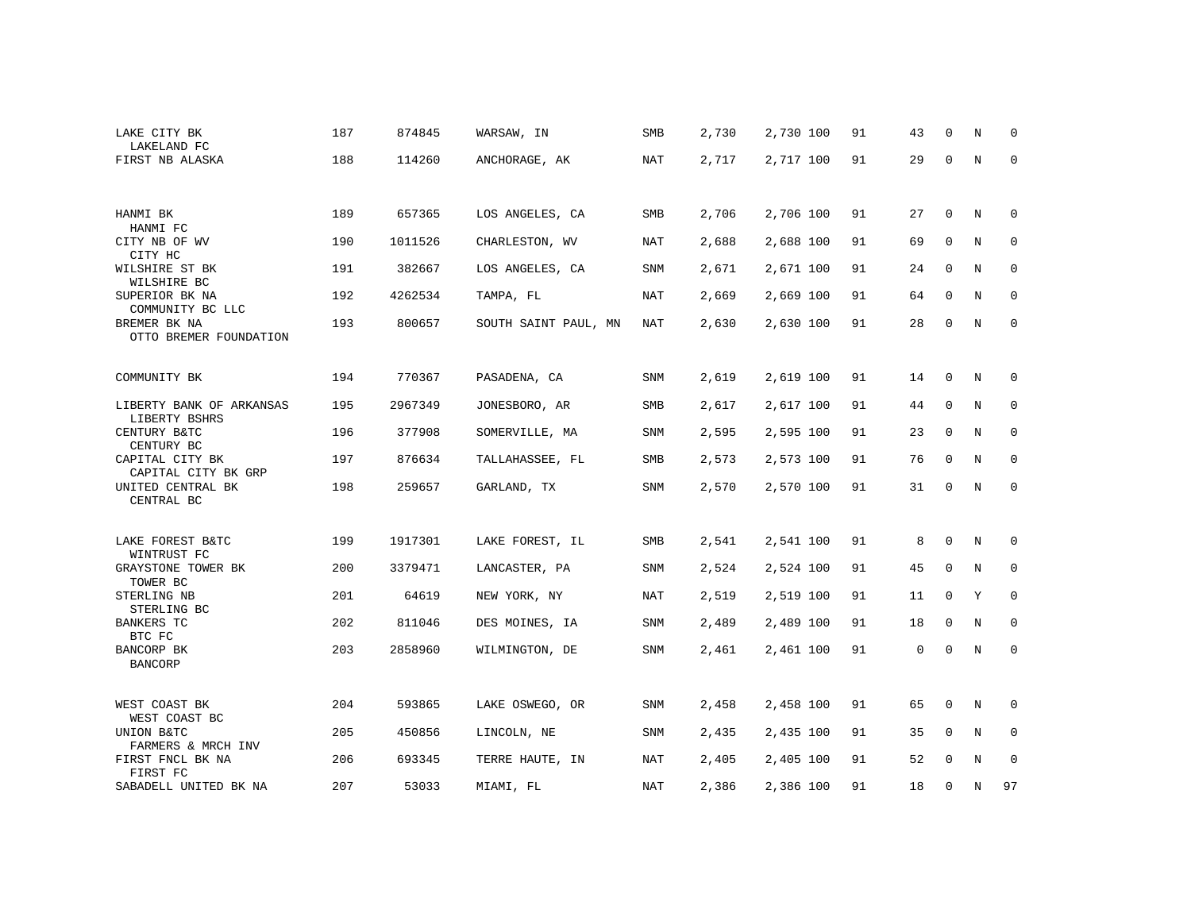| LAKE CITY BK<br>LAKELAND FC               | 187 | 874845  | WARSAW, IN           | <b>SMB</b> | 2,730 | 2,730 100 | 91 | 43 | $\Omega$    | N           | $\Omega$    |
|-------------------------------------------|-----|---------|----------------------|------------|-------|-----------|----|----|-------------|-------------|-------------|
| FIRST NB ALASKA                           | 188 | 114260  | ANCHORAGE, AK        | <b>NAT</b> | 2,717 | 2,717 100 | 91 | 29 | $\Omega$    | N           | $\mathbf 0$ |
|                                           |     |         |                      |            |       |           |    |    |             |             |             |
| HANMI BK<br>HANMI FC                      | 189 | 657365  | LOS ANGELES, CA      | SMB        | 2,706 | 2,706 100 | 91 | 27 | 0           | N           | 0           |
| CITY NB OF WV<br>CITY HC                  | 190 | 1011526 | CHARLESTON, WV       | <b>NAT</b> | 2,688 | 2,688 100 | 91 | 69 | $\mathbf 0$ | N           | $\mathbf 0$ |
| WILSHIRE ST BK<br>WILSHIRE BC             | 191 | 382667  | LOS ANGELES, CA      | <b>SNM</b> | 2,671 | 2,671 100 | 91 | 24 | $\mathbf 0$ | $\rm N$     | $\mathbf 0$ |
| SUPERIOR BK NA<br>COMMUNITY BC LLC        | 192 | 4262534 | TAMPA, FL            | <b>NAT</b> | 2,669 | 2,669 100 | 91 | 64 | $\mathbf 0$ | N           | $\mathbf 0$ |
| BREMER BK NA<br>OTTO BREMER FOUNDATION    | 193 | 800657  | SOUTH SAINT PAUL, MN | <b>NAT</b> | 2,630 | 2,630 100 | 91 | 28 | 0           | N           | $\mathbf 0$ |
| COMMUNITY BK                              | 194 | 770367  | PASADENA, CA         | <b>SNM</b> | 2,619 | 2,619 100 | 91 | 14 | 0           | N           | 0           |
| LIBERTY BANK OF ARKANSAS<br>LIBERTY BSHRS | 195 | 2967349 | JONESBORO, AR        | SMB        | 2,617 | 2,617 100 | 91 | 44 | 0           | N           | 0           |
| CENTURY B&TC<br>CENTURY BC                | 196 | 377908  | SOMERVILLE, MA       | SNM        | 2,595 | 2,595 100 | 91 | 23 | 0           | N           | 0           |
| CAPITAL CITY BK<br>CAPITAL CITY BK GRP    | 197 | 876634  | TALLAHASSEE, FL      | SMB        | 2,573 | 2,573 100 | 91 | 76 | 0           | N           | 0           |
| UNITED CENTRAL BK<br>CENTRAL BC           | 198 | 259657  | GARLAND, TX          | <b>SNM</b> | 2,570 | 2,570 100 | 91 | 31 | $\mathbf 0$ | $\mathbf N$ | $\mathbf 0$ |
| LAKE FOREST B&TC<br>WINTRUST FC           | 199 | 1917301 | LAKE FOREST, IL      | SMB        | 2,541 | 2,541 100 | 91 | 8  | 0           | N           | 0           |
| GRAYSTONE TOWER BK<br>TOWER BC            | 200 | 3379471 | LANCASTER, PA        | SNM        | 2,524 | 2,524 100 | 91 | 45 | $\mathbf 0$ | N           | 0           |
| STERLING NB<br>STERLING BC                | 201 | 64619   | NEW YORK, NY         | <b>NAT</b> | 2,519 | 2,519 100 | 91 | 11 | 0           | Y           | $\mathbf 0$ |
| <b>BANKERS TC</b><br>BTC FC               | 202 | 811046  | DES MOINES, IA       | SNM        | 2,489 | 2,489 100 | 91 | 18 | 0           | N           | 0           |
| BANCORP BK<br><b>BANCORP</b>              | 203 | 2858960 | WILMINGTON, DE       | <b>SNM</b> | 2,461 | 2,461 100 | 91 | 0  | 0           | N           | 0           |
| WEST COAST BK<br>WEST COAST BC            | 204 | 593865  | LAKE OSWEGO, OR      | SNM        | 2,458 | 2,458 100 | 91 | 65 | 0           | N           | 0           |
| UNION B&TC<br>FARMERS & MRCH INV          | 205 | 450856  | LINCOLN, NE          | SNM        | 2,435 | 2,435 100 | 91 | 35 | 0           | N           | $\mathbf 0$ |
| FIRST FNCL BK NA<br>FIRST FC              | 206 | 693345  | TERRE HAUTE, IN      | NAT        | 2,405 | 2,405 100 | 91 | 52 | $\mathbf 0$ | N           | 0           |
| SABADELL UNITED BK NA                     | 207 | 53033   | MIAMI, FL            | NAT        | 2,386 | 2,386 100 | 91 | 18 | 0           | N           | 97          |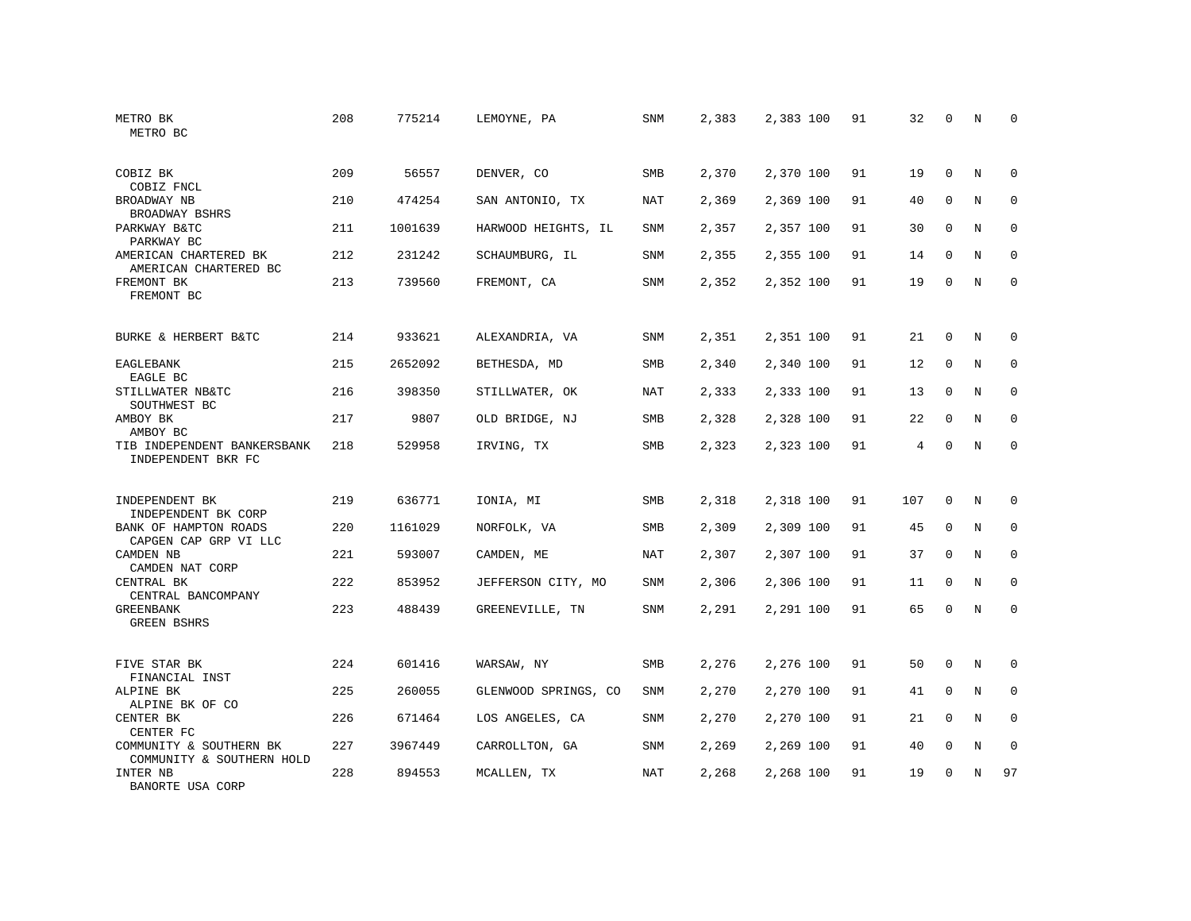| METRO BK<br>METRO BC                                 | 208 | 775214  | LEMOYNE, PA          | <b>SNM</b> | 2,383 | 2,383 100 | 91 | 32  | $\mathbf 0$ | N | $\mathbf 0$  |
|------------------------------------------------------|-----|---------|----------------------|------------|-------|-----------|----|-----|-------------|---|--------------|
| COBIZ BK<br>COBIZ FNCL                               | 209 | 56557   | DENVER, CO           | <b>SMB</b> | 2,370 | 2,370 100 | 91 | 19  | $\Omega$    | N | $\Omega$     |
| BROADWAY NB<br>BROADWAY BSHRS                        | 210 | 474254  | SAN ANTONIO, TX      | NAT        | 2,369 | 2,369 100 | 91 | 40  | $\mathbf 0$ | N | 0            |
| PARKWAY B&TC<br>PARKWAY BC                           | 211 | 1001639 | HARWOOD HEIGHTS, IL  | SNM        | 2,357 | 2,357 100 | 91 | 30  | 0           | N | $\mathbf 0$  |
| AMERICAN CHARTERED BK<br>AMERICAN CHARTERED BC       | 212 | 231242  | SCHAUMBURG, IL       | SNM        | 2,355 | 2,355 100 | 91 | 14  | $\mathbf 0$ | N | $\mathbf 0$  |
| FREMONT BK<br>FREMONT BC                             | 213 | 739560  | FREMONT, CA          | SNM        | 2,352 | 2,352 100 | 91 | 19  | 0           | N | $\mathbf 0$  |
| BURKE & HERBERT B&TC                                 | 214 | 933621  | ALEXANDRIA, VA       | SNM        | 2,351 | 2,351 100 | 91 | 21  | $\mathbf 0$ | N | 0            |
| EAGLEBANK<br>EAGLE BC                                | 215 | 2652092 | BETHESDA, MD         | SMB        | 2,340 | 2,340 100 | 91 | 12  | $\mathbf 0$ | N | 0            |
| STILLWATER NB&TC<br>SOUTHWEST BC                     | 216 | 398350  | STILLWATER, OK       | NAT        | 2,333 | 2,333 100 | 91 | 13  | $\mathbf 0$ | N | $\mathbf 0$  |
| AMBOY BK<br>AMBOY BC                                 | 217 | 9807    | OLD BRIDGE, NJ       | SMB        | 2,328 | 2,328 100 | 91 | 22  | $\mathbf 0$ | N | 0            |
| TIB INDEPENDENT BANKERSBANK<br>INDEPENDENT BKR FC    | 218 | 529958  | IRVING, TX           | SMB        | 2,323 | 2,323 100 | 91 | 4   | $\mathbf 0$ | N | $\mathbf 0$  |
| INDEPENDENT BK<br>INDEPENDENT BK CORP                | 219 | 636771  | IONIA, MI            | SMB        | 2,318 | 2,318 100 | 91 | 107 | $\mathbf 0$ | N | $\mathbf 0$  |
| BANK OF HAMPTON ROADS<br>CAPGEN CAP GRP VI LLC       | 220 | 1161029 | NORFOLK, VA          | SMB        | 2,309 | 2,309 100 | 91 | 45  | $\mathbf 0$ | N | 0            |
| CAMDEN NB<br>CAMDEN NAT CORP                         | 221 | 593007  | CAMDEN, ME           | <b>NAT</b> | 2,307 | 2,307 100 | 91 | 37  | $\Omega$    | N | $\mathbf{0}$ |
| CENTRAL BK<br>CENTRAL BANCOMPANY                     | 222 | 853952  | JEFFERSON CITY, MO   | SNM        | 2,306 | 2,306 100 | 91 | 11  | $\mathbf 0$ | N | 0            |
| <b>GREENBANK</b><br><b>GREEN BSHRS</b>               | 223 | 488439  | GREENEVILLE, TN      | SNM        | 2,291 | 2,291 100 | 91 | 65  | $\mathbf 0$ | N | $\mathbf 0$  |
| FIVE STAR BK<br>FINANCIAL INST                       | 224 | 601416  | WARSAW, NY           | SMB        | 2,276 | 2,276 100 | 91 | 50  | $\mathbf 0$ | N | 0            |
| ALPINE BK<br>ALPINE BK OF CO                         | 225 | 260055  | GLENWOOD SPRINGS, CO | SNM        | 2,270 | 2,270 100 | 91 | 41  | $\mathbf 0$ | N | $\mathbf 0$  |
| CENTER BK<br>CENTER FC                               | 226 | 671464  | LOS ANGELES, CA      | SNM        | 2,270 | 2,270 100 | 91 | 21  | $\mathbf 0$ | N | $\mathbf 0$  |
| COMMUNITY & SOUTHERN BK<br>COMMUNITY & SOUTHERN HOLD | 227 | 3967449 | CARROLLTON, GA       | SNM        | 2,269 | 2,269 100 | 91 | 40  | $\mathbf 0$ | N | 0            |
| INTER NB<br>BANORTE USA CORP                         | 228 | 894553  | MCALLEN, TX          | NAT        | 2,268 | 2,268 100 | 91 | 19  | $\Omega$    | N | 97           |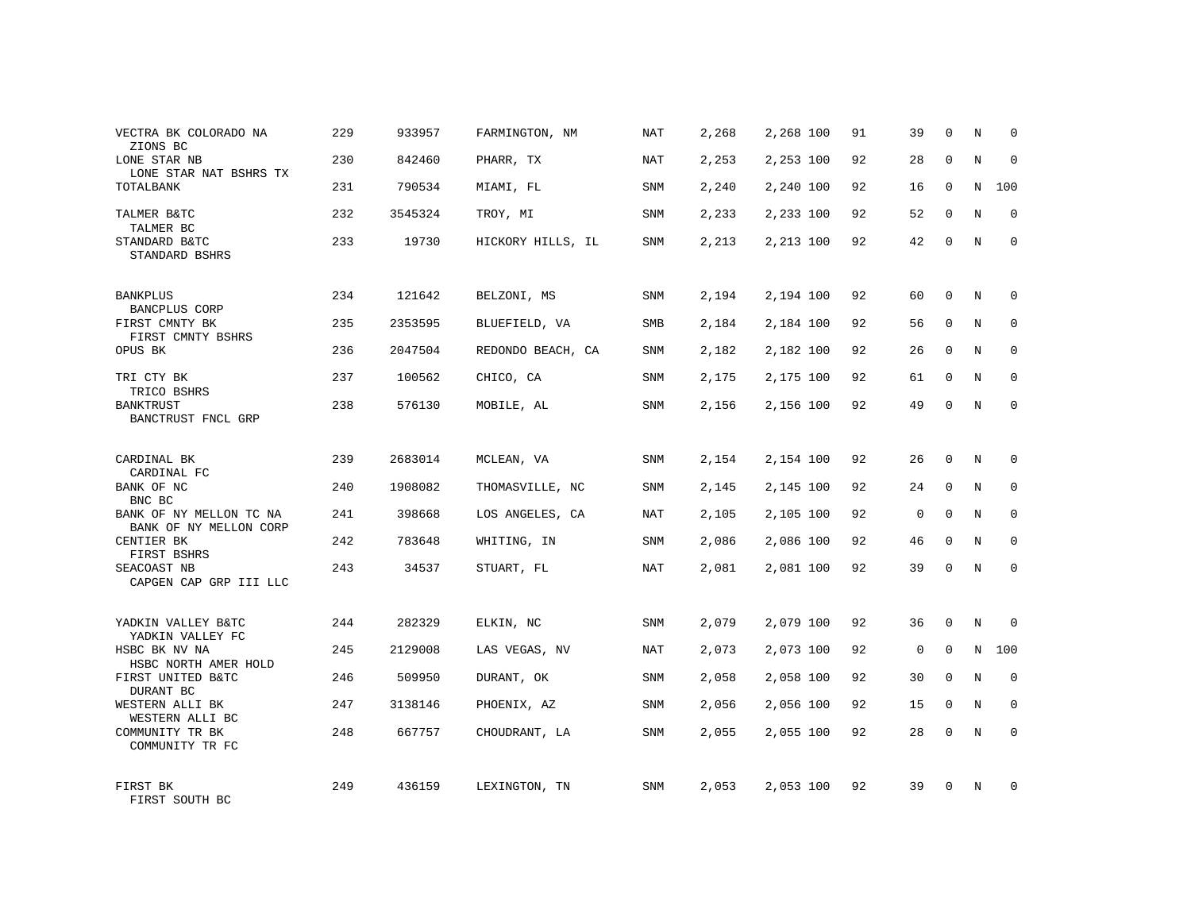| VECTRA BK COLORADO NA<br>ZIONS BC                           | 229 | 933957  | FARMINGTON, NM    | NAT        | 2,268 | 2,268 100 | 91 | 39          | $\Omega$    | N | 0            |
|-------------------------------------------------------------|-----|---------|-------------------|------------|-------|-----------|----|-------------|-------------|---|--------------|
| LONE STAR NB<br>LONE STAR NAT BSHRS TX                      | 230 | 842460  | PHARR, TX         | NAT        | 2,253 | 2,253 100 | 92 | 28          | $\Omega$    | N | $\mathbf 0$  |
| TOTALBANK                                                   | 231 | 790534  | MIAMI, FL         | SNM        | 2,240 | 2,240 100 | 92 | 16          | $\mathbf 0$ | N | 100          |
| TALMER B&TC<br>TALMER BC                                    | 232 | 3545324 | TROY, MI          | SNM        | 2,233 | 2,233 100 | 92 | 52          | $\Omega$    | N | $\Omega$     |
| STANDARD B&TC<br>STANDARD BSHRS                             | 233 | 19730   | HICKORY HILLS, IL | SNM        | 2,213 | 2,213 100 | 92 | 42          | $\mathbf 0$ | N | $\Omega$     |
| <b>BANKPLUS</b>                                             | 234 | 121642  | BELZONI, MS       | SNM        | 2,194 | 2,194 100 | 92 | 60          | $\Omega$    | N | $\Omega$     |
| <b>BANCPLUS CORP</b><br>FIRST CMNTY BK<br>FIRST CMNTY BSHRS | 235 | 2353595 | BLUEFIELD, VA     | SMB        | 2,184 | 2,184 100 | 92 | 56          | $\mathbf 0$ | N | $\mathbf 0$  |
| OPUS BK                                                     | 236 | 2047504 | REDONDO BEACH, CA | <b>SNM</b> | 2,182 | 2,182 100 | 92 | 26          | $\Omega$    | N | $\Omega$     |
| TRI CTY BK<br>TRICO BSHRS                                   | 237 | 100562  | CHICO, CA         | <b>SNM</b> | 2,175 | 2,175 100 | 92 | 61          | $\mathbf 0$ | N | $\mathbf{0}$ |
| <b>BANKTRUST</b><br>BANCTRUST FNCL GRP                      | 238 | 576130  | MOBILE, AL        | <b>SNM</b> | 2,156 | 2,156 100 | 92 | 49          | $\Omega$    | N | $\Omega$     |
| CARDINAL BK<br>CARDINAL FC                                  | 239 | 2683014 | MCLEAN, VA        | <b>SNM</b> | 2,154 | 2,154 100 | 92 | 26          | $\Omega$    | N | $\Omega$     |
| BANK OF NC<br>BNC BC                                        | 240 | 1908082 | THOMASVILLE, NC   | SNM        | 2,145 | 2,145 100 | 92 | 24          | $\mathbf 0$ | N | $\mathbf 0$  |
| BANK OF NY MELLON TC NA<br>BANK OF NY MELLON CORP           | 241 | 398668  | LOS ANGELES, CA   | NAT        | 2,105 | 2,105 100 | 92 | $\mathbf 0$ | $\mathbf 0$ | N | $\mathbf 0$  |
| CENTIER BK<br>FIRST BSHRS                                   | 242 | 783648  | WHITING, IN       | SNM        | 2,086 | 2,086 100 | 92 | 46          | $\mathbf 0$ | N | $\mathbf 0$  |
| SEACOAST NB<br>CAPGEN CAP GRP III LLC                       | 243 | 34537   | STUART, FL        | NAT        | 2,081 | 2,081 100 | 92 | 39          | 0           | N | $\mathbf 0$  |
| YADKIN VALLEY B&TC<br>YADKIN VALLEY FC                      | 244 | 282329  | ELKIN, NC         | SNM        | 2,079 | 2,079 100 | 92 | 36          | 0           | N | 0            |
| HSBC BK NV NA<br>HSBC NORTH AMER HOLD                       | 245 | 2129008 | LAS VEGAS, NV     | NAT        | 2,073 | 2,073 100 | 92 | $\mathbf 0$ | $\Omega$    | N | 100          |
| FIRST UNITED B&TC<br>DURANT BC                              | 246 | 509950  | DURANT, OK        | SNM        | 2,058 | 2,058 100 | 92 | 30          | 0           | N | $\mathbf 0$  |
| WESTERN ALLI BK<br>WESTERN ALLI BC                          | 247 | 3138146 | PHOENIX, AZ       | SNM        | 2,056 | 2,056 100 | 92 | 15          | $\Omega$    | N | $\mathbf 0$  |
| COMMUNITY TR BK<br>COMMUNITY TR FC                          | 248 | 667757  | CHOUDRANT, LA     | SNM        | 2,055 | 2,055 100 | 92 | 28          | $\mathbf 0$ | N | $\mathbf 0$  |
| FIRST BK<br>FIRST SOUTH BC                                  | 249 | 436159  | LEXINGTON, TN     | SNM        | 2,053 | 2,053 100 | 92 | 39          | $\Omega$    | N | $\Omega$     |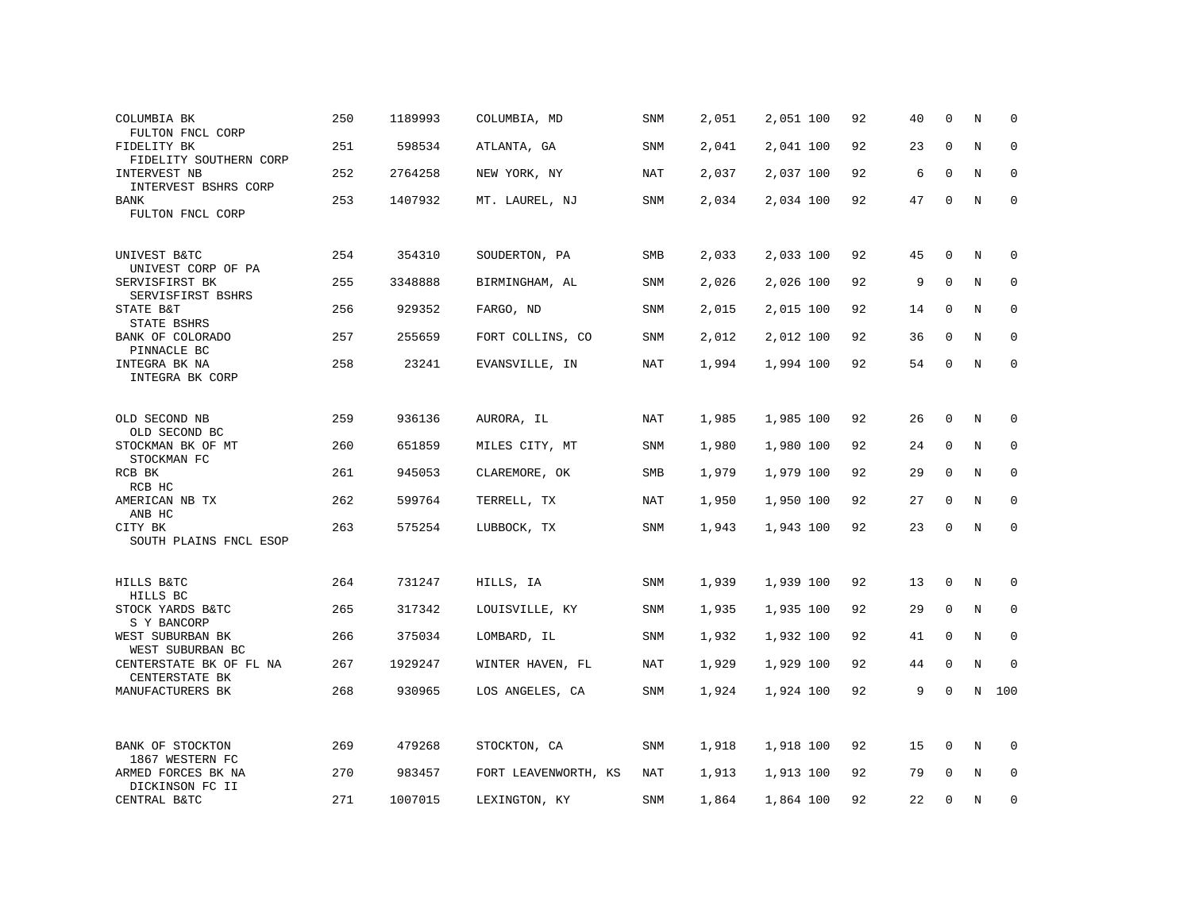| COLUMBIA BK<br>FULTON FNCL CORP           | 250 | 1189993 | COLUMBIA, MD         | SNM        | 2,051 | 2,051 100 | 92 | 40 | $\Omega$     | N           | $\mathbf 0$  |
|-------------------------------------------|-----|---------|----------------------|------------|-------|-----------|----|----|--------------|-------------|--------------|
| FIDELITY BK<br>FIDELITY SOUTHERN CORP     | 251 | 598534  | ATLANTA, GA          | SNM        | 2,041 | 2,041 100 | 92 | 23 | $\mathbf 0$  | $\mathbf N$ | $\mathbf 0$  |
| INTERVEST NB<br>INTERVEST BSHRS CORP      | 252 | 2764258 | NEW YORK, NY         | NAT        | 2,037 | 2,037 100 | 92 | 6  | 0            | N           | $\mathbf 0$  |
| BANK<br>FULTON FNCL CORP                  | 253 | 1407932 | MT. LAUREL, NJ       | SNM        | 2,034 | 2,034 100 | 92 | 47 | $\mathbf 0$  | N           | $\mathbf 0$  |
| UNIVEST B&TC<br>UNIVEST CORP OF PA        | 254 | 354310  | SOUDERTON, PA        | SMB        | 2,033 | 2,033 100 | 92 | 45 | 0            | N           | 0            |
| SERVISFIRST BK<br>SERVISFIRST BSHRS       | 255 | 3348888 | BIRMINGHAM, AL       | SNM        | 2,026 | 2,026 100 | 92 | 9  | $\mathbf 0$  | N           | $\mathbf 0$  |
| STATE B&T<br>STATE BSHRS                  | 256 | 929352  | FARGO, ND            | <b>SNM</b> | 2,015 | 2,015 100 | 92 | 14 | $\mathbf 0$  | N           | $\mathbf 0$  |
| BANK OF COLORADO<br>PINNACLE BC           | 257 | 255659  | FORT COLLINS, CO     | SNM        | 2,012 | 2,012 100 | 92 | 36 | 0            | N           | 0            |
| INTEGRA BK NA<br>INTEGRA BK CORP          | 258 | 23241   | EVANSVILLE, IN       | <b>NAT</b> | 1,994 | 1,994 100 | 92 | 54 | 0            | N           | $\mathbf 0$  |
| OLD SECOND NB<br>OLD SECOND BC            | 259 | 936136  | AURORA, IL           | NAT        | 1,985 | 1,985 100 | 92 | 26 | $\mathbf{0}$ | N           | $\mathbf 0$  |
| STOCKMAN BK OF MT<br>STOCKMAN FC          | 260 | 651859  | MILES CITY, MT       | SNM        | 1,980 | 1,980 100 | 92 | 24 | 0            | N           | 0            |
| RCB BK<br>RCB HC                          | 261 | 945053  | CLAREMORE, OK        | SMB        | 1,979 | 1,979 100 | 92 | 29 | 0            | N           | 0            |
| AMERICAN NB TX<br>ANB HC                  | 262 | 599764  | TERRELL, TX          | NAT        | 1,950 | 1,950 100 | 92 | 27 | $\mathbf 0$  | N           | $\mathbf 0$  |
| CITY BK<br>SOUTH PLAINS FNCL ESOP         | 263 | 575254  | LUBBOCK, TX          | SNM        | 1,943 | 1,943 100 | 92 | 23 | 0            | N           | 0            |
| HILLS B&TC<br>HILLS BC                    | 264 | 731247  | HILLS, IA            | <b>SNM</b> | 1,939 | 1,939 100 | 92 | 13 | 0            | N           | 0            |
| STOCK YARDS B&TC<br>S Y BANCORP           | 265 | 317342  | LOUISVILLE, KY       | SNM        | 1,935 | 1,935 100 | 92 | 29 | 0            | N           | 0            |
| WEST SUBURBAN BK<br>WEST SUBURBAN BC      | 266 | 375034  | LOMBARD, IL          | SNM        | 1,932 | 1,932 100 | 92 | 41 | $\mathbf 0$  | N           | $\mathbf 0$  |
| CENTERSTATE BK OF FL NA<br>CENTERSTATE BK | 267 | 1929247 | WINTER HAVEN, FL     | NAT        | 1,929 | 1,929 100 | 92 | 44 | 0            | N           | $\mathbf{0}$ |
| MANUFACTURERS BK                          | 268 | 930965  | LOS ANGELES, CA      | SNM        | 1,924 | 1,924 100 | 92 | 9  | $\mathbf 0$  | $\rm N$     | 100          |
| BANK OF STOCKTON<br>1867 WESTERN FC       | 269 | 479268  | STOCKTON, CA         | SNM        | 1,918 | 1,918 100 | 92 | 15 | 0            | N           | 0            |
| ARMED FORCES BK NA<br>DICKINSON FC II     | 270 | 983457  | FORT LEAVENWORTH, KS | NAT        | 1,913 | 1,913 100 | 92 | 79 | 0            | N           | 0            |
| CENTRAL B&TC                              | 271 | 1007015 | LEXINGTON, KY        | SNM        | 1,864 | 1,864 100 | 92 | 22 | $\Omega$     | N           | 0            |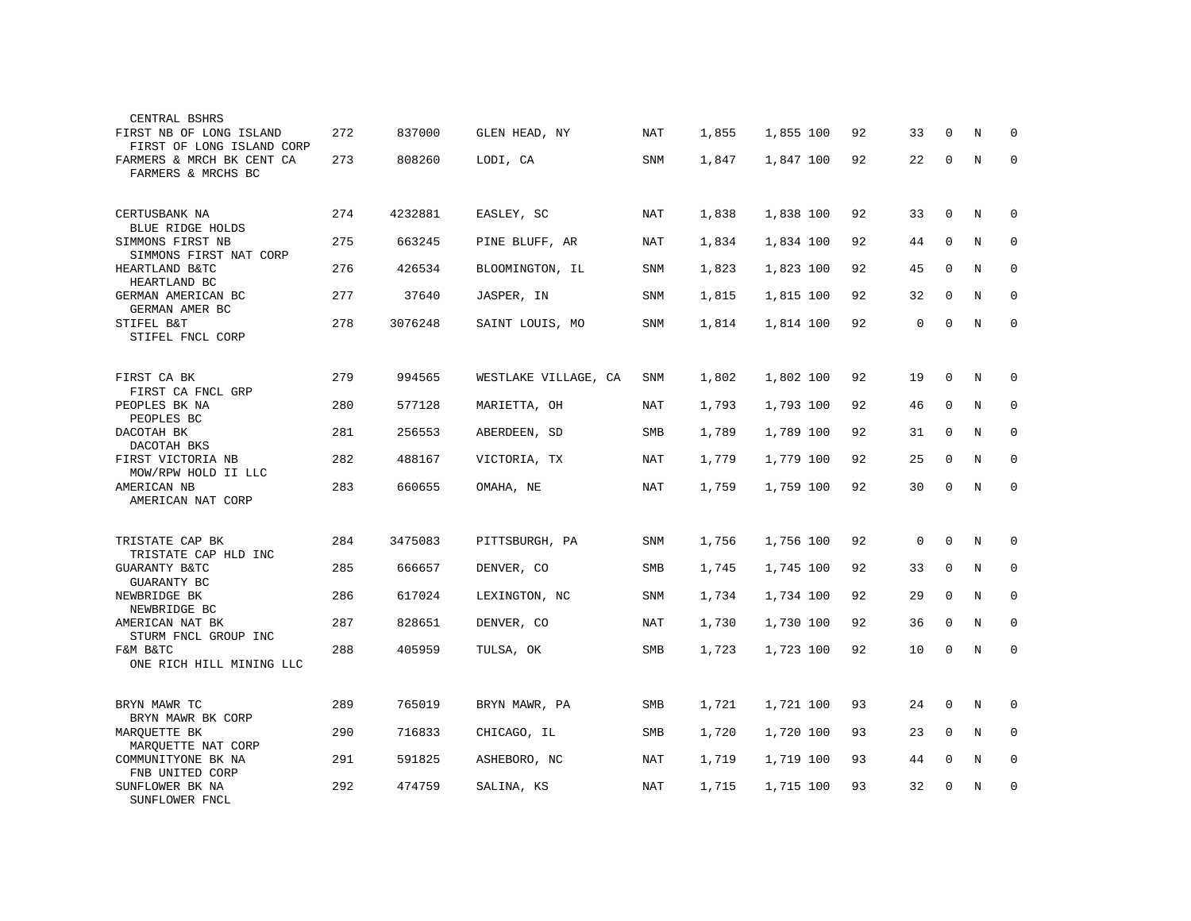| CENTRAL BSHRS                                        |     |         |                      |            |       |           |    |             |             |         |             |
|------------------------------------------------------|-----|---------|----------------------|------------|-------|-----------|----|-------------|-------------|---------|-------------|
| FIRST NB OF LONG ISLAND<br>FIRST OF LONG ISLAND CORP | 272 | 837000  | GLEN HEAD, NY        | NAT        | 1,855 | 1,855 100 | 92 | 33          | $\Omega$    | N       | $\Omega$    |
| FARMERS & MRCH BK CENT CA<br>FARMERS & MRCHS BC      | 273 | 808260  | LODI, CA             | SNM        | 1,847 | 1,847 100 | 92 | 22          | 0           | N       | $\Omega$    |
| CERTUSBANK NA<br>BLUE RIDGE HOLDS                    | 274 | 4232881 | EASLEY, SC           | NAT        | 1,838 | 1,838 100 | 92 | 33          | 0           | N       | 0           |
| SIMMONS FIRST NB<br>SIMMONS FIRST NAT CORP           | 275 | 663245  | PINE BLUFF, AR       | NAT        | 1,834 | 1,834 100 | 92 | 44          | $\mathbf 0$ | $\rm N$ | 0           |
| HEARTLAND B&TC<br>HEARTLAND BC                       | 276 | 426534  | BLOOMINGTON, IL      | SNM        | 1,823 | 1,823 100 | 92 | 45          | $\mathbf 0$ | $\rm N$ | 0           |
| GERMAN AMERICAN BC<br>GERMAN AMER BC                 | 277 | 37640   | JASPER, IN           | SNM        | 1,815 | 1,815 100 | 92 | 32          | $\mathbf 0$ | N       | $\mathbf 0$ |
| STIFEL B&T<br>STIFEL FNCL CORP                       | 278 | 3076248 | SAINT LOUIS, MO      | SNM        | 1,814 | 1,814 100 | 92 | $\mathbf 0$ | $\mathbf 0$ | N       | $\mathbf 0$ |
|                                                      |     |         |                      |            |       |           |    |             |             |         |             |
| FIRST CA BK<br>FIRST CA FNCL GRP                     | 279 | 994565  | WESTLAKE VILLAGE, CA | SNM        | 1,802 | 1,802 100 | 92 | 19          | 0           | N       | 0           |
| PEOPLES BK NA<br>PEOPLES BC                          | 280 | 577128  | MARIETTA, OH         | NAT        | 1,793 | 1,793 100 | 92 | 46          | 0           | N       | 0           |
| DACOTAH BK<br>DACOTAH BKS                            | 281 | 256553  | ABERDEEN, SD         | SMB        | 1,789 | 1,789 100 | 92 | 31          | 0           | N       | 0           |
| FIRST VICTORIA NB<br>MOW/RPW HOLD II LLC             | 282 | 488167  | VICTORIA, TX         | NAT        | 1,779 | 1,779 100 | 92 | 25          | $\mathbf 0$ | N       | 0           |
| AMERICAN NB<br>AMERICAN NAT CORP                     | 283 | 660655  | OMAHA, NE            | NAT        | 1,759 | 1,759 100 | 92 | 30          | $\Omega$    | N       | $\mathbf 0$ |
|                                                      |     |         |                      |            |       |           |    |             |             |         |             |
| TRISTATE CAP BK<br>TRISTATE CAP HLD INC              | 284 | 3475083 | PITTSBURGH, PA       | SNM        | 1,756 | 1,756 100 | 92 | 0           | $\mathbf 0$ | N       | $\Omega$    |
| <b>GUARANTY B&amp;TC</b><br>GUARANTY BC              | 285 | 666657  | DENVER, CO           | SMB        | 1,745 | 1,745 100 | 92 | 33          | $\Omega$    | N       | $\Omega$    |
| NEWBRIDGE BK<br>NEWBRIDGE BC                         | 286 | 617024  | LEXINGTON, NC        | SNM        | 1,734 | 1,734 100 | 92 | 29          | $\Omega$    | N       | 0           |
| AMERICAN NAT BK<br>STURM FNCL GROUP INC              | 287 | 828651  | DENVER, CO           | NAT        | 1,730 | 1,730 100 | 92 | 36          | $\Omega$    | N       | $\Omega$    |
| F&M B&TC<br>ONE RICH HILL MINING LLC                 | 288 | 405959  | TULSA, OK            | SMB        | 1,723 | 1,723 100 | 92 | 10          | 0           | N       | $\mathbf 0$ |
|                                                      |     |         |                      |            |       |           |    |             |             |         |             |
| BRYN MAWR TC<br>BRYN MAWR BK CORP                    | 289 | 765019  | BRYN MAWR, PA        | SMB        | 1,721 | 1,721 100 | 93 | 24          | 0           | N       | 0           |
| MARQUETTE BK<br>MARQUETTE NAT CORP                   | 290 | 716833  | CHICAGO, IL          | <b>SMB</b> | 1,720 | 1,720 100 | 93 | 23          | $\mathbf 0$ | N       | 0           |
| COMMUNITYONE BK NA<br>FNB UNITED CORP                | 291 | 591825  | ASHEBORO, NC         | NAT        | 1,719 | 1,719 100 | 93 | 44          | $\mathbf 0$ | N       | $\mathbf 0$ |
| SUNFLOWER BK NA<br>SUNFLOWER FNCL                    | 292 | 474759  | SALINA, KS           | NAT        | 1,715 | 1,715 100 | 93 | 32          | 0           | N       | 0           |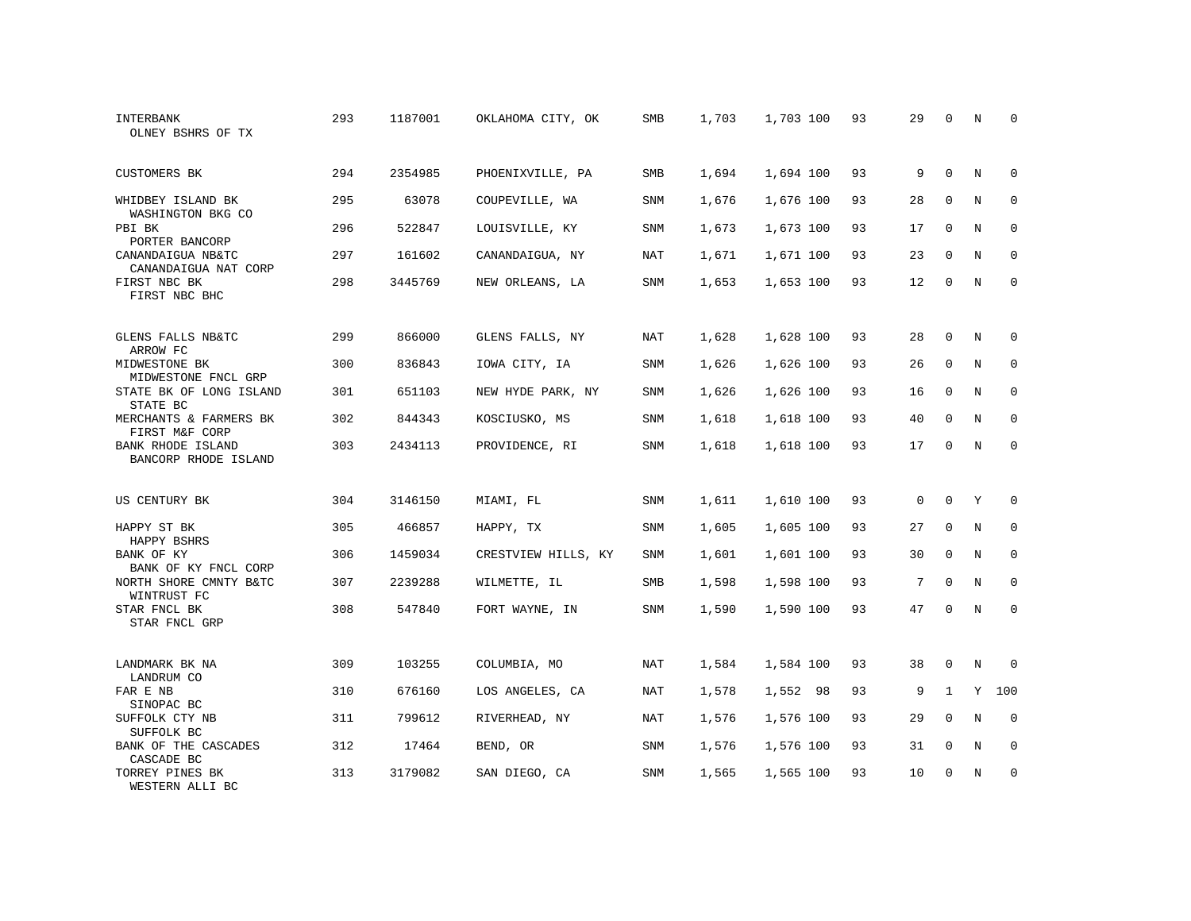| INTERBANK<br>OLNEY BSHRS OF TX                   | 293 | 1187001 | OKLAHOMA CITY, OK   | <b>SMB</b> | 1,703 | 1,703 100 | 93 | 29       | $\Omega$     | N          | $\Omega$    |
|--------------------------------------------------|-----|---------|---------------------|------------|-------|-----------|----|----------|--------------|------------|-------------|
| <b>CUSTOMERS BK</b>                              | 294 | 2354985 | PHOENIXVILLE, PA    | SMB        | 1,694 | 1,694 100 | 93 | 9        | $\Omega$     | N          | $\Omega$    |
| WHIDBEY ISLAND BK<br>WASHINGTON BKG CO           | 295 | 63078   | COUPEVILLE, WA      | SNM        | 1,676 | 1,676 100 | 93 | 28       | $\Omega$     | N          | $\mathbf 0$ |
| PBI BK<br>PORTER BANCORP                         | 296 | 522847  | LOUISVILLE, KY      | SNM        | 1,673 | 1,673 100 | 93 | 17       | $\mathbf 0$  | N          | 0           |
| CANANDAIGUA NB&TC<br>CANANDAIGUA NAT CORP        | 297 | 161602  | CANANDAIGUA, NY     | NAT        | 1,671 | 1,671 100 | 93 | 23       | $\Omega$     | N          | $\Omega$    |
| FIRST NBC BK<br>FIRST NBC BHC                    | 298 | 3445769 | NEW ORLEANS, LA     | SNM        | 1,653 | 1,653 100 | 93 | 12       | $\mathbf 0$  | N          | $\mathbf 0$ |
| GLENS FALLS NB&TC                                | 299 | 866000  | GLENS FALLS, NY     | <b>NAT</b> | 1,628 | 1,628 100 | 93 | 28       | $\mathbf 0$  | N          | 0           |
| ARROW FC<br>MIDWESTONE BK<br>MIDWESTONE FNCL GRP | 300 | 836843  | IOWA CITY, IA       | SNM        | 1,626 | 1,626 100 | 93 | 26       | $\mathbf 0$  | N          | $\mathbf 0$ |
| STATE BK OF LONG ISLAND<br>STATE BC              | 301 | 651103  | NEW HYDE PARK, NY   | SNM        | 1,626 | 1,626 100 | 93 | 16       | $\mathbf 0$  | N          | $\mathbf 0$ |
| MERCHANTS & FARMERS BK<br>FIRST M&F CORP         | 302 | 844343  | KOSCIUSKO, MS       | SNM        | 1,618 | 1,618 100 | 93 | 40       | $\Omega$     | N          | $\mathbf 0$ |
| <b>BANK RHODE ISLAND</b><br>BANCORP RHODE ISLAND | 303 | 2434113 | PROVIDENCE, RI      | <b>SNM</b> | 1,618 | 1,618 100 | 93 | 17       | $\Omega$     | N          | $\Omega$    |
| US CENTURY BK                                    | 304 | 3146150 | MIAMI, FL           | <b>SNM</b> | 1,611 | 1,610 100 | 93 | $\Omega$ | $\Omega$     | Y          | $\Omega$    |
| HAPPY ST BK<br>HAPPY BSHRS                       | 305 | 466857  | HAPPY, TX           | SNM        | 1,605 | 1,605 100 | 93 | 27       | $\mathbf 0$  | N          | $\mathbf 0$ |
| BANK OF KY<br>BANK OF KY FNCL CORP               | 306 | 1459034 | CRESTVIEW HILLS, KY | <b>SNM</b> | 1,601 | 1,601 100 | 93 | 30       | $\Omega$     | N          | $\Omega$    |
| NORTH SHORE CMNTY B&TC<br>WINTRUST FC            | 307 | 2239288 | WILMETTE, IL        | SMB        | 1,598 | 1,598 100 | 93 | 7        | $\mathbf 0$  | N          | $\mathbf 0$ |
| STAR FNCL BK<br>STAR FNCL GRP                    | 308 | 547840  | FORT WAYNE, IN      | <b>SNM</b> | 1,590 | 1,590 100 | 93 | 47       | $\Omega$     | $_{\rm N}$ | $\mathbf 0$ |
| LANDMARK BK NA<br>LANDRUM CO                     | 309 | 103255  | COLUMBIA, MO        | <b>NAT</b> | 1,584 | 1,584 100 | 93 | 38       | $\mathbf 0$  | N          | $\Omega$    |
| FAR E NB<br>SINOPAC BC                           | 310 | 676160  | LOS ANGELES, CA     | NAT        | 1,578 | 1,552 98  | 93 | 9        | $\mathbf{1}$ | Y          | 100         |
| SUFFOLK CTY NB<br>SUFFOLK BC                     | 311 | 799612  | RIVERHEAD, NY       | <b>NAT</b> | 1,576 | 1,576 100 | 93 | 29       | $\mathbf 0$  | N          | $\mathbf 0$ |
| BANK OF THE CASCADES<br>CASCADE BC               | 312 | 17464   | BEND, OR            | SNM        | 1,576 | 1,576 100 | 93 | 31       | $\mathbf 0$  | N          | 0           |
| TORREY PINES BK<br>WESTERN ALLI BC               | 313 | 3179082 | SAN DIEGO, CA       | SNM        | 1,565 | 1,565 100 | 93 | 10       | $\Omega$     | N          | $\mathbf 0$ |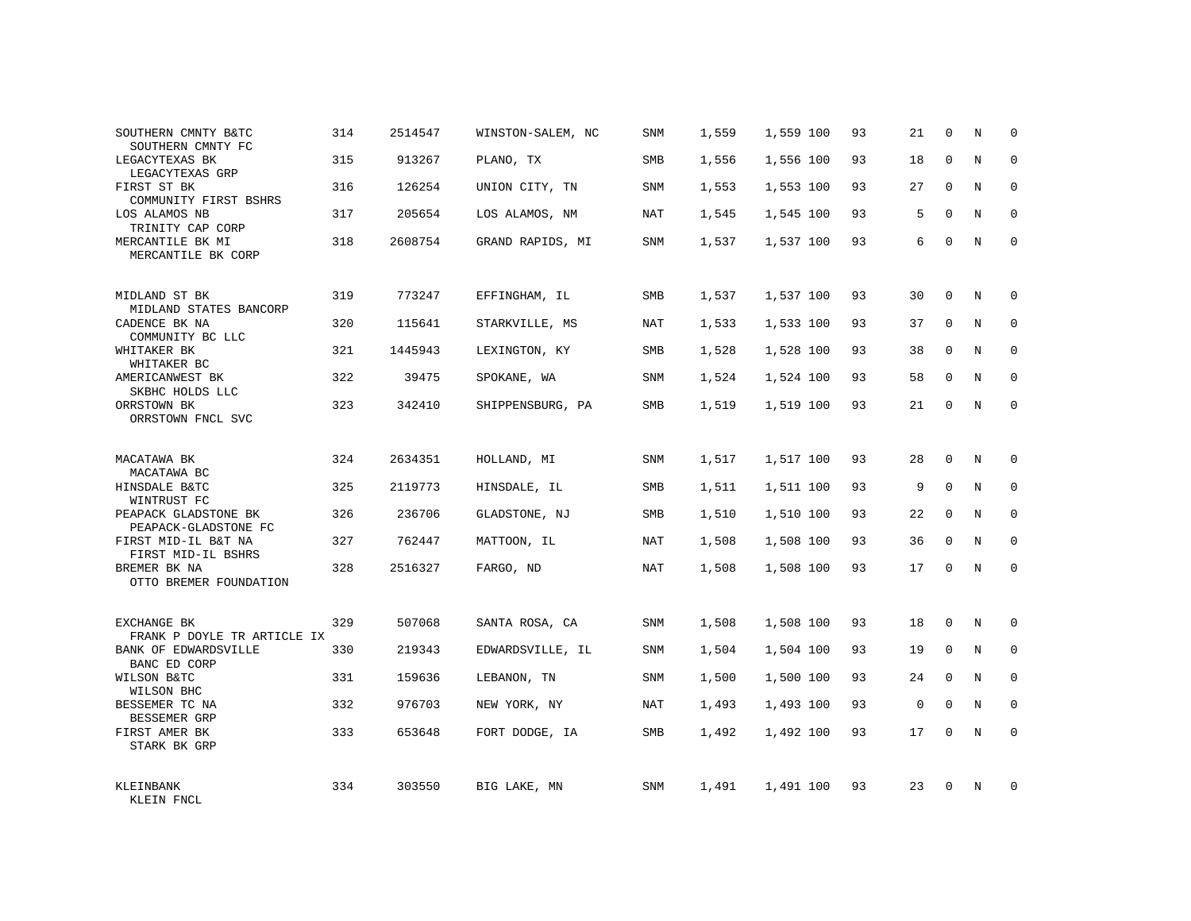| SOUTHERN CMNTY B&TC<br>SOUTHERN CMNTY FC     | 314 | 2514547 | WINSTON-SALEM, NC | SNM | 1,559 | 1,559 100 | 93 | 21          | $\Omega$    | N           | $\mathbf 0$  |
|----------------------------------------------|-----|---------|-------------------|-----|-------|-----------|----|-------------|-------------|-------------|--------------|
| LEGACYTEXAS BK<br>LEGACYTEXAS GRP            | 315 | 913267  | PLANO, TX         | SMB | 1,556 | 1,556 100 | 93 | 18          | $\Omega$    | N           | $\mathbf{0}$ |
| FIRST ST BK<br>COMMUNITY FIRST BSHRS         | 316 | 126254  | UNION CITY, TN    | SNM | 1,553 | 1,553 100 | 93 | 27          | $\Omega$    | N           | 0            |
| LOS ALAMOS NB<br>TRINITY CAP CORP            | 317 | 205654  | LOS ALAMOS, NM    | NAT | 1,545 | 1,545 100 | 93 | .5          | $\Omega$    | N           | $\Omega$     |
| MERCANTILE BK MI<br>MERCANTILE BK CORP       | 318 | 2608754 | GRAND RAPIDS, MI  | SNM | 1,537 | 1,537 100 | 93 | 6           | $\mathbf 0$ | N           | $\mathbf 0$  |
| MIDLAND ST BK<br>MIDLAND STATES BANCORP      | 319 | 773247  | EFFINGHAM, IL     | SMB | 1,537 | 1,537 100 | 93 | 30          | 0           | N           | $\mathbf 0$  |
| CADENCE BK NA<br>COMMUNITY BC LLC            | 320 | 115641  | STARKVILLE, MS    | NAT | 1,533 | 1,533 100 | 93 | 37          | $\mathbf 0$ | $\mathbf N$ | $\mathbf 0$  |
| WHITAKER BK<br>WHITAKER BC                   | 321 | 1445943 | LEXINGTON, KY     | SMB | 1,528 | 1,528 100 | 93 | 38          | $\mathbf 0$ | N           | $\mathbf 0$  |
| AMERICANWEST BK<br>SKBHC HOLDS LLC           | 322 | 39475   | SPOKANE, WA       | SNM | 1,524 | 1,524 100 | 93 | 58          | $\Omega$    | $_{\rm N}$  | $\Omega$     |
| ORRSTOWN BK<br>ORRSTOWN FNCL SVC             | 323 | 342410  | SHIPPENSBURG, PA  | SMB | 1,519 | 1,519 100 | 93 | 21          | 0           | N           | $\mathbf 0$  |
| MACATAWA BK<br>MACATAWA BC                   | 324 | 2634351 | HOLLAND, MI       | SNM | 1,517 | 1,517 100 | 93 | 28          | 0           | N           | 0            |
| HINSDALE B&TC<br>WINTRUST FC                 | 325 | 2119773 | HINSDALE, IL      | SMB | 1,511 | 1,511 100 | 93 | 9           | $\mathbf 0$ | $\mathbf N$ | $\mathbf 0$  |
| PEAPACK GLADSTONE BK<br>PEAPACK-GLADSTONE FC | 326 | 236706  | GLADSTONE, NJ     | SMB | 1,510 | 1,510 100 | 93 | 22          | $\Omega$    | N           | $\mathbf 0$  |
| FIRST MID-IL B&T NA<br>FIRST MID-IL BSHRS    | 327 | 762447  | MATTOON, IL       | NAT | 1,508 | 1,508 100 | 93 | 36          | $\mathbf 0$ | $\mathbf N$ | $\mathbf 0$  |
| BREMER BK NA<br>OTTO BREMER FOUNDATION       | 328 | 2516327 | FARGO, ND         | NAT | 1,508 | 1,508 100 | 93 | 17          | $\Omega$    | N           | $\mathbf 0$  |
| EXCHANGE BK<br>FRANK P DOYLE TR ARTICLE IX   | 329 | 507068  | SANTA ROSA, CA    | SNM | 1,508 | 1,508 100 | 93 | 18          | 0           | N           | $\mathbf 0$  |
| BANK OF EDWARDSVILLE<br>BANC ED CORP         | 330 | 219343  | EDWARDSVILLE, IL  | SNM | 1,504 | 1,504 100 | 93 | 19          | 0           | $\mathbf N$ | $\mathbf 0$  |
| WILSON B&TC<br>WILSON BHC                    | 331 | 159636  | LEBANON, TN       | SNM | 1,500 | 1,500 100 | 93 | 24          | $\Omega$    | N           | $\mathbf 0$  |
| BESSEMER TC NA<br>BESSEMER GRP               | 332 | 976703  | NEW YORK, NY      | NAT | 1,493 | 1,493 100 | 93 | $\mathbf 0$ | $\mathbf 0$ | $\mathbf N$ | $\mathbf 0$  |
| FIRST AMER BK<br>STARK BK GRP                | 333 | 653648  | FORT DODGE, IA    | SMB | 1,492 | 1,492 100 | 93 | 17          | $\Omega$    | N           | $\mathbf 0$  |
| KLEINBANK<br>KLEIN FNCL                      | 334 | 303550  | BIG LAKE, MN      | SNM | 1,491 | 1,491 100 | 93 | 23          | $\Omega$    | N           | $\mathbf 0$  |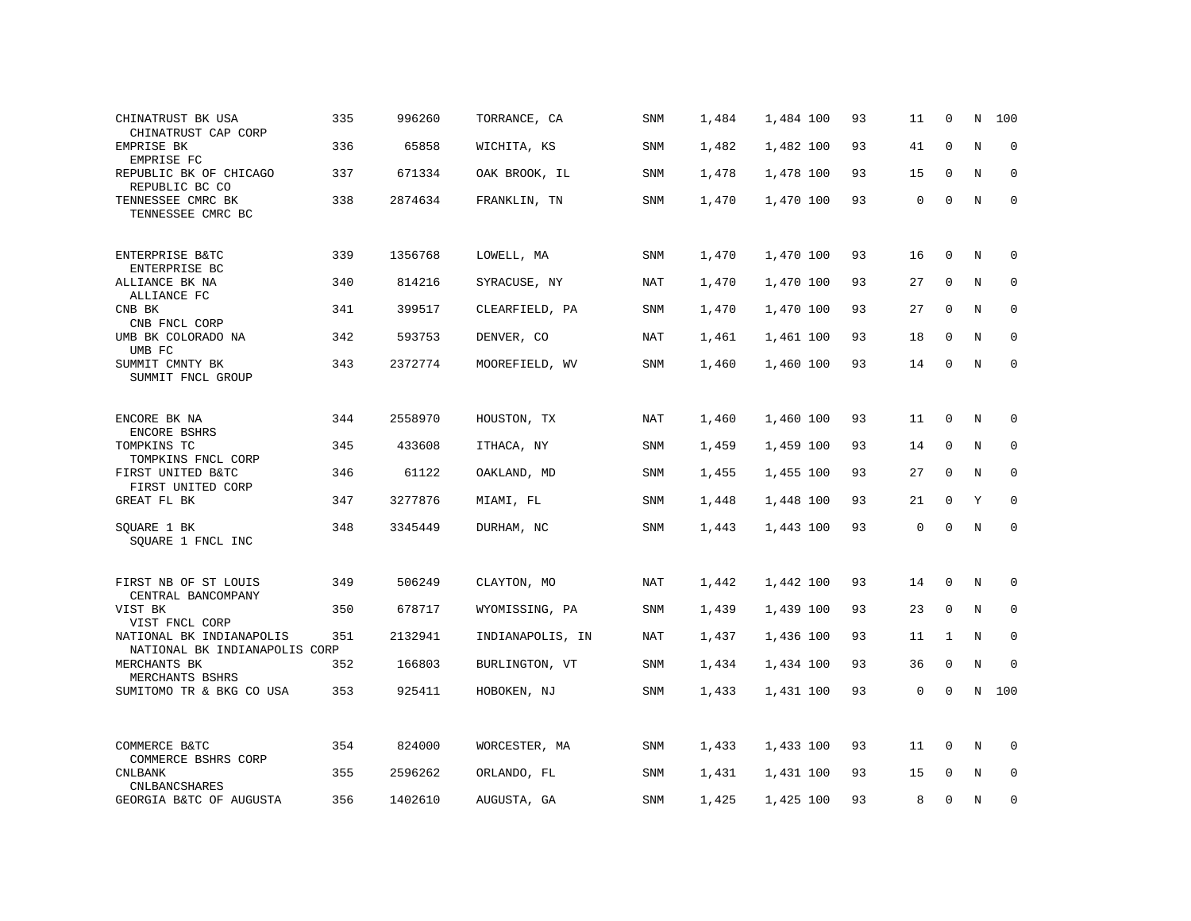| CHINATRUST BK USA<br>CHINATRUST CAP CORP                  | 335 | 996260  | TORRANCE, CA     | SNM        | 1,484 | 1,484 100 | 93 | 11          | $\mathbf 0$  | N       | 100         |
|-----------------------------------------------------------|-----|---------|------------------|------------|-------|-----------|----|-------------|--------------|---------|-------------|
| EMPRISE BK<br>EMPRISE FC                                  | 336 | 65858   | WICHITA, KS      | SNM        | 1,482 | 1,482 100 | 93 | 41          | $\mathbf 0$  | $\rm N$ | $\mathbf 0$ |
| REPUBLIC BK OF CHICAGO<br>REPUBLIC BC CO                  | 337 | 671334  | OAK BROOK, IL    | <b>SNM</b> | 1,478 | 1,478 100 | 93 | 15          | $\mathbf 0$  | N       | $\mathbf 0$ |
| TENNESSEE CMRC BK<br>TENNESSEE CMRC BC                    | 338 | 2874634 | FRANKLIN, TN     | SNM        | 1,470 | 1,470 100 | 93 | 0           | $\mathbf 0$  | N       | $\mathbf 0$ |
| ENTERPRISE B&TC<br>ENTERPRISE BC                          | 339 | 1356768 | LOWELL, MA       | SNM        | 1,470 | 1,470 100 | 93 | 16          | 0            | N       | 0           |
| ALLIANCE BK NA<br>ALLIANCE FC                             | 340 | 814216  | SYRACUSE, NY     | NAT        | 1,470 | 1,470 100 | 93 | 27          | 0            | N       | 0           |
| CNB BK<br>CNB FNCL CORP                                   | 341 | 399517  | CLEARFIELD, PA   | SNM        | 1,470 | 1,470 100 | 93 | 27          | $\mathbf 0$  | N       | $\mathbf 0$ |
| UMB BK COLORADO NA<br>UMB FC                              | 342 | 593753  | DENVER, CO       | <b>NAT</b> | 1,461 | 1,461 100 | 93 | 18          | $\mathbf 0$  | $\rm N$ | $\mathbf 0$ |
| SUMMIT CMNTY BK<br>SUMMIT FNCL GROUP                      | 343 | 2372774 | MOOREFIELD, WV   | <b>SNM</b> | 1,460 | 1,460 100 | 93 | 14          | $\mathbf 0$  | N       | $\mathbf 0$ |
| ENCORE BK NA<br>ENCORE BSHRS                              | 344 | 2558970 | HOUSTON, TX      | NAT        | 1,460 | 1,460 100 | 93 | 11          | $\mathbf 0$  | N       | $\Omega$    |
| TOMPKINS TC<br>TOMPKINS FNCL CORP                         | 345 | 433608  | ITHACA, NY       | SNM        | 1,459 | 1,459 100 | 93 | 14          | $\mathbf 0$  | N       | 0           |
| FIRST UNITED B&TC<br>FIRST UNITED CORP                    | 346 | 61122   | OAKLAND, MD      | SNM        | 1,455 | 1,455 100 | 93 | 27          | $\mathbf 0$  | N       | $\mathbf 0$ |
| GREAT FL BK                                               | 347 | 3277876 | MIAMI, FL        | SNM        | 1,448 | 1,448 100 | 93 | 21          | 0            | Υ       | $\mathbf 0$ |
| SQUARE 1 BK<br>SOUARE 1 FNCL INC                          | 348 | 3345449 | DURHAM, NC       | <b>SNM</b> | 1,443 | 1,443 100 | 93 | $\mathbf 0$ | $\mathbf 0$  | $\rm N$ | $\mathbf 0$ |
| FIRST NB OF ST LOUIS<br>CENTRAL BANCOMPANY                | 349 | 506249  | CLAYTON, MO      | NAT        | 1,442 | 1,442 100 | 93 | 14          | $\mathbf 0$  | N       | 0           |
| VIST BK<br>VIST FNCL CORP                                 | 350 | 678717  | WYOMISSING, PA   | SNM        | 1,439 | 1,439 100 | 93 | 23          | $\mathbf 0$  | N       | 0           |
| NATIONAL BK INDIANAPOLIS<br>NATIONAL BK INDIANAPOLIS CORP | 351 | 2132941 | INDIANAPOLIS, IN | <b>NAT</b> | 1,437 | 1,436 100 | 93 | 11          | $\mathbf{1}$ | N       | $\mathbf 0$ |
| MERCHANTS BK<br>MERCHANTS BSHRS                           | 352 | 166803  | BURLINGTON, VT   | <b>SNM</b> | 1,434 | 1,434 100 | 93 | 36          | $\mathbf 0$  | N       | $\Omega$    |
| SUMITOMO TR & BKG CO USA                                  | 353 | 925411  | HOBOKEN, NJ      | SNM        | 1,433 | 1,431 100 | 93 | $\mathbf 0$ | 0            | N       | 100         |
| COMMERCE B&TC<br>COMMERCE BSHRS CORP                      | 354 | 824000  | WORCESTER, MA    | SNM        | 1,433 | 1,433 100 | 93 | 11          | 0            | N       | 0           |
| <b>CNLBANK</b><br><b>CNLBANCSHARES</b>                    | 355 | 2596262 | ORLANDO, FL      | SNM        | 1,431 | 1,431 100 | 93 | 15          | $\mathbf 0$  | N       | 0           |
| GEORGIA B&TC OF AUGUSTA                                   | 356 | 1402610 | AUGUSTA, GA      | <b>SNM</b> | 1,425 | 1,425 100 | 93 | 8           | $\Omega$     | N       | $\mathbf 0$ |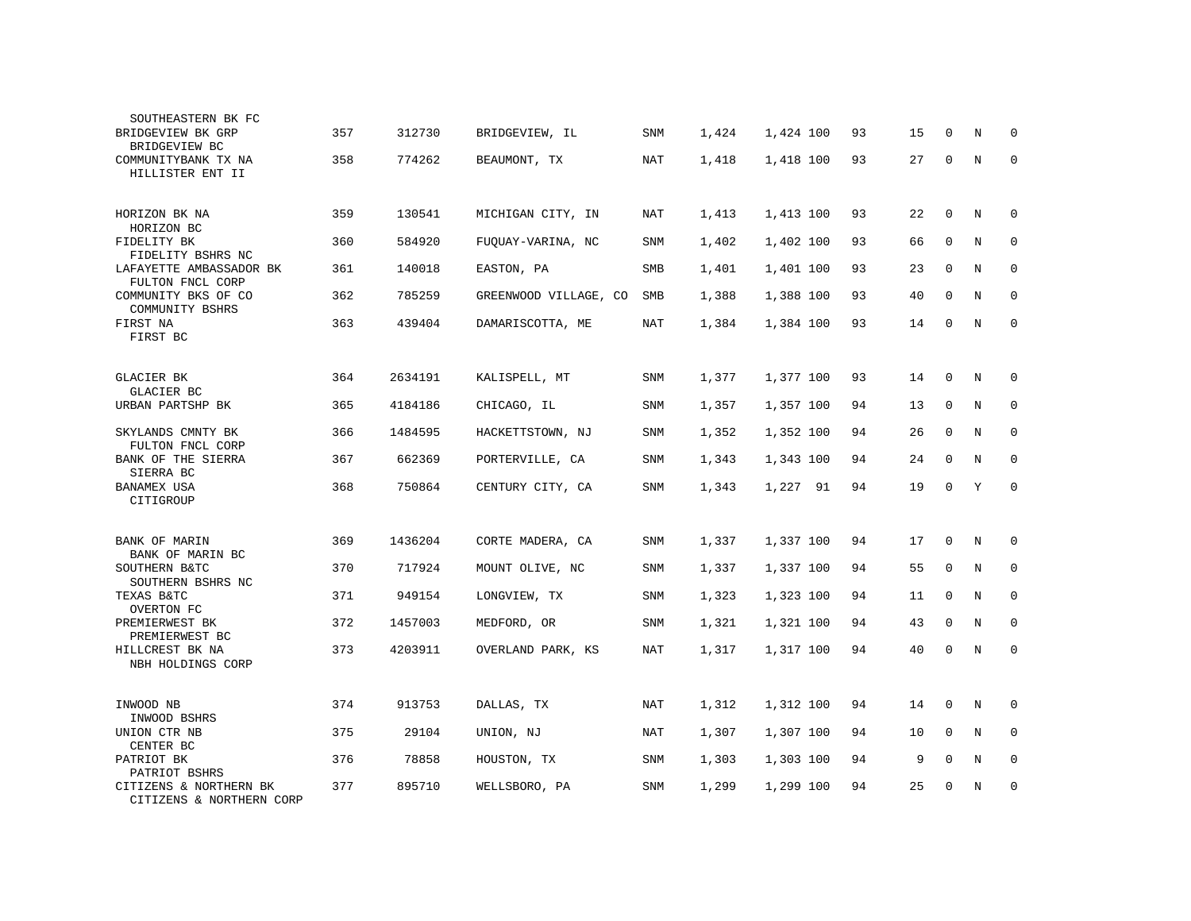| SOUTHEASTERN BK FC                                 |     |         |                       |            |       |           |    |    |             |             |             |
|----------------------------------------------------|-----|---------|-----------------------|------------|-------|-----------|----|----|-------------|-------------|-------------|
| BRIDGEVIEW BK GRP<br>BRIDGEVIEW BC                 | 357 | 312730  | BRIDGEVIEW, IL        | <b>SNM</b> | 1,424 | 1,424 100 | 93 | 15 | $\Omega$    | N           | 0           |
| COMMUNITYBANK TX NA<br>HILLISTER ENT II            | 358 | 774262  | BEAUMONT, TX          | <b>NAT</b> | 1,418 | 1,418 100 | 93 | 27 | $\mathbf 0$ | N           | $\Omega$    |
| HORIZON BK NA<br>HORIZON BC                        | 359 | 130541  | MICHIGAN CITY, IN     | NAT        | 1,413 | 1,413 100 | 93 | 22 | 0           | N           | 0           |
| FIDELITY BK<br>FIDELITY BSHRS NC                   | 360 | 584920  | FUQUAY-VARINA, NC     | SNM        | 1,402 | 1,402 100 | 93 | 66 | $\mathbf 0$ | $\rm N$     | 0           |
| LAFAYETTE AMBASSADOR BK<br>FULTON FNCL CORP        | 361 | 140018  | EASTON, PA            | SMB        | 1,401 | 1,401 100 | 93 | 23 | $\mathbf 0$ | $\rm N$     | 0           |
| COMMUNITY BKS OF CO<br>COMMUNITY BSHRS             | 362 | 785259  | GREENWOOD VILLAGE, CO | SMB        | 1,388 | 1,388 100 | 93 | 40 | $\mathbf 0$ | N           | $\mathbf 0$ |
| FIRST NA<br>FIRST BC                               | 363 | 439404  | DAMARISCOTTA, ME      | <b>NAT</b> | 1,384 | 1,384 100 | 93 | 14 | $\mathbf 0$ | N           | $\mathbf 0$ |
| GLACIER BK<br>GLACIER BC                           | 364 | 2634191 | KALISPELL, MT         | SNM        | 1,377 | 1,377 100 | 93 | 14 | 0           | N           | 0           |
| URBAN PARTSHP BK                                   | 365 | 4184186 | CHICAGO, IL           | <b>SNM</b> | 1,357 | 1,357 100 | 94 | 13 | $\mathbf 0$ | N           | 0           |
| SKYLANDS CMNTY BK<br>FULTON FNCL CORP              | 366 | 1484595 | HACKETTSTOWN, NJ      | SNM        | 1,352 | 1,352 100 | 94 | 26 | 0           | N           | $\mathbf 0$ |
| BANK OF THE SIERRA<br>SIERRA BC                    | 367 | 662369  | PORTERVILLE, CA       | SNM        | 1,343 | 1,343 100 | 94 | 24 | $\mathbf 0$ | N           | 0           |
| BANAMEX USA<br>CITIGROUP                           | 368 | 750864  | CENTURY CITY, CA      | SNM        | 1,343 | 1,227 91  | 94 | 19 | 0           | Υ           | $\Omega$    |
| BANK OF MARIN<br>BANK OF MARIN BC                  | 369 | 1436204 | CORTE MADERA, CA      | SNM        | 1,337 | 1,337 100 | 94 | 17 | $\mathbf 0$ | N           | $\Omega$    |
| SOUTHERN B&TC<br>SOUTHERN BSHRS NC                 | 370 | 717924  | MOUNT OLIVE, NC       | SNM        | 1,337 | 1,337 100 | 94 | 55 | $\Omega$    | N           | 0           |
| TEXAS B&TC<br>OVERTON FC                           | 371 | 949154  | LONGVIEW, TX          | SNM        | 1,323 | 1,323 100 | 94 | 11 | $\mathbf 0$ | N           | $\mathbf 0$ |
| PREMIERWEST BK<br>PREMIERWEST BC                   | 372 | 1457003 | MEDFORD, OR           | SNM        | 1,321 | 1,321 100 | 94 | 43 | $\Omega$    | N           | $\Omega$    |
| HILLCREST BK NA<br>NBH HOLDINGS CORP               | 373 | 4203911 | OVERLAND PARK, KS     | NAT        | 1,317 | 1,317 100 | 94 | 40 | 0           | N           | $\mathbf 0$ |
| INWOOD NB<br>INWOOD BSHRS                          | 374 | 913753  | DALLAS, TX            | <b>NAT</b> | 1,312 | 1,312 100 | 94 | 14 | $\mathbf 0$ | N           | $\mathbf 0$ |
| UNION CTR NB<br>CENTER BC                          | 375 | 29104   | UNION, NJ             | <b>NAT</b> | 1,307 | 1,307 100 | 94 | 10 | $\mathbf 0$ | N           | 0           |
| PATRIOT BK<br>PATRIOT BSHRS                        | 376 | 78858   | HOUSTON, TX           | SNM        | 1,303 | 1,303 100 | 94 | 9  | $\mathbf 0$ | $\mathbf N$ | 0           |
| CITIZENS & NORTHERN BK<br>CITIZENS & NORTHERN CORP | 377 | 895710  | WELLSBORO, PA         | SNM        | 1,299 | 1,299 100 | 94 | 25 | 0           | N           | 0           |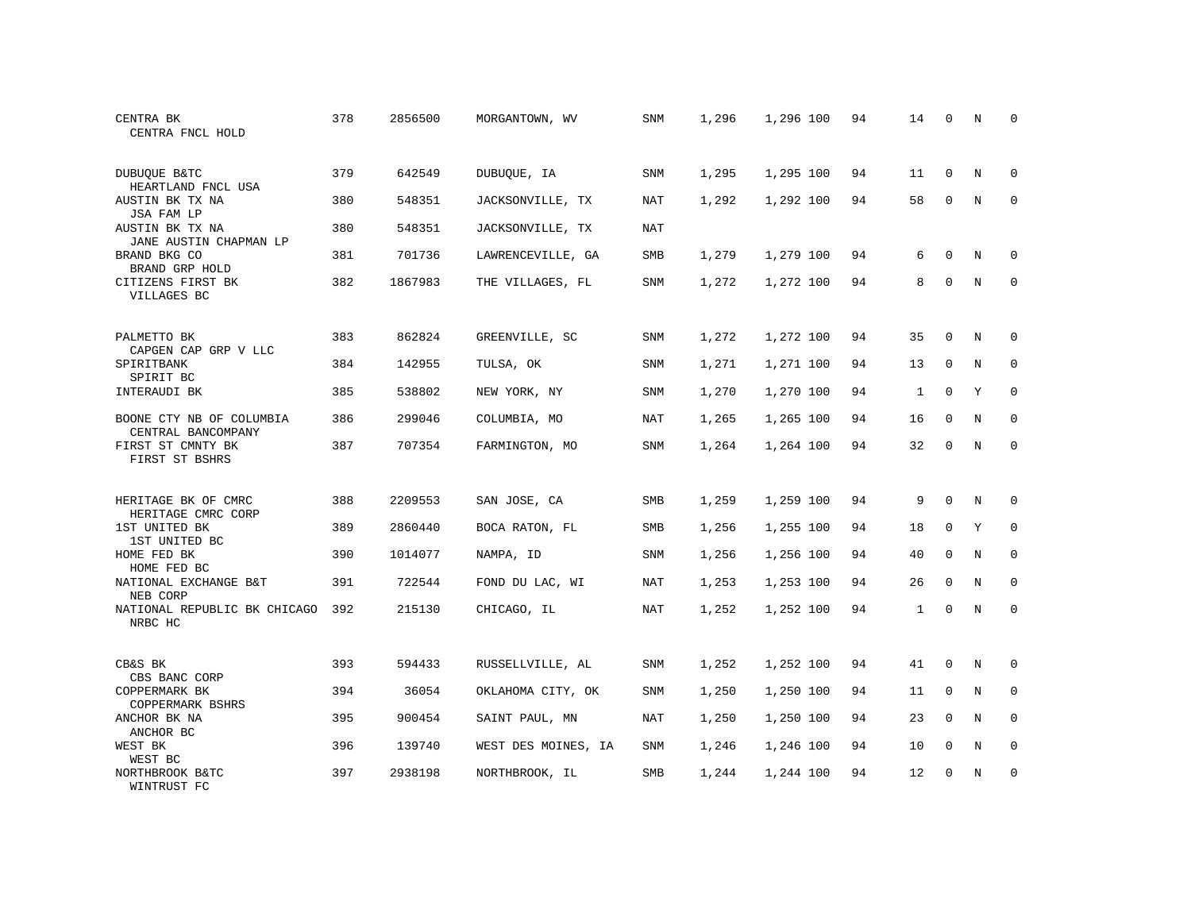| CENTRA BK<br>CENTRA FNCL HOLD                  | 378 | 2856500 | MORGANTOWN, WV      | SNM        | 1,296 | 1,296 100 | 94 | 14           | $\Omega$    | N           | $\Omega$    |
|------------------------------------------------|-----|---------|---------------------|------------|-------|-----------|----|--------------|-------------|-------------|-------------|
| DUBUQUE B&TC<br>HEARTLAND FNCL USA             | 379 | 642549  | DUBUQUE, IA         | SNM        | 1,295 | 1,295 100 | 94 | 11           | $\mathbf 0$ | N           | $\Omega$    |
| AUSTIN BK TX NA<br>JSA FAM LP                  | 380 | 548351  | JACKSONVILLE, TX    | NAT        | 1,292 | 1,292 100 | 94 | 58           | $\Omega$    | N           | $\Omega$    |
| AUSTIN BK TX NA<br>JANE AUSTIN CHAPMAN LP      | 380 | 548351  | JACKSONVILLE, TX    | NAT        |       |           |    |              |             |             |             |
| BRAND BKG CO<br>BRAND GRP HOLD                 | 381 | 701736  | LAWRENCEVILLE, GA   | SMB        | 1,279 | 1,279 100 | 94 | 6            | $\Omega$    | N           | $\Omega$    |
| CITIZENS FIRST BK<br>VILLAGES BC               | 382 | 1867983 | THE VILLAGES, FL    | SNM        | 1,272 | 1,272 100 | 94 | 8            | $\mathbf 0$ | $\mathbb N$ | $\mathbf 0$ |
| PALMETTO BK                                    | 383 | 862824  | GREENVILLE, SC      | <b>SNM</b> | 1,272 | 1,272 100 | 94 | 35           | $\mathbf 0$ | N           | 0           |
| CAPGEN CAP GRP V LLC<br>SPIRITBANK             | 384 | 142955  | TULSA, OK           | SNM        | 1,271 | 1,271 100 | 94 | 13           | $\mathbf 0$ | N           | $\mathbf 0$ |
| SPIRIT BC<br>INTERAUDI BK                      | 385 | 538802  | NEW YORK, NY        | <b>SNM</b> | 1,270 | 1,270 100 | 94 | $\mathbf{1}$ | $\mathbf 0$ | Y           | $\mathbf 0$ |
| BOONE CTY NB OF COLUMBIA<br>CENTRAL BANCOMPANY | 386 | 299046  | COLUMBIA, MO        | NAT        | 1,265 | 1,265 100 | 94 | 16           | $\Omega$    | N           | $\mathbf 0$ |
| FIRST ST CMNTY BK<br>FIRST ST BSHRS            | 387 | 707354  | FARMINGTON, MO      | <b>SNM</b> | 1,264 | 1,264 100 | 94 | 32           | $\Omega$    | $_{\rm N}$  | $\Omega$    |
| HERITAGE BK OF CMRC<br>HERITAGE CMRC CORP      | 388 | 2209553 | SAN JOSE, CA        | <b>SMB</b> | 1,259 | 1,259 100 | 94 | 9            | $\Omega$    | N           | $\Omega$    |
| 1ST UNITED BK<br>1ST UNITED BC                 | 389 | 2860440 | BOCA RATON, FL      | SMB        | 1,256 | 1,255 100 | 94 | 18           | $\mathbf 0$ | Y           | $\mathbf 0$ |
| HOME FED BK<br>HOME FED BC                     | 390 | 1014077 | NAMPA, ID           | <b>SNM</b> | 1,256 | 1,256 100 | 94 | 40           | $\Omega$    | N           | $\mathbf 0$ |
| NATIONAL EXCHANGE B&T<br>NEB CORP              | 391 | 722544  | FOND DU LAC, WI     | <b>NAT</b> | 1,253 | 1,253 100 | 94 | 26           | $\mathbf 0$ | N           | $\mathbf 0$ |
| NATIONAL REPUBLIC BK CHICAGO<br>NRBC HC        | 392 | 215130  | CHICAGO, IL         | <b>NAT</b> | 1,252 | 1,252 100 | 94 | $\mathbf{1}$ | $\Omega$    | $_{\rm N}$  | $\Omega$    |
| CB&S BK<br>CBS BANC CORP                       | 393 | 594433  | RUSSELLVILLE, AL    | SNM        | 1,252 | 1,252 100 | 94 | 41           | $\mathbf 0$ | N           | 0           |
| COPPERMARK BK<br>COPPERMARK BSHRS              | 394 | 36054   | OKLAHOMA CITY, OK   | SNM        | 1,250 | 1,250 100 | 94 | 11           | 0           | N           | 0           |
| ANCHOR BK NA<br>ANCHOR BC                      | 395 | 900454  | SAINT PAUL, MN      | <b>NAT</b> | 1,250 | 1,250 100 | 94 | 23           | $\mathbf 0$ | N           | $\mathbf 0$ |
| WEST BK<br>WEST BC                             | 396 | 139740  | WEST DES MOINES, IA | SNM        | 1,246 | 1,246 100 | 94 | 10           | $\mathbf 0$ | N           | 0           |
| NORTHBROOK B&TC<br>WINTRUST FC                 | 397 | 2938198 | NORTHBROOK, IL      | SMB        | 1,244 | 1,244 100 | 94 | 12           | $\Omega$    | N           | $\mathbf 0$ |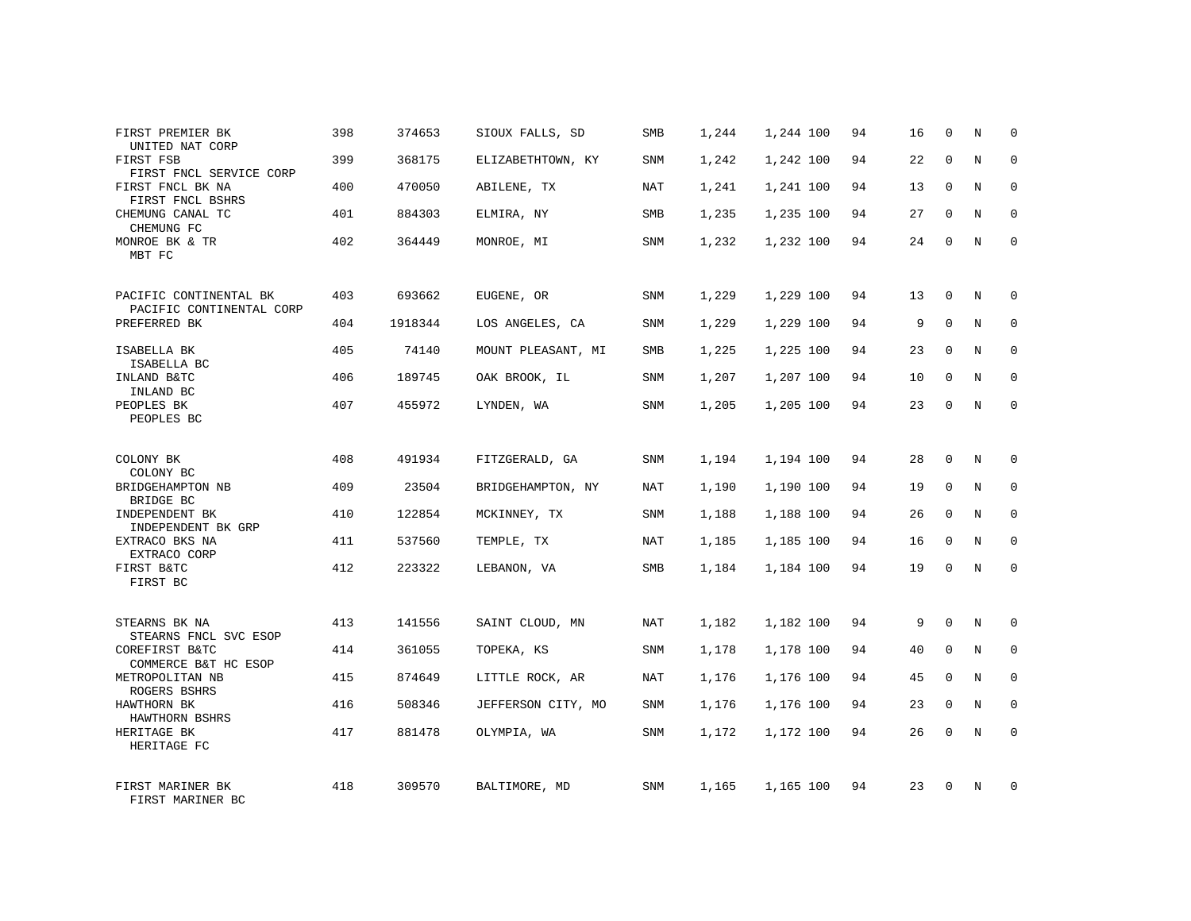| FIRST PREMIER BK<br>UNITED NAT CORP      | 398 | 374653  | SIOUX FALLS, SD    | SMB        | 1,244 | 1,244 100 | 94 | 16 | 0           | N          | $\mathbf 0$  |
|------------------------------------------|-----|---------|--------------------|------------|-------|-----------|----|----|-------------|------------|--------------|
| FIRST FSB<br>FIRST FNCL SERVICE CORP     | 399 | 368175  | ELIZABETHTOWN, KY  | SNM        | 1,242 | 1,242 100 | 94 | 22 | $\Omega$    | N          | $\mathbf{0}$ |
| FIRST FNCL BK NA<br>FIRST FNCL BSHRS     | 400 | 470050  | ABILENE, TX        | NAT        | 1,241 | 1,241 100 | 94 | 13 | 0           | N          | 0            |
| CHEMUNG CANAL TC<br>CHEMUNG FC           | 401 | 884303  | ELMIRA, NY         | SMB        | 1,235 | 1,235 100 | 94 | 27 | $\Omega$    | N          | $\mathbf{0}$ |
| MONROE BK & TR<br>MBT FC                 | 402 | 364449  | MONROE, MI         | SNM        | 1,232 | 1,232 100 | 94 | 24 | 0           | N          | $\mathbf 0$  |
| PACIFIC CONTINENTAL BK                   | 403 | 693662  | EUGENE, OR         | SNM        | 1,229 | 1,229 100 | 94 | 13 | $\mathbf 0$ | N          | $\mathbf{0}$ |
| PACIFIC CONTINENTAL CORP<br>PREFERRED BK | 404 | 1918344 | LOS ANGELES, CA    | SNM        | 1,229 | 1,229 100 | 94 | 9  | $\mathbf 0$ | N          | $\mathbf{0}$ |
| ISABELLA BK<br>ISABELLA BC               | 405 | 74140   | MOUNT PLEASANT, MI | SMB        | 1,225 | 1,225 100 | 94 | 23 | $\mathbf 0$ | N          | $\mathbf 0$  |
| INLAND B&TC<br>INLAND BC                 | 406 | 189745  | OAK BROOK, IL      | SNM        | 1,207 | 1,207 100 | 94 | 10 | $\Omega$    | N          | $\mathbf{0}$ |
| PEOPLES BK<br>PEOPLES BC                 | 407 | 455972  | LYNDEN, WA         | SNM        | 1,205 | 1,205 100 | 94 | 23 | $\mathbf 0$ | N          | $\mathbf 0$  |
| COLONY BK<br>COLONY BC                   | 408 | 491934  | FITZGERALD, GA     | SNM        | 1,194 | 1,194 100 | 94 | 28 | $\Omega$    | N          | $\Omega$     |
| BRIDGEHAMPTON NB<br>BRIDGE BC            | 409 | 23504   | BRIDGEHAMPTON, NY  | NAT        | 1,190 | 1,190 100 | 94 | 19 | $\mathbf 0$ | N          | $\mathbf 0$  |
| INDEPENDENT BK<br>INDEPENDENT BK GRP     | 410 | 122854  | MCKINNEY, TX       | SNM        | 1,188 | 1,188 100 | 94 | 26 | $\Omega$    | N          | $\mathbf 0$  |
| EXTRACO BKS NA<br>EXTRACO CORP           | 411 | 537560  | TEMPLE, TX         | NAT        | 1,185 | 1,185 100 | 94 | 16 | $\mathbf 0$ | N          | $\mathbf{0}$ |
| FIRST B&TC<br>FIRST BC                   | 412 | 223322  | LEBANON, VA        | SMB        | 1,184 | 1,184 100 | 94 | 19 | $\Omega$    | $_{\rm N}$ | $\Omega$     |
| STEARNS BK NA<br>STEARNS FNCL SVC ESOP   | 413 | 141556  | SAINT CLOUD, MN    | <b>NAT</b> | 1,182 | 1,182 100 | 94 | 9  | $\Omega$    | $_{\rm N}$ | $\mathbf 0$  |
| COREFIRST B&TC<br>COMMERCE B&T HC ESOP   | 414 | 361055  | TOPEKA, KS         | SNM        | 1,178 | 1,178 100 | 94 | 40 | 0           | N          | 0            |
| METROPOLITAN NB<br>ROGERS BSHRS          | 415 | 874649  | LITTLE ROCK, AR    | NAT        | 1,176 | 1,176 100 | 94 | 45 | $\Omega$    | $_{\rm N}$ | $\mathbf 0$  |
| HAWTHORN BK<br>HAWTHORN BSHRS            | 416 | 508346  | JEFFERSON CITY, MO | SNM        | 1,176 | 1,176 100 | 94 | 23 | 0           | N          | $\mathbf 0$  |
| HERITAGE BK<br>HERITAGE FC               | 417 | 881478  | OLYMPIA, WA        | SNM        | 1,172 | 1,172 100 | 94 | 26 | $\Omega$    | N          | $\mathbf{0}$ |
| FIRST MARINER BK<br>FIRST MARINER BC     | 418 | 309570  | BALTIMORE, MD      | <b>SNM</b> | 1,165 | 1,165 100 | 94 | 23 | $\Omega$    | N          | $\mathbf 0$  |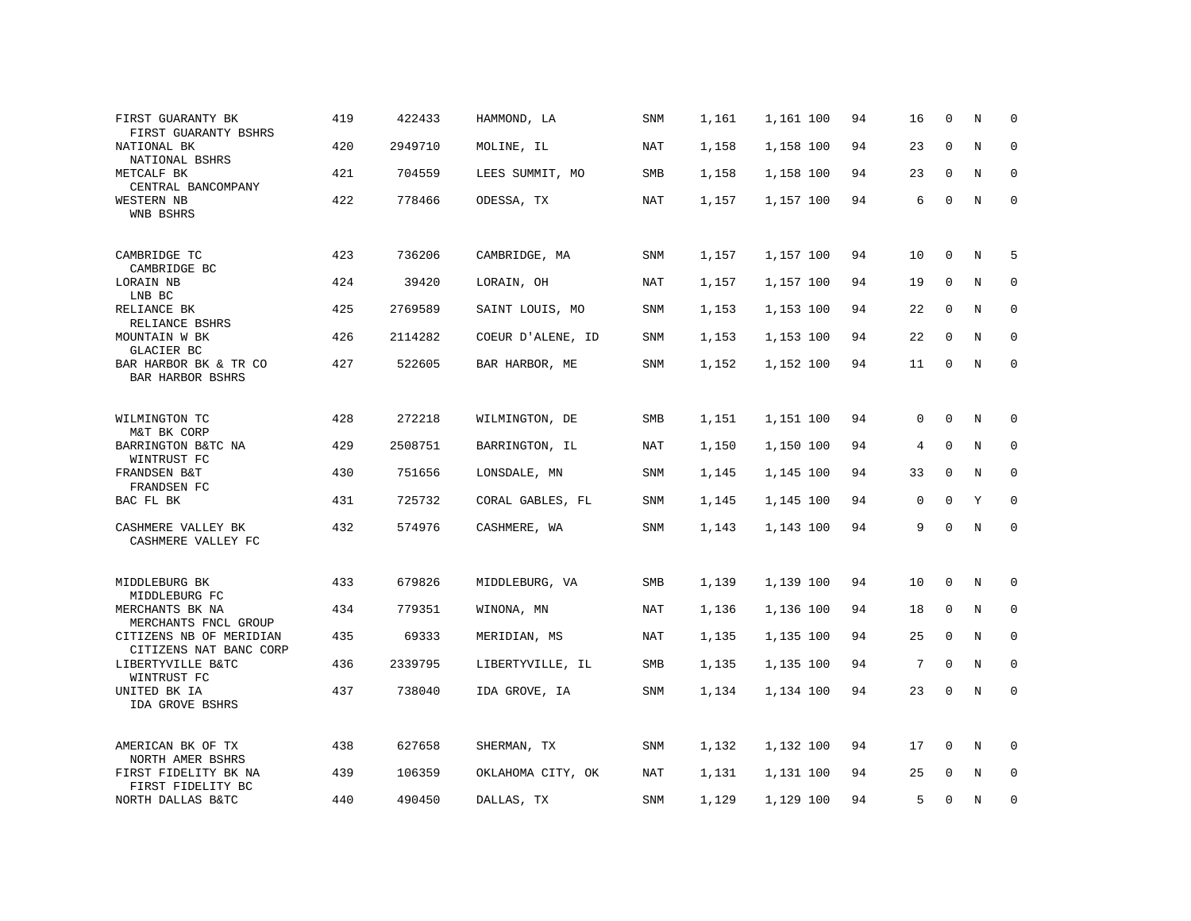| FIRST GUARANTY BK<br>FIRST GUARANTY BSHRS         | 419 | 422433  | HAMMOND, LA       | SNM        | 1,161 | 1,161 100 | 94 | 16          | 0           | N           | $\mathbf 0$  |
|---------------------------------------------------|-----|---------|-------------------|------------|-------|-----------|----|-------------|-------------|-------------|--------------|
| NATIONAL BK<br>NATIONAL BSHRS                     | 420 | 2949710 | MOLINE, IL        | NAT        | 1,158 | 1,158 100 | 94 | 23          | 0           | $\rm N$     | $\mathbf 0$  |
| METCALF BK<br>CENTRAL BANCOMPANY                  | 421 | 704559  | LEES SUMMIT, MO   | SMB        | 1,158 | 1,158 100 | 94 | 23          | $\mathbf 0$ | N           | $\mathbf 0$  |
| WESTERN NB<br>WNB BSHRS                           | 422 | 778466  | ODESSA, TX        | NAT        | 1,157 | 1,157 100 | 94 | 6           | $\mathbf 0$ | $\rm N$     | $\mathsf 0$  |
| CAMBRIDGE TC<br>CAMBRIDGE BC                      | 423 | 736206  | CAMBRIDGE, MA     | <b>SNM</b> | 1,157 | 1,157 100 | 94 | 10          | 0           | N           | 5            |
| LORAIN NB<br>LNB BC                               | 424 | 39420   | LORAIN, OH        | NAT        | 1,157 | 1,157 100 | 94 | 19          | $\mathbf 0$ | N           | 0            |
| RELIANCE BK<br>RELIANCE BSHRS                     | 425 | 2769589 | SAINT LOUIS, MO   | <b>SNM</b> | 1,153 | 1,153 100 | 94 | 22          | $\mathbf 0$ | $\mathbf N$ | $\mathbf 0$  |
| MOUNTAIN W BK<br>GLACIER BC                       | 426 | 2114282 | COEUR D'ALENE, ID | <b>SNM</b> | 1,153 | 1,153 100 | 94 | 22          | $\Omega$    | N           | $\mathbf 0$  |
| BAR HARBOR BK & TR CO<br>BAR HARBOR BSHRS         | 427 | 522605  | BAR HARBOR, ME    | SNM        | 1,152 | 1,152 100 | 94 | 11          | $\mathbf 0$ | N           | $\mathbf 0$  |
| WILMINGTON TC                                     | 428 | 272218  | WILMINGTON, DE    | SMB        | 1,151 | 1,151 100 | 94 | $\mathbf 0$ | $\Omega$    | N           | $\mathbf 0$  |
| M&T BK CORP<br>BARRINGTON B&TC NA<br>WINTRUST FC  | 429 | 2508751 | BARRINGTON, IL    | NAT        | 1,150 | 1,150 100 | 94 | 4           | $\Omega$    | $\rm N$     | 0            |
| FRANDSEN B&T<br>FRANDSEN FC                       | 430 | 751656  | LONSDALE, MN      | SNM        | 1,145 | 1,145 100 | 94 | 33          | 0           | N           | $\mathbf 0$  |
| BAC FL BK                                         | 431 | 725732  | CORAL GABLES, FL  | SNM        | 1,145 | 1,145 100 | 94 | $\mathbf 0$ | $\mathbf 0$ | Υ           | $\mathbf 0$  |
| CASHMERE VALLEY BK<br>CASHMERE VALLEY FC          | 432 | 574976  | CASHMERE, WA      | SNM        | 1,143 | 1,143 100 | 94 | 9           | $\mathbf 0$ | N           | $\mathbf 0$  |
| MIDDLEBURG BK<br>MIDDLEBURG FC                    | 433 | 679826  | MIDDLEBURG, VA    | SMB        | 1,139 | 1,139 100 | 94 | 10          | 0           | N           | 0            |
| MERCHANTS BK NA<br>MERCHANTS FNCL GROUP           | 434 | 779351  | WINONA, MN        | NAT        | 1,136 | 1,136 100 | 94 | 18          | 0           | $\rm N$     | $\mathsf 0$  |
| CITIZENS NB OF MERIDIAN<br>CITIZENS NAT BANC CORP | 435 | 69333   | MERIDIAN, MS      | NAT        | 1,135 | 1,135 100 | 94 | 25          | $\mathbf 0$ | N           | 0            |
| LIBERTYVILLE B&TC<br>WINTRUST FC                  | 436 | 2339795 | LIBERTYVILLE, IL  | SMB        | 1,135 | 1,135 100 | 94 | 7           | 0           | N           | $\mathbf 0$  |
| UNITED BK IA<br>IDA GROVE BSHRS                   | 437 | 738040  | IDA GROVE, IA     | SNM        | 1,134 | 1,134 100 | 94 | 23          | $\mathbf 0$ | N           | $\mathbf{0}$ |
| AMERICAN BK OF TX<br>NORTH AMER BSHRS             | 438 | 627658  | SHERMAN, TX       | SNM        | 1,132 | 1,132 100 | 94 | 17          | $\mathbf 0$ | N           | $\mathbf 0$  |
| FIRST FIDELITY BK NA<br>FIRST FIDELITY BC         | 439 | 106359  | OKLAHOMA CITY, OK | NAT        | 1,131 | 1,131 100 | 94 | 25          | 0           | N           | $\mathbf{0}$ |
| NORTH DALLAS B&TC                                 | 440 | 490450  | DALLAS, TX        | <b>SNM</b> | 1,129 | 1,129 100 | 94 | 5           | $\Omega$    | N           | 0            |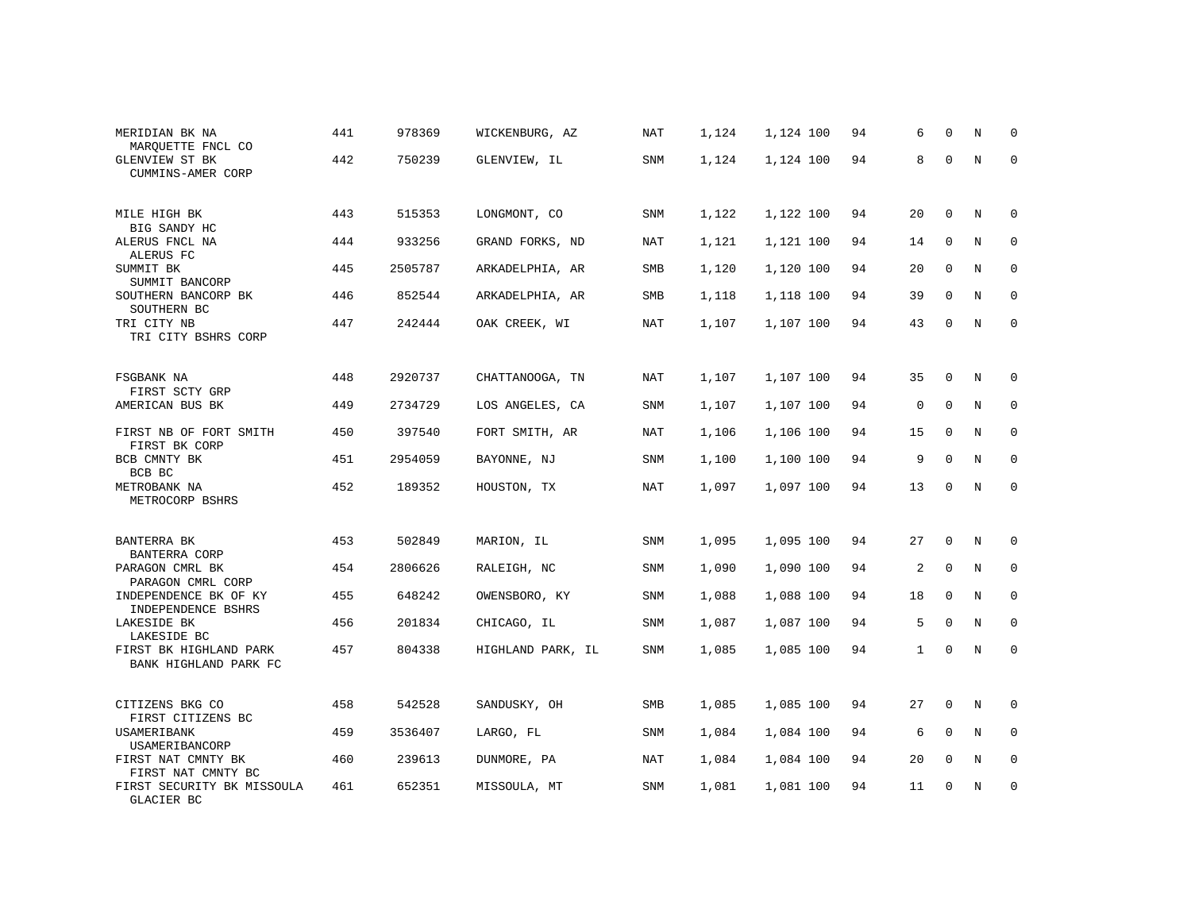| MERIDIAN BK NA<br>MARQUETTE FNCL CO             | 441 | 978369  | WICKENBURG, AZ    | NAT        | 1,124 | 1,124 100 | 94 | 6            | $\Omega$    | N           | 0           |
|-------------------------------------------------|-----|---------|-------------------|------------|-------|-----------|----|--------------|-------------|-------------|-------------|
| GLENVIEW ST BK<br>CUMMINS-AMER CORP             | 442 | 750239  | GLENVIEW, IL      | SNM        | 1,124 | 1,124 100 | 94 | 8            | $\Omega$    | N           | $\Omega$    |
| MILE HIGH BK<br>BIG SANDY HC                    | 443 | 515353  | LONGMONT, CO      | SNM        | 1,122 | 1,122 100 | 94 | 20           | $\Omega$    | N           | $\Omega$    |
| ALERUS FNCL NA<br>ALERUS FC                     | 444 | 933256  | GRAND FORKS, ND   | NAT        | 1,121 | 1,121 100 | 94 | 14           | $\mathbf 0$ | N           | $\mathbf 0$ |
| SUMMIT BK<br>SUMMIT BANCORP                     | 445 | 2505787 | ARKADELPHIA, AR   | SMB        | 1,120 | 1,120 100 | 94 | 20           | $\mathbf 0$ | N           | $\mathbf 0$ |
| SOUTHERN BANCORP BK<br>SOUTHERN BC              | 446 | 852544  | ARKADELPHIA, AR   | SMB        | 1,118 | 1,118 100 | 94 | 39           | $\mathbf 0$ | N           | $\mathbf 0$ |
| TRI CITY NB<br>TRI CITY BSHRS CORP              | 447 | 242444  | OAK CREEK, WI     | NAT        | 1,107 | 1,107 100 | 94 | 43           | 0           | N           | $\mathbf 0$ |
| FSGBANK NA<br>FIRST SCTY GRP                    | 448 | 2920737 | CHATTANOOGA, TN   | NAT        | 1,107 | 1,107 100 | 94 | 35           | 0           | N           | 0           |
| AMERICAN BUS BK                                 | 449 | 2734729 | LOS ANGELES, CA   | SNM        | 1,107 | 1,107 100 | 94 | $\mathbf 0$  | $\mathbf 0$ | $\mathbf N$ | $\mathbf 0$ |
| FIRST NB OF FORT SMITH<br>FIRST BK CORP         | 450 | 397540  | FORT SMITH, AR    | NAT        | 1,106 | 1,106 100 | 94 | 15           | $\mathbf 0$ | N           | $\mathbf 0$ |
| BCB CMNTY BK<br>BCB BC                          | 451 | 2954059 | BAYONNE, NJ       | <b>SNM</b> | 1,100 | 1,100 100 | 94 | 9            | $\Omega$    | N           | $\mathbf 0$ |
| METROBANK NA<br>METROCORP BSHRS                 | 452 | 189352  | HOUSTON, TX       | <b>NAT</b> | 1,097 | 1,097 100 | 94 | 13           | 0           | N           | $\mathbf 0$ |
| BANTERRA BK<br>BANTERRA CORP                    | 453 | 502849  | MARION, IL        | SNM        | 1,095 | 1,095 100 | 94 | 27           | $\mathbf 0$ | N           | 0           |
| PARAGON CMRL BK<br>PARAGON CMRL CORP            | 454 | 2806626 | RALEIGH, NC       | SNM        | 1,090 | 1,090 100 | 94 | 2            | $\mathbf 0$ | N           | 0           |
| INDEPENDENCE BK OF KY<br>INDEPENDENCE BSHRS     | 455 | 648242  | OWENSBORO, KY     | SNM        | 1,088 | 1,088 100 | 94 | 18           | $\mathbf 0$ | N           | 0           |
| LAKESIDE BK<br>LAKESIDE BC                      | 456 | 201834  | CHICAGO, IL       | SNM        | 1,087 | 1,087 100 | 94 | 5            | 0           | N           | 0           |
| FIRST BK HIGHLAND PARK<br>BANK HIGHLAND PARK FC | 457 | 804338  | HIGHLAND PARK, IL | SNM        | 1,085 | 1,085 100 | 94 | $\mathbf{1}$ | $\mathbf 0$ | $\mathbb N$ | $\mathbf 0$ |
| CITIZENS BKG CO<br>FIRST CITIZENS BC            | 458 | 542528  | SANDUSKY, OH      | SMB        | 1,085 | 1,085 100 | 94 | 27           | $\mathbf 0$ | N           | 0           |
| USAMERIBANK<br>USAMERIBANCORP                   | 459 | 3536407 | LARGO, FL         | SNM        | 1,084 | 1,084 100 | 94 | 6            | $\mathbf 0$ | N           | 0           |
| FIRST NAT CMNTY BK<br>FIRST NAT CMNTY BC        | 460 | 239613  | DUNMORE, PA       | <b>NAT</b> | 1,084 | 1,084 100 | 94 | 20           | $\mathbf 0$ | N           | 0           |
| FIRST SECURITY BK MISSOULA<br>GLACIER BC        | 461 | 652351  | MISSOULA, MT      | SNM        | 1,081 | 1,081 100 | 94 | 11           | $\mathbf 0$ | N           | $\mathbf 0$ |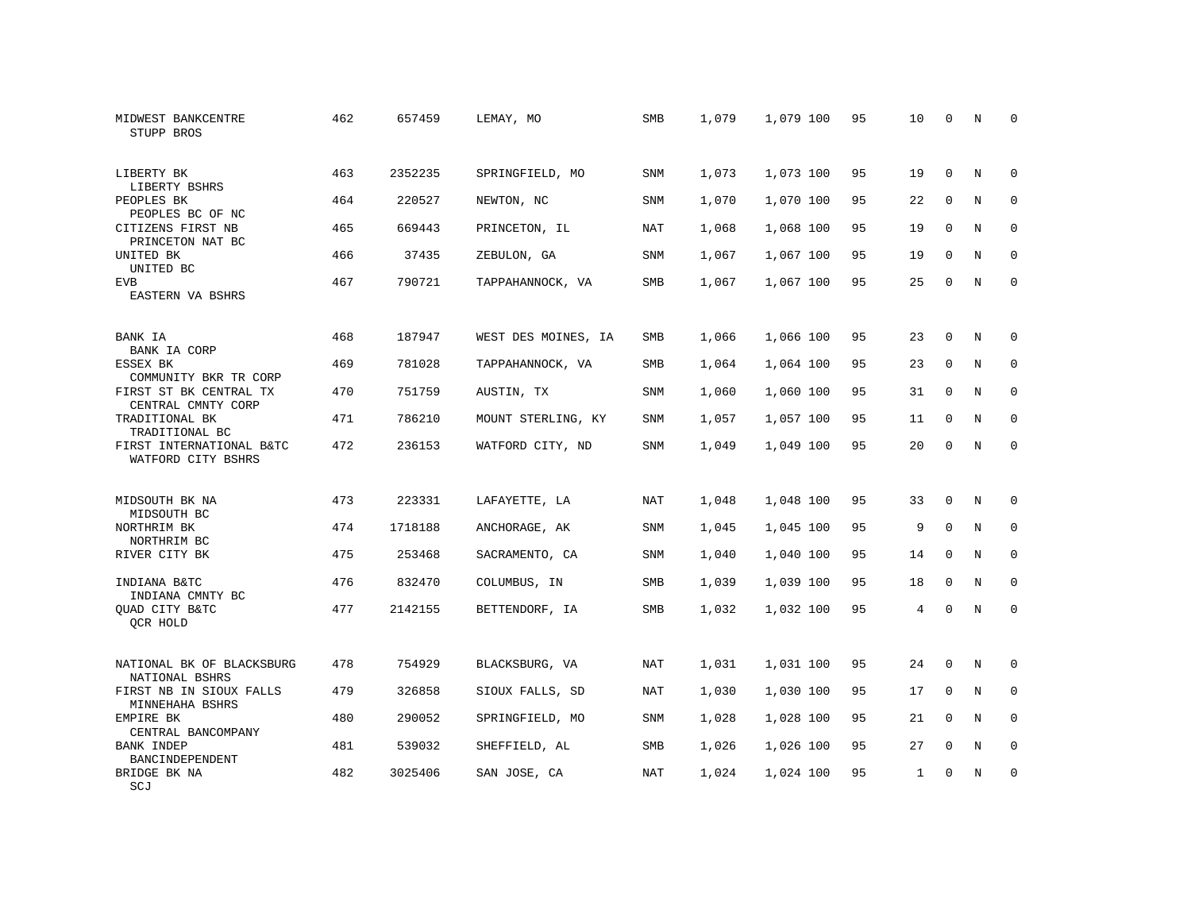| MIDWEST BANKCENTRE<br>STUPP BROS               | 462 | 657459  | LEMAY, MO           | SMB        | 1,079 | 1,079 100 | 95 | 10 | $\mathbf 0$ | N           | 0           |
|------------------------------------------------|-----|---------|---------------------|------------|-------|-----------|----|----|-------------|-------------|-------------|
| LIBERTY BK<br>LIBERTY BSHRS                    | 463 | 2352235 | SPRINGFIELD, MO     | SNM        | 1,073 | 1,073 100 | 95 | 19 | $\Omega$    | N           | $\Omega$    |
| PEOPLES BK<br>PEOPLES BC OF NC                 | 464 | 220527  | NEWTON, NC          | SNM        | 1,070 | 1,070 100 | 95 | 22 | $\mathbf 0$ | $\mathbf N$ | $\mathsf 0$ |
| CITIZENS FIRST NB<br>PRINCETON NAT BC          | 465 | 669443  | PRINCETON, IL       | <b>NAT</b> | 1,068 | 1,068 100 | 95 | 19 | $\mathbf 0$ | N           | $\mathbf 0$ |
| UNITED BK<br>UNITED BC                         | 466 | 37435   | ZEBULON, GA         | SNM        | 1,067 | 1,067 100 | 95 | 19 | $\mathbf 0$ | N           | $\mathbf 0$ |
| <b>EVB</b><br>EASTERN VA BSHRS                 | 467 | 790721  | TAPPAHANNOCK, VA    | <b>SMB</b> | 1,067 | 1,067 100 | 95 | 25 | $\Omega$    | $\mathbf N$ | $\mathbf 0$ |
| BANK IA<br>BANK IA CORP                        | 468 | 187947  | WEST DES MOINES, IA | SMB        | 1,066 | 1,066 100 | 95 | 23 | $\mathbf 0$ | N           | 0           |
| ESSEX BK<br>COMMUNITY BKR TR CORP              | 469 | 781028  | TAPPAHANNOCK, VA    | SMB        | 1,064 | 1,064 100 | 95 | 23 | $\mathbf 0$ | N           | $\mathbf 0$ |
| FIRST ST BK CENTRAL TX<br>CENTRAL CMNTY CORP   | 470 | 751759  | AUSTIN, TX          | SNM        | 1,060 | 1,060 100 | 95 | 31 | $\mathbf 0$ | N           | 0           |
| TRADITIONAL BK<br>TRADITIONAL BC               | 471 | 786210  | MOUNT STERLING, KY  | SNM        | 1,057 | 1,057 100 | 95 | 11 | $\mathbf 0$ | N           | $\mathbf 0$ |
| FIRST INTERNATIONAL B&TC<br>WATFORD CITY BSHRS | 472 | 236153  | WATFORD CITY, ND    | SNM        | 1,049 | 1,049 100 | 95 | 20 | 0           | N           | $\mathbf 0$ |
| MIDSOUTH BK NA<br>MIDSOUTH BC                  | 473 | 223331  | LAFAYETTE, LA       | NAT        | 1,048 | 1,048 100 | 95 | 33 | 0           | N           | 0           |
| NORTHRIM BK<br>NORTHRIM BC                     | 474 | 1718188 | ANCHORAGE, AK       | SNM        | 1,045 | 1,045 100 | 95 | 9  | $\mathbf 0$ | N           | 0           |
| RIVER CITY BK                                  | 475 | 253468  | SACRAMENTO, CA      | SNM        | 1,040 | 1,040 100 | 95 | 14 | $\Omega$    | N           | $\mathbf 0$ |
| INDIANA B&TC<br>INDIANA CMNTY BC               | 476 | 832470  | COLUMBUS, IN        | SMB        | 1,039 | 1,039 100 | 95 | 18 | $\mathbf 0$ | N           | 0           |
| QUAD CITY B&TC<br>QCR HOLD                     | 477 | 2142155 | BETTENDORF, IA      | SMB        | 1,032 | 1,032 100 | 95 | 4  | $\mathbf 0$ | $\rm N$     | $\mathsf 0$ |
| NATIONAL BK OF BLACKSBURG<br>NATIONAL BSHRS    | 478 | 754929  | BLACKSBURG, VA      | NAT        | 1,031 | 1,031 100 | 95 | 24 | 0           | N           | 0           |
| FIRST NB IN SIOUX FALLS<br>MINNEHAHA BSHRS     | 479 | 326858  | SIOUX FALLS, SD     | <b>NAT</b> | 1,030 | 1,030 100 | 95 | 17 | $\mathbf 0$ | N           | 0           |
| EMPIRE BK<br>CENTRAL BANCOMPANY                | 480 | 290052  | SPRINGFIELD, MO     | SNM        | 1,028 | 1,028 100 | 95 | 21 | 0           | N           | 0           |
| <b>BANK INDEP</b><br>BANCINDEPENDENT           | 481 | 539032  | SHEFFIELD, AL       | SMB        | 1,026 | 1,026 100 | 95 | 27 | 0           | N           | $\mathbf 0$ |
| BRIDGE BK NA<br>SCJ                            | 482 | 3025406 | SAN JOSE, CA        | <b>NAT</b> | 1,024 | 1,024 100 | 95 | 1  | 0           | N           | $\mathbf 0$ |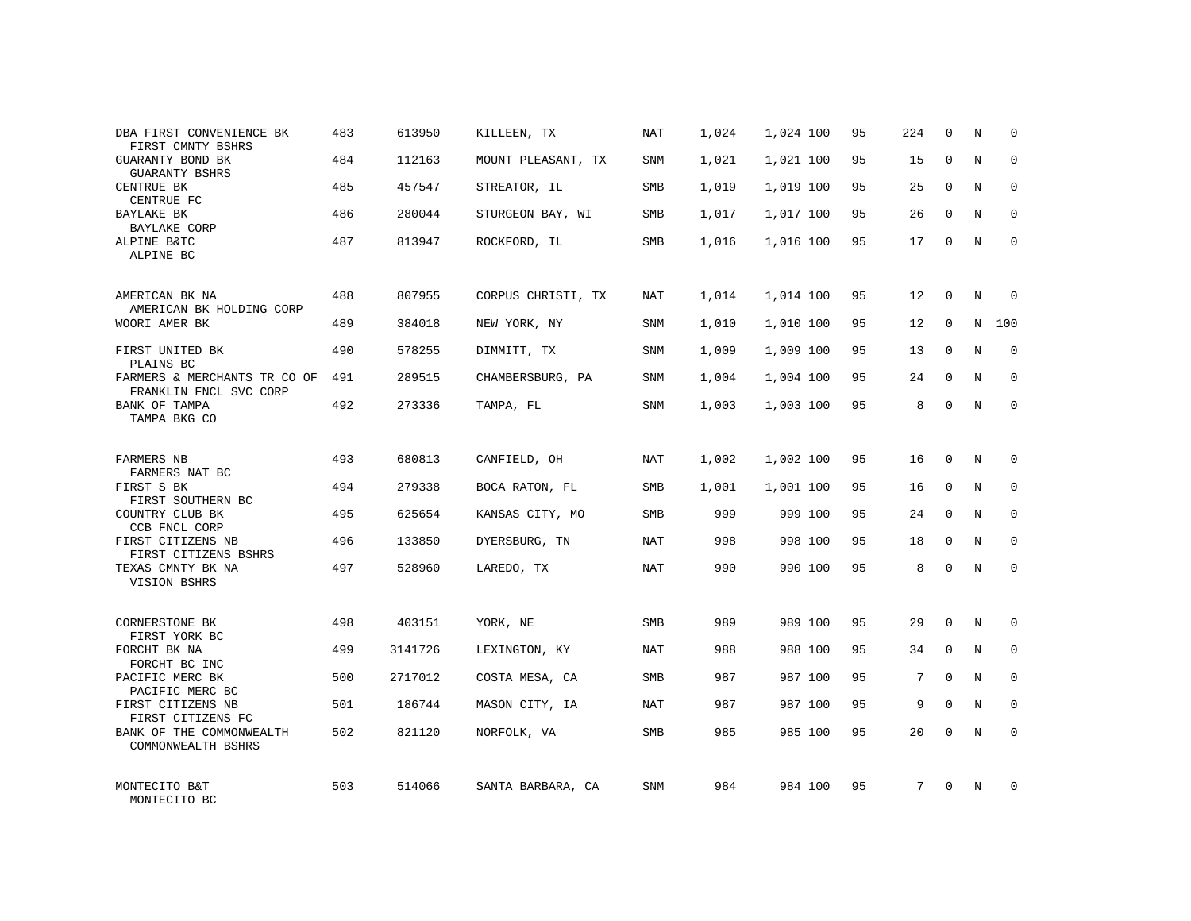| DBA FIRST CONVENIENCE BK<br>FIRST CMNTY BSHRS          | 483 | 613950  | KILLEEN, TX        | NAT        | 1,024 | 1,024 100 | 95 | 224 | $\mathbf 0$ | N          | $\Omega$    |
|--------------------------------------------------------|-----|---------|--------------------|------------|-------|-----------|----|-----|-------------|------------|-------------|
| GUARANTY BOND BK<br>GUARANTY BSHRS                     | 484 | 112163  | MOUNT PLEASANT, TX | SNM        | 1,021 | 1,021 100 | 95 | 15  | $\Omega$    | N          | $\Omega$    |
| CENTRUE BK<br>CENTRUE FC                               | 485 | 457547  | STREATOR, IL       | <b>SMB</b> | 1,019 | 1,019 100 | 95 | 25  | $\mathbf 0$ | N          | $\mathbf 0$ |
| BAYLAKE BK<br><b>BAYLAKE CORP</b>                      | 486 | 280044  | STURGEON BAY, WI   | SMB        | 1,017 | 1,017 100 | 95 | 26  | $\Omega$    | N          | $\Omega$    |
| ALPINE B&TC<br>ALPINE BC                               | 487 | 813947  | ROCKFORD, IL       | SMB        | 1,016 | 1,016 100 | 95 | 17  | $\Omega$    | N          | $\Omega$    |
| AMERICAN BK NA<br>AMERICAN BK HOLDING CORP             | 488 | 807955  | CORPUS CHRISTI, TX | NAT        | 1,014 | 1,014 100 | 95 | 12  | $\Omega$    | N          | $\Omega$    |
| WOORI AMER BK                                          | 489 | 384018  | NEW YORK, NY       | SNM        | 1,010 | 1,010 100 | 95 | 12  | $\Omega$    | N          | 100         |
| FIRST UNITED BK<br>PLAINS BC                           | 490 | 578255  | DIMMITT, TX        | SNM        | 1,009 | 1,009 100 | 95 | 13  | $\Omega$    | N          | $\Omega$    |
| FARMERS & MERCHANTS TR CO OF<br>FRANKLIN FNCL SVC CORP | 491 | 289515  | CHAMBERSBURG, PA   | SNM        | 1,004 | 1,004 100 | 95 | 24  | $\Omega$    | N          | $\Omega$    |
| BANK OF TAMPA<br>TAMPA BKG CO                          | 492 | 273336  | TAMPA, FL          | SNM        | 1,003 | 1,003 100 | 95 | 8   | $\Omega$    | N          | $\Omega$    |
| FARMERS NB<br>FARMERS NAT BC                           | 493 | 680813  | CANFIELD, OH       | <b>NAT</b> | 1,002 | 1,002 100 | 95 | 16  | $\Omega$    | N          | $\Omega$    |
| FIRST S BK<br>FIRST SOUTHERN BC                        | 494 | 279338  | BOCA RATON, FL     | SMB        | 1,001 | 1,001 100 | 95 | 16  | $\mathbf 0$ | N          | $\mathbf 0$ |
| COUNTRY CLUB BK<br>CCB FNCL CORP                       | 495 | 625654  | KANSAS CITY, MO    | SMB        | 999   | 999 100   | 95 | 24  | $\Omega$    | N          | $\Omega$    |
| FIRST CITIZENS NB<br>FIRST CITIZENS BSHRS              | 496 | 133850  | DYERSBURG, TN      | NAT        | 998   | 998 100   | 95 | 18  | $\Omega$    | N          | $\mathbf 0$ |
| TEXAS CMNTY BK NA<br>VISION BSHRS                      | 497 | 528960  | LAREDO, TX         | NAT        | 990   | 990 100   | 95 | 8   | $\Omega$    | N          | $\Omega$    |
| CORNERSTONE BK<br>FIRST YORK BC                        | 498 | 403151  | YORK, NE           | <b>SMB</b> | 989   | 989 100   | 95 | 29  | $\Omega$    | N          | $\Omega$    |
| FORCHT BK NA<br>FORCHT BC INC                          | 499 | 3141726 | LEXINGTON, KY      | NAT        | 988   | 988 100   | 95 | 34  | $\Omega$    | N          | $\Omega$    |
| PACIFIC MERC BK<br>PACIFIC MERC BC                     | 500 | 2717012 | COSTA MESA, CA     | <b>SMB</b> | 987   | 987 100   | 95 | 7   | $\Omega$    | N          | $\Omega$    |
| FIRST CITIZENS NB<br>FIRST CITIZENS FC                 | 501 | 186744  | MASON CITY, IA     | <b>NAT</b> | 987   | 987 100   | 95 | 9   | $\Omega$    | N          | $\Omega$    |
| BANK OF THE COMMONWEALTH<br>COMMONWEALTH BSHRS         | 502 | 821120  | NORFOLK, VA        | <b>SMB</b> | 985   | 985 100   | 95 | 20  | $\Omega$    | $_{\rm N}$ | $\Omega$    |
| MONTECITO B&T<br>MONTECITO BC                          | 503 | 514066  | SANTA BARBARA, CA  | SNM        | 984   | 984 100   | 95 | 7   | $\Omega$    | N          | $\Omega$    |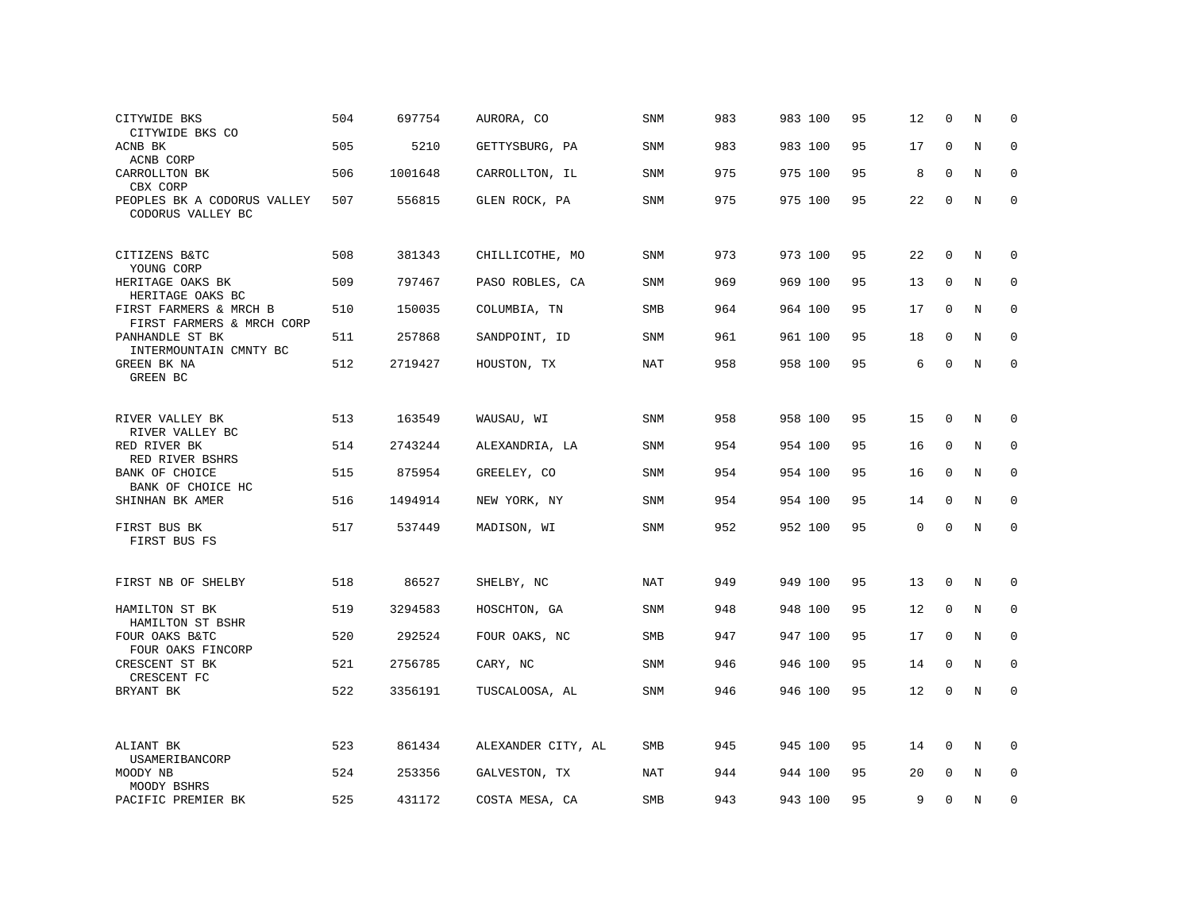| CITYWIDE BKS<br>CITYWIDE BKS CO                     | 504 | 697754  | AURORA, CO         | <b>SNM</b> | 983 | 983 100 | 95 | 12          | $\Omega$    | N           | $\mathbf 0$  |
|-----------------------------------------------------|-----|---------|--------------------|------------|-----|---------|----|-------------|-------------|-------------|--------------|
| ACNB BK<br>ACNB CORP                                | 505 | 5210    | GETTYSBURG, PA     | SNM        | 983 | 983 100 | 95 | 17          | $\mathbf 0$ | $\mathbf N$ | $\mathbf 0$  |
| CARROLLTON BK<br>CBX CORP                           | 506 | 1001648 | CARROLLTON, IL     | SNM        | 975 | 975 100 | 95 | 8           | $\mathbf 0$ | N           | $\mathbf 0$  |
| PEOPLES BK A CODORUS VALLEY<br>CODORUS VALLEY BC    | 507 | 556815  | GLEN ROCK, PA      | SNM        | 975 | 975 100 | 95 | 22          | $\mathbf 0$ | $\mathbf N$ | $\mathsf 0$  |
| CITIZENS B&TC<br>YOUNG CORP                         | 508 | 381343  | CHILLICOTHE, MO    | SNM        | 973 | 973 100 | 95 | 22          | $\mathbf 0$ | N           | 0            |
| HERITAGE OAKS BK<br>HERITAGE OAKS BC                | 509 | 797467  | PASO ROBLES, CA    | SNM        | 969 | 969 100 | 95 | 13          | $\mathbf 0$ | N           | $\mathbf 0$  |
| FIRST FARMERS & MRCH B<br>FIRST FARMERS & MRCH CORP | 510 | 150035  | COLUMBIA, TN       | <b>SMB</b> | 964 | 964 100 | 95 | 17          | $\mathbf 0$ | N           | $\mathbf 0$  |
| PANHANDLE ST BK<br>INTERMOUNTAIN CMNTY BC           | 511 | 257868  | SANDPOINT, ID      | SNM        | 961 | 961 100 | 95 | 18          | $\Omega$    | N           | $\mathbf 0$  |
| GREEN BK NA<br>GREEN BC                             | 512 | 2719427 | HOUSTON, TX        | NAT        | 958 | 958 100 | 95 | 6           | $\mathbf 0$ | N           | $\mathsf 0$  |
| RIVER VALLEY BK                                     | 513 | 163549  | WAUSAU, WI         | <b>SNM</b> | 958 | 958 100 | 95 | 15          | 0           | N           | 0            |
| RIVER VALLEY BC<br>RED RIVER BK<br>RED RIVER BSHRS  | 514 | 2743244 | ALEXANDRIA, LA     | SNM        | 954 | 954 100 | 95 | 16          | 0           | N           | 0            |
| BANK OF CHOICE<br>BANK OF CHOICE HC                 | 515 | 875954  | GREELEY, CO        | SNM        | 954 | 954 100 | 95 | 16          | 0           | N           | $\mathbf 0$  |
| SHINHAN BK AMER                                     | 516 | 1494914 | NEW YORK, NY       | SNM        | 954 | 954 100 | 95 | 14          | $\mathbf 0$ | N           | $\mathbf 0$  |
| FIRST BUS BK<br>FIRST BUS FS                        | 517 | 537449  | MADISON, WI        | SNM        | 952 | 952 100 | 95 | $\mathbf 0$ | $\mathbf 0$ | N           | $\mathbf 0$  |
| FIRST NB OF SHELBY                                  | 518 | 86527   | SHELBY, NC         | NAT        | 949 | 949 100 | 95 | 13          | 0           | N           | 0            |
| HAMILTON ST BK<br>HAMILTON ST BSHR                  | 519 | 3294583 | HOSCHTON, GA       | <b>SNM</b> | 948 | 948 100 | 95 | 12          | 0           | N           | $\mathsf 0$  |
| FOUR OAKS B&TC<br>FOUR OAKS FINCORP                 | 520 | 292524  | FOUR OAKS, NC      | <b>SMB</b> | 947 | 947 100 | 95 | 17          | 0           | N           | 0            |
| CRESCENT ST BK<br>CRESCENT FC                       | 521 | 2756785 | CARY, NC           | <b>SNM</b> | 946 | 946 100 | 95 | 14          | $\mathbf 0$ | N           | $\mathbf 0$  |
| BRYANT BK                                           | 522 | 3356191 | TUSCALOOSA, AL     | <b>SNM</b> | 946 | 946 100 | 95 | 12          | 0           | N           | $\mathbf{0}$ |
| ALIANT BK<br>USAMERIBANCORP                         | 523 | 861434  | ALEXANDER CITY, AL | <b>SMB</b> | 945 | 945 100 | 95 | 14          | $\mathbf 0$ | N           | $\mathbf 0$  |
| MOODY NB<br>MOODY BSHRS                             | 524 | 253356  | GALVESTON, TX      | <b>NAT</b> | 944 | 944 100 | 95 | 20          | 0           | N           | $\mathbf 0$  |
| PACIFIC PREMIER BK                                  | 525 | 431172  | COSTA MESA, CA     | SMB        | 943 | 943 100 | 95 | 9           | $\Omega$    | N           | $\mathbf 0$  |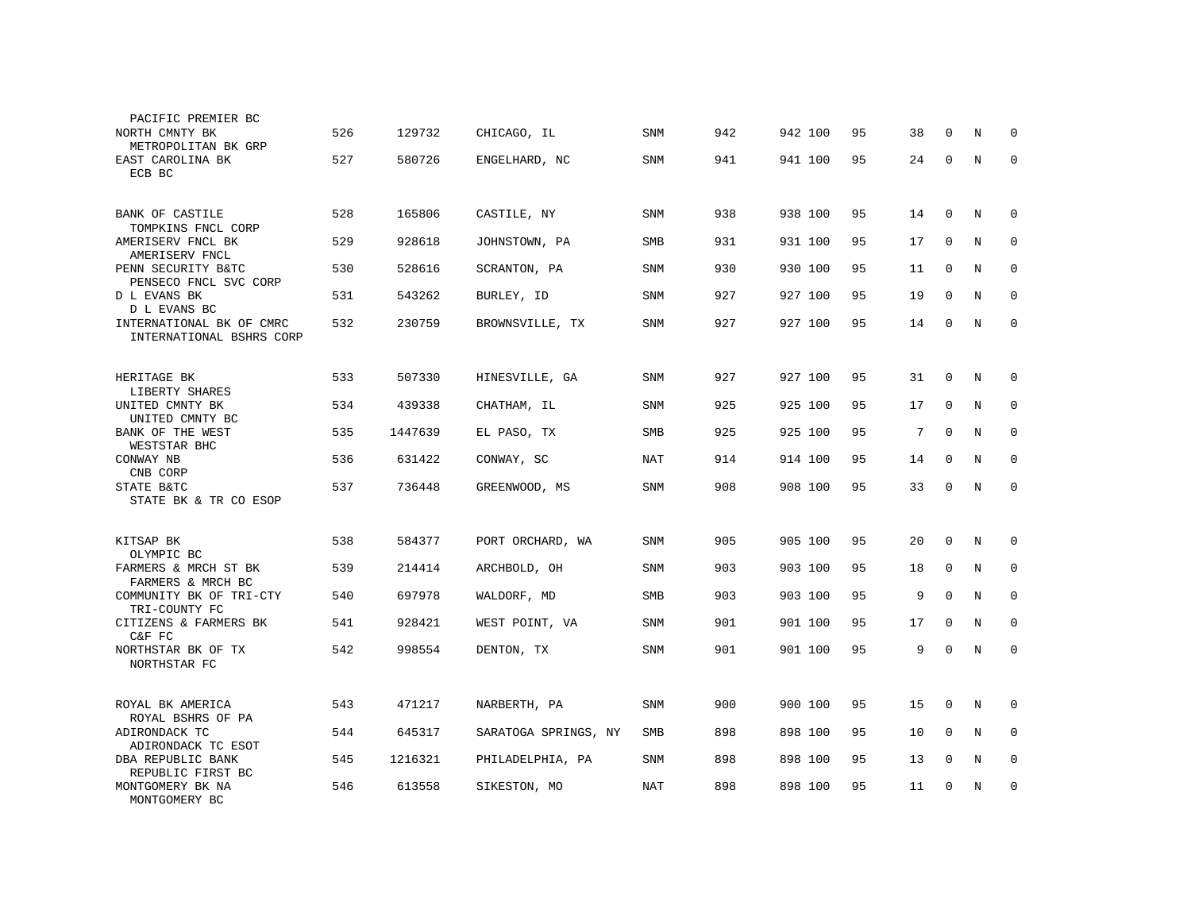| PACIFIC PREMIER BC<br>NORTH CMNTY BK                 | 526 | 129732  | CHICAGO, IL          | <b>SNM</b> | 942 | 942 100 | 95 | 38 | $\Omega$     | N           | 0            |
|------------------------------------------------------|-----|---------|----------------------|------------|-----|---------|----|----|--------------|-------------|--------------|
| METROPOLITAN BK GRP<br>EAST CAROLINA BK<br>ECB BC    | 527 | 580726  | ENGELHARD, NC        | SNM        | 941 | 941 100 | 95 | 24 | 0            | N           | $\mathbf{0}$ |
|                                                      |     |         |                      |            |     |         |    |    |              |             |              |
| BANK OF CASTILE<br>TOMPKINS FNCL CORP                | 528 | 165806  | CASTILE, NY          | SNM        | 938 | 938 100 | 95 | 14 | $\mathbf{0}$ | N           | 0            |
| AMERISERV FNCL BK<br>AMERISERV FNCL                  | 529 | 928618  | JOHNSTOWN, PA        | SMB        | 931 | 931 100 | 95 | 17 | $\mathbf 0$  | N           | $\mathbf 0$  |
| PENN SECURITY B&TC<br>PENSECO FNCL SVC CORP          | 530 | 528616  | SCRANTON, PA         | SNM        | 930 | 930 100 | 95 | 11 | $\mathbf{0}$ | $\mathbf N$ | $\mathbf 0$  |
| D L EVANS BK<br>D L EVANS BC                         | 531 | 543262  | BURLEY, ID           | SNM        | 927 | 927 100 | 95 | 19 | $\mathbf 0$  | N           | $\mathbf 0$  |
| INTERNATIONAL BK OF CMRC<br>INTERNATIONAL BSHRS CORP | 532 | 230759  | BROWNSVILLE, TX      | SNM        | 927 | 927 100 | 95 | 14 | $\mathbf 0$  | $\mathbf N$ | $\mathbf 0$  |
|                                                      |     |         |                      |            |     |         |    |    |              |             |              |
| HERITAGE BK<br>LIBERTY SHARES                        | 533 | 507330  | HINESVILLE, GA       | <b>SNM</b> | 927 | 927 100 | 95 | 31 | $\mathbf 0$  | N           | 0            |
| UNITED CMNTY BK<br>UNITED CMNTY BC                   | 534 | 439338  | CHATHAM, IL          | SNM        | 925 | 925 100 | 95 | 17 | $\mathbf 0$  | N           | 0            |
| BANK OF THE WEST<br>WESTSTAR BHC                     | 535 | 1447639 | EL PASO, TX          | SMB        | 925 | 925 100 | 95 | 7  | $\mathbf 0$  | N           | 0            |
| CONWAY NB<br>CNB CORP                                | 536 | 631422  | CONWAY, SC           | NAT        | 914 | 914 100 | 95 | 14 | $\Omega$     | N           | $\mathbf 0$  |
| STATE B&TC<br>STATE BK & TR CO ESOP                  | 537 | 736448  | GREENWOOD, MS        | SNM        | 908 | 908 100 | 95 | 33 | $\mathbf 0$  | N           | $\mathbf{0}$ |
|                                                      |     |         |                      |            |     |         |    |    |              |             |              |
| KITSAP BK<br>OLYMPIC BC                              | 538 | 584377  | PORT ORCHARD, WA     | <b>SNM</b> | 905 | 905 100 | 95 | 20 | $\mathbf 0$  | N           | 0            |
| FARMERS & MRCH ST BK<br>FARMERS & MRCH BC            | 539 | 214414  | ARCHBOLD, OH         | SNM        | 903 | 903 100 | 95 | 18 | $\Omega$     | N           | $\Omega$     |
| COMMUNITY BK OF TRI-CTY<br>TRI-COUNTY FC             | 540 | 697978  | WALDORF, MD          | <b>SMB</b> | 903 | 903 100 | 95 | 9  | $\Omega$     | N           | 0            |
| CITIZENS & FARMERS BK<br>C&F FC                      | 541 | 928421  | WEST POINT, VA       | <b>SNM</b> | 901 | 901 100 | 95 | 17 | $\Omega$     | N           | $\Omega$     |
| NORTHSTAR BK OF TX<br>NORTHSTAR FC                   | 542 | 998554  | DENTON, TX           | SNM        | 901 | 901 100 | 95 | 9  | $\mathbf 0$  | N           | $\mathbf 0$  |
|                                                      |     |         |                      |            |     |         |    |    |              |             |              |
| ROYAL BK AMERICA<br>ROYAL BSHRS OF PA                | 543 | 471217  | NARBERTH, PA         | SNM        | 900 | 900 100 | 95 | 15 | $\mathbf 0$  | N           | 0            |
| ADIRONDACK TC<br>ADIRONDACK TC ESOT                  | 544 | 645317  | SARATOGA SPRINGS, NY | SMB        | 898 | 898 100 | 95 | 10 | $\mathbf{0}$ | N           | $\mathbf 0$  |
| DBA REPUBLIC BANK<br>REPUBLIC FIRST BC               | 545 | 1216321 | PHILADELPHIA, PA     | SNM        | 898 | 898 100 | 95 | 13 | $\mathbf 0$  | N           | 0            |
| MONTGOMERY BK NA<br>MONTGOMERY BC                    | 546 | 613558  | SIKESTON, MO         | NAT        | 898 | 898 100 | 95 | 11 | $\mathbf 0$  | N           | 0            |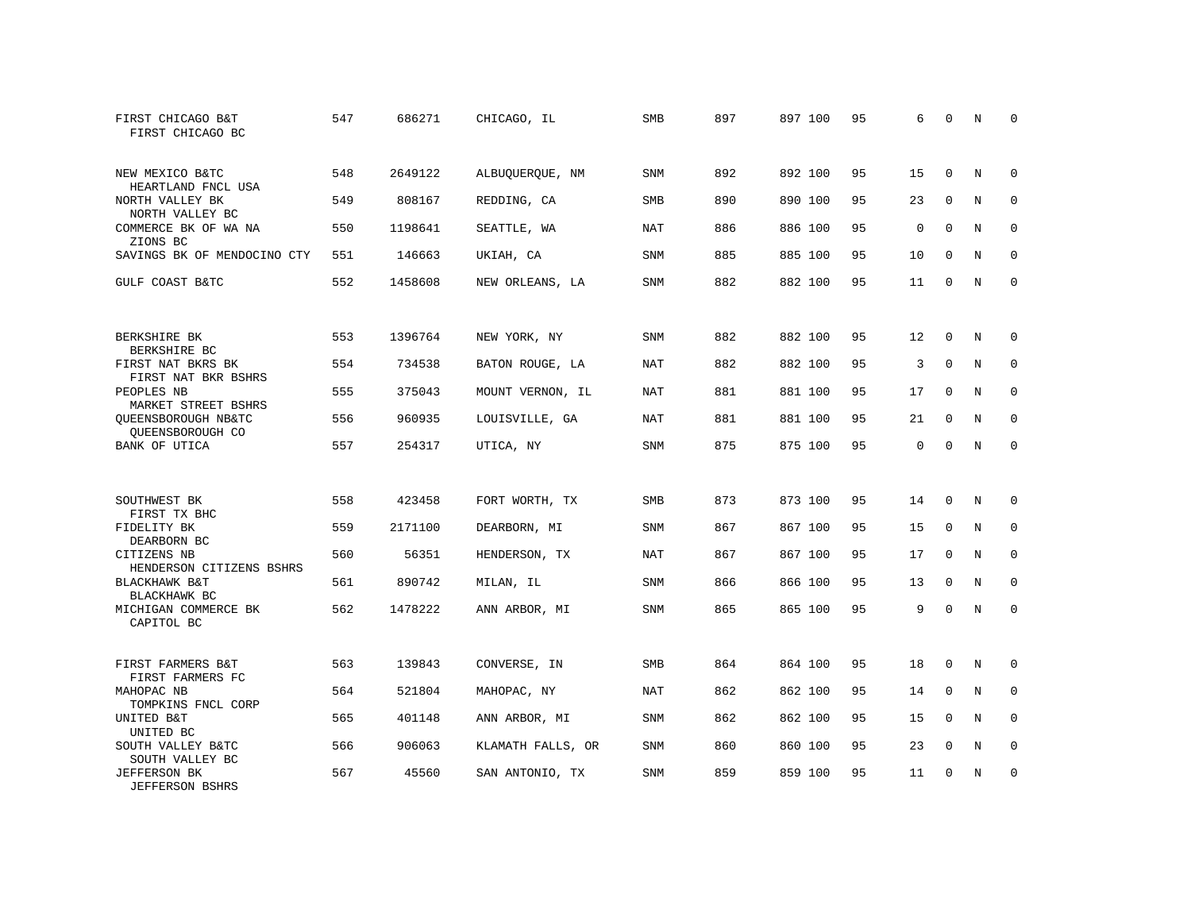| FIRST CHICAGO B&T<br>FIRST CHICAGO BC         | 547 | 686271  | CHICAGO, IL       | <b>SMB</b> | 897 | 897 100 | 95 | 6           | 0           | N           | 0           |
|-----------------------------------------------|-----|---------|-------------------|------------|-----|---------|----|-------------|-------------|-------------|-------------|
| NEW MEXICO B&TC<br>HEARTLAND FNCL USA         | 548 | 2649122 | ALBUQUERQUE, NM   | <b>SNM</b> | 892 | 892 100 | 95 | 15          | $\Omega$    | $_{\rm N}$  | $\Omega$    |
| NORTH VALLEY BK<br>NORTH VALLEY BC            | 549 | 808167  | REDDING, CA       | <b>SMB</b> | 890 | 890 100 | 95 | 23          | $\mathbf 0$ | N           | $\mathbf 0$ |
| COMMERCE BK OF WA NA<br>ZIONS BC              | 550 | 1198641 | SEATTLE, WA       | <b>NAT</b> | 886 | 886 100 | 95 | $\mathbf 0$ | $\Omega$    | N           | $\mathbf 0$ |
| SAVINGS BK OF MENDOCINO CTY                   | 551 | 146663  | UKIAH, CA         | SNM        | 885 | 885 100 | 95 | 10          | $\mathbf 0$ | N           | 0           |
| GULF COAST B&TC                               | 552 | 1458608 | NEW ORLEANS, LA   | <b>SNM</b> | 882 | 882 100 | 95 | 11          | $\Omega$    | N           | $\mathbf 0$ |
| BERKSHIRE BK<br>BERKSHIRE BC                  | 553 | 1396764 | NEW YORK, NY      | SNM        | 882 | 882 100 | 95 | 12          | 0           | N           | 0           |
| FIRST NAT BKRS BK<br>FIRST NAT BKR BSHRS      | 554 | 734538  | BATON ROUGE, LA   | <b>NAT</b> | 882 | 882 100 | 95 | 3           | $\Omega$    | $\mathbf N$ | $\mathbf 0$ |
| PEOPLES NB<br>MARKET STREET BSHRS             | 555 | 375043  | MOUNT VERNON, IL  | NAT        | 881 | 881 100 | 95 | 17          | 0           | N           | 0           |
| QUEENSBOROUGH NB&TC<br>OUEENSBOROUGH CO       | 556 | 960935  | LOUISVILLE, GA    | <b>NAT</b> | 881 | 881 100 | 95 | 21          | $\Omega$    | $\rm N$     | $\mathbf 0$ |
| <b>BANK OF UTICA</b>                          | 557 | 254317  | UTICA, NY         | <b>SNM</b> | 875 | 875 100 | 95 | $\Omega$    | $\Omega$    | $_{\rm N}$  | $\Omega$    |
| SOUTHWEST BK<br>FIRST TX BHC                  | 558 | 423458  | FORT WORTH, TX    | <b>SMB</b> | 873 | 873 100 | 95 | 14          | $\Omega$    | N           | 0           |
| FIDELITY BK<br>DEARBORN BC                    | 559 | 2171100 | DEARBORN, MI      | SNM        | 867 | 867 100 | 95 | 15          | $\mathbf 0$ | N           | 0           |
| CITIZENS NB<br>HENDERSON CITIZENS BSHRS       | 560 | 56351   | HENDERSON, TX     | <b>NAT</b> | 867 | 867 100 | 95 | 17          | $\mathbf 0$ | N           | $\mathbf 0$ |
| BLACKHAWK B&T<br>BLACKHAWK BC                 | 561 | 890742  | MILAN, IL         | <b>SNM</b> | 866 | 866 100 | 95 | 13          | $\Omega$    | $_{\rm N}$  | $\mathbf 0$ |
| MICHIGAN COMMERCE BK<br>CAPITOL BC            | 562 | 1478222 | ANN ARBOR, MI     | SNM        | 865 | 865 100 | 95 | 9           | $\Omega$    | N           | $\mathbf 0$ |
| FIRST FARMERS B&T<br>FIRST FARMERS FC         | 563 | 139843  | CONVERSE, IN      | SMB        | 864 | 864 100 | 95 | 18          | 0           | N           | 0           |
| MAHOPAC NB<br>TOMPKINS FNCL CORP              | 564 | 521804  | MAHOPAC, NY       | <b>NAT</b> | 862 | 862 100 | 95 | 14          | $\mathbf 0$ | N           | $\mathbf 0$ |
| UNITED B&T<br>UNITED BC                       | 565 | 401148  | ANN ARBOR, MI     | <b>SNM</b> | 862 | 862 100 | 95 | 15          | $\Omega$    | N           | $\mathbf 0$ |
| SOUTH VALLEY B&TC<br>SOUTH VALLEY BC          | 566 | 906063  | KLAMATH FALLS, OR | SNM        | 860 | 860 100 | 95 | 23          | $\mathbf 0$ | N           | 0           |
| <b>JEFFERSON BK</b><br><b>JEFFERSON BSHRS</b> | 567 | 45560   | SAN ANTONIO, TX   | <b>SNM</b> | 859 | 859 100 | 95 | 11          | $\Omega$    | N           | $\mathbf 0$ |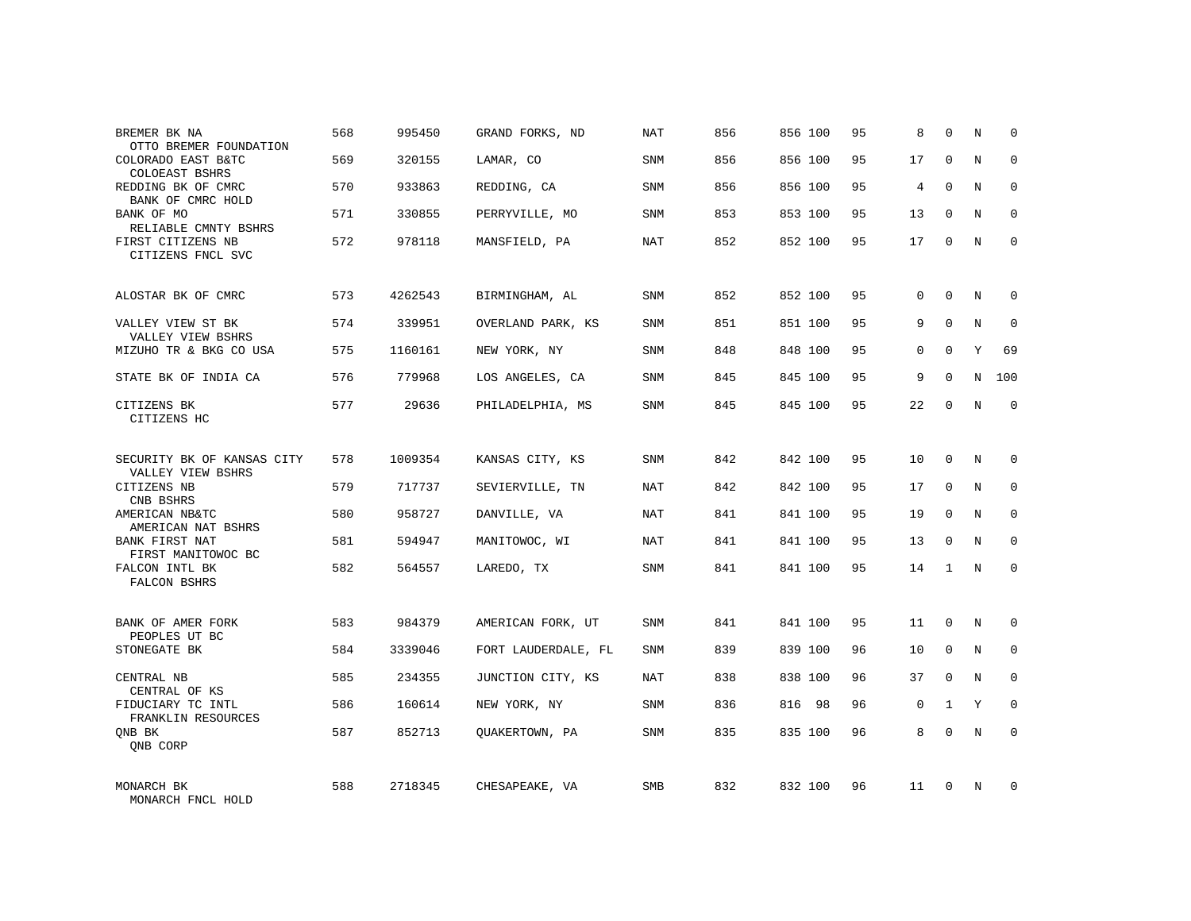| BREMER BK NA<br>OTTO BREMER FOUNDATION        | 568 | 995450  | GRAND FORKS, ND     | NAT        | 856 | 856 100 | 95 | 8            | $\Omega$     | N           | $\Omega$    |
|-----------------------------------------------|-----|---------|---------------------|------------|-----|---------|----|--------------|--------------|-------------|-------------|
| COLORADO EAST B&TC<br><b>COLOEAST BSHRS</b>   | 569 | 320155  | LAMAR, CO           | SNM        | 856 | 856 100 | 95 | 17           | $\Omega$     | N           | $\Omega$    |
| REDDING BK OF CMRC<br>BANK OF CMRC HOLD       | 570 | 933863  | REDDING, CA         | SNM        | 856 | 856 100 | 95 | 4            | $\Omega$     | N           | 0           |
| BANK OF MO<br>RELIABLE CMNTY BSHRS            | 571 | 330855  | PERRYVILLE, MO      | SNM        | 853 | 853 100 | 95 | 13           | $\Omega$     | N           | $\Omega$    |
| FIRST CITIZENS NB<br>CITIZENS FNCL SVC        | 572 | 978118  | MANSFIELD, PA       | NAT        | 852 | 852 100 | 95 | 17           | $\mathbf 0$  | N           | 0           |
| ALOSTAR BK OF CMRC                            | 573 | 4262543 | BIRMINGHAM, AL      | SNM        | 852 | 852 100 | 95 | $\Omega$     | $\Omega$     | N           | 0           |
| VALLEY VIEW ST BK<br>VALLEY VIEW BSHRS        | 574 | 339951  | OVERLAND PARK, KS   | SNM        | 851 | 851 100 | 95 | 9            | $\Omega$     | N           | $\mathbf 0$ |
| MIZUHO TR & BKG CO USA                        | 575 | 1160161 | NEW YORK, NY        | SNM        | 848 | 848 100 | 95 | $\Omega$     | $\Omega$     | Y           | 69          |
| STATE BK OF INDIA CA                          | 576 | 779968  | LOS ANGELES, CA     | SNM        | 845 | 845 100 | 95 | 9            | $\Omega$     | N           | 100         |
| CITIZENS BK<br>CITIZENS HC                    | 577 | 29636   | PHILADELPHIA, MS    | SNM        | 845 | 845 100 | 95 | 22           | $\mathbf 0$  | $\mathbf N$ | $\mathbf 0$ |
| SECURITY BK OF KANSAS CITY                    | 578 | 1009354 | KANSAS CITY, KS     | <b>SNM</b> | 842 | 842 100 | 95 | 10           | $\Omega$     | N           | $\Omega$    |
| VALLEY VIEW BSHRS<br>CITIZENS NB<br>CNB BSHRS | 579 | 717737  | SEVIERVILLE, TN     | <b>NAT</b> | 842 | 842 100 | 95 | 17           | $\mathbf 0$  | N           | $\mathbf 0$ |
| AMERICAN NB&TC<br>AMERICAN NAT BSHRS          | 580 | 958727  | DANVILLE, VA        | <b>NAT</b> | 841 | 841 100 | 95 | 19           | $\Omega$     | N           | $\Omega$    |
| BANK FIRST NAT<br>FIRST MANITOWOC BC          | 581 | 594947  | MANITOWOC, WI       | <b>NAT</b> | 841 | 841 100 | 95 | 13           | $\mathbf 0$  | N           | $\mathbf 0$ |
| FALCON INTL BK<br>FALCON BSHRS                | 582 | 564557  | LAREDO, TX          | <b>SNM</b> | 841 | 841 100 | 95 | 14           | $\mathbf{1}$ | N           | $\Omega$    |
| BANK OF AMER FORK                             | 583 | 984379  | AMERICAN FORK, UT   | <b>SNM</b> | 841 | 841 100 | 95 | 11           | $\Omega$     | N           | $\Omega$    |
| PEOPLES UT BC<br>STONEGATE BK                 | 584 | 3339046 | FORT LAUDERDALE, FL | SNM        | 839 | 839 100 | 96 | 10           | $\mathbf 0$  | N           | 0           |
| CENTRAL NB<br>CENTRAL OF KS                   | 585 | 234355  | JUNCTION CITY, KS   | <b>NAT</b> | 838 | 838 100 | 96 | 37           | $\Omega$     | N           | $\Omega$    |
| FIDUCIARY TC INTL<br>FRANKLIN RESOURCES       | 586 | 160614  | NEW YORK, NY        | SNM        | 836 | 816 98  | 96 | $\mathbf{0}$ | $\mathbf{1}$ | Y           | $\mathbf 0$ |
| ONB BK<br>QNB CORP                            | 587 | 852713  | OUAKERTOWN, PA      | SNM        | 835 | 835 100 | 96 | 8            | $\Omega$     | N           | $\mathbf 0$ |
| MONARCH BK<br>MONARCH FNCL HOLD               | 588 | 2718345 | CHESAPEAKE, VA      | <b>SMB</b> | 832 | 832 100 | 96 | 11           | $\Omega$     | N           | $\Omega$    |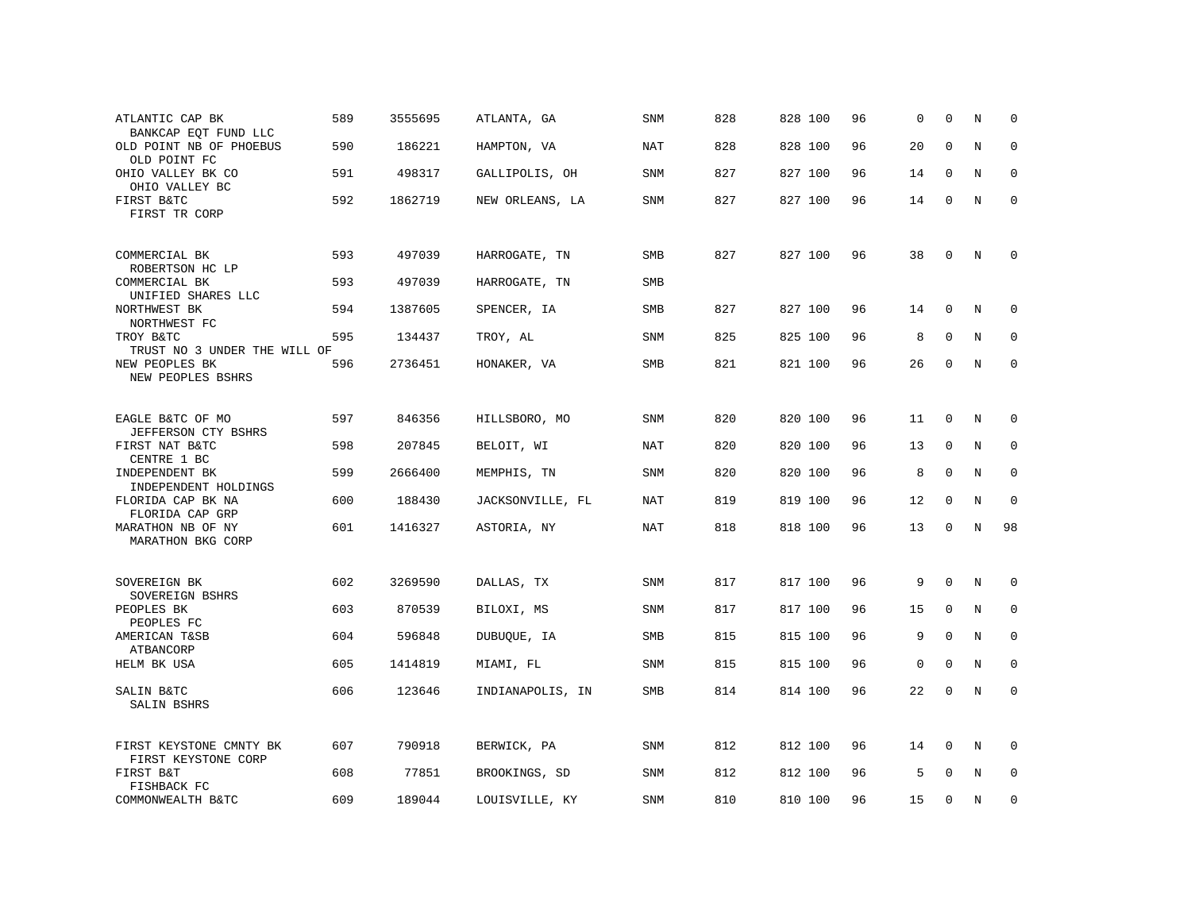| ATLANTIC CAP BK<br>BANKCAP EQT FUND LLC        | 589 | 3555695 | ATLANTA, GA      | <b>SNM</b> | 828 | 828 100 | 96 | $\Omega$    | $\Omega$    | N           | $\Omega$    |
|------------------------------------------------|-----|---------|------------------|------------|-----|---------|----|-------------|-------------|-------------|-------------|
| OLD POINT NB OF PHOEBUS<br>OLD POINT FC        | 590 | 186221  | HAMPTON, VA      | <b>NAT</b> | 828 | 828 100 | 96 | 20          | $\mathbf 0$ | $\rm N$     | $\mathbf 0$ |
| OHIO VALLEY BK CO<br>OHIO VALLEY BC            | 591 | 498317  | GALLIPOLIS, OH   | <b>SNM</b> | 827 | 827 100 | 96 | 14          | $\Omega$    | N           | $\mathbf 0$ |
| FIRST B&TC<br>FIRST TR CORP                    | 592 | 1862719 | NEW ORLEANS, LA  | SNM        | 827 | 827 100 | 96 | 14          | $\mathbf 0$ | N           | $\mathbf 0$ |
| COMMERCIAL BK<br>ROBERTSON HC LP               | 593 | 497039  | HARROGATE, TN    | SMB        | 827 | 827 100 | 96 | 38          | 0           | N           | 0           |
| COMMERCIAL BK<br>UNIFIED SHARES LLC            | 593 | 497039  | HARROGATE, TN    | SMB        |     |         |    |             |             |             |             |
| NORTHWEST BK<br>NORTHWEST FC                   | 594 | 1387605 | SPENCER, IA      | <b>SMB</b> | 827 | 827 100 | 96 | 14          | $\mathbf 0$ | N           | 0           |
| TROY B&TC<br>TRUST NO 3 UNDER THE WILL OF      | 595 | 134437  | TROY, AL         | SNM        | 825 | 825 100 | 96 | 8           | $\mathbf 0$ | $\rm N$     | $\mathbf 0$ |
| NEW PEOPLES BK<br>NEW PEOPLES BSHRS            | 596 | 2736451 | HONAKER, VA      | SMB        | 821 | 821 100 | 96 | 26          | 0           | N           | $\mathbf 0$ |
| EAGLE B&TC OF MO<br>JEFFERSON CTY BSHRS        | 597 | 846356  | HILLSBORO, MO    | <b>SNM</b> | 820 | 820 100 | 96 | 11          | $\Omega$    | N           | $\Omega$    |
| FIRST NAT B&TC<br>CENTRE 1 BC                  | 598 | 207845  | BELOIT, WI       | NAT        | 820 | 820 100 | 96 | 13          | $\mathbf 0$ | N           | 0           |
| INDEPENDENT BK<br>INDEPENDENT HOLDINGS         | 599 | 2666400 | MEMPHIS, TN      | SNM        | 820 | 820 100 | 96 | 8           | $\mathbf 0$ | N           | $\mathbf 0$ |
| FLORIDA CAP BK NA<br>FLORIDA CAP GRP           | 600 | 188430  | JACKSONVILLE, FL | NAT        | 819 | 819 100 | 96 | 12          | $\mathbf 0$ | N           | $\mathbf 0$ |
| MARATHON NB OF NY<br>MARATHON BKG CORP         | 601 | 1416327 | ASTORIA, NY      | <b>NAT</b> | 818 | 818 100 | 96 | 13          | $\mathbf 0$ | $\mathbf N$ | 98          |
| SOVEREIGN BK<br>SOVEREIGN BSHRS                | 602 | 3269590 | DALLAS, TX       | <b>SNM</b> | 817 | 817 100 | 96 | 9           | $\mathbf 0$ | $\mathbb N$ | 0           |
| PEOPLES BK<br>PEOPLES FC                       | 603 | 870539  | BILOXI, MS       | <b>SNM</b> | 817 | 817 100 | 96 | 15          | $\mathbf 0$ | N           | 0           |
| AMERICAN T&SB<br>ATBANCORP                     | 604 | 596848  | DUBUQUE, IA      | SMB        | 815 | 815 100 | 96 | 9           | $\mathbf 0$ | N           | $\mathbf 0$ |
| HELM BK USA                                    | 605 | 1414819 | MIAMI, FL        | <b>SNM</b> | 815 | 815 100 | 96 | $\mathbf 0$ | $\Omega$    | N           | $\Omega$    |
| SALIN B&TC<br>SALIN BSHRS                      | 606 | 123646  | INDIANAPOLIS, IN | SMB        | 814 | 814 100 | 96 | 22          | $\Omega$    | N           | $\mathbf 0$ |
| FIRST KEYSTONE CMNTY BK<br>FIRST KEYSTONE CORP | 607 | 790918  | BERWICK, PA      | SNM        | 812 | 812 100 | 96 | 14          | $\Omega$    | N           | $\Omega$    |
| FIRST B&T<br>FISHBACK FC                       | 608 | 77851   | BROOKINGS, SD    | SNM        | 812 | 812 100 | 96 | 5           | $\Omega$    | N           | $\mathbf 0$ |
| COMMONWEALTH B&TC                              | 609 | 189044  | LOUISVILLE, KY   | <b>SNM</b> | 810 | 810 100 | 96 | 15          | $\Omega$    | N           | $\mathbf 0$ |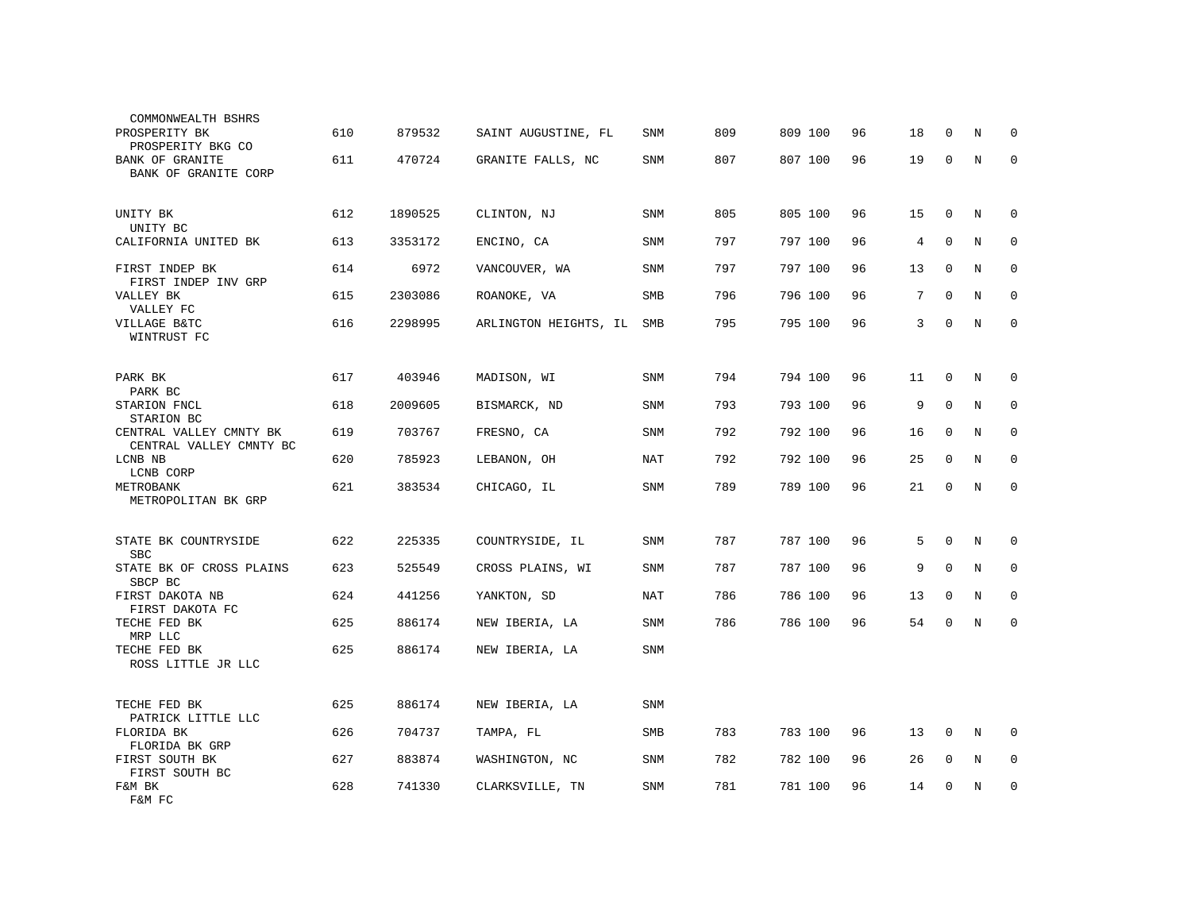| COMMONWEALTH BSHRS<br>PROSPERITY BK<br>PROSPERITY BKG CO | 610 | 879532  | SAINT AUGUSTINE, FL   | <b>SNM</b> | 809 | 809 100 | 96 | 18 | $\Omega$    | N       | $\Omega$    |
|----------------------------------------------------------|-----|---------|-----------------------|------------|-----|---------|----|----|-------------|---------|-------------|
| <b>BANK OF GRANITE</b><br>BANK OF GRANITE CORP           | 611 | 470724  | GRANITE FALLS, NC     | SNM        | 807 | 807 100 | 96 | 19 | $\mathbf 0$ | $\rm N$ | $\Omega$    |
| UNITY BK<br>UNITY BC                                     | 612 | 1890525 | CLINTON, NJ           | <b>SNM</b> | 805 | 805 100 | 96 | 15 | $\mathbf 0$ | N       | 0           |
| CALIFORNIA UNITED BK                                     | 613 | 3353172 | ENCINO, CA            | <b>SNM</b> | 797 | 797 100 | 96 | 4  | $\mathbf 0$ | N       | 0           |
| FIRST INDEP BK<br>FIRST INDEP INV GRP                    | 614 | 6972    | VANCOUVER, WA         | <b>SNM</b> | 797 | 797 100 | 96 | 13 | $\mathbf 0$ | N       | 0           |
| VALLEY BK<br>VALLEY FC                                   | 615 | 2303086 | ROANOKE, VA           | SMB        | 796 | 796 100 | 96 | 7  | $\mathbf 0$ | N       | 0           |
| VILLAGE B&TC<br>WINTRUST FC                              | 616 | 2298995 | ARLINGTON HEIGHTS, IL | SMB        | 795 | 795 100 | 96 | 3  | $\mathbf 0$ | N       | $\mathbf 0$ |
| PARK BK                                                  | 617 | 403946  | MADISON, WI           | SNM        | 794 | 794 100 | 96 | 11 | $\mathbf 0$ | N       | $\Omega$    |
| PARK BC<br>STARION FNCL<br>STARION BC                    | 618 | 2009605 | BISMARCK, ND          | <b>SNM</b> | 793 | 793 100 | 96 | 9  | $\Omega$    | N       | $\mathbf 0$ |
| CENTRAL VALLEY CMNTY BK<br>CENTRAL VALLEY CMNTY BC       | 619 | 703767  | FRESNO, CA            | <b>SNM</b> | 792 | 792 100 | 96 | 16 | $\Omega$    | N       | 0           |
| LCNB NB<br>LCNB CORP                                     | 620 | 785923  | LEBANON, OH           | <b>NAT</b> | 792 | 792 100 | 96 | 25 | $\mathbf 0$ | N       | $\mathbf 0$ |
| METROBANK<br>METROPOLITAN BK GRP                         | 621 | 383534  | CHICAGO, IL           | SNM        | 789 | 789 100 | 96 | 21 | $\mathbf 0$ | N       | $\mathsf 0$ |
| STATE BK COUNTRYSIDE<br><b>SBC</b>                       | 622 | 225335  | COUNTRYSIDE, IL       | SNM        | 787 | 787 100 | 96 | 5  | $\mathbf 0$ | N       | 0           |
| STATE BK OF CROSS PLAINS<br>SBCP BC                      | 623 | 525549  | CROSS PLAINS, WI      | SNM        | 787 | 787 100 | 96 | 9  | $\Omega$    | N       | 0           |
| FIRST DAKOTA NB<br>FIRST DAKOTA FC                       | 624 | 441256  | YANKTON, SD           | NAT        | 786 | 786 100 | 96 | 13 | $\mathbf 0$ | N       | 0           |
| TECHE FED BK<br>MRP LLC                                  | 625 | 886174  | NEW IBERIA, LA        | SNM        | 786 | 786 100 | 96 | 54 | $\mathbf 0$ | N       | $\mathbf 0$ |
| TECHE FED BK<br>ROSS LITTLE JR LLC                       | 625 | 886174  | NEW IBERIA, LA        | SNM        |     |         |    |    |             |         |             |
| TECHE FED BK<br>PATRICK LITTLE LLC                       | 625 | 886174  | NEW IBERIA, LA        | <b>SNM</b> |     |         |    |    |             |         |             |
| FLORIDA BK<br>FLORIDA BK GRP                             | 626 | 704737  | TAMPA, FL             | <b>SMB</b> | 783 | 783 100 | 96 | 13 | $\mathbf 0$ | N       | 0           |
| FIRST SOUTH BK<br>FIRST SOUTH BC                         | 627 | 883874  | WASHINGTON, NC        | <b>SNM</b> | 782 | 782 100 | 96 | 26 | 0           | N       | 0           |
| F&M BK<br>F&M FC                                         | 628 | 741330  | CLARKSVILLE, TN       | SNM        | 781 | 781 100 | 96 | 14 | 0           | N       | $\mathbf 0$ |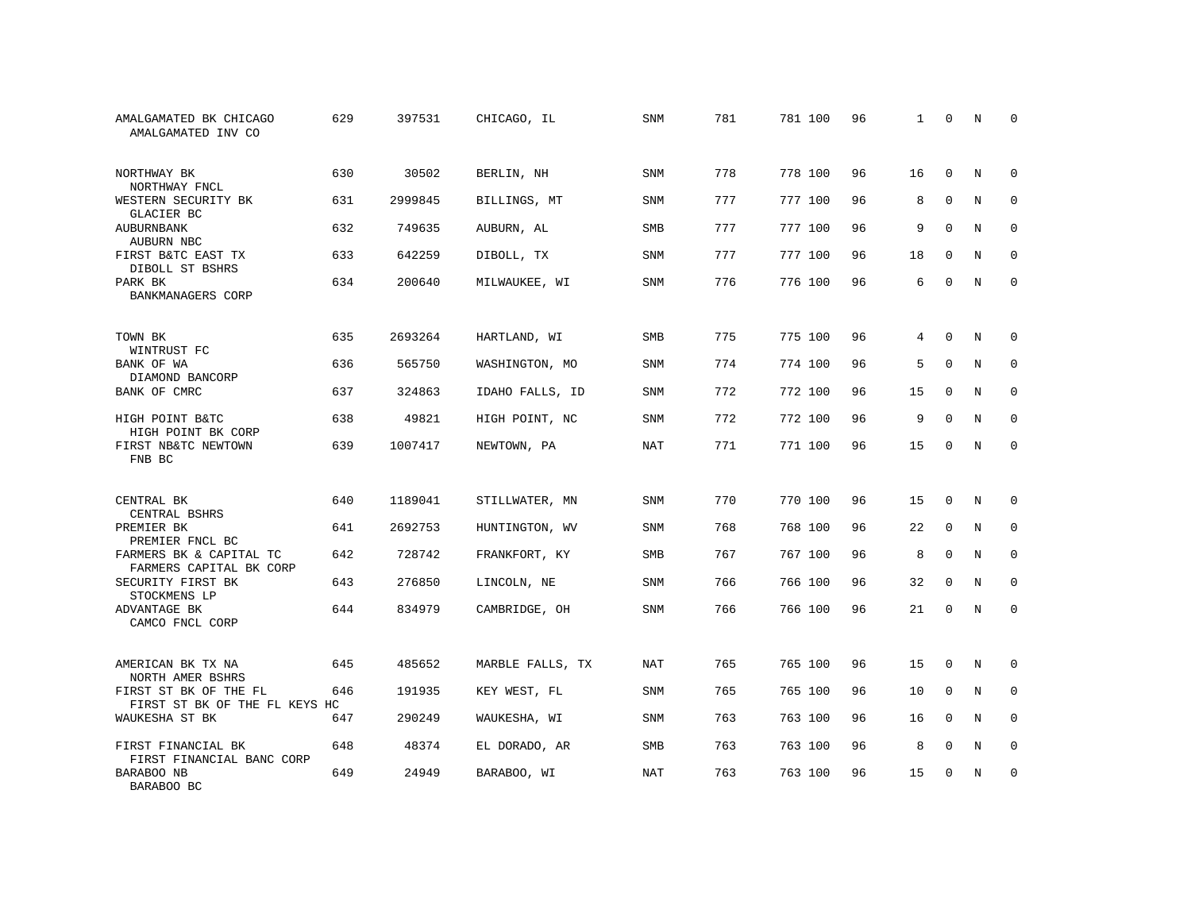| AMALGAMATED BK CHICAGO<br>AMALGAMATED INV CO           | 629 | 397531  | CHICAGO, IL      | SNM        | 781 | 781 100 | 96 | 1  | $\Omega$    | N           | <sup>0</sup> |
|--------------------------------------------------------|-----|---------|------------------|------------|-----|---------|----|----|-------------|-------------|--------------|
| NORTHWAY BK<br>NORTHWAY FNCL                           | 630 | 30502   | BERLIN, NH       | SNM        | 778 | 778 100 | 96 | 16 | $\mathbf 0$ | N           | $\mathbf 0$  |
| WESTERN SECURITY BK<br>GLACIER BC                      | 631 | 2999845 | BILLINGS, MT     | <b>SNM</b> | 777 | 777 100 | 96 | 8  | $\mathbf 0$ | N           | $\mathbf 0$  |
| <b>AUBURNBANK</b><br>AUBURN NBC                        | 632 | 749635  | AUBURN, AL       | <b>SMB</b> | 777 | 777 100 | 96 | 9  | $\Omega$    | N           | $\Omega$     |
| FIRST B&TC EAST TX<br>DIBOLL ST BSHRS                  | 633 | 642259  | DIBOLL, TX       | <b>SNM</b> | 777 | 777 100 | 96 | 18 | $\Omega$    | N           | $\mathbf 0$  |
| PARK BK<br>BANKMANAGERS CORP                           | 634 | 200640  | MILWAUKEE, WI    | <b>SNM</b> | 776 | 776 100 | 96 | 6  | $\Omega$    | N           | $\Omega$     |
| TOWN BK<br>WINTRUST FC                                 | 635 | 2693264 | HARTLAND, WI     | <b>SMB</b> | 775 | 775 100 | 96 | 4  | $\Omega$    | N           | $\Omega$     |
| BANK OF WA<br>DIAMOND BANCORP                          | 636 | 565750  | WASHINGTON, MO   | SNM        | 774 | 774 100 | 96 | 5  | $\mathbf 0$ | N           | $\mathbf 0$  |
| BANK OF CMRC                                           | 637 | 324863  | IDAHO FALLS, ID  | <b>SNM</b> | 772 | 772 100 | 96 | 15 | $\Omega$    | N           | $\mathbf 0$  |
| HIGH POINT B&TC<br>HIGH POINT BK CORP                  | 638 | 49821   | HIGH POINT, NC   | SNM        | 772 | 772 100 | 96 | 9  | $\mathbf 0$ | $\rm N$     | $\mathbf 0$  |
| FIRST NB&TC NEWTOWN<br>FNB BC                          | 639 | 1007417 | NEWTOWN, PA      | <b>NAT</b> | 771 | 771 100 | 96 | 15 | $\Omega$    | N           | $\mathbf 0$  |
| CENTRAL BK<br>CENTRAL BSHRS                            | 640 | 1189041 | STILLWATER, MN   | <b>SNM</b> | 770 | 770 100 | 96 | 15 | 0           | N           | 0            |
| PREMIER BK<br>PREMIER FNCL BC                          | 641 | 2692753 | HUNTINGTON, WV   | <b>SNM</b> | 768 | 768 100 | 96 | 22 | $\mathbf 0$ | $_{\rm N}$  | $\mathbf 0$  |
| FARMERS BK & CAPITAL TC<br>FARMERS CAPITAL BK CORP     | 642 | 728742  | FRANKFORT, KY    | SMB        | 767 | 767 100 | 96 | 8  | $\mathbf 0$ | N           | 0            |
| SECURITY FIRST BK<br>STOCKMENS LP                      | 643 | 276850  | LINCOLN, NE      | <b>SNM</b> | 766 | 766 100 | 96 | 32 | $\Omega$    | N           | $\mathbf 0$  |
| ADVANTAGE BK<br>CAMCO FNCL CORP                        | 644 | 834979  | CAMBRIDGE, OH    | SNM        | 766 | 766 100 | 96 | 21 | $\mathbf 0$ | $\mathbf N$ | $\mathbf 0$  |
| AMERICAN BK TX NA<br>NORTH AMER BSHRS                  | 645 | 485652  | MARBLE FALLS, TX | <b>NAT</b> | 765 | 765 100 | 96 | 15 | $\Omega$    | N           | $\Omega$     |
| FIRST ST BK OF THE FL<br>FIRST ST BK OF THE FL KEYS HC | 646 | 191935  | KEY WEST, FL     | SNM        | 765 | 765 100 | 96 | 10 | $\mathbf 0$ | N           | 0            |
| WAUKESHA ST BK                                         | 647 | 290249  | WAUKESHA, WI     | <b>SNM</b> | 763 | 763 100 | 96 | 16 | $\Omega$    | N           | $\mathbf 0$  |
| FIRST FINANCIAL BK<br>FIRST FINANCIAL BANC CORP        | 648 | 48374   | EL DORADO, AR    | SMB        | 763 | 763 100 | 96 | 8  | 0           | N           | 0            |
| BARABOO NB<br>BARABOO BC                               | 649 | 24949   | BARABOO, WI      | <b>NAT</b> | 763 | 763 100 | 96 | 15 | $\Omega$    | N           | $\mathbf 0$  |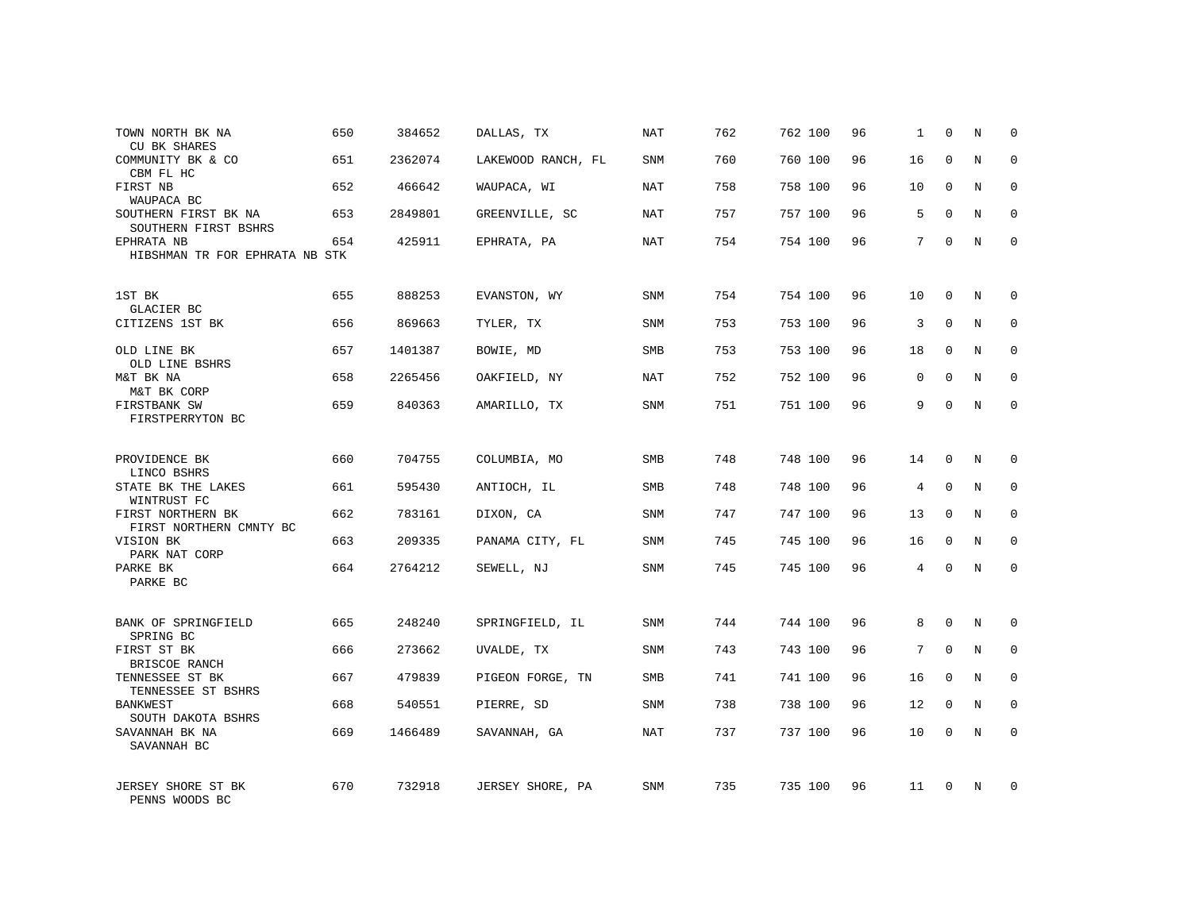| TOWN NORTH BK NA<br><b>CU BK SHARES</b>      | 650 | 384652  | DALLAS, TX         | NAT        | 762 | 762 100 | 96 | 1               | $\mathbf 0$  | N           | $\mathbf 0$  |
|----------------------------------------------|-----|---------|--------------------|------------|-----|---------|----|-----------------|--------------|-------------|--------------|
| COMMUNITY BK & CO<br>CBM FL HC               | 651 | 2362074 | LAKEWOOD RANCH, FL | SNM        | 760 | 760 100 | 96 | 16              | $\Omega$     | N           | 0            |
| FIRST NB<br>WAUPACA BC                       | 652 | 466642  | WAUPACA, WI        | <b>NAT</b> | 758 | 758 100 | 96 | 10              | $\mathbf{0}$ | N           | $\mathbf 0$  |
| SOUTHERN FIRST BK NA<br>SOUTHERN FIRST BSHRS | 653 | 2849801 | GREENVILLE, SC     | NAT        | 757 | 757 100 | 96 | 5               | $\Omega$     | N           | $\Omega$     |
| EPHRATA NB<br>HIBSHMAN TR FOR EPHRATA NB STK | 654 | 425911  | EPHRATA, PA        | <b>NAT</b> | 754 | 754 100 | 96 | $7\phantom{.0}$ | $\Omega$     | N           | $\Omega$     |
|                                              |     |         |                    |            |     |         |    |                 |              |             |              |
| 1ST BK<br>GLACIER BC                         | 655 | 888253  | EVANSTON, WY       | <b>SNM</b> | 754 | 754 100 | 96 | 10              | $\Omega$     | N           | $\Omega$     |
| CITIZENS 1ST BK                              | 656 | 869663  | TYLER, TX          | <b>SNM</b> | 753 | 753 100 | 96 | 3               | $\mathbf 0$  | N           | $\mathbf 0$  |
| OLD LINE BK<br>OLD LINE BSHRS                | 657 | 1401387 | BOWIE, MD          | <b>SMB</b> | 753 | 753 100 | 96 | 18              | $\Omega$     | N           | $\Omega$     |
| M&T BK NA<br>M&T BK CORP                     | 658 | 2265456 | OAKFIELD, NY       | NAT        | 752 | 752 100 | 96 | $\mathbf 0$     | $\mathbf 0$  | N           | $\mathbf 0$  |
| FIRSTBANK SW<br>FIRSTPERRYTON BC             | 659 | 840363  | AMARILLO, TX       | <b>SNM</b> | 751 | 751 100 | 96 | 9               | $\mathbf 0$  | N           | $\mathbf 0$  |
|                                              |     |         |                    |            |     |         |    |                 |              |             |              |
| PROVIDENCE BK<br>LINCO BSHRS                 | 660 | 704755  | COLUMBIA, MO       | SMB        | 748 | 748 100 | 96 | 14              | $\mathbf 0$  | N           | $\mathbf 0$  |
| STATE BK THE LAKES<br>WINTRUST FC            | 661 | 595430  | ANTIOCH, IL        | <b>SMB</b> | 748 | 748 100 | 96 | 4               | $\mathbf 0$  | $\rm N$     | $\mathbf 0$  |
| FIRST NORTHERN BK<br>FIRST NORTHERN CMNTY BC | 662 | 783161  | DIXON, CA          | <b>SNM</b> | 747 | 747 100 | 96 | 13              | 0            | N           | $\mathbf 0$  |
| VISION BK<br>PARK NAT CORP                   | 663 | 209335  | PANAMA CITY, FL    | <b>SNM</b> | 745 | 745 100 | 96 | 16              | $\mathbf 0$  | N           | $\mathbf 0$  |
| PARKE BK<br>PARKE BC                         | 664 | 2764212 | SEWELL, NJ         | <b>SNM</b> | 745 | 745 100 | 96 | 4               | 0            | N           | $\mathbf 0$  |
|                                              |     |         |                    |            |     |         |    |                 |              |             |              |
| BANK OF SPRINGFIELD<br>SPRING BC             | 665 | 248240  | SPRINGFIELD, IL    | <b>SNM</b> | 744 | 744 100 | 96 | 8               | $\mathbf{0}$ | $\mathbb N$ | $\mathbf 0$  |
| FIRST ST BK<br>BRISCOE RANCH                 | 666 | 273662  | UVALDE, TX         | <b>SNM</b> | 743 | 743 100 | 96 | 7               | $\mathbf 0$  | N           | $\mathbf 0$  |
| TENNESSEE ST BK<br>TENNESSEE ST BSHRS        | 667 | 479839  | PIGEON FORGE, TN   | SMB        | 741 | 741 100 | 96 | 16              | $\Omega$     | $_{\rm N}$  | $\Omega$     |
| <b>BANKWEST</b><br>SOUTH DAKOTA BSHRS        | 668 | 540551  | PIERRE, SD         | <b>SNM</b> | 738 | 738 100 | 96 | 12              | 0            | N           | $\mathbf 0$  |
| SAVANNAH BK NA<br>SAVANNAH BC                | 669 | 1466489 | SAVANNAH, GA       | <b>NAT</b> | 737 | 737 100 | 96 | 10              | $\mathbf 0$  | N           | $\Omega$     |
| JERSEY SHORE ST BK<br>PENNS WOODS BC         | 670 | 732918  | JERSEY SHORE, PA   | <b>SNM</b> | 735 | 735 100 | 96 | 11              | $\Omega$     | N           | <sup>0</sup> |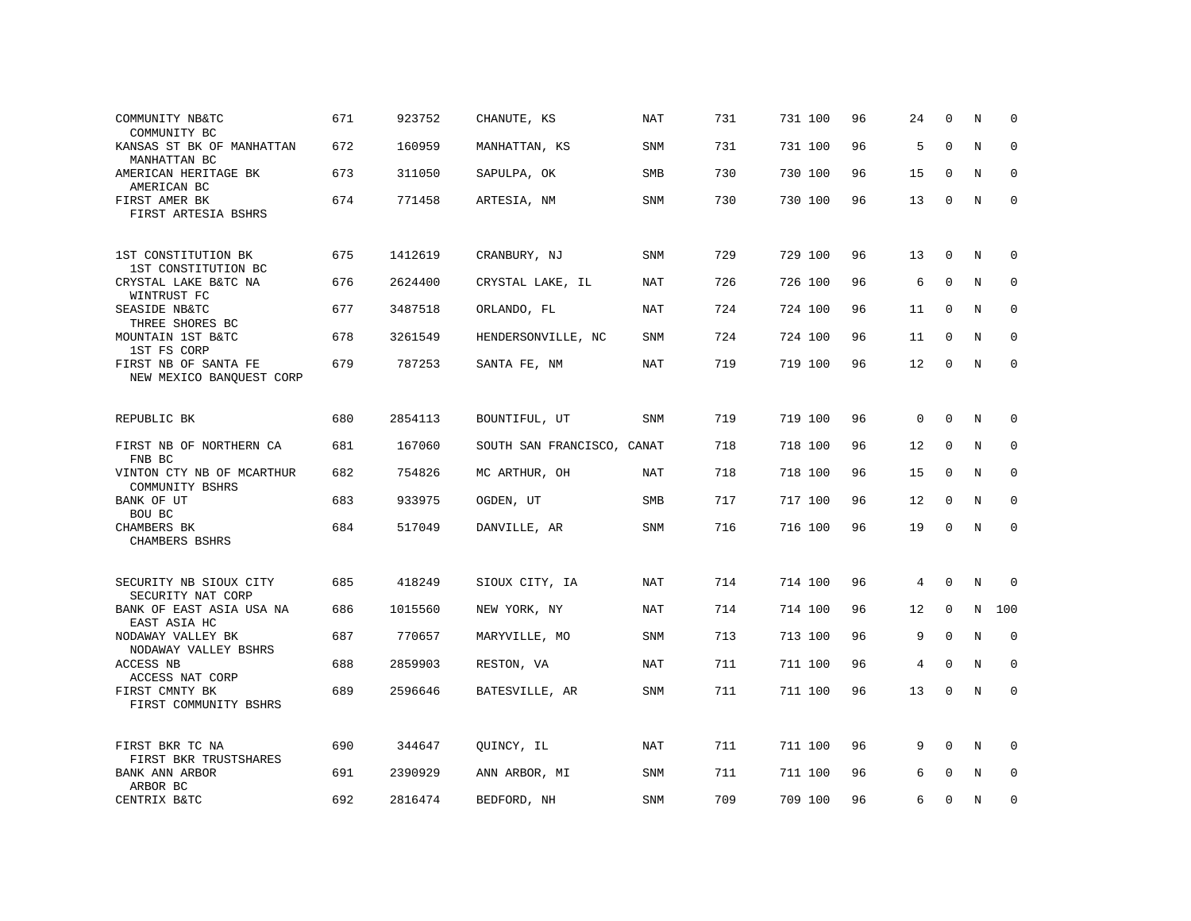| COMMUNITY NB&TC<br>COMMUNITY BC                  | 671 | 923752  | CHANUTE, KS                | NAT        | 731 | 731 100 | 96 | 24       | $\Omega$    | N           | $\Omega$    |
|--------------------------------------------------|-----|---------|----------------------------|------------|-----|---------|----|----------|-------------|-------------|-------------|
| KANSAS ST BK OF MANHATTAN<br>MANHATTAN BC        | 672 | 160959  | MANHATTAN, KS              | SNM        | 731 | 731 100 | 96 | 5        | $\mathbf 0$ | $\mathbb N$ | $\mathbf 0$ |
| AMERICAN HERITAGE BK<br>AMERICAN BC              | 673 | 311050  | SAPULPA, OK                | SMB        | 730 | 730 100 | 96 | 15       | $\Omega$    | N           | $\mathbf 0$ |
| FIRST AMER BK<br>FIRST ARTESIA BSHRS             | 674 | 771458  | ARTESIA, NM                | SNM        | 730 | 730 100 | 96 | 13       | 0           | N           | $\mathsf 0$ |
| 1ST CONSTITUTION BK<br>1ST CONSTITUTION BC       | 675 | 1412619 | CRANBURY, NJ               | SNM        | 729 | 729 100 | 96 | 13       | 0           | N           | 0           |
| CRYSTAL LAKE B&TC NA<br>WINTRUST FC              | 676 | 2624400 | CRYSTAL LAKE, IL           | <b>NAT</b> | 726 | 726 100 | 96 | 6        | $\mathbf 0$ | N           | $\mathbf 0$ |
| SEASIDE NB&TC<br>THREE SHORES BC                 | 677 | 3487518 | ORLANDO, FL                | NAT        | 724 | 724 100 | 96 | 11       | $\Omega$    | N           | $\mathbf 0$ |
| MOUNTAIN 1ST B&TC<br>1ST FS CORP                 | 678 | 3261549 | HENDERSONVILLE, NC         | <b>SNM</b> | 724 | 724 100 | 96 | 11       | $\mathbf 0$ | $\mathbf N$ | $\mathbf 0$ |
| FIRST NB OF SANTA FE<br>NEW MEXICO BANQUEST CORP | 679 | 787253  | SANTA FE, NM               | <b>NAT</b> | 719 | 719 100 | 96 | 12       | $\Omega$    | N           | $\mathbf 0$ |
| REPUBLIC BK                                      | 680 | 2854113 | BOUNTIFUL, UT              | SNM        | 719 | 719 100 | 96 | $\Omega$ | $\Omega$    | N           | $\Omega$    |
| FIRST NB OF NORTHERN CA<br>FNB BC                | 681 | 167060  | SOUTH SAN FRANCISCO, CANAT |            | 718 | 718 100 | 96 | 12       | 0           | N           | 0           |
| VINTON CTY NB OF MCARTHUR<br>COMMUNITY BSHRS     | 682 | 754826  | MC ARTHUR, OH              | <b>NAT</b> | 718 | 718 100 | 96 | 15       | $\mathbf 0$ | N           | $\mathbf 0$ |
| BANK OF UT<br>BOU BC                             | 683 | 933975  | OGDEN, UT                  | <b>SMB</b> | 717 | 717 100 | 96 | 12       | $\Omega$    | N           | $\mathbf 0$ |
| CHAMBERS BK<br>CHAMBERS BSHRS                    | 684 | 517049  | DANVILLE, AR               | SNM        | 716 | 716 100 | 96 | 19       | $\mathbf 0$ | $\mathbf N$ | $\mathbf 0$ |
| SECURITY NB SIOUX CITY<br>SECURITY NAT CORP      | 685 | 418249  | SIOUX CITY, IA             | <b>NAT</b> | 714 | 714 100 | 96 | 4        | $\mathbf 0$ | $\mathbb N$ | $\mathbf 0$ |
| BANK OF EAST ASIA USA NA<br>EAST ASIA HC         | 686 | 1015560 | NEW YORK, NY               | <b>NAT</b> | 714 | 714 100 | 96 | 12       | $\mathbf 0$ | $\mathbf N$ | 100         |
| NODAWAY VALLEY BK<br>NODAWAY VALLEY BSHRS        | 687 | 770657  | MARYVILLE, MO              | SNM        | 713 | 713 100 | 96 | 9        | $\Omega$    | N           | $\mathbf 0$ |
| ACCESS NB<br>ACCESS NAT CORP                     | 688 | 2859903 | RESTON, VA                 | <b>NAT</b> | 711 | 711 100 | 96 | 4        | $\Omega$    | N           | $\Omega$    |
| FIRST CMNTY BK<br>FIRST COMMUNITY BSHRS          | 689 | 2596646 | BATESVILLE, AR             | <b>SNM</b> | 711 | 711 100 | 96 | 13       | 0           | N           | $\mathbf 0$ |
| FIRST BKR TC NA<br>FIRST BKR TRUSTSHARES         | 690 | 344647  | QUINCY, IL                 | NAT        | 711 | 711 100 | 96 | 9        | $\Omega$    | N           | $\mathbf 0$ |
| BANK ANN ARBOR<br>ARBOR BC                       | 691 | 2390929 | ANN ARBOR, MI              | <b>SNM</b> | 711 | 711 100 | 96 | 6        | $\mathbf 0$ | N           | $\mathbf 0$ |
| CENTRIX B&TC                                     | 692 | 2816474 | BEDFORD, NH                | SNM        | 709 | 709 100 | 96 | 6        | $\Omega$    | N           | $\mathbf 0$ |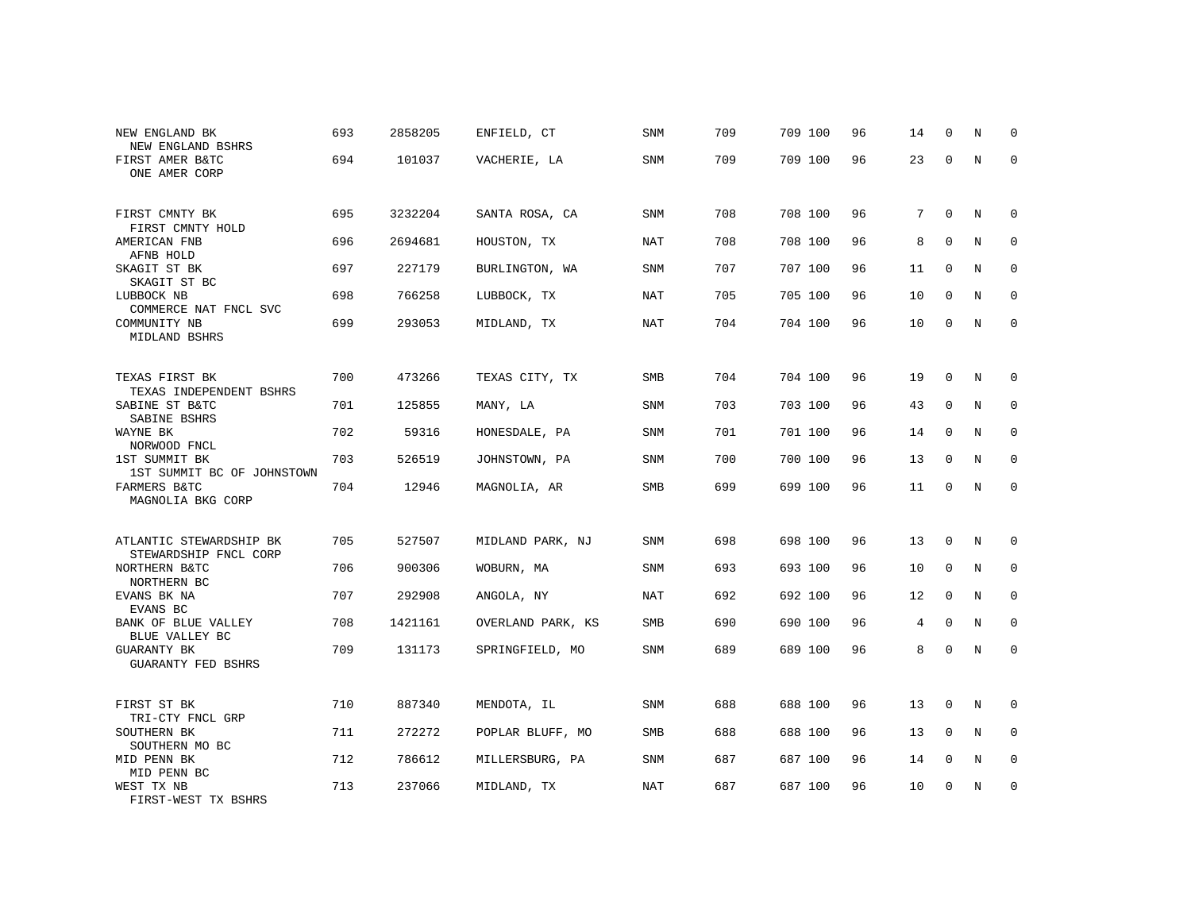| NEW ENGLAND BK<br>NEW ENGLAND BSHRS              | 693 | 2858205 | ENFIELD, CT       | SNM        | 709 | 709 100 | 96 | 14 | $\mathbf 0$  | N           | 0           |
|--------------------------------------------------|-----|---------|-------------------|------------|-----|---------|----|----|--------------|-------------|-------------|
| FIRST AMER B&TC<br>ONE AMER CORP                 | 694 | 101037  | VACHERIE, LA      | SNM        | 709 | 709 100 | 96 | 23 | $\mathbf 0$  | $\mathbf N$ | $\mathbf 0$ |
| FIRST CMNTY BK<br>FIRST CMNTY HOLD               | 695 | 3232204 | SANTA ROSA, CA    | SNM        | 708 | 708 100 | 96 | 7  | 0            | N           | 0           |
| AMERICAN FNB<br>AFNB HOLD                        | 696 | 2694681 | HOUSTON, TX       | <b>NAT</b> | 708 | 708 100 | 96 | 8  | $\mathbf 0$  | N           | 0           |
| SKAGIT ST BK<br>SKAGIT ST BC                     | 697 | 227179  | BURLINGTON, WA    | SNM        | 707 | 707 100 | 96 | 11 | $\Omega$     | N           | 0           |
| LUBBOCK NB<br>COMMERCE NAT FNCL SVC              | 698 | 766258  | LUBBOCK, TX       | NAT        | 705 | 705 100 | 96 | 10 | $\mathbf 0$  | N           | $\mathbf 0$ |
| COMMUNITY NB<br>MIDLAND BSHRS                    | 699 | 293053  | MIDLAND, TX       | <b>NAT</b> | 704 | 704 100 | 96 | 10 | $\mathbf 0$  | $\mathbf N$ | $\mathbf 0$ |
| TEXAS FIRST BK<br>TEXAS INDEPENDENT BSHRS        | 700 | 473266  | TEXAS CITY, TX    | SMB        | 704 | 704 100 | 96 | 19 | $\mathbf 0$  | N           | 0           |
| SABINE ST B&TC<br>SABINE BSHRS                   | 701 | 125855  | MANY, LA          | SNM        | 703 | 703 100 | 96 | 43 | $\mathbf{0}$ | N           | $\mathbf 0$ |
| WAYNE BK<br>NORWOOD FNCL                         | 702 | 59316   | HONESDALE, PA     | <b>SNM</b> | 701 | 701 100 | 96 | 14 | $\mathbf 0$  | N           | 0           |
| 1ST SUMMIT BK<br>1ST SUMMIT BC OF JOHNSTOWN      | 703 | 526519  | JOHNSTOWN, PA     | SNM        | 700 | 700 100 | 96 | 13 | $\mathbf 0$  | N           | $\mathbf 0$ |
| FARMERS B&TC<br>MAGNOLIA BKG CORP                | 704 | 12946   | MAGNOLIA, AR      | SMB        | 699 | 699 100 | 96 | 11 | $\mathbf 0$  | N           | $\mathbf 0$ |
| ATLANTIC STEWARDSHIP BK<br>STEWARDSHIP FNCL CORP | 705 | 527507  | MIDLAND PARK, NJ  | SNM        | 698 | 698 100 | 96 | 13 | 0            | N           | 0           |
| NORTHERN B&TC<br>NORTHERN BC                     | 706 | 900306  | WOBURN, MA        | SNM        | 693 | 693 100 | 96 | 10 | $\mathbf{0}$ | N           | $\mathbf 0$ |
| EVANS BK NA<br>EVANS BC                          | 707 | 292908  | ANGOLA, NY        | NAT        | 692 | 692 100 | 96 | 12 | $\mathbf{0}$ | N           | $\mathbf 0$ |
| BANK OF BLUE VALLEY<br>BLUE VALLEY BC            | 708 | 1421161 | OVERLAND PARK, KS | <b>SMB</b> | 690 | 690 100 | 96 | 4  | $\mathbf{0}$ | N           | $\mathbf 0$ |
| GUARANTY BK<br><b>GUARANTY FED BSHRS</b>         | 709 | 131173  | SPRINGFIELD, MO   | SNM        | 689 | 689 100 | 96 | 8  | $\mathbf 0$  | $\rm N$     | $\mathbf 0$ |
| FIRST ST BK<br>TRI-CTY FNCL GRP                  | 710 | 887340  | MENDOTA, IL       | <b>SNM</b> | 688 | 688 100 | 96 | 13 | $\mathbf 0$  | N           | 0           |
| SOUTHERN BK<br>SOUTHERN MO BC                    | 711 | 272272  | POPLAR BLUFF, MO  | SMB        | 688 | 688 100 | 96 | 13 | 0            | N           | 0           |
| MID PENN BK<br>MID PENN BC                       | 712 | 786612  | MILLERSBURG, PA   | SNM        | 687 | 687 100 | 96 | 14 | 0            | N           | 0           |
| WEST TX NB<br>FIRST-WEST TX BSHRS                | 713 | 237066  | MIDLAND, TX       | <b>NAT</b> | 687 | 687 100 | 96 | 10 | 0            | N           | 0           |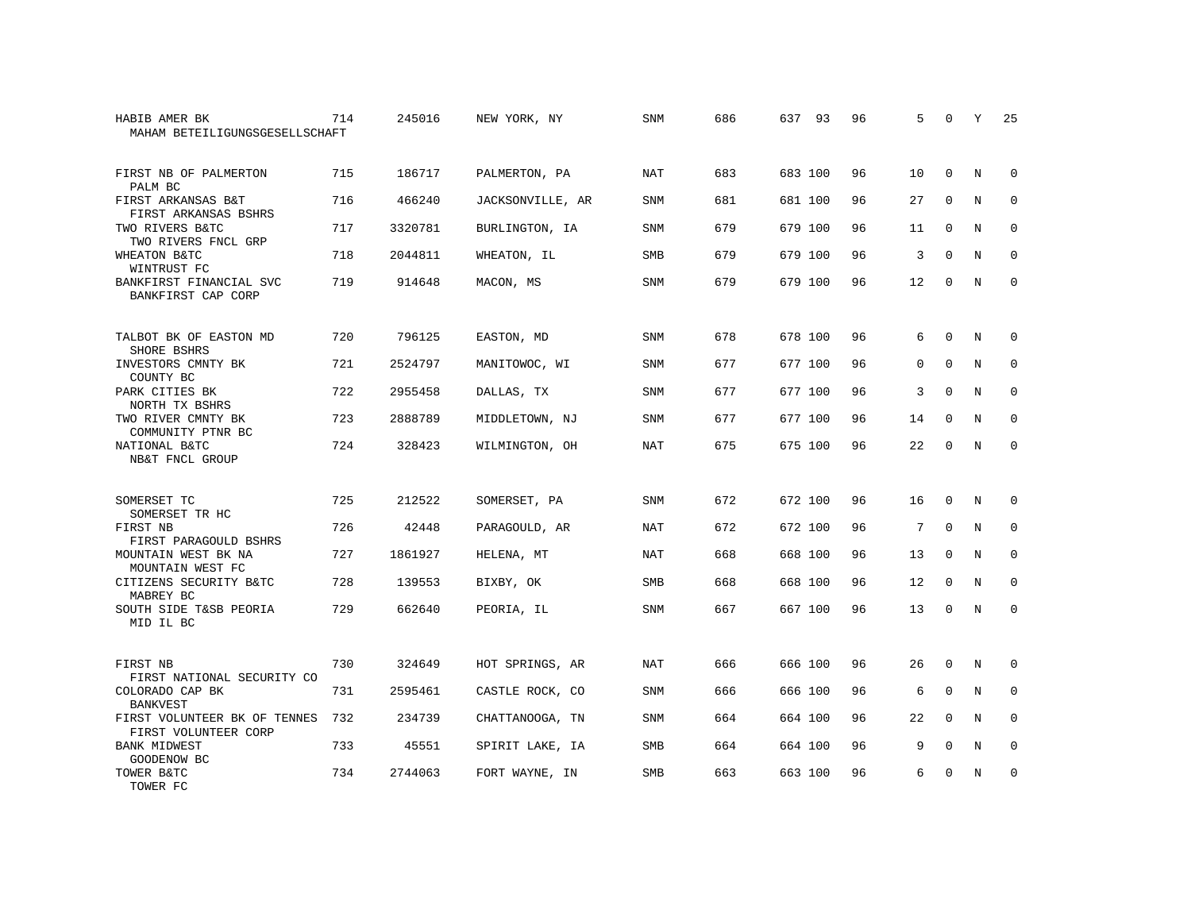| HABIB AMER BK<br>MAHAM BETEILIGUNGSGESELLSCHAFT      | 714 | 245016  | NEW YORK, NY     | SNM        | 686 | 637 93  | 96 | 5           | $\Omega$    | Υ | 25          |
|------------------------------------------------------|-----|---------|------------------|------------|-----|---------|----|-------------|-------------|---|-------------|
| FIRST NB OF PALMERTON<br>PALM BC                     | 715 | 186717  | PALMERTON, PA    | <b>NAT</b> | 683 | 683 100 | 96 | 10          | $\Omega$    | N | $\Omega$    |
| FIRST ARKANSAS B&T<br>FIRST ARKANSAS BSHRS           | 716 | 466240  | JACKSONVILLE, AR | SNM        | 681 | 681 100 | 96 | 27          | $\mathbf 0$ | N | 0           |
| TWO RIVERS B&TC<br>TWO RIVERS FNCL GRP               | 717 | 3320781 | BURLINGTON, IA   | <b>SNM</b> | 679 | 679 100 | 96 | 11          | $\mathbf 0$ | N | $\mathbf 0$ |
| WHEATON B&TC<br>WINTRUST FC                          | 718 | 2044811 | WHEATON, IL      | <b>SMB</b> | 679 | 679 100 | 96 | 3           | $\Omega$    | N | $\Omega$    |
| BANKFIRST FINANCIAL SVC<br>BANKFIRST CAP CORP        | 719 | 914648  | MACON, MS        | <b>SNM</b> | 679 | 679 100 | 96 | 12          | 0           | N | 0           |
| TALBOT BK OF EASTON MD<br>SHORE BSHRS                | 720 | 796125  | EASTON, MD       | SNM        | 678 | 678 100 | 96 | 6           | $\mathbf 0$ | N | 0           |
| INVESTORS CMNTY BK<br>COUNTY BC                      | 721 | 2524797 | MANITOWOC, WI    | SNM        | 677 | 677 100 | 96 | $\mathbf 0$ | $\mathbf 0$ | N | 0           |
| PARK CITIES BK<br>NORTH TX BSHRS                     | 722 | 2955458 | DALLAS, TX       | <b>SNM</b> | 677 | 677 100 | 96 | 3           | $\Omega$    | N | $\mathbf 0$ |
| TWO RIVER CMNTY BK<br>COMMUNITY PTNR BC              | 723 | 2888789 | MIDDLETOWN, NJ   | <b>SNM</b> | 677 | 677 100 | 96 | 14          | $\mathbf 0$ | N | 0           |
| NATIONAL B&TC<br>NB&T FNCL GROUP                     | 724 | 328423  | WILMINGTON, OH   | <b>NAT</b> | 675 | 675 100 | 96 | 22          | $\mathbf 0$ | N | $\Omega$    |
| SOMERSET TC<br>SOMERSET TR HC                        | 725 | 212522  | SOMERSET, PA     | <b>SNM</b> | 672 | 672 100 | 96 | 16          | $\mathbf 0$ | N | 0           |
| FIRST NB<br>FIRST PARAGOULD BSHRS                    | 726 | 42448   | PARAGOULD, AR    | <b>NAT</b> | 672 | 672 100 | 96 | 7           | $\Omega$    | N | $\mathbf 0$ |
| MOUNTAIN WEST BK NA<br>MOUNTAIN WEST FC              | 727 | 1861927 | HELENA, MT       | NAT        | 668 | 668 100 | 96 | 13          | $\Omega$    | N | $\Omega$    |
| CITIZENS SECURITY B&TC<br>MABREY BC                  | 728 | 139553  | BIXBY, OK        | SMB        | 668 | 668 100 | 96 | 12          | $\mathbf 0$ | N | 0           |
| SOUTH SIDE T&SB PEORIA<br>MID IL BC                  | 729 | 662640  | PEORIA, IL       | <b>SNM</b> | 667 | 667 100 | 96 | 13          | $\Omega$    | N | $\Omega$    |
| FIRST NB<br>FIRST NATIONAL SECURITY CO               | 730 | 324649  | HOT SPRINGS, AR  | NAT        | 666 | 666 100 | 96 | 26          | $\mathbf 0$ | N | 0           |
| COLORADO CAP BK<br><b>BANKVEST</b>                   | 731 | 2595461 | CASTLE ROCK, CO  | SNM        | 666 | 666 100 | 96 | 6           | $\Omega$    | N | $\mathbf 0$ |
| FIRST VOLUNTEER BK OF TENNES<br>FIRST VOLUNTEER CORP | 732 | 234739  | CHATTANOOGA, TN  | SNM        | 664 | 664 100 | 96 | 22          | $\mathbf 0$ | N | $\mathbf 0$ |
| <b>BANK MIDWEST</b><br>GOODENOW BC                   | 733 | 45551   | SPIRIT LAKE, IA  | SMB        | 664 | 664 100 | 96 | 9           | 0           | N | 0           |
| TOWER B&TC<br>TOWER FC                               | 734 | 2744063 | FORT WAYNE, IN   | <b>SMB</b> | 663 | 663 100 | 96 | 6           | $\Omega$    | N | $\mathbf 0$ |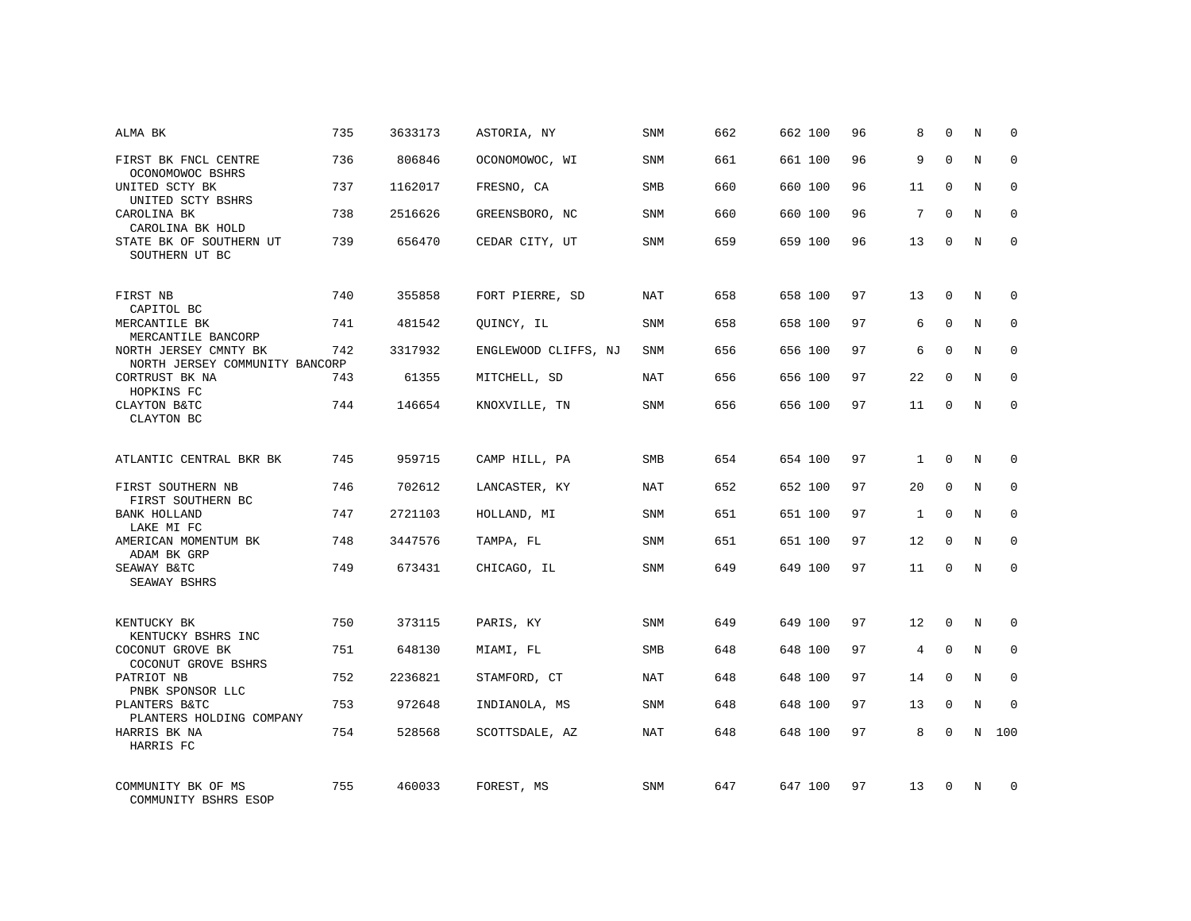| ALMA BK                                                       | 735 | 3633173 | ASTORIA, NY          | SNM        | 662 | 662 100 | 96 | 8            | $\Omega$    | N           | $\Omega$    |
|---------------------------------------------------------------|-----|---------|----------------------|------------|-----|---------|----|--------------|-------------|-------------|-------------|
| FIRST BK FNCL CENTRE<br>OCONOMOWOC BSHRS                      | 736 | 806846  | OCONOMOWOC, WI       | SNM        | 661 | 661 100 | 96 | 9            | $\Omega$    | N           | $\Omega$    |
| UNITED SCTY BK<br>UNITED SCTY BSHRS                           | 737 | 1162017 | FRESNO, CA           | SMB        | 660 | 660 100 | 96 | 11           | $\mathbf 0$ | N           | 0           |
| CAROLINA BK<br>CAROLINA BK HOLD                               | 738 | 2516626 | GREENSBORO, NC       | <b>SNM</b> | 660 | 660 100 | 96 | 7            | $\Omega$    | N           | $\Omega$    |
| STATE BK OF SOUTHERN UT<br>SOUTHERN UT BC                     | 739 | 656470  | CEDAR CITY, UT       | SNM        | 659 | 659 100 | 96 | 13           | $\mathbf 0$ | N           | $\mathbf 0$ |
| FIRST NB<br>CAPITOL BC                                        | 740 | 355858  | FORT PIERRE, SD      | <b>NAT</b> | 658 | 658 100 | 97 | 13           | $\mathbf 0$ | N           | $\Omega$    |
| MERCANTILE BK<br>MERCANTILE BANCORP                           | 741 | 481542  | QUINCY, IL           | <b>SNM</b> | 658 | 658 100 | 97 | 6            | $\mathbf 0$ | N           | $\mathbf 0$ |
| NORTH JERSEY CMNTY BK<br>NORTH JERSEY COMMUNITY BANCORP       | 742 | 3317932 | ENGLEWOOD CLIFFS, NJ | <b>SNM</b> | 656 | 656 100 | 97 | 6            | $\Omega$    | N           | $\mathbf 0$ |
| CORTRUST BK NA<br>HOPKINS FC                                  | 743 | 61355   | MITCHELL, SD         | NAT        | 656 | 656 100 | 97 | 22           | $\Omega$    | N           | $\Omega$    |
| CLAYTON B&TC<br>CLAYTON BC                                    | 744 | 146654  | KNOXVILLE, TN        | <b>SNM</b> | 656 | 656 100 | 97 | 11           | $\mathbf 0$ | $\mathbf N$ | $\mathbf 0$ |
| ATLANTIC CENTRAL BKR BK                                       | 745 | 959715  | CAMP HILL, PA        | <b>SMB</b> | 654 | 654 100 | 97 | $\mathbf{1}$ | $\Omega$    | N           | $\Omega$    |
| FIRST SOUTHERN NB<br>FIRST SOUTHERN BC                        | 746 | 702612  | LANCASTER, KY        | <b>NAT</b> | 652 | 652 100 | 97 | 20           | $\mathbf 0$ | N           | $\mathbf 0$ |
| <b>BANK HOLLAND</b><br>LAKE MI FC                             | 747 | 2721103 | HOLLAND, MI          | <b>SNM</b> | 651 | 651 100 | 97 | $\mathbf{1}$ | $\Omega$    | N           | $\Omega$    |
| AMERICAN MOMENTUM BK<br>ADAM BK GRP                           | 748 | 3447576 | TAMPA, FL            | <b>SNM</b> | 651 | 651 100 | 97 | 12           | $\Omega$    | N           | $\mathbf 0$ |
| SEAWAY B&TC<br>SEAWAY BSHRS                                   | 749 | 673431  | CHICAGO, IL          | <b>SNM</b> | 649 | 649 100 | 97 | 11           | $\Omega$    | N           | $\Omega$    |
| KENTUCKY BK                                                   | 750 | 373115  | PARIS, KY            | <b>SNM</b> | 649 | 649 100 | 97 | 12           | $\Omega$    | N           | $\Omega$    |
| KENTUCKY BSHRS INC<br>COCONUT GROVE BK<br>COCONUT GROVE BSHRS | 751 | 648130  | MIAMI, FL            | SMB        | 648 | 648 100 | 97 | 4            | $\mathbf 0$ | N           | $\mathbf 0$ |
| PATRIOT NB<br>PNBK SPONSOR LLC                                | 752 | 2236821 | STAMFORD, CT         | <b>NAT</b> | 648 | 648 100 | 97 | 14           | $\Omega$    | N           | $\mathbf 0$ |
| PLANTERS B&TC<br>PLANTERS HOLDING COMPANY                     | 753 | 972648  | INDIANOLA, MS        | <b>SNM</b> | 648 | 648 100 | 97 | 13           | $\mathbf 0$ | N           | 0           |
| HARRIS BK NA<br>HARRIS FC                                     | 754 | 528568  | SCOTTSDALE, AZ       | <b>NAT</b> | 648 | 648 100 | 97 | 8            | $\Omega$    | N           | 100         |
| COMMUNITY BK OF MS<br>COMMUNITY BSHRS ESOP                    | 755 | 460033  | FOREST, MS           | SNM        | 647 | 647 100 | 97 | 13           | $\Omega$    | N           | $\Omega$    |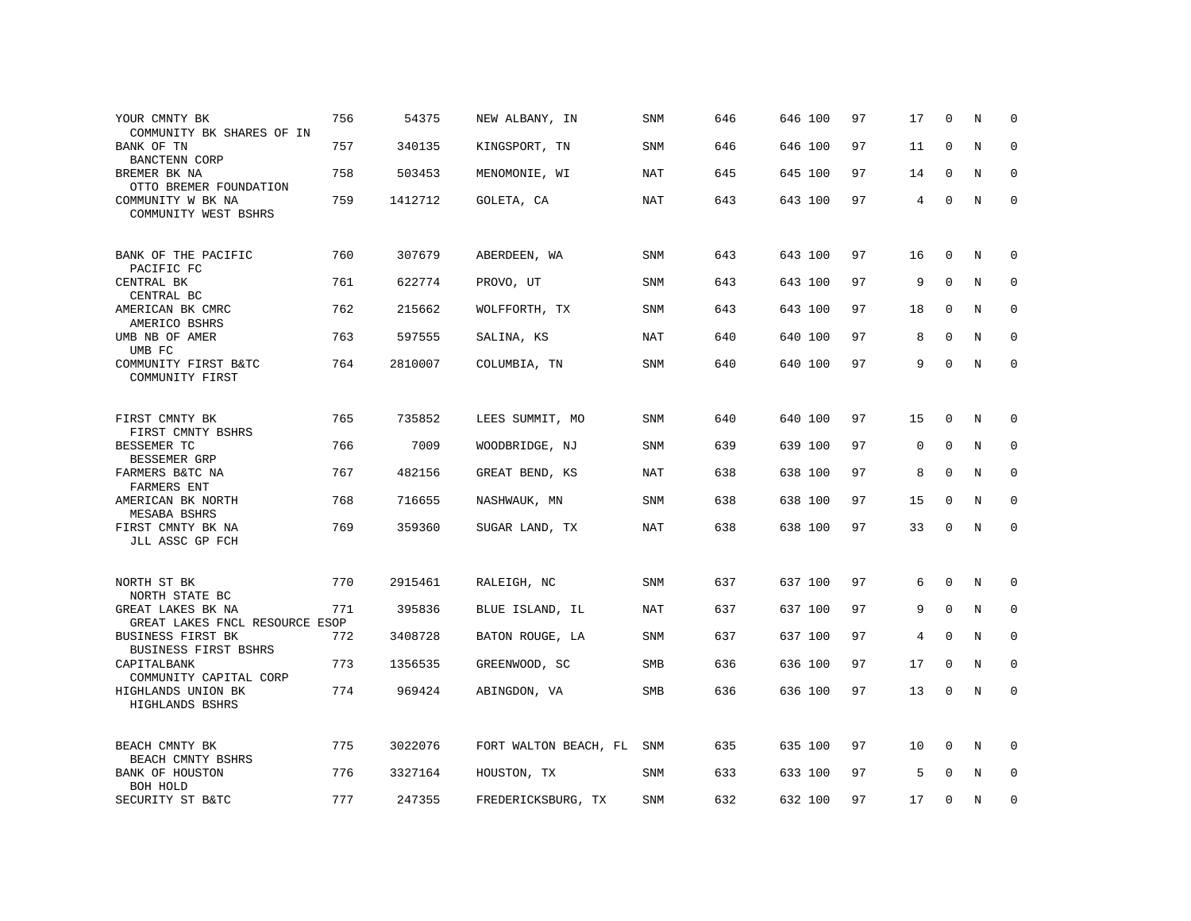| YOUR CMNTY BK<br>COMMUNITY BK SHARES OF IN          | 756 | 54375   | NEW ALBANY, IN        | SNM        | 646 | 646 100 | 97 | 17 | $\Omega$    | N           | $\Omega$    |
|-----------------------------------------------------|-----|---------|-----------------------|------------|-----|---------|----|----|-------------|-------------|-------------|
| BANK OF TN<br>BANCTENN CORP                         | 757 | 340135  | KINGSPORT, TN         | SNM        | 646 | 646 100 | 97 | 11 | $\mathbf 0$ | $\rm N$     | $\mathbf 0$ |
| BREMER BK NA<br>OTTO BREMER FOUNDATION              | 758 | 503453  | MENOMONIE, WI         | <b>NAT</b> | 645 | 645 100 | 97 | 14 | $\mathbf 0$ | N           | $\mathbf 0$ |
| COMMUNITY W BK NA<br>COMMUNITY WEST BSHRS           | 759 | 1412712 | GOLETA, CA            | <b>NAT</b> | 643 | 643 100 | 97 | 4  | $\mathbf 0$ | $\mathbb N$ | $\mathsf 0$ |
| BANK OF THE PACIFIC<br>PACIFIC FC                   | 760 | 307679  | ABERDEEN, WA          | SNM        | 643 | 643 100 | 97 | 16 | $\mathbf 0$ | N           | 0           |
| CENTRAL BK<br>CENTRAL BC                            | 761 | 622774  | PROVO, UT             | SNM        | 643 | 643 100 | 97 | 9  | $\Omega$    | N           | 0           |
| AMERICAN BK CMRC<br>AMERICO BSHRS                   | 762 | 215662  | WOLFFORTH, TX         | <b>SNM</b> | 643 | 643 100 | 97 | 18 | $\mathbf 0$ | $\mathbf N$ | $\mathbf 0$ |
| UMB NB OF AMER<br>UMB FC                            | 763 | 597555  | SALINA, KS            | <b>NAT</b> | 640 | 640 100 | 97 | 8  | $\Omega$    | N           | $\Omega$    |
| COMMUNITY FIRST B&TC<br>COMMUNITY FIRST             | 764 | 2810007 | COLUMBIA, TN          | SNM        | 640 | 640 100 | 97 | 9  | $\Omega$    | $\mathbb N$ | $\mathbf 0$ |
| FIRST CMNTY BK<br>FIRST CMNTY BSHRS                 | 765 | 735852  | LEES SUMMIT, MO       | <b>SNM</b> | 640 | 640 100 | 97 | 15 | $\mathbf 0$ | N           | 0           |
| BESSEMER TC<br>BESSEMER GRP                         | 766 | 7009    | WOODBRIDGE, NJ        | SNM        | 639 | 639 100 | 97 | 0  | $\Omega$    | N           | $\mathbf 0$ |
| FARMERS B&TC NA<br><b>FARMERS ENT</b>               | 767 | 482156  | GREAT BEND, KS        | NAT        | 638 | 638 100 | 97 | 8  | $\Omega$    | N           | 0           |
| AMERICAN BK NORTH<br>MESABA BSHRS                   | 768 | 716655  | NASHWAUK, MN          | SNM        | 638 | 638 100 | 97 | 15 | $\mathbf 0$ | N           | $\mathbf 0$ |
| FIRST CMNTY BK NA<br>JLL ASSC GP FCH                | 769 | 359360  | SUGAR LAND, TX        | <b>NAT</b> | 638 | 638 100 | 97 | 33 | 0           | N           | $\mathbf 0$ |
| NORTH ST BK<br>NORTH STATE BC                       | 770 | 2915461 | RALEIGH, NC           | <b>SNM</b> | 637 | 637 100 | 97 | 6  | $\mathbf 0$ | N           | 0           |
| GREAT LAKES BK NA<br>GREAT LAKES FNCL RESOURCE ESOP | 771 | 395836  | BLUE ISLAND, IL       | <b>NAT</b> | 637 | 637 100 | 97 | 9  | $\mathbf 0$ | $\mathbf N$ | 0           |
| BUSINESS FIRST BK<br>BUSINESS FIRST BSHRS           | 772 | 3408728 | BATON ROUGE, LA       | SNM        | 637 | 637 100 | 97 | 4  | 0           | N           | 0           |
| CAPITALBANK<br>COMMUNITY CAPITAL CORP               | 773 | 1356535 | GREENWOOD, SC         | SMB        | 636 | 636 100 | 97 | 17 | $\mathbf 0$ | N           | $\mathbf 0$ |
| HIGHLANDS UNION BK<br>HIGHLANDS BSHRS               | 774 | 969424  | ABINGDON, VA          | SMB        | 636 | 636 100 | 97 | 13 | $\Omega$    | N           | $\mathbf 0$ |
| BEACH CMNTY BK<br>BEACH CMNTY BSHRS                 | 775 | 3022076 | FORT WALTON BEACH, FL | SNM        | 635 | 635 100 | 97 | 10 | $\Omega$    | N           | $\Omega$    |
| BANK OF HOUSTON<br>BOH HOLD                         | 776 | 3327164 | HOUSTON, TX           | SNM        | 633 | 633 100 | 97 | 5  | $\Omega$    | N           | $\mathbf 0$ |
| SECURITY ST B&TC                                    | 777 | 247355  | FREDERICKSBURG, TX    | <b>SNM</b> | 632 | 632 100 | 97 | 17 | $\Omega$    | N           | $\mathbf 0$ |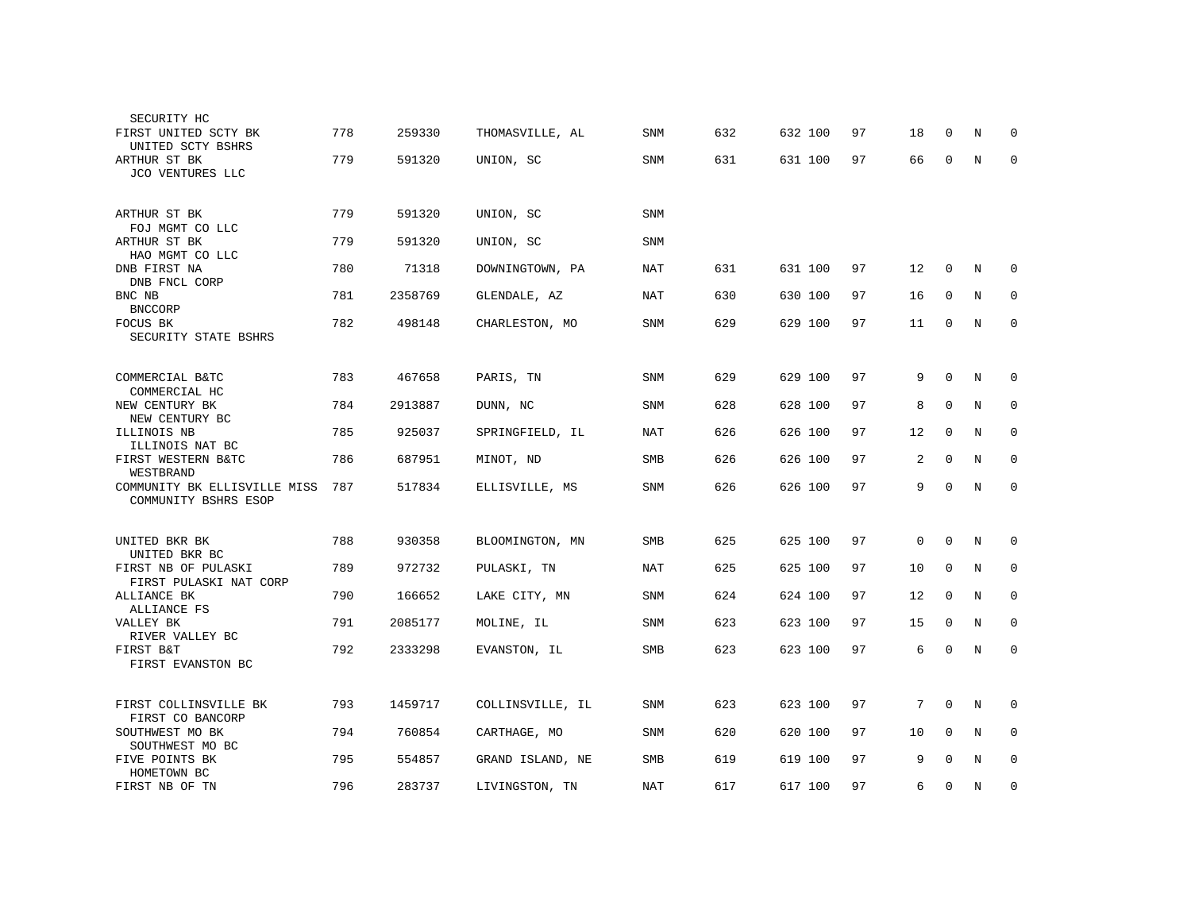| SECURITY HC                                          |     |         |                  |            |     |         |    |             |             |         |             |
|------------------------------------------------------|-----|---------|------------------|------------|-----|---------|----|-------------|-------------|---------|-------------|
| FIRST UNITED SCTY BK<br>UNITED SCTY BSHRS            | 778 | 259330  | THOMASVILLE, AL  | <b>SNM</b> | 632 | 632 100 | 97 | 18          | $\Omega$    | N       | $\Omega$    |
| ARTHUR ST BK<br>JCO VENTURES LLC                     | 779 | 591320  | UNION, SC        | <b>SNM</b> | 631 | 631 100 | 97 | 66          | $\mathbf 0$ | N       | $\mathbf 0$ |
| ARTHUR ST BK<br>FOJ MGMT CO LLC                      | 779 | 591320  | UNION, SC        | <b>SNM</b> |     |         |    |             |             |         |             |
| ARTHUR ST BK<br>HAO MGMT CO LLC                      | 779 | 591320  | UNION, SC        | SNM        |     |         |    |             |             |         |             |
| DNB FIRST NA<br>DNB FNCL CORP                        | 780 | 71318   | DOWNINGTOWN, PA  | NAT        | 631 | 631 100 | 97 | 12          | $\mathbf 0$ | N       | 0           |
| BNC NB<br><b>BNCCORP</b>                             | 781 | 2358769 | GLENDALE, AZ     | NAT        | 630 | 630 100 | 97 | 16          | 0           | N       | 0           |
| FOCUS BK<br>SECURITY STATE BSHRS                     | 782 | 498148  | CHARLESTON, MO   | SNM        | 629 | 629 100 | 97 | 11          | 0           | N       | 0           |
|                                                      |     |         |                  |            |     |         |    |             |             |         |             |
| COMMERCIAL B&TC<br>COMMERCIAL HC                     | 783 | 467658  | PARIS, TN        | <b>SNM</b> | 629 | 629 100 | 97 | 9           | $\Omega$    | N       | 0           |
| NEW CENTURY BK<br>NEW CENTURY BC                     | 784 | 2913887 | DUNN, NC         | SNM        | 628 | 628 100 | 97 | 8           | $\mathbf 0$ | N       | 0           |
| ILLINOIS NB<br>ILLINOIS NAT BC                       | 785 | 925037  | SPRINGFIELD, IL  | <b>NAT</b> | 626 | 626 100 | 97 | 12          | $\mathbf 0$ | N       | 0           |
| FIRST WESTERN B&TC<br>WESTBRAND                      | 786 | 687951  | MINOT, ND        | <b>SMB</b> | 626 | 626 100 | 97 | 2           | $\Omega$    | N       | $\mathbf 0$ |
| COMMUNITY BK ELLISVILLE MISS<br>COMMUNITY BSHRS ESOP | 787 | 517834  | ELLISVILLE, MS   | SNM        | 626 | 626 100 | 97 | 9           | $\Omega$    | N       | $\mathbf 0$ |
| UNITED BKR BK                                        | 788 | 930358  | BLOOMINGTON, MN  | <b>SMB</b> | 625 | 625 100 | 97 | $\mathbf 0$ | $\mathbf 0$ | N       | 0           |
| UNITED BKR BC<br>FIRST NB OF PULASKI                 | 789 | 972732  | PULASKI, TN      | <b>NAT</b> | 625 | 625 100 | 97 | 10          | $\mathbf 0$ | N       | $\mathbf 0$ |
| FIRST PULASKI NAT CORP<br>ALLIANCE BK                | 790 | 166652  | LAKE CITY, MN    | <b>SNM</b> | 624 | 624 100 | 97 | 12          | $\mathbf 0$ | N       | $\mathbf 0$ |
| ALLIANCE FS<br>VALLEY BK                             | 791 | 2085177 | MOLINE, IL       | SNM        | 623 | 623 100 | 97 | 15          | $\mathbf 0$ | N       | 0           |
| RIVER VALLEY BC<br>FIRST B&T<br>FIRST EVANSTON BC    | 792 | 2333298 | EVANSTON, IL     | SMB        | 623 | 623 100 | 97 | 6           | $\mathbf 0$ | $\rm N$ | $\mathbf 0$ |
|                                                      |     |         |                  |            |     |         |    |             |             |         |             |
| FIRST COLLINSVILLE BK<br>FIRST CO BANCORP            | 793 | 1459717 | COLLINSVILLE, IL | SNM        | 623 | 623 100 | 97 | 7           | $\mathbf 0$ | N       | 0           |
| SOUTHWEST MO BK<br>SOUTHWEST MO BC                   | 794 | 760854  | CARTHAGE, MO     | SNM        | 620 | 620 100 | 97 | 10          | 0           | N       | 0           |
| FIVE POINTS BK<br>HOMETOWN BC                        | 795 | 554857  | GRAND ISLAND, NE | SMB        | 619 | 619 100 | 97 | 9           | $\mathbf 0$ | N       | 0           |
| FIRST NB OF TN                                       | 796 | 283737  | LIVINGSTON, TN   | <b>NAT</b> | 617 | 617 100 | 97 | 6           | $\mathbf 0$ | N       | 0           |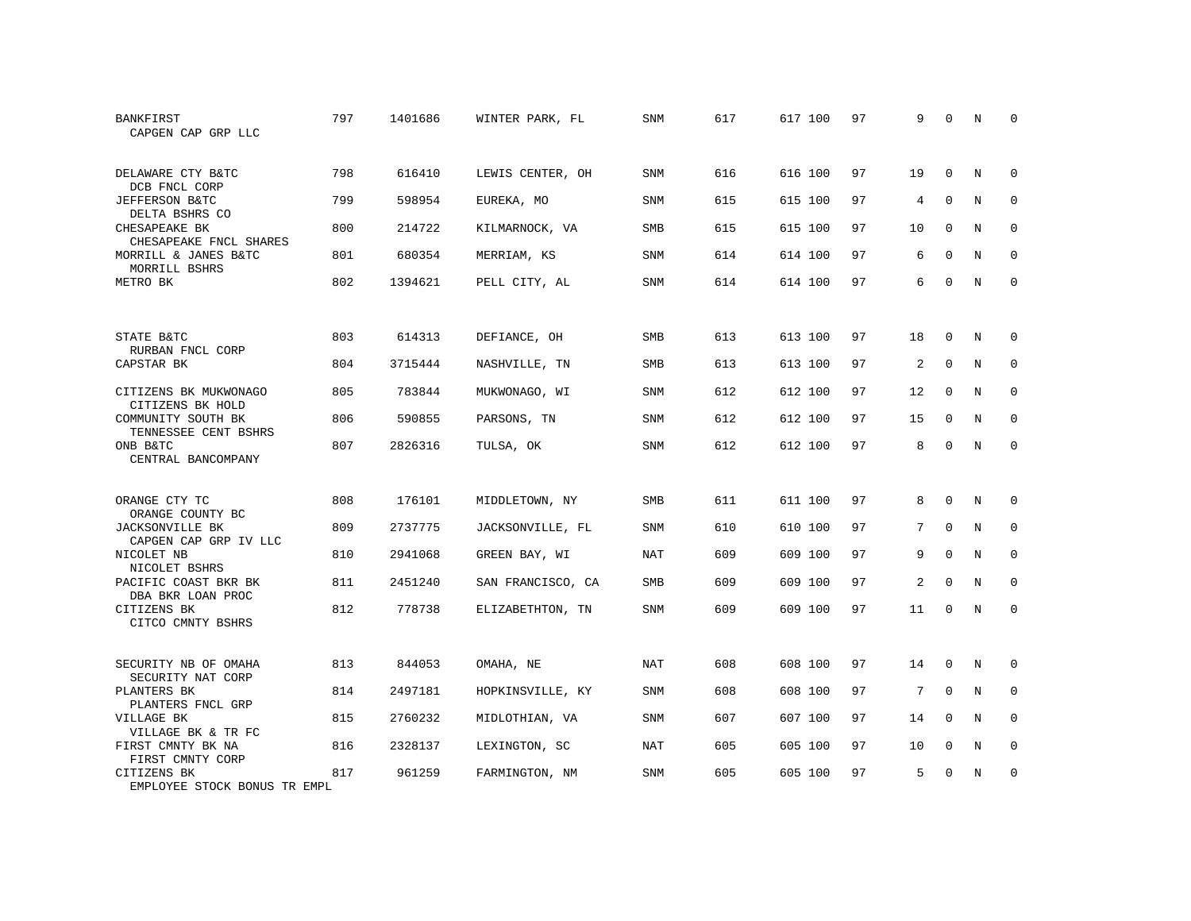| BANKFIRST<br>CAPGEN CAP GRP LLC                                | 797 | 1401686 | WINTER PARK, FL   | <b>SNM</b> | 617 | 617 100 | 97 | 9  | $\Omega$    | N           | $\Omega$    |
|----------------------------------------------------------------|-----|---------|-------------------|------------|-----|---------|----|----|-------------|-------------|-------------|
| DELAWARE CTY B&TC<br>DCB FNCL CORP                             | 798 | 616410  | LEWIS CENTER, OH  | SNM        | 616 | 616 100 | 97 | 19 | $\mathbf 0$ | N           | $\Omega$    |
| JEFFERSON B&TC<br>DELTA BSHRS CO                               | 799 | 598954  | EUREKA, MO        | <b>SNM</b> | 615 | 615 100 | 97 | 4  | $\Omega$    | N           | $\mathbf 0$ |
| CHESAPEAKE BK<br>CHESAPEAKE FNCL SHARES                        | 800 | 214722  | KILMARNOCK, VA    | SMB        | 615 | 615 100 | 97 | 10 | $\Omega$    | N           | 0           |
| MORRILL & JANES B&TC<br>MORRILL BSHRS                          | 801 | 680354  | MERRIAM, KS       | <b>SNM</b> | 614 | 614 100 | 97 | 6  | $\Omega$    | N           | $\Omega$    |
| METRO BK                                                       | 802 | 1394621 | PELL CITY, AL     | SNM        | 614 | 614 100 | 97 | 6  | $\Omega$    | N           | $\mathbf 0$ |
| STATE B&TC                                                     | 803 | 614313  | DEFIANCE, OH      | <b>SMB</b> | 613 | 613 100 | 97 | 18 | $\Omega$    | N           | 0           |
| RURBAN FNCL CORP<br>CAPSTAR BK                                 | 804 | 3715444 | NASHVILLE, TN     | <b>SMB</b> | 613 | 613 100 | 97 | 2  | $\Omega$    | N           | $\mathbf 0$ |
| CITIZENS BK MUKWONAGO                                          | 805 | 783844  | MUKWONAGO, WI     | <b>SNM</b> | 612 | 612 100 | 97 | 12 | $\Omega$    | N           | $\Omega$    |
| CITIZENS BK HOLD<br>COMMUNITY SOUTH BK<br>TENNESSEE CENT BSHRS | 806 | 590855  | PARSONS, TN       | <b>SNM</b> | 612 | 612 100 | 97 | 15 | $\Omega$    | N           | $\Omega$    |
| ONB B&TC<br>CENTRAL BANCOMPANY                                 | 807 | 2826316 | TULSA, OK         | <b>SNM</b> | 612 | 612 100 | 97 | 8  | $\Omega$    | N           | $\mathbf 0$ |
| ORANGE CTY TC<br>ORANGE COUNTY BC                              | 808 | 176101  | MIDDLETOWN, NY    | <b>SMB</b> | 611 | 611 100 | 97 | 8  | $\Omega$    | N           | $\Omega$    |
| <b>JACKSONVILLE BK</b><br>CAPGEN CAP GRP IV LLC                | 809 | 2737775 | JACKSONVILLE, FL  | SNM        | 610 | 610 100 | 97 | 7  | $\mathbf 0$ | $\rm N$     | $\mathbf 0$ |
| NICOLET NB<br>NICOLET BSHRS                                    | 810 | 2941068 | GREEN BAY, WI     | <b>NAT</b> | 609 | 609 100 | 97 | 9  | $\Omega$    | N           | $\mathbf 0$ |
| PACIFIC COAST BKR BK<br>DBA BKR LOAN PROC                      | 811 | 2451240 | SAN FRANCISCO, CA | SMB        | 609 | 609 100 | 97 | 2  | $\mathbf 0$ | $\rm N$     | $\mathbf 0$ |
| CITIZENS BK<br>CITCO CMNTY BSHRS                               | 812 | 778738  | ELIZABETHTON, TN  | <b>SNM</b> | 609 | 609 100 | 97 | 11 | $\Omega$    | N           | $\mathbf 0$ |
| SECURITY NB OF OMAHA<br>SECURITY NAT CORP                      | 813 | 844053  | OMAHA, NE         | <b>NAT</b> | 608 | 608 100 | 97 | 14 | 0           | N           | 0           |
| PLANTERS BK<br>PLANTERS FNCL GRP                               | 814 | 2497181 | HOPKINSVILLE, KY  | SNM        | 608 | 608 100 | 97 | 7  | $\mathbf 0$ | $\mathbf N$ | $\mathbf 0$ |
| VILLAGE BK<br>VILLAGE BK & TR FC                               | 815 | 2760232 | MIDLOTHIAN, VA    | <b>SNM</b> | 607 | 607 100 | 97 | 14 | $\mathbf 0$ | N           | $\mathbf 0$ |
| FIRST CMNTY BK NA<br>FIRST CMNTY CORP                          | 816 | 2328137 | LEXINGTON, SC     | NAT        | 605 | 605 100 | 97 | 10 | 0           | N           | 0           |
| CITIZENS BK<br>EMPLOYEE STOCK BONUS TR EMPL                    | 817 | 961259  | FARMINGTON, NM    | <b>SNM</b> | 605 | 605 100 | 97 | 5  | $\Omega$    | N           | $\mathbf 0$ |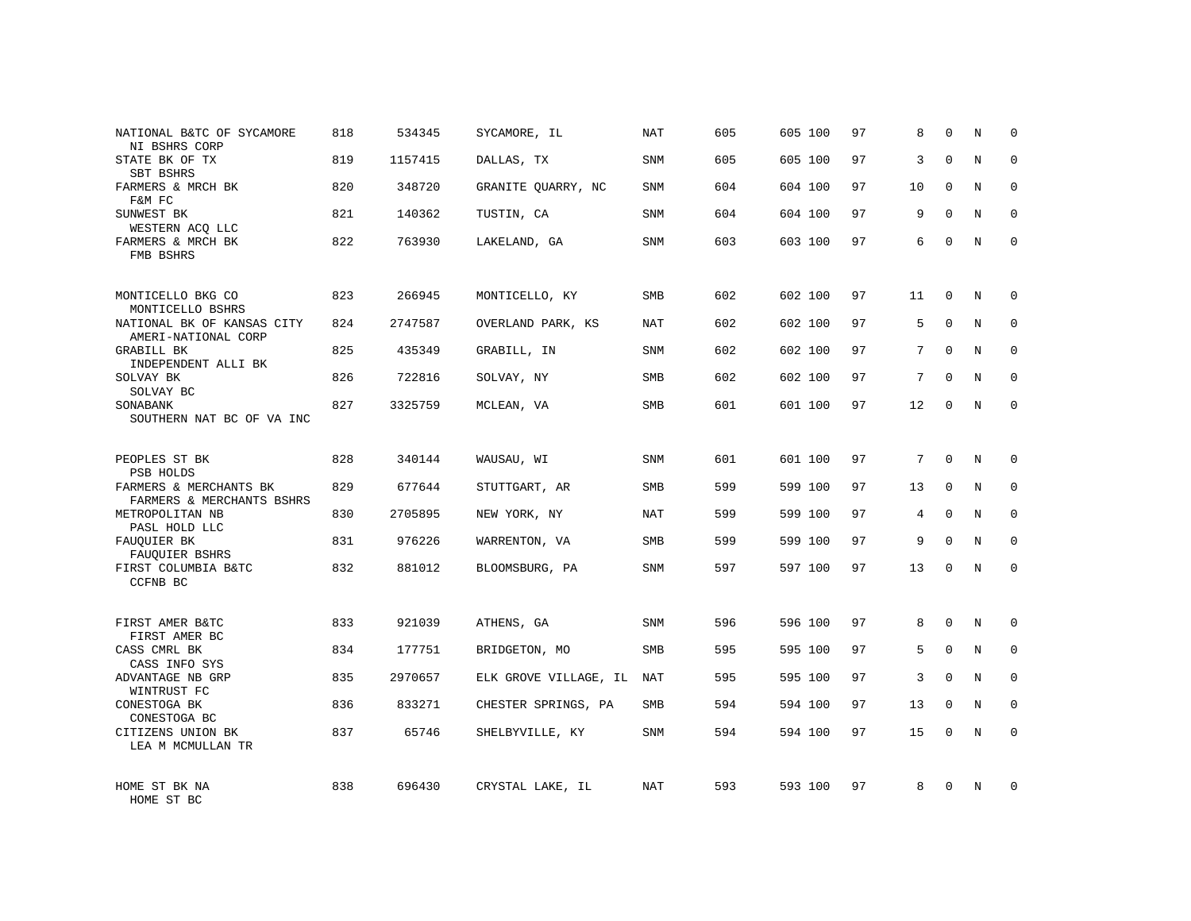| NATIONAL B&TC OF SYCAMORE<br>NI BSHRS CORP                            | 818 | 534345  | SYCAMORE, IL          | NAT        | 605 | 605 100 | 97 | 8              | $\Omega$    | N           | $\Omega$    |
|-----------------------------------------------------------------------|-----|---------|-----------------------|------------|-----|---------|----|----------------|-------------|-------------|-------------|
| STATE BK OF TX<br>SBT BSHRS                                           | 819 | 1157415 | DALLAS, TX            | SNM        | 605 | 605 100 | 97 | 3              | $\Omega$    | N           | $\Omega$    |
| FARMERS & MRCH BK<br>F&M FC                                           | 820 | 348720  | GRANITE QUARRY, NC    | SNM        | 604 | 604 100 | 97 | 10             | $\Omega$    | N           | 0           |
| SUNWEST BK<br>WESTERN ACO LLC                                         | 821 | 140362  | TUSTIN, CA            | SNM        | 604 | 604 100 | 97 | 9              | $\Omega$    | N           | $\Omega$    |
| FARMERS & MRCH BK<br>FMB BSHRS                                        | 822 | 763930  | LAKELAND, GA          | SNM        | 603 | 603 100 | 97 | 6              | $\Omega$    | N           | $\mathbf 0$ |
| MONTICELLO BKG CO                                                     | 823 | 266945  | MONTICELLO, KY        | SMB        | 602 | 602 100 | 97 | 11             | $\mathbf 0$ | N           | $\Omega$    |
| MONTICELLO BSHRS<br>NATIONAL BK OF KANSAS CITY<br>AMERI-NATIONAL CORP | 824 | 2747587 | OVERLAND PARK, KS     | NAT        | 602 | 602 100 | 97 | 5              | $\mathbf 0$ | N           | $\mathbf 0$ |
| GRABILL BK<br>INDEPENDENT ALLI BK                                     | 825 | 435349  | GRABILL, IN           | SNM        | 602 | 602 100 | 97 | 7              | $\Omega$    | N           | $\mathbf 0$ |
| SOLVAY BK<br>SOLVAY BC                                                | 826 | 722816  | SOLVAY, NY            | SMB        | 602 | 602 100 | 97 | 7              | $\Omega$    | N           | $\Omega$    |
| SONABANK<br>SOUTHERN NAT BC OF VA INC                                 | 827 | 3325759 | MCLEAN, VA            | SMB        | 601 | 601 100 | 97 | 12             | $\mathbf 0$ | $\mathbf N$ | $\mathbf 0$ |
| PEOPLES ST BK<br>PSB HOLDS                                            | 828 | 340144  | WAUSAU, WI            | <b>SNM</b> | 601 | 601 100 | 97 | 7              | $\Omega$    | $_{\rm N}$  | $\Omega$    |
| FARMERS & MERCHANTS BK<br>FARMERS & MERCHANTS BSHRS                   | 829 | 677644  | STUTTGART, AR         | SMB        | 599 | 599 100 | 97 | 13             | $\mathbf 0$ | $\mathbf N$ | $\mathbf 0$ |
| METROPOLITAN NB<br>PASL HOLD LLC                                      | 830 | 2705895 | NEW YORK, NY          | <b>NAT</b> | 599 | 599 100 | 97 | $\overline{4}$ | $\Omega$    | N           | $\Omega$    |
| FAUQUIER BK<br>FAUQUIER BSHRS                                         | 831 | 976226  | WARRENTON, VA         | <b>SMB</b> | 599 | 599 100 | 97 | 9              | $\Omega$    | $\rm N$     | $\mathbf 0$ |
| FIRST COLUMBIA B&TC<br><b>CCFNB BC</b>                                | 832 | 881012  | BLOOMSBURG, PA        | <b>SNM</b> | 597 | 597 100 | 97 | 13             | $\Omega$    | $_{\rm N}$  | $\Omega$    |
| FIRST AMER B&TC<br>FIRST AMER BC                                      | 833 | 921039  | ATHENS, GA            | <b>SNM</b> | 596 | 596 100 | 97 | 8              | $\Omega$    | $_{\rm N}$  | $\Omega$    |
| CASS CMRL BK<br>CASS INFO SYS                                         | 834 | 177751  | BRIDGETON, MO         | SMB        | 595 | 595 100 | 97 | 5              | $\mathbf 0$ | N           | $\mathbf 0$ |
| ADVANTAGE NB GRP<br>WINTRUST FC                                       | 835 | 2970657 | ELK GROVE VILLAGE, IL | <b>NAT</b> | 595 | 595 100 | 97 | 3              | $\Omega$    | N           | $\Omega$    |
| CONESTOGA BK<br>CONESTOGA BC                                          | 836 | 833271  | CHESTER SPRINGS, PA   | <b>SMB</b> | 594 | 594 100 | 97 | 13             | $\mathbf 0$ | N           | $\mathbf 0$ |
| CITIZENS UNION BK<br>LEA M MCMULLAN TR                                | 837 | 65746   | SHELBYVILLE, KY       | <b>SNM</b> | 594 | 594 100 | 97 | 15             | $\Omega$    | N           | $\Omega$    |
| HOME ST BK NA<br>HOME ST BC                                           | 838 | 696430  | CRYSTAL LAKE, IL      | <b>NAT</b> | 593 | 593 100 | 97 | 8              | $\Omega$    | N           | $\Omega$    |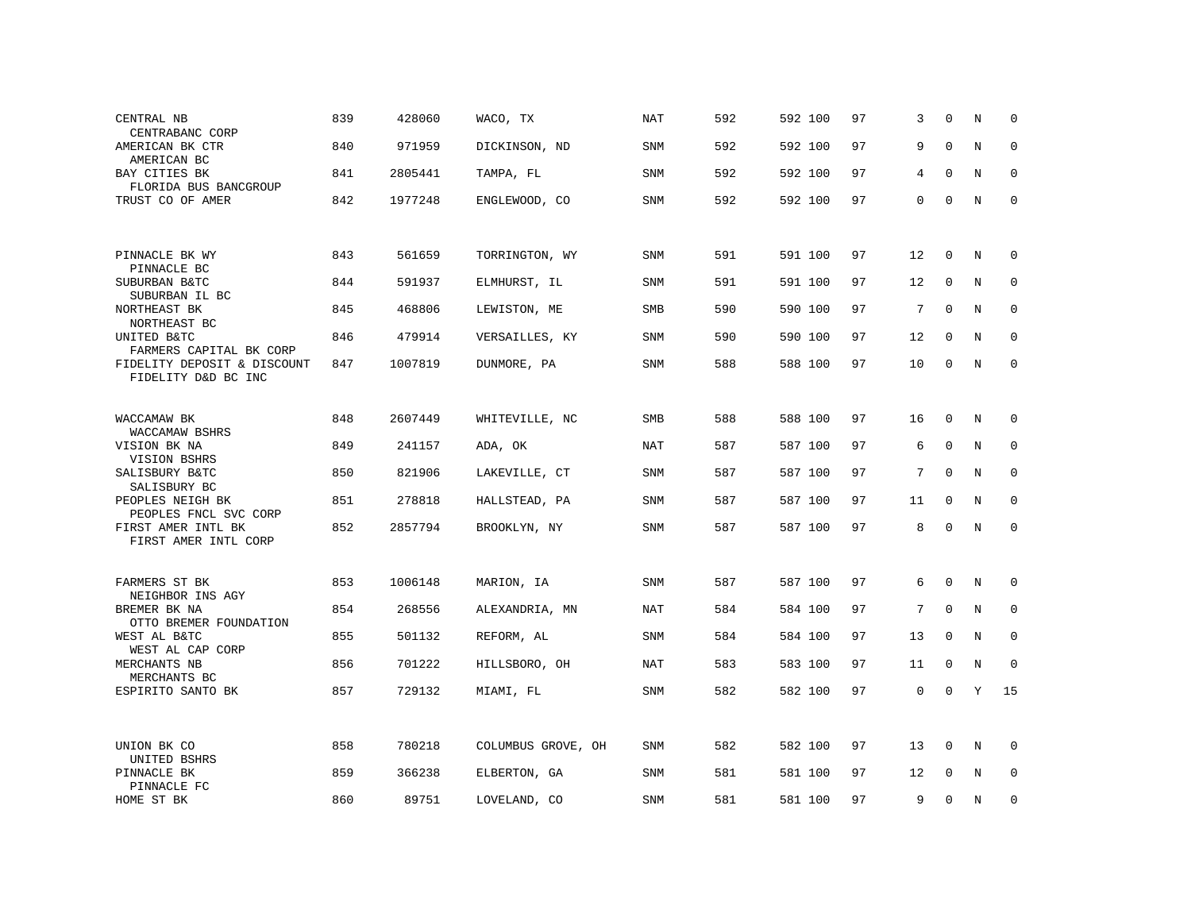| CENTRAL NB<br>CENTRABANC CORP                      | 839 | 428060  | WACO, TX           | NAT        | 592 | 592 100 | 97 | 3           | $\Omega$    | N           | 0            |
|----------------------------------------------------|-----|---------|--------------------|------------|-----|---------|----|-------------|-------------|-------------|--------------|
| AMERICAN BK CTR<br>AMERICAN BC                     | 840 | 971959  | DICKINSON, ND      | SNM        | 592 | 592 100 | 97 | 9           | $\mathbf 0$ | $\mathbf N$ | $\mathbf 0$  |
| BAY CITIES BK<br>FLORIDA BUS BANCGROUP             | 841 | 2805441 | TAMPA, FL          | SNM        | 592 | 592 100 | 97 | 4           | $\Omega$    | N           | $\mathbf 0$  |
| TRUST CO OF AMER                                   | 842 | 1977248 | ENGLEWOOD, CO      | SNM        | 592 | 592 100 | 97 | 0           | $\mathbf 0$ | N           | $\mathbf 0$  |
|                                                    |     |         |                    |            |     |         |    |             |             |             |              |
| PINNACLE BK WY<br>PINNACLE BC                      | 843 | 561659  | TORRINGTON, WY     | SNM        | 591 | 591 100 | 97 | 12          | $\mathbf 0$ | N           | 0            |
| SUBURBAN B&TC<br>SUBURBAN IL BC                    | 844 | 591937  | ELMHURST, IL       | SNM        | 591 | 591 100 | 97 | 12          | $\mathbf 0$ | N           | $\mathbf 0$  |
| NORTHEAST BK<br>NORTHEAST BC                       | 845 | 468806  | LEWISTON, ME       | <b>SMB</b> | 590 | 590 100 | 97 | 7           | $\Omega$    | N           | $\mathbf 0$  |
| UNITED B&TC<br>FARMERS CAPITAL BK CORP             | 846 | 479914  | VERSAILLES, KY     | SNM        | 590 | 590 100 | 97 | 12          | $\mathbf 0$ | N           | $\mathbf 0$  |
| FIDELITY DEPOSIT & DISCOUNT<br>FIDELITY D&D BC INC | 847 | 1007819 | DUNMORE, PA        | SNM        | 588 | 588 100 | 97 | 10          | $\mathbf 0$ | N           | $\mathbf 0$  |
|                                                    |     |         |                    |            |     |         |    |             |             |             |              |
| WACCAMAW BK<br>WACCAMAW BSHRS                      | 848 | 2607449 | WHITEVILLE, NC     | <b>SMB</b> | 588 | 588 100 | 97 | 16          | $\mathbf 0$ | N           | $\Omega$     |
| VISION BK NA<br>VISION BSHRS                       | 849 | 241157  | ADA, OK            | <b>NAT</b> | 587 | 587 100 | 97 | 6           | $\mathbf 0$ | N           | $\mathbf 0$  |
| SALISBURY B&TC<br>SALISBURY BC                     | 850 | 821906  | LAKEVILLE, CT      | SNM        | 587 | 587 100 | 97 | 7           | $\Omega$    | N           | $\mathbf 0$  |
| PEOPLES NEIGH BK<br>PEOPLES FNCL SVC CORP          | 851 | 278818  | HALLSTEAD, PA      | SNM        | 587 | 587 100 | 97 | 11          | $\mathbf 0$ | N           | $\mathbf{0}$ |
| FIRST AMER INTL BK<br>FIRST AMER INTL CORP         | 852 | 2857794 | BROOKLYN, NY       | SNM        | 587 | 587 100 | 97 | 8           | $\mathbf 0$ | N           | $\mathbf 0$  |
|                                                    |     |         |                    |            |     |         |    |             |             |             |              |
| FARMERS ST BK<br>NEIGHBOR INS AGY                  | 853 | 1006148 | MARION, IA         | <b>SNM</b> | 587 | 587 100 | 97 | 6           | 0           | N           | $\mathbf 0$  |
| BREMER BK NA<br>OTTO BREMER FOUNDATION             | 854 | 268556  | ALEXANDRIA, MN     | NAT        | 584 | 584 100 | 97 | 7           | $\mathbf 0$ | N           | 0            |
| WEST AL B&TC<br>WEST AL CAP CORP                   | 855 | 501132  | REFORM, AL         | SNM        | 584 | 584 100 | 97 | 13          | $\mathbf 0$ | N           | $\mathbf 0$  |
| MERCHANTS NB                                       | 856 | 701222  | HILLSBORO, OH      | NAT        | 583 | 583 100 | 97 | 11          | 0           | N           | $\mathbf{0}$ |
| MERCHANTS BC<br>ESPIRITO SANTO BK                  | 857 | 729132  | MIAMI, FL          | SNM        | 582 | 582 100 | 97 | $\mathbf 0$ | $\mathbf 0$ | Υ           | 15           |
|                                                    |     |         |                    |            |     |         |    |             |             |             |              |
| UNION BK CO<br>UNITED BSHRS                        | 858 | 780218  | COLUMBUS GROVE, OH | SNM        | 582 | 582 100 | 97 | 13          | 0           | N           | 0            |
| PINNACLE BK<br>PINNACLE FC                         | 859 | 366238  | ELBERTON, GA       | SNM        | 581 | 581 100 | 97 | 12          | 0           | N           | $\mathbf 0$  |
| HOME ST BK                                         | 860 | 89751   | LOVELAND, CO       | SNM        | 581 | 581 100 | 97 | 9           | $\Omega$    | N           | 0            |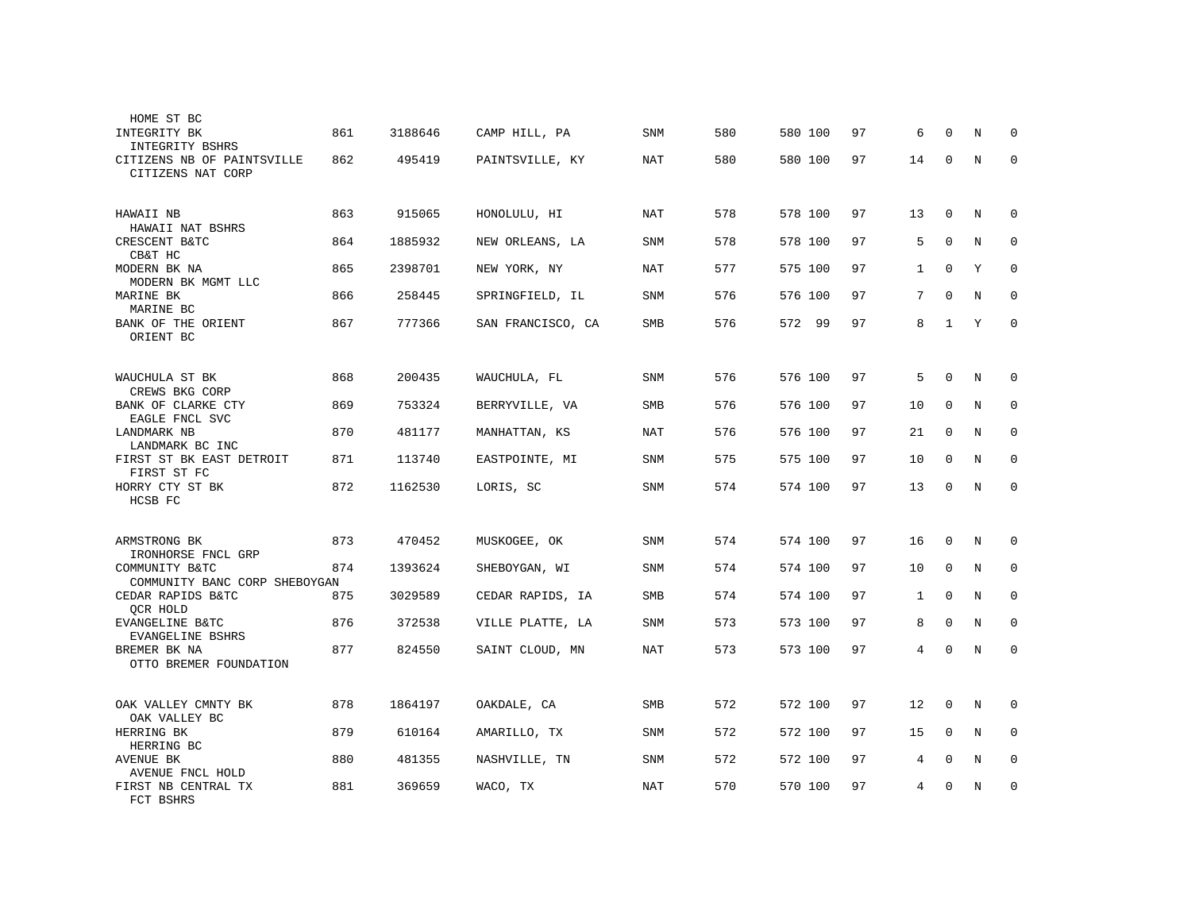| HOME ST BC                                      |     |         |                   |            |     |         |    |              |             |             |             |
|-------------------------------------------------|-----|---------|-------------------|------------|-----|---------|----|--------------|-------------|-------------|-------------|
| <b>INTEGRITY BK</b><br>INTEGRITY BSHRS          | 861 | 3188646 | CAMP HILL, PA     | <b>SNM</b> | 580 | 580 100 | 97 | 6            | $\Omega$    | N           | $\Omega$    |
| CITIZENS NB OF PAINTSVILLE<br>CITIZENS NAT CORP | 862 | 495419  | PAINTSVILLE, KY   | NAT        | 580 | 580 100 | 97 | 14           | 0           | N           | $\Omega$    |
| HAWAII NB<br>HAWAII NAT BSHRS                   | 863 | 915065  | HONOLULU, HI      | NAT        | 578 | 578 100 | 97 | 13           | 0           | N           | 0           |
| CRESCENT B&TC<br>CB&T HC                        | 864 | 1885932 | NEW ORLEANS, LA   | <b>SNM</b> | 578 | 578 100 | 97 | 5            | $\mathbf 0$ | $\mathbf N$ | 0           |
| MODERN BK NA<br>MODERN BK MGMT LLC              | 865 | 2398701 | NEW YORK, NY      | NAT        | 577 | 575 100 | 97 | $\mathbf{1}$ | $\mathbf 0$ | Υ           | 0           |
| MARINE BK<br>MARINE BC                          | 866 | 258445  | SPRINGFIELD, IL   | <b>SNM</b> | 576 | 576 100 | 97 | 7            | $\mathbf 0$ | N           | $\mathbf 0$ |
| BANK OF THE ORIENT<br>ORIENT BC                 | 867 | 777366  | SAN FRANCISCO, CA | <b>SMB</b> | 576 | 572 99  | 97 | 8            | $\mathbf 1$ | $\mathbf Y$ | $\mathbf 0$ |
| WAUCHULA ST BK<br>CREWS BKG CORP                | 868 | 200435  | WAUCHULA, FL      | SNM        | 576 | 576 100 | 97 | 5            | 0           | N           | 0           |
| BANK OF CLARKE CTY<br>EAGLE FNCL SVC            | 869 | 753324  | BERRYVILLE, VA    | SMB        | 576 | 576 100 | 97 | 10           | $\mathbf 0$ | N           | 0           |
| LANDMARK NB<br>LANDMARK BC INC                  | 870 | 481177  | MANHATTAN, KS     | <b>NAT</b> | 576 | 576 100 | 97 | 21           | 0           | N           | 0           |
| FIRST ST BK EAST DETROIT<br>FIRST ST FC         | 871 | 113740  | EASTPOINTE, MI    | SNM        | 575 | 575 100 | 97 | 10           | $\Omega$    | N           | $\Omega$    |
| HORRY CTY ST BK<br>HCSB FC                      | 872 | 1162530 | LORIS, SC         | SNM        | 574 | 574 100 | 97 | 13           | $\Omega$    | N           | $\mathbf 0$ |
| ARMSTRONG BK<br>IRONHORSE FNCL GRP              | 873 | 470452  | MUSKOGEE, OK      | <b>SNM</b> | 574 | 574 100 | 97 | 16           | $\mathbf 0$ | N           | $\Omega$    |
| COMMUNITY B&TC<br>COMMUNITY BANC CORP SHEBOYGAN | 874 | 1393624 | SHEBOYGAN, WI     | SNM        | 574 | 574 100 | 97 | 10           | $\Omega$    | N           | $\Omega$    |
| CEDAR RAPIDS B&TC<br>QCR HOLD                   | 875 | 3029589 | CEDAR RAPIDS, IA  | <b>SMB</b> | 574 | 574 100 | 97 | 1            | $\Omega$    | N           | $\Omega$    |
| EVANGELINE B&TC<br>EVANGELINE BSHRS             | 876 | 372538  | VILLE PLATTE, LA  | SNM        | 573 | 573 100 | 97 | 8            | $\Omega$    | N           | $\Omega$    |
| BREMER BK NA<br>OTTO BREMER FOUNDATION          | 877 | 824550  | SAINT CLOUD, MN   | NAT        | 573 | 573 100 | 97 | 4            | 0           | N           | $\mathbf 0$ |
| OAK VALLEY CMNTY BK<br>OAK VALLEY BC            | 878 | 1864197 | OAKDALE, CA       | SMB        | 572 | 572 100 | 97 | 12           | $\mathbf 0$ | N           | 0           |
| HERRING BK<br>HERRING BC                        | 879 | 610164  | AMARILLO, TX      | SNM        | 572 | 572 100 | 97 | 15           | $\mathbf 0$ | N           | $\mathbf 0$ |
| AVENUE BK<br>AVENUE FNCL HOLD                   | 880 | 481355  | NASHVILLE, TN     | SNM        | 572 | 572 100 | 97 | 4            | $\mathbf 0$ | N           | $\mathbf 0$ |
| FIRST NB CENTRAL TX<br>FCT BSHRS                | 881 | 369659  | WACO, TX          | NAT        | 570 | 570 100 | 97 | 4            | $\Omega$    | N           | 0           |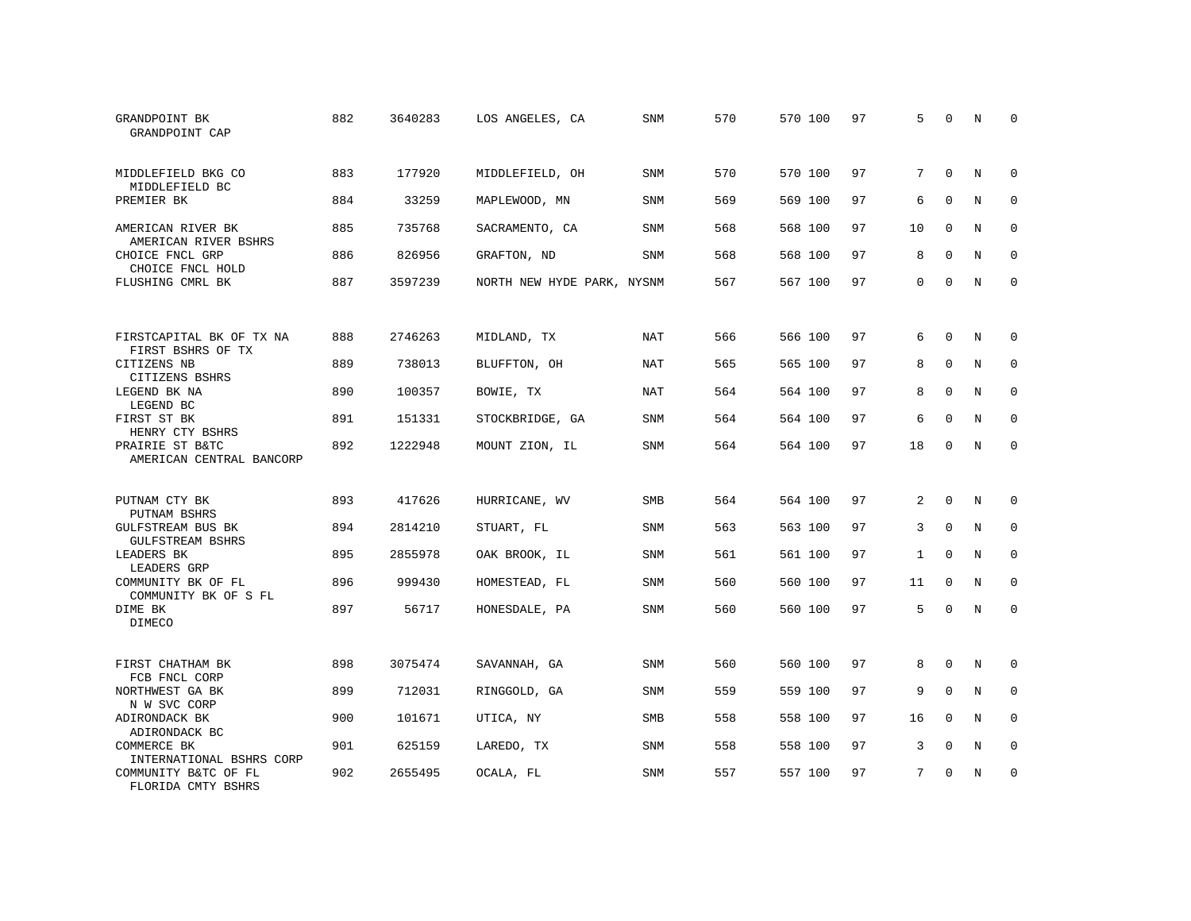| GRANDPOINT BK<br>GRANDPOINT CAP             | 882 | 3640283 | LOS ANGELES, CA            | <b>SNM</b> | 570 | 570 100 | 97 | 5            | $\Omega$    | N           | $\Omega$    |
|---------------------------------------------|-----|---------|----------------------------|------------|-----|---------|----|--------------|-------------|-------------|-------------|
| MIDDLEFIELD BKG CO<br>MIDDLEFIELD BC        | 883 | 177920  | MIDDLEFIELD, OH            | SNM        | 570 | 570 100 | 97 | 7            | $\Omega$    | N           | $\Omega$    |
| PREMIER BK                                  | 884 | 33259   | MAPLEWOOD, MN              | <b>SNM</b> | 569 | 569 100 | 97 | 6            | $\Omega$    | N           | $\Omega$    |
| AMERICAN RIVER BK<br>AMERICAN RIVER BSHRS   | 885 | 735768  | SACRAMENTO, CA             | SNM        | 568 | 568 100 | 97 | 10           | $\Omega$    | N           | 0           |
| CHOICE FNCL GRP<br>CHOICE FNCL HOLD         | 886 | 826956  | GRAFTON, ND                | <b>SNM</b> | 568 | 568 100 | 97 | 8            | $\Omega$    | N           | $\Omega$    |
| FLUSHING CMRL BK                            | 887 | 3597239 | NORTH NEW HYDE PARK, NYSNM |            | 567 | 567 100 | 97 | $\Omega$     | $\Omega$    | N           | $\mathbf 0$ |
| FIRSTCAPITAL BK OF TX NA                    | 888 | 2746263 | MIDLAND, TX                | NAT        | 566 | 566 100 | 97 | 6            | $\Omega$    | N           | $\Omega$    |
| FIRST BSHRS OF TX<br>CITIZENS NB            | 889 | 738013  | BLUFFTON, OH               | <b>NAT</b> | 565 | 565 100 | 97 | 8            | $\Omega$    | N           | $\Omega$    |
| CITIZENS BSHRS<br>LEGEND BK NA<br>LEGEND BC | 890 | 100357  | BOWIE, TX                  | NAT        | 564 | 564 100 | 97 | 8            | $\Omega$    | N           | $\Omega$    |
| FIRST ST BK<br>HENRY CTY BSHRS              | 891 | 151331  | STOCKBRIDGE, GA            | <b>SNM</b> | 564 | 564 100 | 97 | 6            | $\Omega$    | N           | $\Omega$    |
| PRAIRIE ST B&TC<br>AMERICAN CENTRAL BANCORP | 892 | 1222948 | MOUNT ZION, IL             | SNM        | 564 | 564 100 | 97 | 18           | $\Omega$    | N           | $\Omega$    |
| PUTNAM CTY BK<br>PUTNAM BSHRS               | 893 | 417626  | HURRICANE, WV              | <b>SMB</b> | 564 | 564 100 | 97 | 2            | $\Omega$    | N           | $\Omega$    |
| GULFSTREAM BUS BK<br>GULFSTREAM BSHRS       | 894 | 2814210 | STUART, FL                 | SNM        | 563 | 563 100 | 97 | 3            | $\mathbf 0$ | $\rm N$     | $\mathbf 0$ |
| LEADERS BK<br>LEADERS GRP                   | 895 | 2855978 | OAK BROOK, IL              | <b>SNM</b> | 561 | 561 100 | 97 | $\mathbf{1}$ | $\Omega$    | N           | $\mathbf 0$ |
| COMMUNITY BK OF FL<br>COMMUNITY BK OF S FL  | 896 | 999430  | HOMESTEAD, FL              | SNM        | 560 | 560 100 | 97 | 11           | $\mathbf 0$ | $\rm N$     | $\mathbf 0$ |
| DIME BK<br><b>DIMECO</b>                    | 897 | 56717   | HONESDALE, PA              | <b>SNM</b> | 560 | 560 100 | 97 | 5            | $\Omega$    | $\mathbf N$ | $\mathbf 0$ |
| FIRST CHATHAM BK<br>FCB FNCL CORP           | 898 | 3075474 | SAVANNAH, GA               | <b>SNM</b> | 560 | 560 100 | 97 | 8            | $\Omega$    | N           | 0           |
| NORTHWEST GA BK<br>N W SVC CORP             | 899 | 712031  | RINGGOLD, GA               | SNM        | 559 | 559 100 | 97 | 9            | $\mathbf 0$ | $\mathbf N$ | $\mathbf 0$ |
| ADIRONDACK BK<br>ADIRONDACK BC              | 900 | 101671  | UTICA, NY                  | <b>SMB</b> | 558 | 558 100 | 97 | 16           | $\mathbf 0$ | N           | $\mathbf 0$ |
| COMMERCE BK<br>INTERNATIONAL BSHRS CORP     | 901 | 625159  | LAREDO, TX                 | SNM        | 558 | 558 100 | 97 | 3            | 0           | N           | 0           |
| COMMUNITY B&TC OF FL<br>FLORIDA CMTY BSHRS  | 902 | 2655495 | OCALA, FL                  | SNM        | 557 | 557 100 | 97 | 7            | $\Omega$    | N           | $\mathbf 0$ |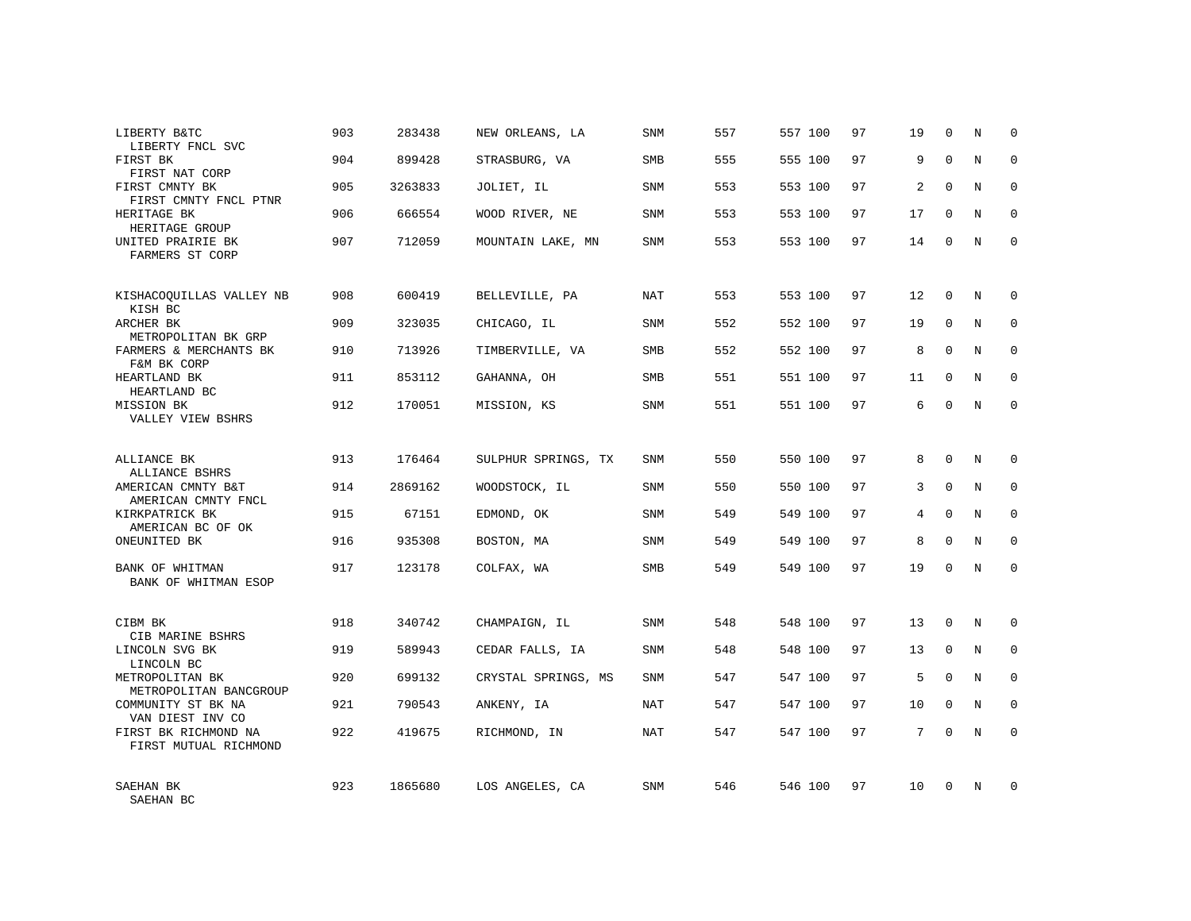| LIBERTY B&TC<br>LIBERTY FNCL SVC                 | 903 | 283438  | NEW ORLEANS, LA     | SNM        | 557 | 557 100 | 97 | 19             | $\Omega$    | N          | $\Omega$    |
|--------------------------------------------------|-----|---------|---------------------|------------|-----|---------|----|----------------|-------------|------------|-------------|
| FIRST BK<br>FIRST NAT CORP                       | 904 | 899428  | STRASBURG, VA       | SMB        | 555 | 555 100 | 97 | 9              | $\Omega$    | $_{\rm N}$ | $\Omega$    |
| FIRST CMNTY BK<br>FIRST CMNTY FNCL PTNR          | 905 | 3263833 | JOLIET, IL          | SNM        | 553 | 553 100 | 97 | 2              | $\Omega$    | N          | 0           |
| HERITAGE BK<br>HERITAGE GROUP                    | 906 | 666554  | WOOD RIVER, NE      | SNM        | 553 | 553 100 | 97 | 17             | $\Omega$    | N          | $\Omega$    |
| UNITED PRAIRIE BK<br>FARMERS ST CORP             | 907 | 712059  | MOUNTAIN LAKE, MN   | <b>SNM</b> | 553 | 553 100 | 97 | 14             | $\Omega$    | N          | $\Omega$    |
| KISHACOQUILLAS VALLEY NB<br>KISH BC              | 908 | 600419  | BELLEVILLE, PA      | <b>NAT</b> | 553 | 553 100 | 97 | 12             | $\Omega$    | N          | $\Omega$    |
| ARCHER BK<br>METROPOLITAN BK GRP                 | 909 | 323035  | CHICAGO, IL         | <b>SNM</b> | 552 | 552 100 | 97 | 19             | $\mathbf 0$ | N          | $\mathbf 0$ |
| FARMERS & MERCHANTS BK<br>F&M BK CORP            | 910 | 713926  | TIMBERVILLE, VA     | <b>SMB</b> | 552 | 552 100 | 97 | 8              | $\Omega$    | N          | $\Omega$    |
| HEARTLAND BK<br>HEARTLAND BC                     | 911 | 853112  | GAHANNA, OH         | SMB        | 551 | 551 100 | 97 | 11             | $\mathbf 0$ | N          | $\mathbf 0$ |
| MISSION BK<br>VALLEY VIEW BSHRS                  | 912 | 170051  | MISSION, KS         | SNM        | 551 | 551 100 | 97 | 6              | $\Omega$    | N          | $\Omega$    |
| ALLIANCE BK<br>ALLIANCE BSHRS                    | 913 | 176464  | SULPHUR SPRINGS, TX | <b>SNM</b> | 550 | 550 100 | 97 | 8              | $\Omega$    | N          | $\Omega$    |
| AMERICAN CMNTY B&T<br>AMERICAN CMNTY FNCL        | 914 | 2869162 | WOODSTOCK, IL       | SNM        | 550 | 550 100 | 97 | 3              | $\mathbf 0$ | N          | $\mathbf 0$ |
| KIRKPATRICK BK<br>AMERICAN BC OF OK              | 915 | 67151   | EDMOND, OK          | SNM        | 549 | 549 100 | 97 | $\overline{4}$ | $\mathbf 0$ | N          | $\mathbf 0$ |
| ONEUNITED BK                                     | 916 | 935308  | BOSTON, MA          | SNM        | 549 | 549 100 | 97 | 8              | $\Omega$    | N          | $\mathbf 0$ |
| BANK OF WHITMAN<br>BANK OF WHITMAN ESOP          | 917 | 123178  | COLFAX, WA          | SMB        | 549 | 549 100 | 97 | 19             | $\Omega$    | N          | 0           |
| CIBM BK                                          | 918 | 340742  | CHAMPAIGN, IL       | <b>SNM</b> | 548 | 548 100 | 97 | 13             | $\Omega$    | N          | 0           |
| CIB MARINE BSHRS<br>LINCOLN SVG BK<br>LINCOLN BC | 919 | 589943  | CEDAR FALLS, IA     | SNM        | 548 | 548 100 | 97 | 13             | $\mathbf 0$ | N          | $\mathbf 0$ |
| METROPOLITAN BK<br>METROPOLITAN BANCGROUP        | 920 | 699132  | CRYSTAL SPRINGS, MS | <b>SNM</b> | 547 | 547 100 | 97 | 5              | $\Omega$    | N          | 0           |
| COMMUNITY ST BK NA<br>VAN DIEST INV CO           | 921 | 790543  | ANKENY, IA          | <b>NAT</b> | 547 | 547 100 | 97 | 10             | $\Omega$    | N          | $\Omega$    |
| FIRST BK RICHMOND NA<br>FIRST MUTUAL RICHMOND    | 922 | 419675  | RICHMOND, IN        | NAT        | 547 | 547 100 | 97 | 7              | $\Omega$    | N          | $\mathbf 0$ |
| SAEHAN BK<br>SAEHAN BC                           | 923 | 1865680 | LOS ANGELES, CA     | SNM        | 546 | 546 100 | 97 | 10             | $\Omega$    | N          | $\Omega$    |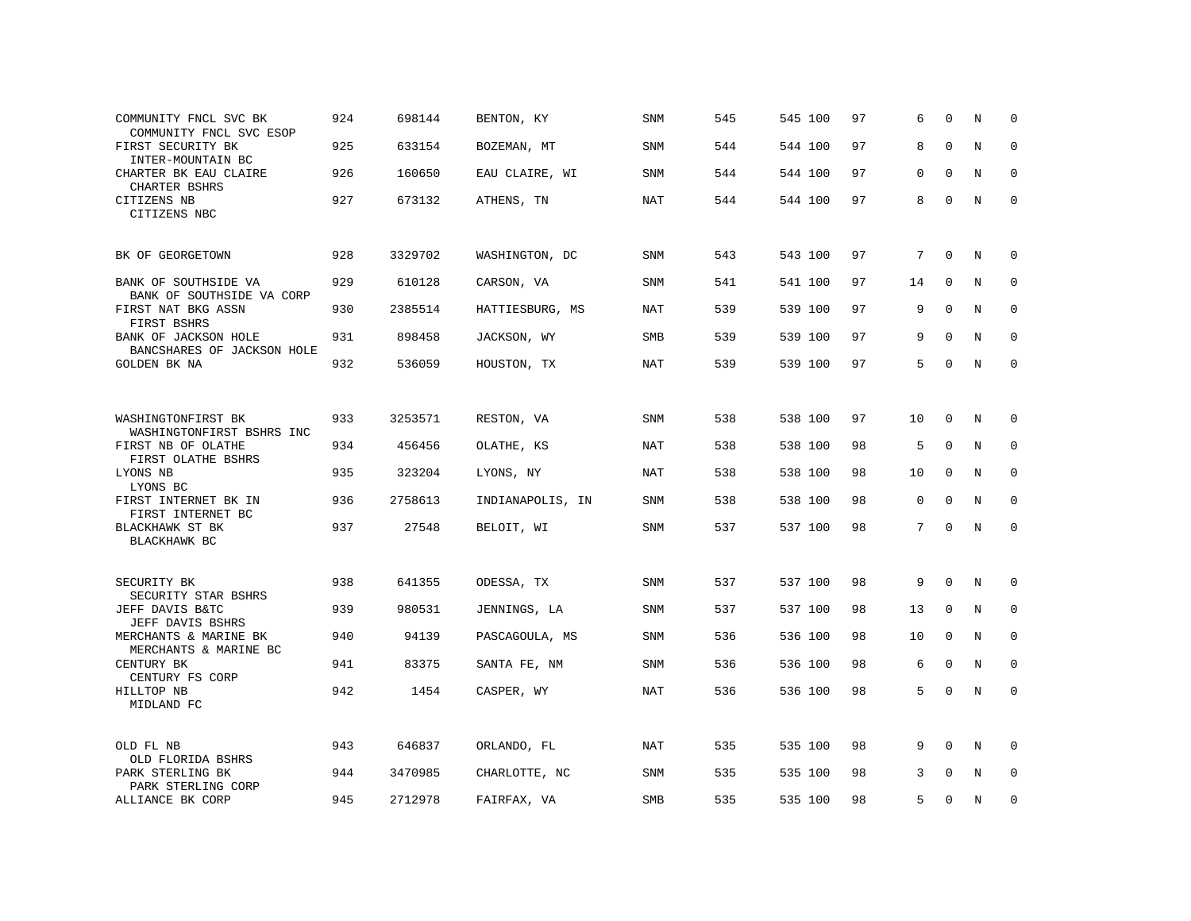| COMMUNITY FNCL SVC BK<br>COMMUNITY FNCL SVC ESOP   | 924 | 698144  | BENTON, KY       | <b>SNM</b> | 545 | 545 100 | 97 | 6           | $\Omega$    | N           | $\mathbf 0$  |
|----------------------------------------------------|-----|---------|------------------|------------|-----|---------|----|-------------|-------------|-------------|--------------|
| FIRST SECURITY BK<br>INTER-MOUNTAIN BC             | 925 | 633154  | BOZEMAN, MT      | SNM        | 544 | 544 100 | 97 | 8           | $\mathbf 0$ | $\mathbf N$ | $\mathbf 0$  |
| CHARTER BK EAU CLAIRE<br>CHARTER BSHRS             | 926 | 160650  | EAU CLAIRE, WI   | SNM        | 544 | 544 100 | 97 | $\mathbf 0$ | $\Omega$    | N           | $\mathbf 0$  |
| CITIZENS NB<br>CITIZENS NBC                        | 927 | 673132  | ATHENS, TN       | NAT        | 544 | 544 100 | 97 | 8           | $\mathbf 0$ | $\mathbb N$ | $\mathsf 0$  |
| BK OF GEORGETOWN                                   | 928 | 3329702 | WASHINGTON, DC   | SNM        | 543 | 543 100 | 97 | 7           | $\mathbf 0$ | N           | 0            |
| BANK OF SOUTHSIDE VA<br>BANK OF SOUTHSIDE VA CORP  | 929 | 610128  | CARSON, VA       | <b>SNM</b> | 541 | 541 100 | 97 | 14          | $\Omega$    | N           | $\mathbf 0$  |
| FIRST NAT BKG ASSN<br>FIRST BSHRS                  | 930 | 2385514 | HATTIESBURG, MS  | <b>NAT</b> | 539 | 539 100 | 97 | 9           | $\mathbf 0$ | $\mathbb N$ | $\mathbf 0$  |
| BANK OF JACKSON HOLE<br>BANCSHARES OF JACKSON HOLE | 931 | 898458  | JACKSON, WY      | <b>SMB</b> | 539 | 539 100 | 97 | 9           | $\Omega$    | N           | $\mathbf 0$  |
| GOLDEN BK NA                                       | 932 | 536059  | HOUSTON, TX      | NAT        | 539 | 539 100 | 97 | 5           | $\mathbf 0$ | $\mathbb N$ | $\mathsf 0$  |
|                                                    |     |         |                  |            |     |         |    |             |             |             |              |
| WASHINGTONFIRST BK<br>WASHINGTONFIRST BSHRS INC    | 933 | 3253571 | RESTON, VA       | <b>SNM</b> | 538 | 538 100 | 97 | 10          | 0           | N           | 0            |
| FIRST NB OF OLATHE<br>FIRST OLATHE BSHRS           | 934 | 456456  | OLATHE, KS       | <b>NAT</b> | 538 | 538 100 | 98 | 5           | $\Omega$    | N           | 0            |
| LYONS NB<br>LYONS BC                               | 935 | 323204  | LYONS, NY        | NAT        | 538 | 538 100 | 98 | 10          | $\mathbf 0$ | N           | $\mathbf 0$  |
| FIRST INTERNET BK IN<br>FIRST INTERNET BC          | 936 | 2758613 | INDIANAPOLIS, IN | SNM        | 538 | 538 100 | 98 | $\mathbf 0$ | $\mathbf 0$ | N           | $\mathbf{0}$ |
| BLACKHAWK ST BK<br>BLACKHAWK BC                    | 937 | 27548   | BELOIT, WI       | SNM        | 537 | 537 100 | 98 | 7           | $\mathbf 0$ | N           | $\mathbf 0$  |
|                                                    |     |         |                  |            |     |         |    |             |             |             |              |
| SECURITY BK<br>SECURITY STAR BSHRS                 | 938 | 641355  | ODESSA, TX       | <b>SNM</b> | 537 | 537 100 | 98 | 9           | 0           | N           | 0            |
| JEFF DAVIS B&TC<br>JEFF DAVIS BSHRS                | 939 | 980531  | JENNINGS, LA     | <b>SNM</b> | 537 | 537 100 | 98 | 13          | 0           | N           | $\mathbf 0$  |
| MERCHANTS & MARINE BK<br>MERCHANTS & MARINE BC     | 940 | 94139   | PASCAGOULA, MS   | SNM        | 536 | 536 100 | 98 | 10          | $\mathbf 0$ | N           | $\mathbf 0$  |
| CENTURY BK<br>CENTURY FS CORP                      | 941 | 83375   | SANTA FE, NM     | SNM        | 536 | 536 100 | 98 | 6           | $\mathbf 0$ | N           | $\mathbf 0$  |
| HILLTOP NB<br>MIDLAND FC                           | 942 | 1454    | CASPER, WY       | NAT        | 536 | 536 100 | 98 | 5           | 0           | N           | $\mathbf{0}$ |
| OLD FL NB<br>OLD FLORIDA BSHRS                     | 943 | 646837  | ORLANDO, FL      | NAT        | 535 | 535 100 | 98 | 9           | $\Omega$    | N           | $\mathbf 0$  |
| PARK STERLING BK<br>PARK STERLING CORP             | 944 | 3470985 | CHARLOTTE, NC    | <b>SNM</b> | 535 | 535 100 | 98 | 3           | $\Omega$    | N           | $\mathbf{0}$ |
| ALLIANCE BK CORP                                   | 945 | 2712978 | FAIRFAX, VA      | SMB        | 535 | 535 100 | 98 | 5           | $\Omega$    | N           | $\mathbf 0$  |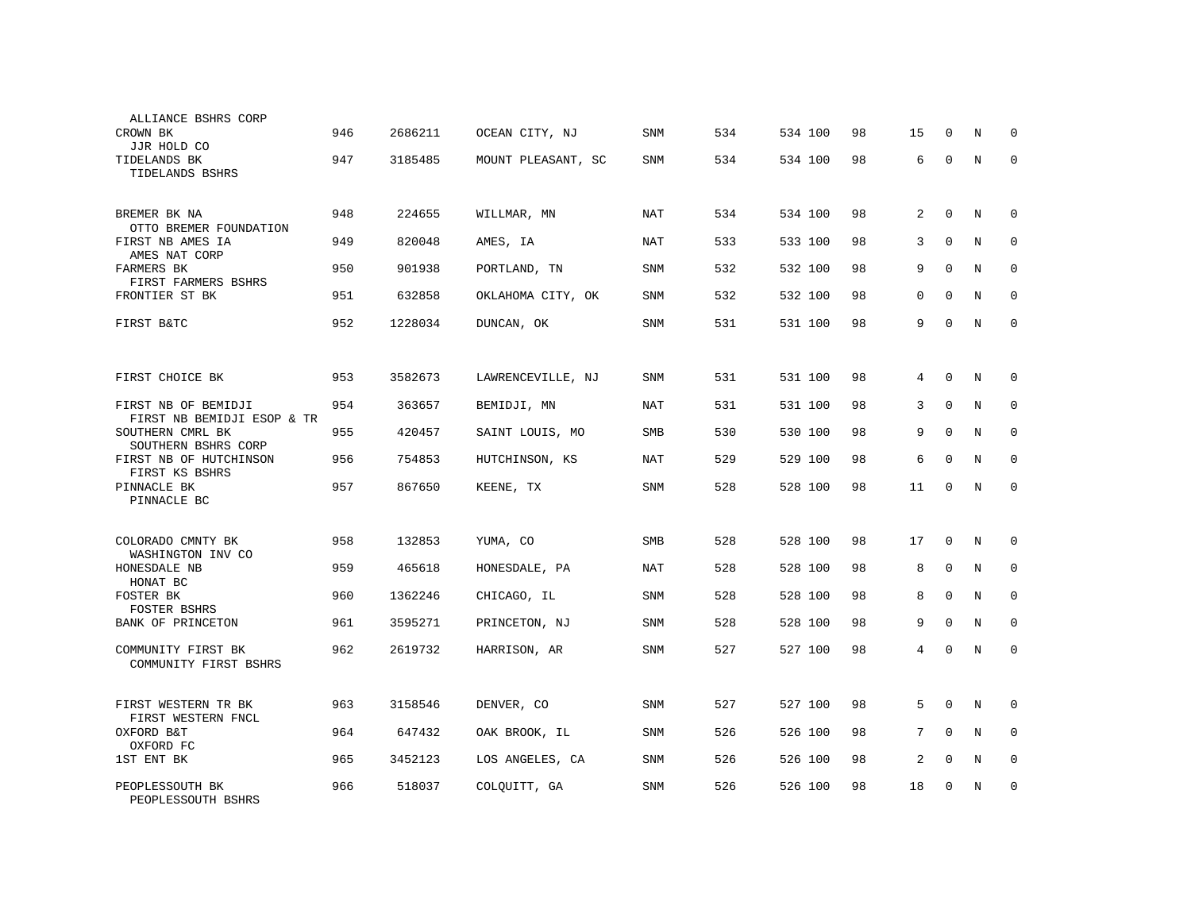| ALLIANCE BSHRS CORP<br>CROWN BK                             | 946 | 2686211 | OCEAN CITY, NJ     | SNM        | 534 | 534 100 | 98 | 15             | $\Omega$    | N           | $\Omega$     |
|-------------------------------------------------------------|-----|---------|--------------------|------------|-----|---------|----|----------------|-------------|-------------|--------------|
| JJR HOLD CO<br>TIDELANDS BK<br>TIDELANDS BSHRS              | 947 | 3185485 | MOUNT PLEASANT, SC | SNM        | 534 | 534 100 | 98 | 6              | $\mathbf 0$ | $\mathbf N$ | $\mathbf{0}$ |
| BREMER BK NA                                                | 948 | 224655  | WILLMAR, MN        | <b>NAT</b> | 534 | 534 100 | 98 | 2              | $\Omega$    | N           | $\mathbf 0$  |
| OTTO BREMER FOUNDATION<br>FIRST NB AMES IA<br>AMES NAT CORP | 949 | 820048  | AMES, IA           | NAT        | 533 | 533 100 | 98 | 3              | $\mathbf 0$ | N           | $\mathbf 0$  |
| <b>FARMERS BK</b><br>FIRST FARMERS BSHRS                    | 950 | 901938  | PORTLAND, TN       | SNM        | 532 | 532 100 | 98 | 9              | $\Omega$    | N           | $\mathbf 0$  |
| FRONTIER ST BK                                              | 951 | 632858  | OKLAHOMA CITY, OK  | SNM        | 532 | 532 100 | 98 | $\mathbf{0}$   | $\mathbf 0$ | N           | $\mathbf 0$  |
| FIRST B&TC                                                  | 952 | 1228034 | DUNCAN, OK         | SNM        | 531 | 531 100 | 98 | 9              | $\Omega$    | N           | $\mathbf{0}$ |
|                                                             |     |         |                    |            |     |         |    |                |             |             |              |
| FIRST CHOICE BK                                             | 953 | 3582673 | LAWRENCEVILLE, NJ  | SNM        | 531 | 531 100 | 98 | 4              | $\mathbf 0$ | N           | 0            |
| FIRST NB OF BEMIDJI<br>FIRST NB BEMIDJI ESOP & TR           | 954 | 363657  | BEMIDJI, MN        | <b>NAT</b> | 531 | 531 100 | 98 | 3              | $\mathbf 0$ | N           | 0            |
| SOUTHERN CMRL BK<br>SOUTHERN BSHRS CORP                     | 955 | 420457  | SAINT LOUIS, MO    | <b>SMB</b> | 530 | 530 100 | 98 | 9              | 0           | N           | $\mathbf{0}$ |
| FIRST NB OF HUTCHINSON<br>FIRST KS BSHRS                    | 956 | 754853  | HUTCHINSON, KS     | <b>NAT</b> | 529 | 529 100 | 98 | 6              | $\mathbf 0$ | $\mathbf N$ | $\mathbf{0}$ |
| PINNACLE BK<br>PINNACLE BC                                  | 957 | 867650  | KEENE, TX          | SNM        | 528 | 528 100 | 98 | 11             | 0           | N           | $\mathbf 0$  |
|                                                             |     |         |                    |            |     |         |    |                |             |             |              |
| COLORADO CMNTY BK<br>WASHINGTON INV CO                      | 958 | 132853  | YUMA, CO           | <b>SMB</b> | 528 | 528 100 | 98 | 17             | $\mathbf 0$ | N           | 0            |
| HONESDALE NB<br>HONAT BC                                    | 959 | 465618  | HONESDALE, PA      | <b>NAT</b> | 528 | 528 100 | 98 | 8              | $\mathbf 0$ | N           | $\mathbf{0}$ |
| FOSTER BK<br>FOSTER BSHRS                                   | 960 | 1362246 | CHICAGO, IL        | SNM        | 528 | 528 100 | 98 | 8              | $\mathbf 0$ | $\mathbf N$ | $\mathbf{0}$ |
| BANK OF PRINCETON                                           | 961 | 3595271 | PRINCETON, NJ      | SNM        | 528 | 528 100 | 98 | 9              | $\Omega$    | $\mathbf N$ | $\mathbf 0$  |
| COMMUNITY FIRST BK<br>COMMUNITY FIRST BSHRS                 | 962 | 2619732 | HARRISON, AR       | SNM        | 527 | 527 100 | 98 | $\overline{4}$ | 0           | N           | 0            |
|                                                             |     |         |                    |            |     |         |    |                |             |             |              |
| FIRST WESTERN TR BK<br>FIRST WESTERN FNCL                   | 963 | 3158546 | DENVER, CO         | SNM        | 527 | 527 100 | 98 | 5              | $\mathbf 0$ | N           | 0            |
| OXFORD B&T<br>OXFORD FC                                     | 964 | 647432  | OAK BROOK, IL      | SNM        | 526 | 526 100 | 98 | 7              | $\mathbf 0$ | N           | $\mathbf 0$  |
| 1ST ENT BK                                                  | 965 | 3452123 | LOS ANGELES, CA    | SNM        | 526 | 526 100 | 98 | 2              | $\mathbf 0$ | N           | $\mathbf 0$  |
| PEOPLESSOUTH BK<br>PEOPLESSOUTH BSHRS                       | 966 | 518037  | COLQUITT, GA       | SNM        | 526 | 526 100 | 98 | 18             | $\mathbf 0$ | N           | $\mathbf 0$  |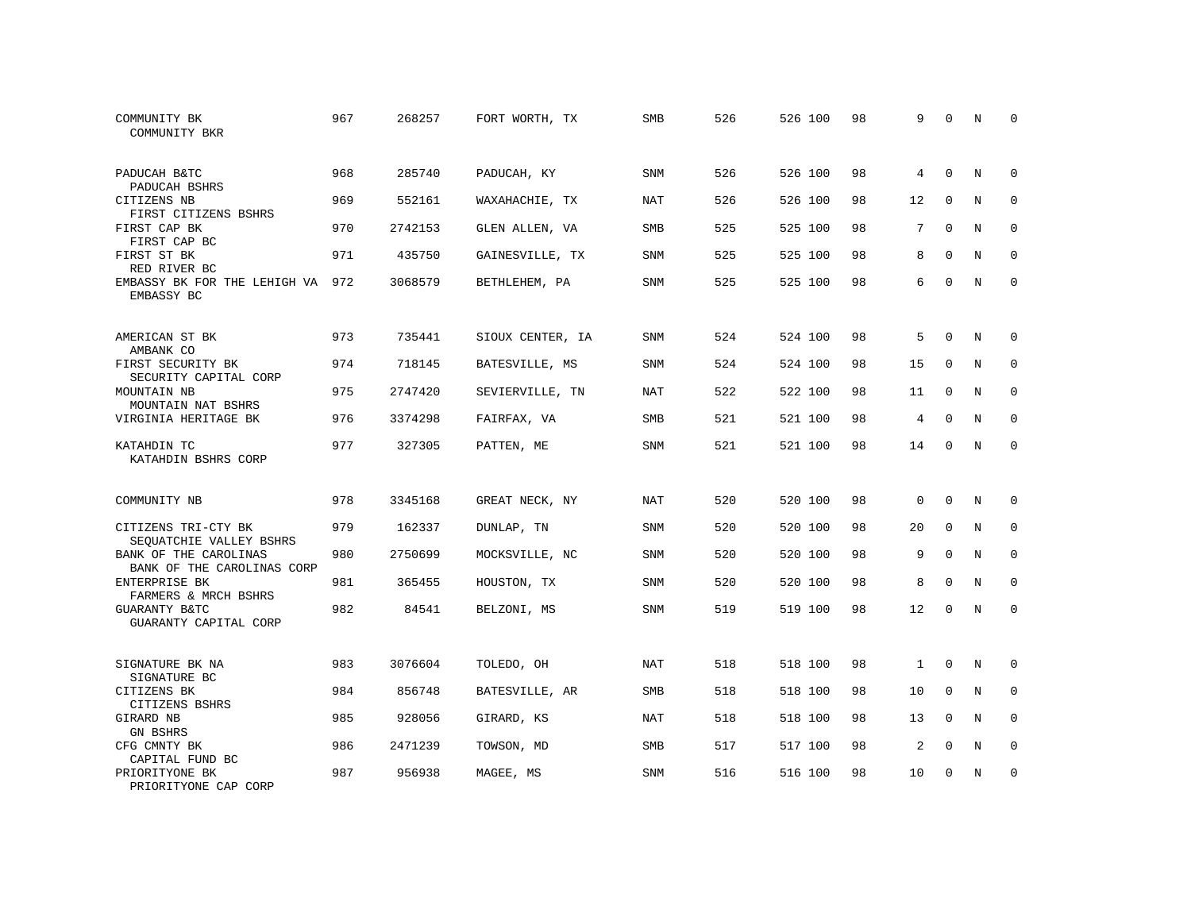| COMMUNITY BK<br>COMMUNITY BKR                       | 967 | 268257  | FORT WORTH, TX   | SMB        | 526 | 526 100 | 98 | 9              | $\Omega$    | N           | $\Omega$    |
|-----------------------------------------------------|-----|---------|------------------|------------|-----|---------|----|----------------|-------------|-------------|-------------|
| PADUCAH B&TC<br>PADUCAH BSHRS                       | 968 | 285740  | PADUCAH, KY      | SNM        | 526 | 526 100 | 98 | 4              | $\Omega$    | N           | $\mathbf 0$ |
| CITIZENS NB<br>FIRST CITIZENS BSHRS                 | 969 | 552161  | WAXAHACHIE, TX   | <b>NAT</b> | 526 | 526 100 | 98 | 12             | $\Omega$    | $_{\rm N}$  | $\mathbf 0$ |
| FIRST CAP BK<br>FIRST CAP BC                        | 970 | 2742153 | GLEN ALLEN, VA   | <b>SMB</b> | 525 | 525 100 | 98 | 7              | $\Omega$    | N           | $\Omega$    |
| FIRST ST BK<br>RED RIVER BC                         | 971 | 435750  | GAINESVILLE, TX  | <b>SNM</b> | 525 | 525 100 | 98 | 8              | $\Omega$    | $\mathbf N$ | $\mathbf 0$ |
| EMBASSY BK FOR THE LEHIGH VA<br>EMBASSY BC          | 972 | 3068579 | BETHLEHEM, PA    | <b>SNM</b> | 525 | 525 100 | 98 | 6              | $\Omega$    | $_{\rm N}$  | $\Omega$    |
| AMERICAN ST BK<br>AMBANK CO                         | 973 | 735441  | SIOUX CENTER, IA | <b>SNM</b> | 524 | 524 100 | 98 | 5              | $\Omega$    | $_{\rm N}$  | 0           |
| FIRST SECURITY BK<br>SECURITY CAPITAL CORP          | 974 | 718145  | BATESVILLE, MS   | SNM        | 524 | 524 100 | 98 | 15             | $\mathbf 0$ | N           | $\mathbf 0$ |
| MOUNTAIN NB<br>MOUNTAIN NAT BSHRS                   | 975 | 2747420 | SEVIERVILLE, TN  | <b>NAT</b> | 522 | 522 100 | 98 | 11             | $\mathbf 0$ | N           | $\mathbf 0$ |
| VIRGINIA HERITAGE BK                                | 976 | 3374298 | FAIRFAX, VA      | SMB        | 521 | 521 100 | 98 | $\overline{4}$ | $\mathbf 0$ | $\mathbf N$ | $\mathbf 0$ |
| KATAHDIN TC<br>KATAHDIN BSHRS CORP                  | 977 | 327305  | PATTEN, ME       | <b>SNM</b> | 521 | 521 100 | 98 | 14             | $\Omega$    | $_{\rm N}$  | $\mathbf 0$ |
| COMMUNITY NB                                        | 978 | 3345168 | GREAT NECK, NY   | <b>NAT</b> | 520 | 520 100 | 98 | $\mathbf 0$    | $\Omega$    | N           | 0           |
| CITIZENS TRI-CTY BK<br>SEQUATCHIE VALLEY BSHRS      | 979 | 162337  | DUNLAP, TN       | <b>SNM</b> | 520 | 520 100 | 98 | 20             | $\mathbf 0$ | N           | $\mathbf 0$ |
| BANK OF THE CAROLINAS<br>BANK OF THE CAROLINAS CORP | 980 | 2750699 | MOCKSVILLE, NC   | SNM        | 520 | 520 100 | 98 | 9              | $\mathbf 0$ | N           | 0           |
| ENTERPRISE BK<br>FARMERS & MRCH BSHRS               | 981 | 365455  | HOUSTON, TX      | <b>SNM</b> | 520 | 520 100 | 98 | 8              | $\Omega$    | $\mathbf N$ | $\mathbf 0$ |
| <b>GUARANTY B&amp;TC</b><br>GUARANTY CAPITAL CORP   | 982 | 84541   | BELZONI, MS      | SNM        | 519 | 519 100 | 98 | 12             | $\mathbf 0$ | $\mathbf N$ | $\mathbf 0$ |
| SIGNATURE BK NA<br>SIGNATURE BC                     | 983 | 3076604 | TOLEDO, OH       | <b>NAT</b> | 518 | 518 100 | 98 | $\mathbf{1}$   | $\Omega$    | N           | 0           |
| CITIZENS BK<br>CITIZENS BSHRS                       | 984 | 856748  | BATESVILLE, AR   | SMB        | 518 | 518 100 | 98 | 10             | $\mathbf 0$ | N           | $\mathbf 0$ |
| GIRARD NB<br>GN BSHRS                               | 985 | 928056  | GIRARD, KS       | <b>NAT</b> | 518 | 518 100 | 98 | 13             | $\Omega$    | N           | $\mathbf 0$ |
| CFG CMNTY BK<br>CAPITAL FUND BC                     | 986 | 2471239 | TOWSON, MD       | SMB        | 517 | 517 100 | 98 | 2              | $\mathbf 0$ | N           | 0           |
| PRIORITYONE BK<br>PRIORITYONE CAP CORP              | 987 | 956938  | MAGEE, MS        | <b>SNM</b> | 516 | 516 100 | 98 | 10             | $\Omega$    | N           | $\mathbf 0$ |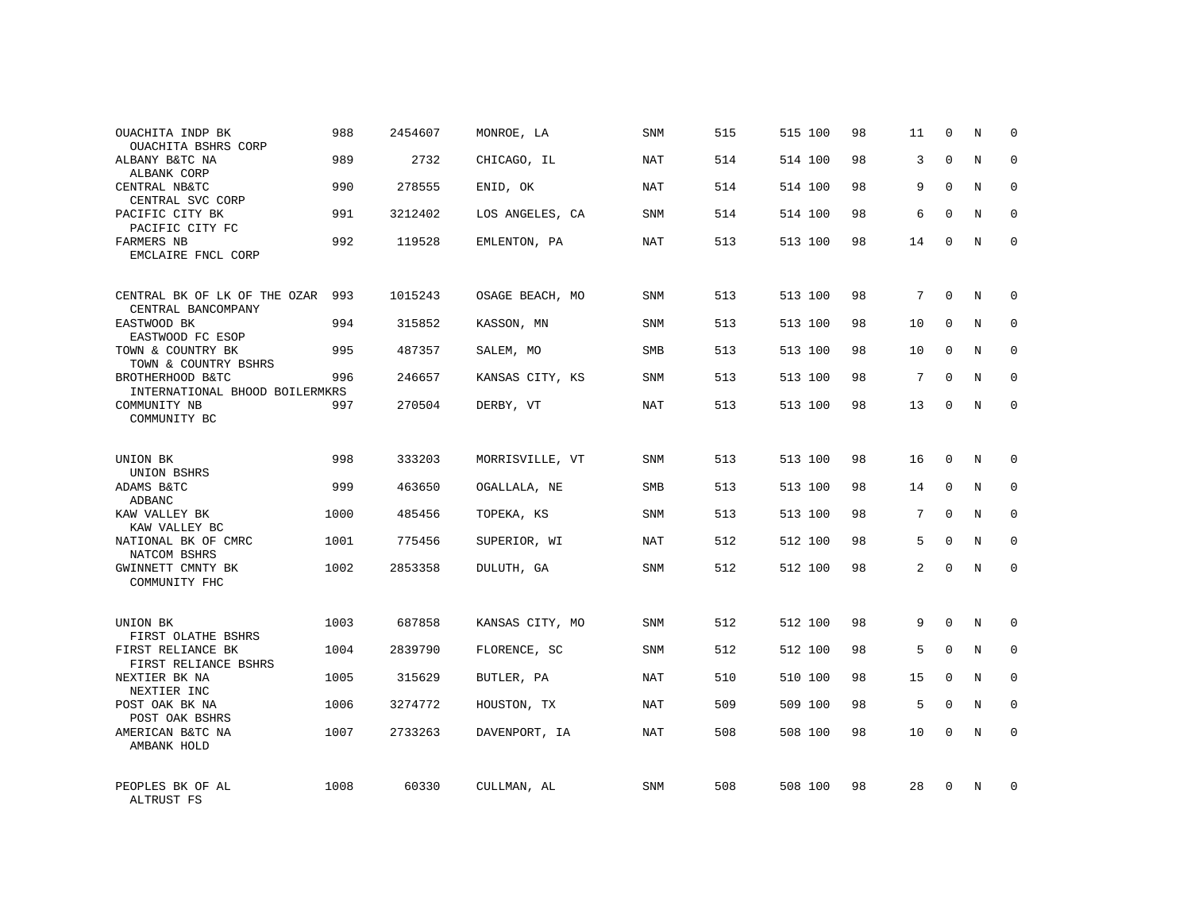| OUACHITA INDP BK<br>OUACHITA BSHRS CORP            | 988  | 2454607 | MONROE, LA      | SNM        | 515 | 515 100 | 98 | 11 | $\mathbf 0$ | N           | $\Omega$    |
|----------------------------------------------------|------|---------|-----------------|------------|-----|---------|----|----|-------------|-------------|-------------|
| ALBANY B&TC NA<br>ALBANK CORP                      | 989  | 2732    | CHICAGO, IL     | <b>NAT</b> | 514 | 514 100 | 98 | 3  | $\Omega$    | N           | $\Omega$    |
| CENTRAL NB&TC<br>CENTRAL SVC CORP                  | 990  | 278555  | ENID, OK        | NAT        | 514 | 514 100 | 98 | 9  | $\Omega$    | N           | 0           |
| PACIFIC CITY BK<br>PACIFIC CITY FC                 | 991  | 3212402 | LOS ANGELES, CA | SNM        | 514 | 514 100 | 98 | 6  | $\Omega$    | $_{\rm N}$  | $\Omega$    |
| FARMERS NB<br>EMCLAIRE FNCL CORP                   | 992  | 119528  | EMLENTON, PA    | NAT        | 513 | 513 100 | 98 | 14 | 0           | N           | $\mathbf 0$ |
| CENTRAL BK OF LK OF THE OZAR<br>CENTRAL BANCOMPANY | 993  | 1015243 | OSAGE BEACH, MO | <b>SNM</b> | 513 | 513 100 | 98 | 7  | $\Omega$    | N           | 0           |
| EASTWOOD BK<br>EASTWOOD FC ESOP                    | 994  | 315852  | KASSON, MN      | SNM        | 513 | 513 100 | 98 | 10 | $\Omega$    | N           | $\mathbf 0$ |
| TOWN & COUNTRY BK<br>TOWN & COUNTRY BSHRS          | 995  | 487357  | SALEM, MO       | SMB        | 513 | 513 100 | 98 | 10 | $\Omega$    | N           | $\mathbf 0$ |
| BROTHERHOOD B&TC<br>INTERNATIONAL BHOOD BOILERMKRS | 996  | 246657  | KANSAS CITY, KS | SNM        | 513 | 513 100 | 98 | 7  | $\Omega$    | N           | $\mathbf 0$ |
| COMMUNITY NB<br>COMMUNITY BC                       | 997  | 270504  | DERBY, VT       | <b>NAT</b> | 513 | 513 100 | 98 | 13 | 0           | N           | $\mathbf 0$ |
| UNION BK<br>UNION BSHRS                            | 998  | 333203  | MORRISVILLE, VT | SNM        | 513 | 513 100 | 98 | 16 | 0           | N           | 0           |
| ADAMS B&TC<br>ADBANC                               | 999  | 463650  | OGALLALA, NE    | SMB        | 513 | 513 100 | 98 | 14 | $\mathbf 0$ | N           | $\mathbf 0$ |
| KAW VALLEY BK<br>KAW VALLEY BC                     | 1000 | 485456  | TOPEKA, KS      | SNM        | 513 | 513 100 | 98 | 7  | $\Omega$    | N           | 0           |
| NATIONAL BK OF CMRC<br>NATCOM BSHRS                | 1001 | 775456  | SUPERIOR, WI    | NAT        | 512 | 512 100 | 98 | 5  | $\mathbf 0$ | $\mathbf N$ | $\mathbf 0$ |
| GWINNETT CMNTY BK<br>COMMUNITY FHC                 | 1002 | 2853358 | DULUTH, GA      | SNM        | 512 | 512 100 | 98 | 2  | $\Omega$    | N           | $\mathbf 0$ |
| UNION BK<br>FIRST OLATHE BSHRS                     | 1003 | 687858  | KANSAS CITY, MO | SNM        | 512 | 512 100 | 98 | 9  | $\Omega$    | N           | 0           |
| FIRST RELIANCE BK<br>FIRST RELIANCE BSHRS          | 1004 | 2839790 | FLORENCE, SC    | SNM        | 512 | 512 100 | 98 | 5  | $\mathbf 0$ | $\mathbf N$ | 0           |
| NEXTIER BK NA<br>NEXTIER INC                       | 1005 | 315629  | BUTLER, PA      | <b>NAT</b> | 510 | 510 100 | 98 | 15 | $\Omega$    | N           | 0           |
| POST OAK BK NA<br>POST OAK BSHRS                   | 1006 | 3274772 | HOUSTON, TX     | NAT        | 509 | 509 100 | 98 | 5  | $\mathbf 0$ | $\mathbf N$ | $\mathbf 0$ |
| AMERICAN B&TC NA<br>AMBANK HOLD                    | 1007 | 2733263 | DAVENPORT, IA   | NAT        | 508 | 508 100 | 98 | 10 | $\Omega$    | N           | $\mathbf 0$ |
| PEOPLES BK OF AL<br>ALTRUST FS                     | 1008 | 60330   | CULLMAN, AL     | <b>SNM</b> | 508 | 508 100 | 98 | 28 | $\Omega$    | N           | 0           |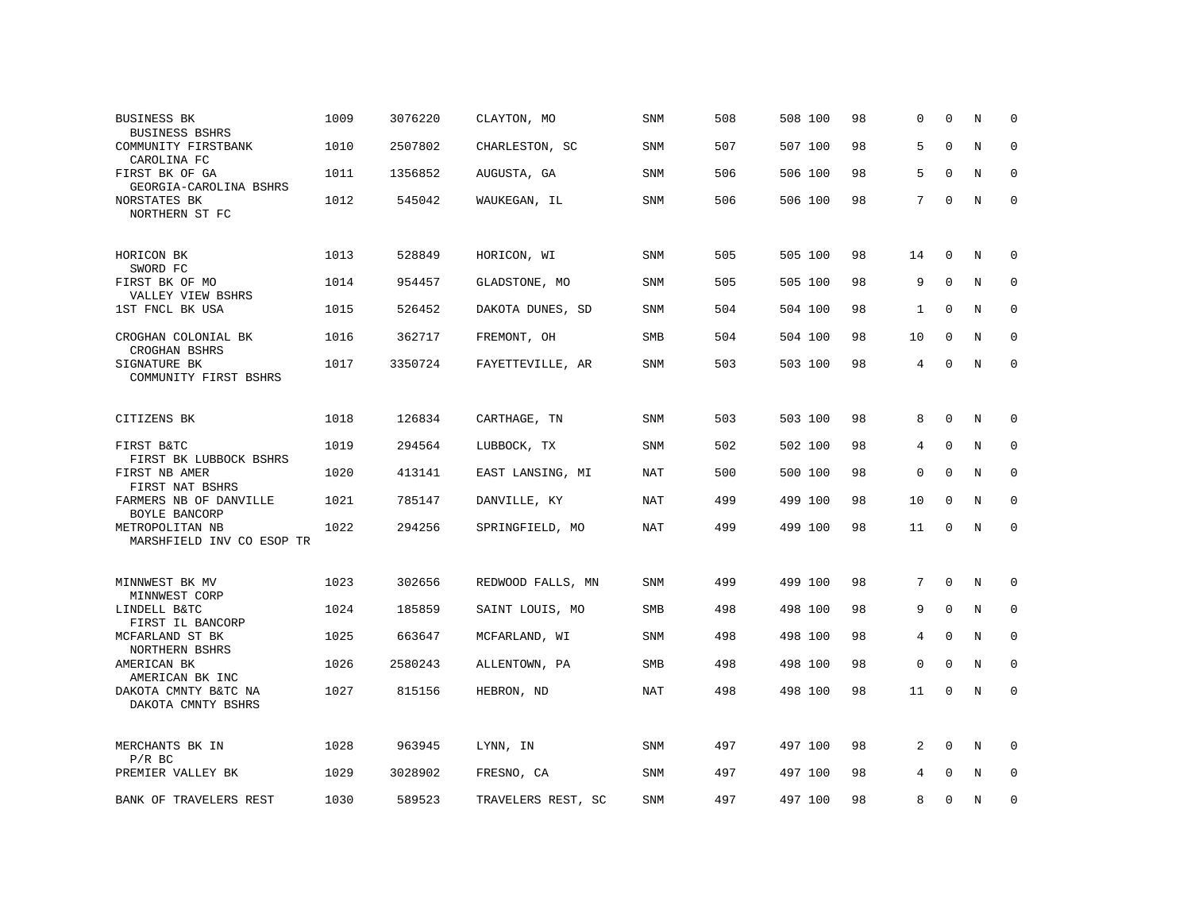| <b>BUSINESS BK</b><br><b>BUSINESS BSHRS</b>                   | 1009 | 3076220 | CLAYTON, MO        | <b>SNM</b> | 508 | 508 100 | 98 | $\Omega$    | $\Omega$    | N           | $\Omega$    |
|---------------------------------------------------------------|------|---------|--------------------|------------|-----|---------|----|-------------|-------------|-------------|-------------|
| COMMUNITY FIRSTBANK<br>CAROLINA FC                            | 1010 | 2507802 | CHARLESTON, SC     | <b>SNM</b> | 507 | 507 100 | 98 | 5           | $\mathbf 0$ | $\rm N$     | $\mathbf 0$ |
| FIRST BK OF GA<br>GEORGIA-CAROLINA BSHRS                      | 1011 | 1356852 | AUGUSTA, GA        | <b>SNM</b> | 506 | 506 100 | 98 | 5           | $\Omega$    | N           | $\mathbf 0$ |
| NORSTATES BK<br>NORTHERN ST FC                                | 1012 | 545042  | WAUKEGAN, IL       | SNM        | 506 | 506 100 | 98 | 7           | $\Omega$    | N           | $\mathbf 0$ |
| HORICON BK<br>SWORD FC                                        | 1013 | 528849  | HORICON, WI        | SNM        | 505 | 505 100 | 98 | 14          | 0           | N           | 0           |
| FIRST BK OF MO<br>VALLEY VIEW BSHRS                           | 1014 | 954457  | GLADSTONE, MO      | SNM        | 505 | 505 100 | 98 | 9           | $\mathbf 0$ | N           | 0           |
| 1ST FNCL BK USA                                               | 1015 | 526452  | DAKOTA DUNES, SD   | <b>SNM</b> | 504 | 504 100 | 98 | 1           | 0           | N           | $\mathbf 0$ |
| CROGHAN COLONIAL BK<br>CROGHAN BSHRS                          | 1016 | 362717  | FREMONT, OH        | SMB        | 504 | 504 100 | 98 | 10          | $\Omega$    | $\rm N$     | $\mathbf 0$ |
| SIGNATURE BK<br>COMMUNITY FIRST BSHRS                         | 1017 | 3350724 | FAYETTEVILLE, AR   | SNM        | 503 | 503 100 | 98 | 4           | $\mathbf 0$ | N           | $\mathbf 0$ |
| CITIZENS BK                                                   | 1018 | 126834  | CARTHAGE, TN       | <b>SNM</b> | 503 | 503 100 | 98 | 8           | $\Omega$    | N           | $\Omega$    |
| FIRST B&TC<br>FIRST BK LUBBOCK BSHRS                          | 1019 | 294564  | LUBBOCK, TX        | SNM        | 502 | 502 100 | 98 | 4           | $\Omega$    | N           | 0           |
| FIRST NB AMER<br>FIRST NAT BSHRS                              | 1020 | 413141  | EAST LANSING, MI   | NAT        | 500 | 500 100 | 98 | $\mathbf 0$ | $\mathbf 0$ | N           | $\mathbf 0$ |
| FARMERS NB OF DANVILLE<br>BOYLE BANCORP                       | 1021 | 785147  | DANVILLE, KY       | NAT        | 499 | 499 100 | 98 | 10          | $\Omega$    | N           | $\mathbf 0$ |
| METROPOLITAN NB<br>MARSHFIELD INV CO ESOP TR                  | 1022 | 294256  | SPRINGFIELD, MO    | <b>NAT</b> | 499 | 499 100 | 98 | 11          | $\mathbf 0$ | $\mathbf N$ | $\mathbf 0$ |
| MINNWEST BK MV                                                | 1023 | 302656  | REDWOOD FALLS, MN  | SNM        | 499 | 499 100 | 98 | 7           | $\mathbf 0$ | N           | 0           |
| MINNWEST CORP<br>LINDELL B&TC                                 | 1024 | 185859  | SAINT LOUIS, MO    | <b>SMB</b> | 498 | 498 100 | 98 | 9           | $\mathbf 0$ | N           | 0           |
| FIRST IL BANCORP<br>MCFARLAND ST BK                           | 1025 | 663647  | MCFARLAND, WI      | SNM        | 498 | 498 100 | 98 | 4           | $\mathbf 0$ | N           | $\mathbf 0$ |
| NORTHERN BSHRS<br>AMERICAN BK                                 | 1026 | 2580243 | ALLENTOWN, PA      | <b>SMB</b> | 498 | 498 100 | 98 | $\mathbf 0$ | $\Omega$    | N           | $\Omega$    |
| AMERICAN BK INC<br>DAKOTA CMNTY B&TC NA<br>DAKOTA CMNTY BSHRS | 1027 | 815156  | HEBRON, ND         | <b>NAT</b> | 498 | 498 100 | 98 | 11          | $\Omega$    | N           | $\mathbf 0$ |
| MERCHANTS BK IN<br>$P/R$ BC                                   | 1028 | 963945  | LYNN, IN           | SNM        | 497 | 497 100 | 98 | 2           | $\Omega$    | N           | $\Omega$    |
| PREMIER VALLEY BK                                             | 1029 | 3028902 | FRESNO, CA         | SNM        | 497 | 497 100 | 98 | 4           | $\Omega$    | N           | $\mathbf 0$ |
| BANK OF TRAVELERS REST                                        | 1030 | 589523  | TRAVELERS REST, SC | <b>SNM</b> | 497 | 497 100 | 98 | 8           | $\Omega$    | N           | $\mathbf 0$ |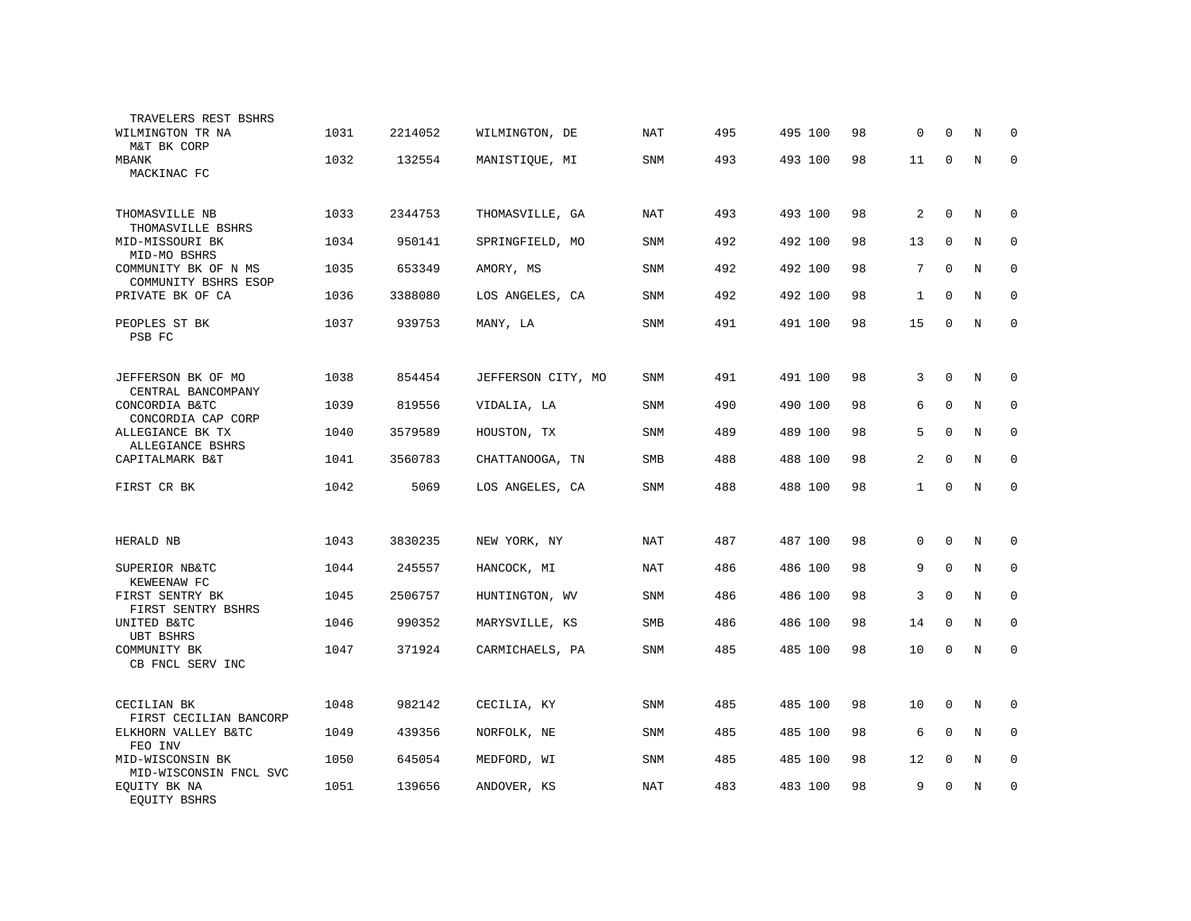| TRAVELERS REST BSHRS<br>WILMINGTON TR NA     | 1031 | 2214052 | WILMINGTON, DE     | <b>NAT</b> | 495 | 495 100 | 98 | 0            | $\Omega$     | N           | 0            |
|----------------------------------------------|------|---------|--------------------|------------|-----|---------|----|--------------|--------------|-------------|--------------|
| M&T BK CORP<br>MBANK<br>MACKINAC FC          | 1032 | 132554  | MANISTIOUE, MI     | SNM        | 493 | 493 100 | 98 | 11           | $\mathbf 0$  | N           | $\mathbf{0}$ |
| THOMASVILLE NB<br>THOMASVILLE BSHRS          | 1033 | 2344753 | THOMASVILLE, GA    | NAT        | 493 | 493 100 | 98 | 2            | $\mathbf{0}$ | N           | 0            |
| MID-MISSOURI BK<br>MID-MO BSHRS              | 1034 | 950141  | SPRINGFIELD, MO    | SNM        | 492 | 492 100 | 98 | 13           | $\mathbf 0$  | $\mathbf N$ | $\mathbf 0$  |
| COMMUNITY BK OF N MS<br>COMMUNITY BSHRS ESOP | 1035 | 653349  | AMORY, MS          | SNM        | 492 | 492 100 | 98 | 7            | $\mathbf 0$  | $\mathbf N$ | $\mathbf 0$  |
| PRIVATE BK OF CA                             | 1036 | 3388080 | LOS ANGELES, CA    | SNM        | 492 | 492 100 | 98 | $\mathbf{1}$ | $\mathbf 0$  | N           | $\mathbf 0$  |
| PEOPLES ST BK<br>PSB FC                      | 1037 | 939753  | MANY, LA           | SNM        | 491 | 491 100 | 98 | 15           | $\mathbf 0$  | $\mathbf N$ | $\mathbf 0$  |
| JEFFERSON BK OF MO                           | 1038 | 854454  | JEFFERSON CITY, MO | SNM        | 491 | 491 100 | 98 | 3            | $\mathbf 0$  | N           | $\Omega$     |
| CENTRAL BANCOMPANY<br>CONCORDIA B&TC         | 1039 | 819556  | VIDALIA, LA        | SNM        | 490 | 490 100 | 98 | 6            | $\mathbf 0$  | N           | $\mathbf 0$  |
| CONCORDIA CAP CORP<br>ALLEGIANCE BK TX       | 1040 | 3579589 | HOUSTON, TX        | SNM        | 489 | 489 100 | 98 | 5            | $\mathbf 0$  | N           | $\mathbf 0$  |
| ALLEGIANCE BSHRS<br>CAPITALMARK B&T          | 1041 | 3560783 | CHATTANOOGA, TN    | <b>SMB</b> | 488 | 488 100 | 98 | 2            | $\Omega$     | N           | $\mathbf 0$  |
| FIRST CR BK                                  | 1042 | 5069    | LOS ANGELES, CA    | SNM        | 488 | 488 100 | 98 | $\mathbf 1$  | $\Omega$     | N           | $\mathbf{0}$ |
|                                              |      |         |                    |            |     |         |    |              |              |             |              |
| HERALD NB                                    | 1043 | 3830235 | NEW YORK, NY       | NAT        | 487 | 487 100 | 98 | 0            | $\mathbf 0$  | N           | $\mathbf 0$  |
| SUPERIOR NB&TC<br>KEWEENAW FC                | 1044 | 245557  | HANCOCK, MI        | <b>NAT</b> | 486 | 486 100 | 98 | 9            | $\Omega$     | N           | $\Omega$     |
| FIRST SENTRY BK<br>FIRST SENTRY BSHRS        | 1045 | 2506757 | HUNTINGTON, WV     | <b>SNM</b> | 486 | 486 100 | 98 | 3            | $\Omega$     | N           | 0            |
| UNITED B&TC<br>UBT BSHRS                     | 1046 | 990352  | MARYSVILLE, KS     | <b>SMB</b> | 486 | 486 100 | 98 | 14           | $\Omega$     | N           | $\Omega$     |
| COMMUNITY BK<br>CB FNCL SERV INC             | 1047 | 371924  | CARMICHAELS, PA    | SNM        | 485 | 485 100 | 98 | 10           | $\mathbf 0$  | N           | $\mathbf 0$  |
|                                              |      |         |                    |            |     |         |    |              |              |             |              |
| CECILIAN BK<br>FIRST CECILIAN BANCORP        | 1048 | 982142  | CECILIA, KY        | SNM        | 485 | 485 100 | 98 | 10           | $\mathbf 0$  | N           | 0            |
| ELKHORN VALLEY B&TC<br>FEO INV               | 1049 | 439356  | NORFOLK, NE        | SNM        | 485 | 485 100 | 98 | 6            | $\mathbf 0$  | N           | $\mathbf 0$  |
| MID-WISCONSIN BK<br>MID-WISCONSIN FNCL SVC   | 1050 | 645054  | MEDFORD, WI        | SNM        | 485 | 485 100 | 98 | 12           | $\mathbf 0$  | N           | $\mathbf 0$  |
| EQUITY BK NA<br><b>EOUITY BSHRS</b>          | 1051 | 139656  | ANDOVER, KS        | NAT        | 483 | 483 100 | 98 | 9            | $\mathbf 0$  | N           | 0            |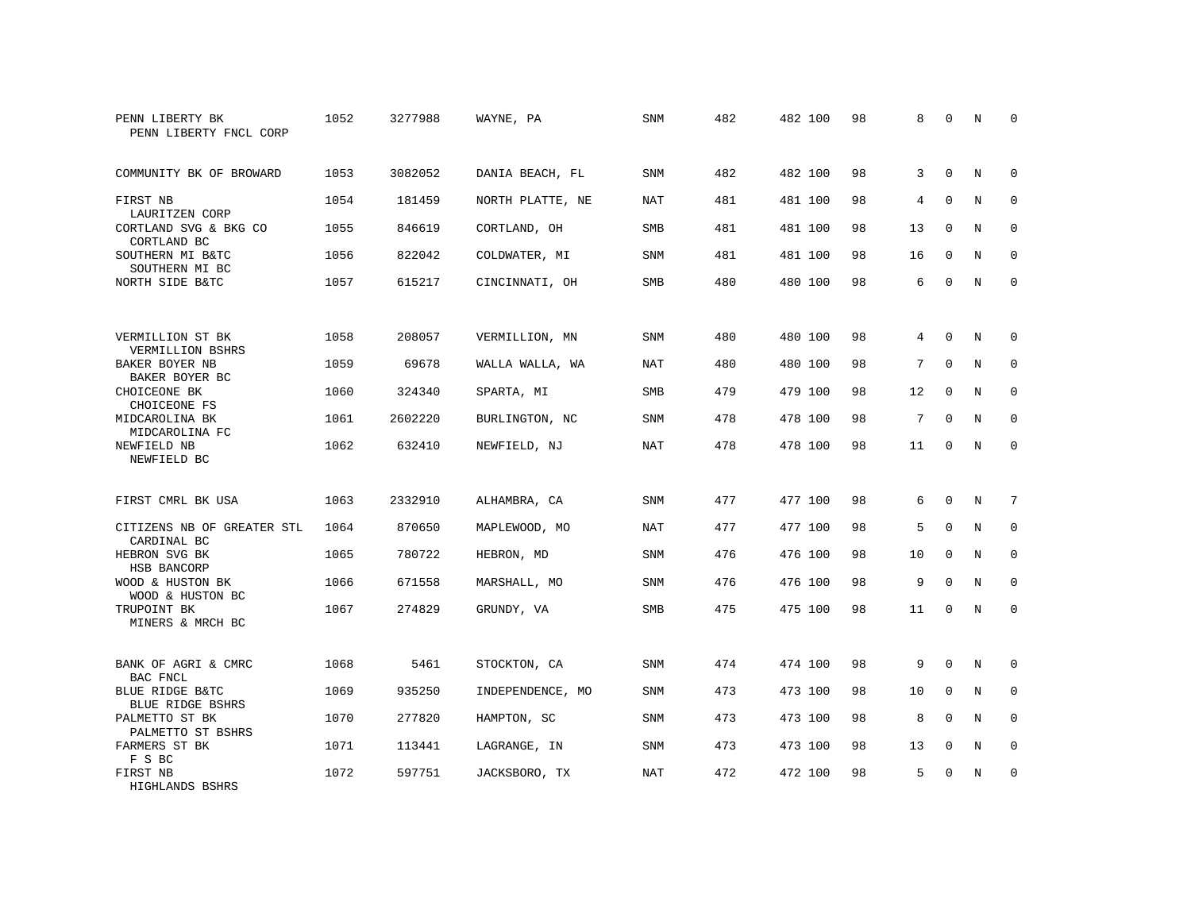| PENN LIBERTY BK<br>PENN LIBERTY FNCL CORP            | 1052 | 3277988 | WAYNE, PA        | SNM        | 482 | 482 100 | 98 | 8  | $\Omega$    | N           | $\Omega$    |
|------------------------------------------------------|------|---------|------------------|------------|-----|---------|----|----|-------------|-------------|-------------|
| COMMUNITY BK OF BROWARD                              | 1053 | 3082052 | DANIA BEACH, FL  | SNM        | 482 | 482 100 | 98 | 3  | $\Omega$    | N           | $\mathbf 0$ |
| FIRST NB<br>LAURITZEN CORP                           | 1054 | 181459  | NORTH PLATTE, NE | <b>NAT</b> | 481 | 481 100 | 98 | 4  | $\Omega$    | N           | $\mathbf 0$ |
| CORTLAND SVG & BKG CO<br>CORTLAND BC                 | 1055 | 846619  | CORTLAND, OH     | <b>SMB</b> | 481 | 481 100 | 98 | 13 | $\Omega$    | N           | $\Omega$    |
| SOUTHERN MI B&TC<br>SOUTHERN MI BC                   | 1056 | 822042  | COLDWATER, MI    | <b>SNM</b> | 481 | 481 100 | 98 | 16 | $\mathbf 0$ | N           | $\mathbf 0$ |
| NORTH SIDE B&TC                                      | 1057 | 615217  | CINCINNATI, OH   | <b>SMB</b> | 480 | 480 100 | 98 | 6  | $\Omega$    | N           | $\Omega$    |
| VERMILLION ST BK                                     | 1058 | 208057  | VERMILLION, MN   | <b>SNM</b> | 480 | 480 100 | 98 | 4  | $\Omega$    | N           | 0           |
| VERMILLION BSHRS<br>BAKER BOYER NB<br>BAKER BOYER BC | 1059 | 69678   | WALLA WALLA, WA  | NAT        | 480 | 480 100 | 98 | 7  | $\mathbf 0$ | N           | $\mathbf 0$ |
| CHOICEONE BK<br>CHOICEONE FS                         | 1060 | 324340  | SPARTA, MI       | <b>SMB</b> | 479 | 479 100 | 98 | 12 | $\Omega$    | N           | $\mathbf 0$ |
| MIDCAROLINA BK<br>MIDCAROLINA FC                     | 1061 | 2602220 | BURLINGTON, NC   | SNM        | 478 | 478 100 | 98 | 7  | $\mathbf 0$ | $\mathbf N$ | $\mathbf 0$ |
| NEWFIELD NB<br>NEWFIELD BC                           | 1062 | 632410  | NEWFIELD, NJ     | <b>NAT</b> | 478 | 478 100 | 98 | 11 | $\Omega$    | N           | $\mathbf 0$ |
| FIRST CMRL BK USA                                    | 1063 | 2332910 | ALHAMBRA, CA     | <b>SNM</b> | 477 | 477 100 | 98 | 6  | $\Omega$    | N           | 7           |
| CITIZENS NB OF GREATER STL<br>CARDINAL BC            | 1064 | 870650  | MAPLEWOOD, MO    | <b>NAT</b> | 477 | 477 100 | 98 | 5  | $\Omega$    | $\mathbf N$ | $\mathbf 0$ |
| HEBRON SVG BK<br>HSB BANCORP                         | 1065 | 780722  | HEBRON, MD       | SNM        | 476 | 476 100 | 98 | 10 | 0           | N           | 0           |
| WOOD & HUSTON BK<br>WOOD & HUSTON BC                 | 1066 | 671558  | MARSHALL, MO     | SNM        | 476 | 476 100 | 98 | 9  | $\Omega$    | $\mathbf N$ | $\mathbf 0$ |
| TRUPOINT BK<br>MINERS & MRCH BC                      | 1067 | 274829  | GRUNDY, VA       | SMB        | 475 | 475 100 | 98 | 11 | $\mathbf 0$ | $\mathbf N$ | $\mathbf 0$ |
| BANK OF AGRI & CMRC<br>BAC FNCL                      | 1068 | 5461    | STOCKTON, CA     | <b>SNM</b> | 474 | 474 100 | 98 | 9  | $\Omega$    | N           | 0           |
| BLUE RIDGE B&TC<br><b>BLUE RIDGE BSHRS</b>           | 1069 | 935250  | INDEPENDENCE, MO | SNM        | 473 | 473 100 | 98 | 10 | $\mathbf 0$ | N           | 0           |
| PALMETTO ST BK<br>PALMETTO ST BSHRS                  | 1070 | 277820  | HAMPTON, SC      | SNM        | 473 | 473 100 | 98 | 8  | $\Omega$    | N           | $\mathbf 0$ |
| FARMERS ST BK<br>F S BC                              | 1071 | 113441  | LAGRANGE, IN     | SNM        | 473 | 473 100 | 98 | 13 | 0           | N           | 0           |
| FIRST NB<br>HIGHLANDS BSHRS                          | 1072 | 597751  | JACKSBORO, TX    | <b>NAT</b> | 472 | 472 100 | 98 | 5  | $\Omega$    | N           | $\mathbf 0$ |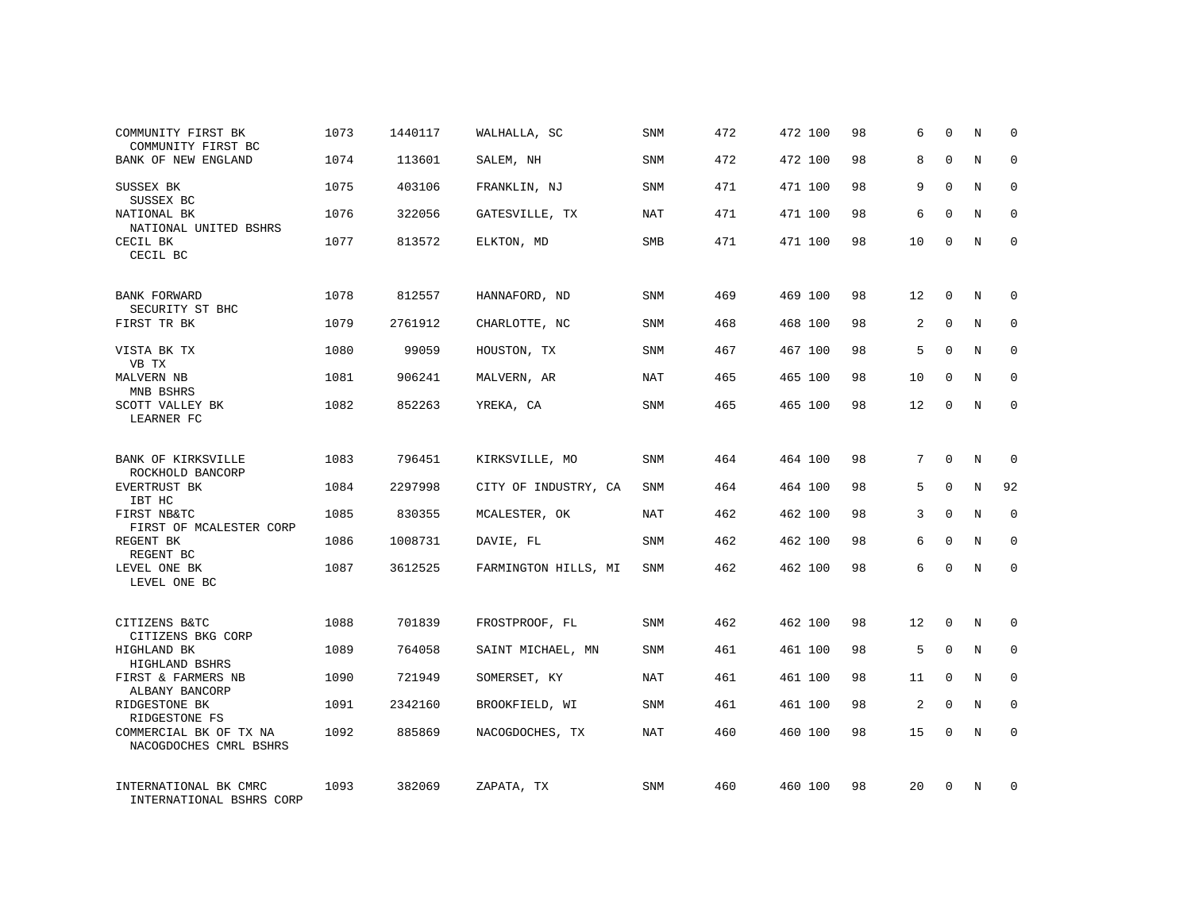| COMMUNITY FIRST BK<br>COMMUNITY FIRST BC          | 1073 | 1440117 | WALHALLA, SC         | SNM        | 472 | 472 100 | 98 | 6  | $\Omega$    | N | 0           |
|---------------------------------------------------|------|---------|----------------------|------------|-----|---------|----|----|-------------|---|-------------|
| BANK OF NEW ENGLAND                               | 1074 | 113601  | SALEM, NH            | SNM        | 472 | 472 100 | 98 | 8  | $\Omega$    | N | $\Omega$    |
| SUSSEX BK<br>SUSSEX BC                            | 1075 | 403106  | FRANKLIN, NJ         | SNM        | 471 | 471 100 | 98 | 9  | $\Omega$    | N | 0           |
| NATIONAL BK<br>NATIONAL UNITED BSHRS              | 1076 | 322056  | GATESVILLE, TX       | <b>NAT</b> | 471 | 471 100 | 98 | 6  | $\Omega$    | N | $\Omega$    |
| CECIL BK<br>CECIL BC                              | 1077 | 813572  | ELKTON, MD           | <b>SMB</b> | 471 | 471 100 | 98 | 10 | $\Omega$    | N | $\Omega$    |
| BANK FORWARD                                      | 1078 | 812557  | HANNAFORD, ND        | <b>SNM</b> | 469 | 469 100 | 98 | 12 | $\Omega$    | N | $\Omega$    |
| SECURITY ST BHC<br>FIRST TR BK                    | 1079 | 2761912 | CHARLOTTE, NC        | <b>SNM</b> | 468 | 468 100 | 98 | 2  | $\mathbf 0$ | N | $\mathbf 0$ |
| VISTA BK TX<br>VB TX                              | 1080 | 99059   | HOUSTON, TX          | <b>SNM</b> | 467 | 467 100 | 98 | 5  | $\Omega$    | N | $\Omega$    |
| MALVERN NB<br>MNB BSHRS                           | 1081 | 906241  | MALVERN, AR          | <b>NAT</b> | 465 | 465 100 | 98 | 10 | $\mathbf 0$ | N | $\mathbf 0$ |
| SCOTT VALLEY BK<br>LEARNER FC                     | 1082 | 852263  | YREKA, CA            | SNM        | 465 | 465 100 | 98 | 12 | $\Omega$    | N | $\Omega$    |
| <b>BANK OF KIRKSVILLE</b><br>ROCKHOLD BANCORP     | 1083 | 796451  | KIRKSVILLE, MO       | SNM        | 464 | 464 100 | 98 | 7  | $\Omega$    | N | $\Omega$    |
| EVERTRUST BK<br>IBT HC                            | 1084 | 2297998 | CITY OF INDUSTRY, CA | <b>SNM</b> | 464 | 464 100 | 98 | 5  | $\mathbf 0$ | N | 92          |
| FIRST NB&TC<br>FIRST OF MCALESTER CORP            | 1085 | 830355  | MCALESTER, OK        | <b>NAT</b> | 462 | 462 100 | 98 | 3  | $\mathbf 0$ | N | $\mathbf 0$ |
| REGENT BK<br>REGENT BC                            | 1086 | 1008731 | DAVIE, FL            | <b>SNM</b> | 462 | 462 100 | 98 | 6  | $\Omega$    | N | $\mathbf 0$ |
| LEVEL ONE BK<br>LEVEL ONE BC                      | 1087 | 3612525 | FARMINGTON HILLS, MI | SNM        | 462 | 462 100 | 98 | 6  | $\Omega$    | N | 0           |
| CITIZENS B&TC<br>CITIZENS BKG CORP                | 1088 | 701839  | FROSTPROOF, FL       | SNM        | 462 | 462 100 | 98 | 12 | 0           | N | 0           |
| HIGHLAND BK<br>HIGHLAND BSHRS                     | 1089 | 764058  | SAINT MICHAEL, MN    | SNM        | 461 | 461 100 | 98 | 5  | $\mathbf 0$ | N | $\mathbf 0$ |
| FIRST & FARMERS NB<br>ALBANY BANCORP              | 1090 | 721949  | SOMERSET, KY         | NAT        | 461 | 461 100 | 98 | 11 | 0           | N | 0           |
| RIDGESTONE BK<br>RIDGESTONE FS                    | 1091 | 2342160 | BROOKFIELD, WI       | SNM        | 461 | 461 100 | 98 | 2  | $\Omega$    | N | $\mathbf 0$ |
| COMMERCIAL BK OF TX NA<br>NACOGDOCHES CMRL BSHRS  | 1092 | 885869  | NACOGDOCHES, TX      | NAT        | 460 | 460 100 | 98 | 15 | $\mathbf 0$ | N | $\mathbf 0$ |
| INTERNATIONAL BK CMRC<br>INTERNATIONAL BSHRS CORP | 1093 | 382069  | ZAPATA, TX           | SNM        | 460 | 460 100 | 98 | 20 | $\Omega$    | N | 0           |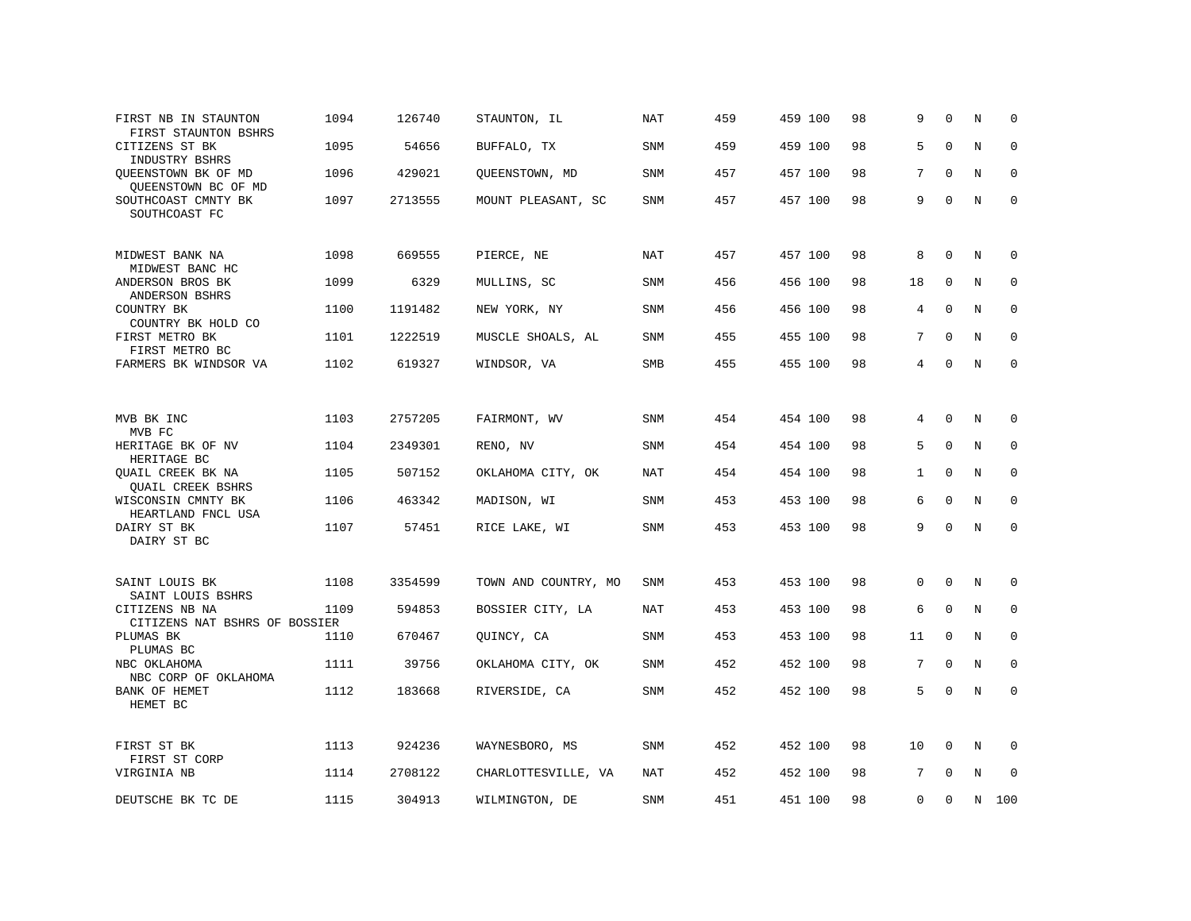| FIRST NB IN STAUNTON<br>FIRST STAUNTON BSHRS    | 1094 | 126740  | STAUNTON, IL         | NAT        | 459 | 459 100 | 98 | 9            | $\Omega$    | N           | 0           |
|-------------------------------------------------|------|---------|----------------------|------------|-----|---------|----|--------------|-------------|-------------|-------------|
| CITIZENS ST BK<br>INDUSTRY BSHRS                | 1095 | 54656   | BUFFALO, TX          | SNM        | 459 | 459 100 | 98 | 5            | $\mathbf 0$ | $\rm N$     | $\mathbf 0$ |
| QUEENSTOWN BK OF MD<br>QUEENSTOWN BC OF MD      | 1096 | 429021  | QUEENSTOWN, MD       | SNM        | 457 | 457 100 | 98 | 7            | $\mathbf 0$ | $\mathbf N$ | $\mathbf 0$ |
| SOUTHCOAST CMNTY BK<br>SOUTHCOAST FC            | 1097 | 2713555 | MOUNT PLEASANT, SC   | SNM        | 457 | 457 100 | 98 | 9            | $\Omega$    | N           | $\mathbf 0$ |
| MIDWEST BANK NA<br>MIDWEST BANC HC              | 1098 | 669555  | PIERCE, NE           | <b>NAT</b> | 457 | 457 100 | 98 | 8            | $\Omega$    | N           | 0           |
| ANDERSON BROS BK<br>ANDERSON BSHRS              | 1099 | 6329    | MULLINS, SC          | SNM        | 456 | 456 100 | 98 | 18           | 0           | N           | $\mathbf 0$ |
| COUNTRY BK<br>COUNTRY BK HOLD CO                | 1100 | 1191482 | NEW YORK, NY         | SNM        | 456 | 456 100 | 98 | 4            | $\mathbf 0$ | $\mathbf N$ | $\mathbf 0$ |
| FIRST METRO BK<br>FIRST METRO BC                | 1101 | 1222519 | MUSCLE SHOALS, AL    | <b>SNM</b> | 455 | 455 100 | 98 | 7            | $\Omega$    | $_{\rm N}$  | $\mathbf 0$ |
| FARMERS BK WINDSOR VA                           | 1102 | 619327  | WINDSOR, VA          | SMB        | 455 | 455 100 | 98 | 4            | 0           | N           | $\mathbf 0$ |
|                                                 |      |         |                      |            |     |         |    |              |             |             |             |
| MVB BK INC<br>MVB FC                            | 1103 | 2757205 | FAIRMONT, WV         | <b>SNM</b> | 454 | 454 100 | 98 | 4            | $\Omega$    | N           | 0           |
| HERITAGE BK OF NV<br>HERITAGE BC                | 1104 | 2349301 | RENO, NV             | SNM        | 454 | 454 100 | 98 | 5            | $\Omega$    | $\mathbf N$ | $\mathbf 0$ |
| QUAIL CREEK BK NA<br><b>QUAIL CREEK BSHRS</b>   | 1105 | 507152  | OKLAHOMA CITY, OK    | NAT        | 454 | 454 100 | 98 | $\mathbf{1}$ | $\mathbf 0$ | N           | $\mathbf 0$ |
| WISCONSIN CMNTY BK<br>HEARTLAND FNCL USA        | 1106 | 463342  | MADISON, WI          | <b>SNM</b> | 453 | 453 100 | 98 | 6            | $\Omega$    | N           | $\mathbf 0$ |
| DAIRY ST BK<br>DAIRY ST BC                      | 1107 | 57451   | RICE LAKE, WI        | SNM        | 453 | 453 100 | 98 | 9            | $\Omega$    | $\mathbb N$ | $\mathbf 0$ |
| SAINT LOUIS BK                                  | 1108 | 3354599 | TOWN AND COUNTRY, MO | SNM        | 453 | 453 100 | 98 | $\mathbf{0}$ | $\mathbf 0$ | N           | 0           |
| SAINT LOUIS BSHRS                               |      |         |                      |            |     |         |    |              |             |             |             |
| CITIZENS NB NA<br>CITIZENS NAT BSHRS OF BOSSIER | 1109 | 594853  | BOSSIER CITY, LA     | <b>NAT</b> | 453 | 453 100 | 98 | 6            | $\mathbf 0$ | N           | 0           |
| PLUMAS BK<br>PLUMAS BC                          | 1110 | 670467  | QUINCY, CA           | <b>SNM</b> | 453 | 453 100 | 98 | 11           | $\Omega$    | N           | $\Omega$    |
| NBC OKLAHOMA<br>NBC CORP OF OKLAHOMA            | 1111 | 39756   | OKLAHOMA CITY, OK    | SNM        | 452 | 452 100 | 98 | 7            | $\mathbf 0$ | N           | 0           |
| BANK OF HEMET<br>HEMET BC                       | 1112 | 183668  | RIVERSIDE, CA        | SNM        | 452 | 452 100 | 98 | 5            | 0           | N           | $\mathbf 0$ |
| FIRST ST BK                                     | 1113 | 924236  | WAYNESBORO, MS       | SNM        | 452 | 452 100 | 98 | 10           | $\mathbf 0$ | N           | 0           |
| FIRST ST CORP<br>VIRGINIA NB                    | 1114 | 2708122 | CHARLOTTESVILLE, VA  | NAT        | 452 | 452 100 | 98 | 7            | $\Omega$    | N           | 0           |
| DEUTSCHE BK TC DE                               | 1115 | 304913  | WILMINGTON, DE       | <b>SNM</b> | 451 | 451 100 | 98 | $\Omega$     | $\Omega$    | N           | 100         |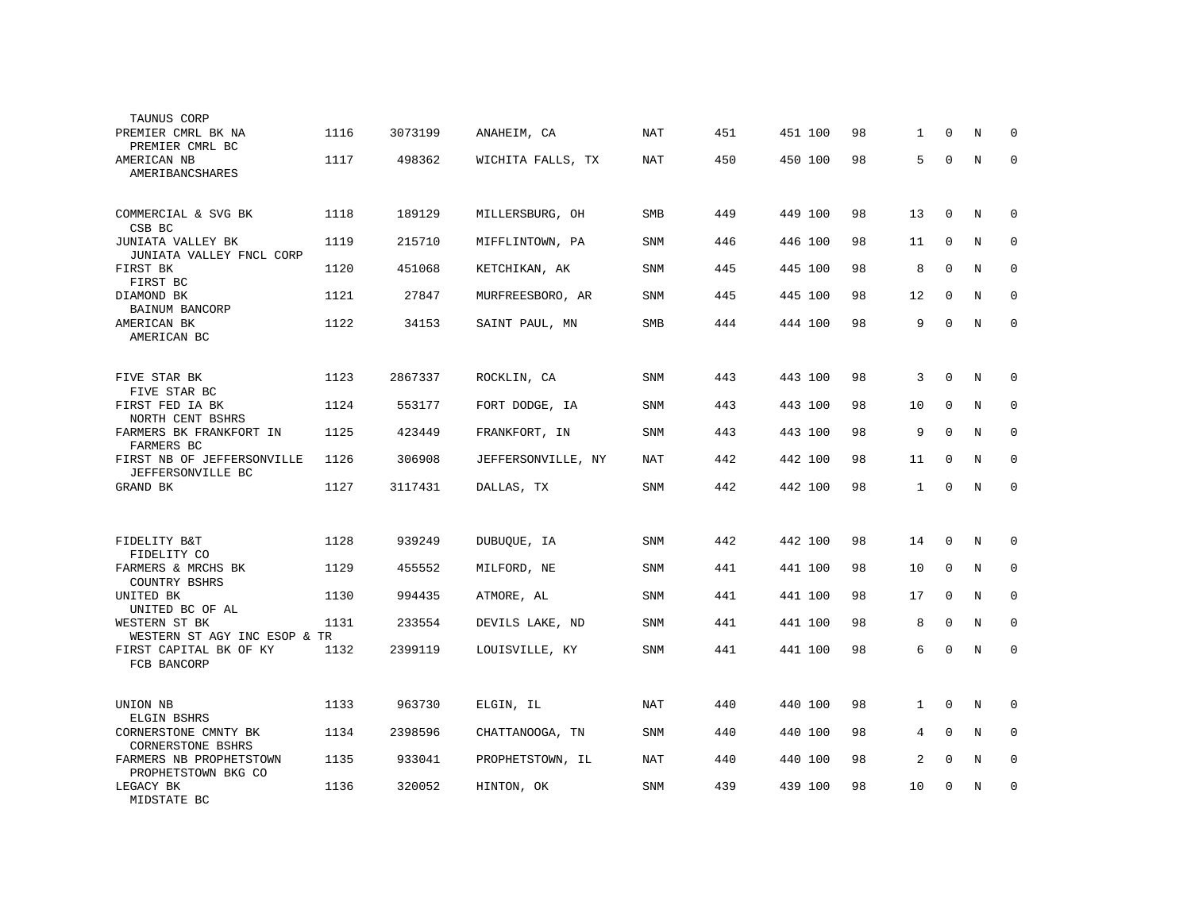| TAUNUS CORP                                               |      |         |                    |            |     |         |    |              |             |             |             |
|-----------------------------------------------------------|------|---------|--------------------|------------|-----|---------|----|--------------|-------------|-------------|-------------|
| PREMIER CMRL BK NA<br>PREMIER CMRL BC                     | 1116 | 3073199 | ANAHEIM, CA        | <b>NAT</b> | 451 | 451 100 | 98 | $\mathbf{1}$ | $\Omega$    | N           | 0           |
| AMERICAN NB<br>AMERIBANCSHARES                            | 1117 | 498362  | WICHITA FALLS, TX  | <b>NAT</b> | 450 | 450 100 | 98 | 5            | $\mathbf 0$ | N           | $\mathbf 0$ |
| COMMERCIAL & SVG BK<br>CSB BC                             | 1118 | 189129  | MILLERSBURG, OH    | <b>SMB</b> | 449 | 449 100 | 98 | 13           | $\mathbf 0$ | N           | 0           |
| JUNIATA VALLEY BK<br>JUNIATA VALLEY FNCL CORP             | 1119 | 215710  | MIFFLINTOWN, PA    | <b>SNM</b> | 446 | 446 100 | 98 | 11           | $\mathbf 0$ | N           | 0           |
| FIRST BK<br>FIRST BC                                      | 1120 | 451068  | KETCHIKAN, AK      | <b>SNM</b> | 445 | 445 100 | 98 | 8            | $\mathbf 0$ | $\mathbb N$ | 0           |
| DIAMOND BK<br>BAINUM BANCORP                              | 1121 | 27847   | MURFREESBORO, AR   | <b>SNM</b> | 445 | 445 100 | 98 | 12           | $\mathbf 0$ | N           | $\mathbf 0$ |
| AMERICAN BK<br>AMERICAN BC                                | 1122 | 34153   | SAINT PAUL, MN     | <b>SMB</b> | 444 | 444 100 | 98 | 9            | $\mathbf 0$ | $\mathbf N$ | $\mathbf 0$ |
| FIVE STAR BK                                              | 1123 | 2867337 | ROCKLIN, CA        | <b>SNM</b> | 443 | 443 100 | 98 | 3            | $\mathbf 0$ | N           | 0           |
| FIVE STAR BC<br>FIRST FED IA BK                           | 1124 | 553177  | FORT DODGE, IA     | <b>SNM</b> | 443 | 443 100 | 98 | 10           | $\mathbf 0$ | N           | 0           |
| NORTH CENT BSHRS<br>FARMERS BK FRANKFORT IN<br>FARMERS BC | 1125 | 423449  | FRANKFORT, IN      | <b>SNM</b> | 443 | 443 100 | 98 | 9            | $\Omega$    | N           | $\mathbf 0$ |
| FIRST NB OF JEFFERSONVILLE<br>JEFFERSONVILLE BC           | 1126 | 306908  | JEFFERSONVILLE, NY | NAT        | 442 | 442 100 | 98 | 11           | $\Omega$    | N           | 0           |
| GRAND BK                                                  | 1127 | 3117431 | DALLAS, TX         | <b>SNM</b> | 442 | 442 100 | 98 | 1            | $\mathbf 0$ | N           | $\mathbf 0$ |
|                                                           |      |         |                    |            |     |         |    |              |             |             |             |
| FIDELITY B&T<br>FIDELITY CO                               | 1128 | 939249  | DUBUQUE, IA        | <b>SNM</b> | 442 | 442 100 | 98 | 14           | $\mathbf 0$ | N           | 0           |
| FARMERS & MRCHS BK<br>COUNTRY BSHRS                       | 1129 | 455552  | MILFORD, NE        | <b>SNM</b> | 441 | 441 100 | 98 | 10           | $\Omega$    | N           | 0           |
| UNITED BK<br>UNITED BC OF AL                              | 1130 | 994435  | ATMORE, AL         | <b>SNM</b> | 441 | 441 100 | 98 | 17           | $\Omega$    | N           | $\mathbf 0$ |
| WESTERN ST BK<br>WESTERN ST AGY INC ESOP & TR             | 1131 | 233554  | DEVILS LAKE, ND    | <b>SNM</b> | 441 | 441 100 | 98 | 8            | $\Omega$    | N           | $\Omega$    |
| FIRST CAPITAL BK OF KY<br>FCB BANCORP                     | 1132 | 2399119 | LOUISVILLE, KY     | <b>SNM</b> | 441 | 441 100 | 98 | 6            | $\mathbf 0$ | N           | $\mathbf 0$ |
| UNION NB<br>ELGIN BSHRS                                   | 1133 | 963730  | ELGIN, IL          | <b>NAT</b> | 440 | 440 100 | 98 | $\mathbf{1}$ | $\mathbf 0$ | N           | $\mathsf 0$ |
| CORNERSTONE CMNTY BK<br><b>CORNERSTONE BSHRS</b>          | 1134 | 2398596 | CHATTANOOGA, TN    | <b>SNM</b> | 440 | 440 100 | 98 | 4            | $\mathbf 0$ | N           | 0           |
| FARMERS NB PROPHETSTOWN<br>PROPHETSTOWN BKG CO            | 1135 | 933041  | PROPHETSTOWN, IL   | <b>NAT</b> | 440 | 440 100 | 98 | 2            | $\mathbf 0$ | $\mathbb N$ | 0           |
| LEGACY BK<br>MIDSTATE BC                                  | 1136 | 320052  | HINTON, OK         | <b>SNM</b> | 439 | 439 100 | 98 | 10           | $\mathbf 0$ | N           | $\mathbf 0$ |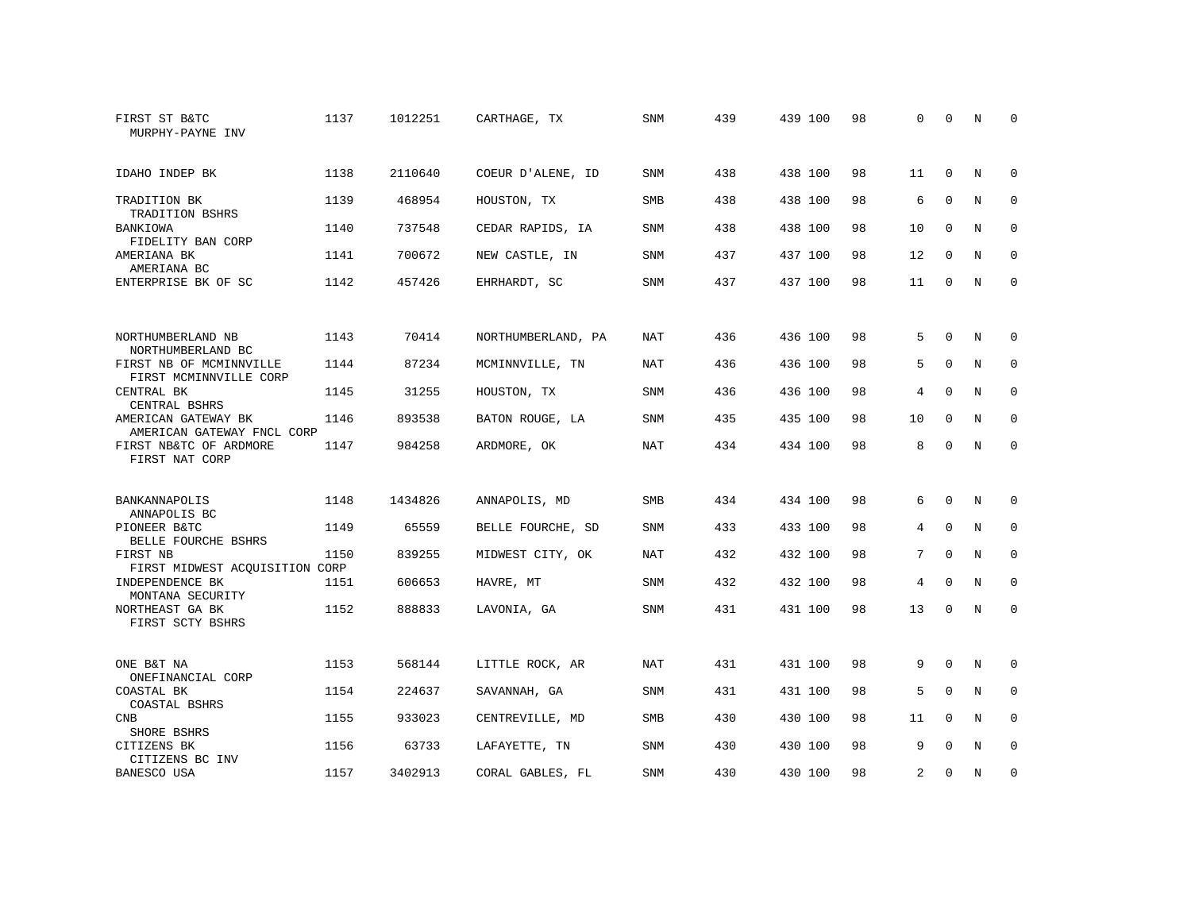| FIRST ST B&TC<br>MURPHY-PAYNE INV                 | 1137 | 1012251 | CARTHAGE, TX       | <b>SNM</b> | 439 | 439 100 | 98 | $\Omega$       | $\Omega$    | N           | $\Omega$    |
|---------------------------------------------------|------|---------|--------------------|------------|-----|---------|----|----------------|-------------|-------------|-------------|
| IDAHO INDEP BK                                    | 1138 | 2110640 | COEUR D'ALENE, ID  | <b>SNM</b> | 438 | 438 100 | 98 | 11             | $\Omega$    | N           | $\Omega$    |
| TRADITION BK<br>TRADITION BSHRS                   | 1139 | 468954  | HOUSTON, TX        | SMB        | 438 | 438 100 | 98 | 6              | $\mathbf 0$ | N           | 0           |
| BANKIOWA<br>FIDELITY BAN CORP                     | 1140 | 737548  | CEDAR RAPIDS, IA   | <b>SNM</b> | 438 | 438 100 | 98 | 10             | $\Omega$    | N           | $\Omega$    |
| AMERIANA BK<br>AMERIANA BC                        | 1141 | 700672  | NEW CASTLE, IN     | <b>SNM</b> | 437 | 437 100 | 98 | 12             | $\Omega$    | N           | $\mathbf 0$ |
| ENTERPRISE BK OF SC                               | 1142 | 457426  | EHRHARDT, SC       | SNM        | 437 | 437 100 | 98 | 11             | 0           | N           | $\mathbf 0$ |
| NORTHUMBERLAND NB                                 | 1143 | 70414   | NORTHUMBERLAND, PA | NAT        | 436 | 436 100 | 98 | 5              | $\Omega$    | N           | 0           |
| NORTHUMBERLAND BC                                 |      |         |                    |            |     |         |    |                |             |             |             |
| FIRST NB OF MCMINNVILLE<br>FIRST MCMINNVILLE CORP | 1144 | 87234   | MCMINNVILLE, TN    | <b>NAT</b> | 436 | 436 100 | 98 | 5              | $\Omega$    | $_{\rm N}$  | $\mathbf 0$ |
| CENTRAL BK<br>CENTRAL BSHRS                       | 1145 | 31255   | HOUSTON, TX        | <b>SNM</b> | 436 | 436 100 | 98 | 4              | $\mathbf 0$ | N           | $\mathbf 0$ |
| AMERICAN GATEWAY BK<br>AMERICAN GATEWAY FNCL CORP | 1146 | 893538  | BATON ROUGE, LA    | SNM        | 435 | 435 100 | 98 | 10             | 0           | N           | $\mathbf 0$ |
| FIRST NB&TC OF ARDMORE<br>FIRST NAT CORP          | 1147 | 984258  | ARDMORE, OK        | NAT        | 434 | 434 100 | 98 | 8              | $\Omega$    | N           | $\mathbf 0$ |
| BANKANNAPOLIS<br>ANNAPOLIS BC                     | 1148 | 1434826 | ANNAPOLIS, MD      | <b>SMB</b> | 434 | 434 100 | 98 | 6              | $\mathbf 0$ | N           | 0           |
| PIONEER B&TC<br>BELLE FOURCHE BSHRS               | 1149 | 65559   | BELLE FOURCHE, SD  | <b>SNM</b> | 433 | 433 100 | 98 | 4              | $\mathbf 0$ | N           | 0           |
| FIRST NB<br>FIRST MIDWEST ACQUISITION CORP        | 1150 | 839255  | MIDWEST CITY, OK   | NAT        | 432 | 432 100 | 98 | 7              | $\Omega$    | N           | 0           |
| INDEPENDENCE BK<br>MONTANA SECURITY               | 1151 | 606653  | HAVRE, MT          | <b>SNM</b> | 432 | 432 100 | 98 | $\overline{4}$ | $\Omega$    | $\mathbf N$ | $\mathbf 0$ |
| NORTHEAST GA BK<br>FIRST SCTY BSHRS               | 1152 | 888833  | LAVONIA, GA        | SNM        | 431 | 431 100 | 98 | 13             | $\Omega$    | N           | $\mathbf 0$ |
| ONE B&T NA                                        | 1153 | 568144  | LITTLE ROCK, AR    | NAT        | 431 | 431 100 | 98 | 9              | 0           | N           | 0           |
| ONEFINANCIAL CORP<br>COASTAL BK<br>COASTAL BSHRS  | 1154 | 224637  | SAVANNAH, GA       | <b>SNM</b> | 431 | 431 100 | 98 | 5              | $\Omega$    | N           | $\mathbf 0$ |
| <b>CNB</b><br>SHORE BSHRS                         | 1155 | 933023  | CENTREVILLE, MD    | <b>SMB</b> | 430 | 430 100 | 98 | 11             | $\mathbf 0$ | $\mathbf N$ | $\mathbf 0$ |
| CITIZENS BK                                       | 1156 | 63733   | LAFAYETTE, TN      | <b>SNM</b> | 430 | 430 100 | 98 | 9              | $\Omega$    | N           | $\mathbf 0$ |
| CITIZENS BC INV<br>BANESCO USA                    | 1157 | 3402913 | CORAL GABLES, FL   | SNM        | 430 | 430 100 | 98 | 2              | $\Omega$    | N           | $\mathbf 0$ |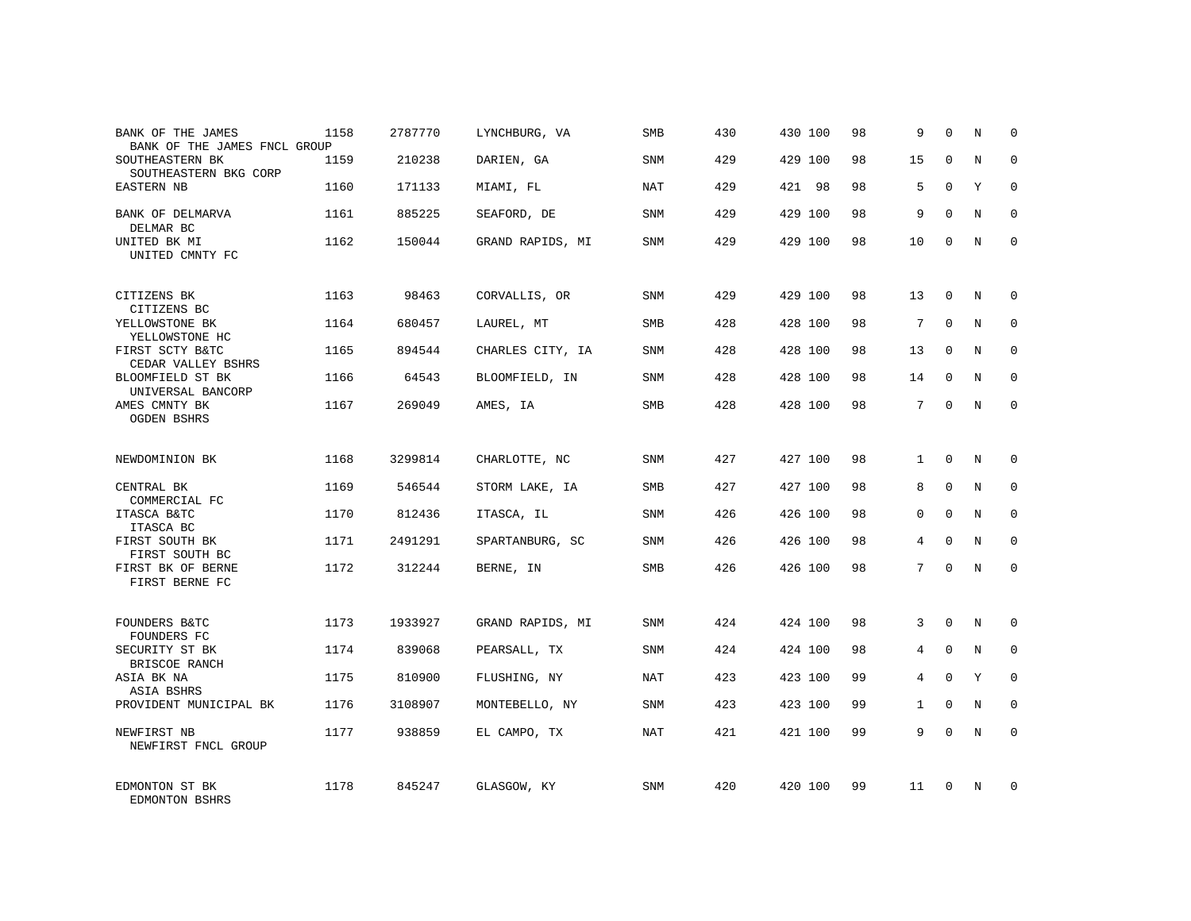| BANK OF THE JAMES<br>BANK OF THE JAMES FNCL GROUP | 1158 | 2787770 | LYNCHBURG, VA    | <b>SMB</b> | 430 | 430 100 | 98 | 9              | $\Omega$    | N          | 0           |
|---------------------------------------------------|------|---------|------------------|------------|-----|---------|----|----------------|-------------|------------|-------------|
| SOUTHEASTERN BK<br>SOUTHEASTERN BKG CORP          | 1159 | 210238  | DARIEN, GA       | <b>SNM</b> | 429 | 429 100 | 98 | 15             | $\Omega$    | N          | $\mathbf 0$ |
| EASTERN NB                                        | 1160 | 171133  | MIAMI, FL        | <b>NAT</b> | 429 | 421 98  | 98 | 5              | $\Omega$    | Y          | $\mathbf 0$ |
| BANK OF DELMARVA<br>DELMAR BC                     | 1161 | 885225  | SEAFORD, DE      | SNM        | 429 | 429 100 | 98 | 9              | $\Omega$    | N          | $\Omega$    |
| UNITED BK MI<br>UNITED CMNTY FC                   | 1162 | 150044  | GRAND RAPIDS, MI | <b>SNM</b> | 429 | 429 100 | 98 | 10             | $\Omega$    | N          | $\Omega$    |
| CITIZENS BK<br>CITIZENS BC                        | 1163 | 98463   | CORVALLIS, OR    | <b>SNM</b> | 429 | 429 100 | 98 | 13             | $\Omega$    | N          | $\Omega$    |
| YELLOWSTONE BK<br>YELLOWSTONE HC                  | 1164 | 680457  | LAUREL, MT       | SMB        | 428 | 428 100 | 98 | 7              | $\Omega$    | $_{\rm N}$ | $\Omega$    |
| FIRST SCTY B&TC<br>CEDAR VALLEY BSHRS             | 1165 | 894544  | CHARLES CITY, IA | SNM        | 428 | 428 100 | 98 | 13             | $\Omega$    | N          | 0           |
| BLOOMFIELD ST BK<br>UNIVERSAL BANCORP             | 1166 | 64543   | BLOOMFIELD, IN   | <b>SNM</b> | 428 | 428 100 | 98 | 14             | $\Omega$    | N          | $\Omega$    |
| AMES CMNTY BK<br><b>OGDEN BSHRS</b>               | 1167 | 269049  | AMES, IA         | SMB        | 428 | 428 100 | 98 | 7              | $\mathbf 0$ | N          | $\mathbf 0$ |
| NEWDOMINION BK                                    | 1168 | 3299814 | CHARLOTTE, NC    | SNM        | 427 | 427 100 | 98 | $\mathbf{1}$   | $\Omega$    | N          | $\Omega$    |
| CENTRAL BK<br>COMMERCIAL FC                       | 1169 | 546544  | STORM LAKE, IA   | <b>SMB</b> | 427 | 427 100 | 98 | 8              | $\mathbf 0$ | N          | $\mathbf 0$ |
| ITASCA B&TC<br>ITASCA BC                          | 1170 | 812436  | ITASCA, IL       | <b>SNM</b> | 426 | 426 100 | 98 | $\Omega$       | $\Omega$    | N          | $\Omega$    |
| FIRST SOUTH BK<br>FIRST SOUTH BC                  | 1171 | 2491291 | SPARTANBURG, SC  | SNM        | 426 | 426 100 | 98 | 4              | $\Omega$    | N          | $\mathbf 0$ |
| FIRST BK OF BERNE<br>FIRST BERNE FC               | 1172 | 312244  | BERNE, IN        | <b>SMB</b> | 426 | 426 100 | 98 | 7              | $\Omega$    | N          | $\Omega$    |
| FOUNDERS B&TC<br>FOUNDERS FC                      | 1173 | 1933927 | GRAND RAPIDS, MI | <b>SNM</b> | 424 | 424 100 | 98 | 3              | $\Omega$    | N          | $\Omega$    |
| SECURITY ST BK<br>BRISCOE RANCH                   | 1174 | 839068  | PEARSALL, TX     | <b>SNM</b> | 424 | 424 100 | 98 | $\overline{4}$ | $\Omega$    | $_{\rm N}$ | $\Omega$    |
| ASIA BK NA<br>ASIA BSHRS                          | 1175 | 810900  | FLUSHING, NY     | NAT        | 423 | 423 100 | 99 | 4              | $\Omega$    | Y          | $\Omega$    |
| PROVIDENT MUNICIPAL BK                            | 1176 | 3108907 | MONTEBELLO, NY   | <b>SNM</b> | 423 | 423 100 | 99 | $\mathbf{1}$   | $\Omega$    | N          | $\Omega$    |
| NEWFIRST NB<br>NEWFIRST FNCL GROUP                | 1177 | 938859  | EL CAMPO, TX     | <b>NAT</b> | 421 | 421 100 | 99 | 9              | $\Omega$    | $_{\rm N}$ | $\Omega$    |
| EDMONTON ST BK<br>EDMONTON BSHRS                  | 1178 | 845247  | GLASGOW, KY      | <b>SNM</b> | 420 | 420 100 | 99 | 11             | $\Omega$    | N          | $\Omega$    |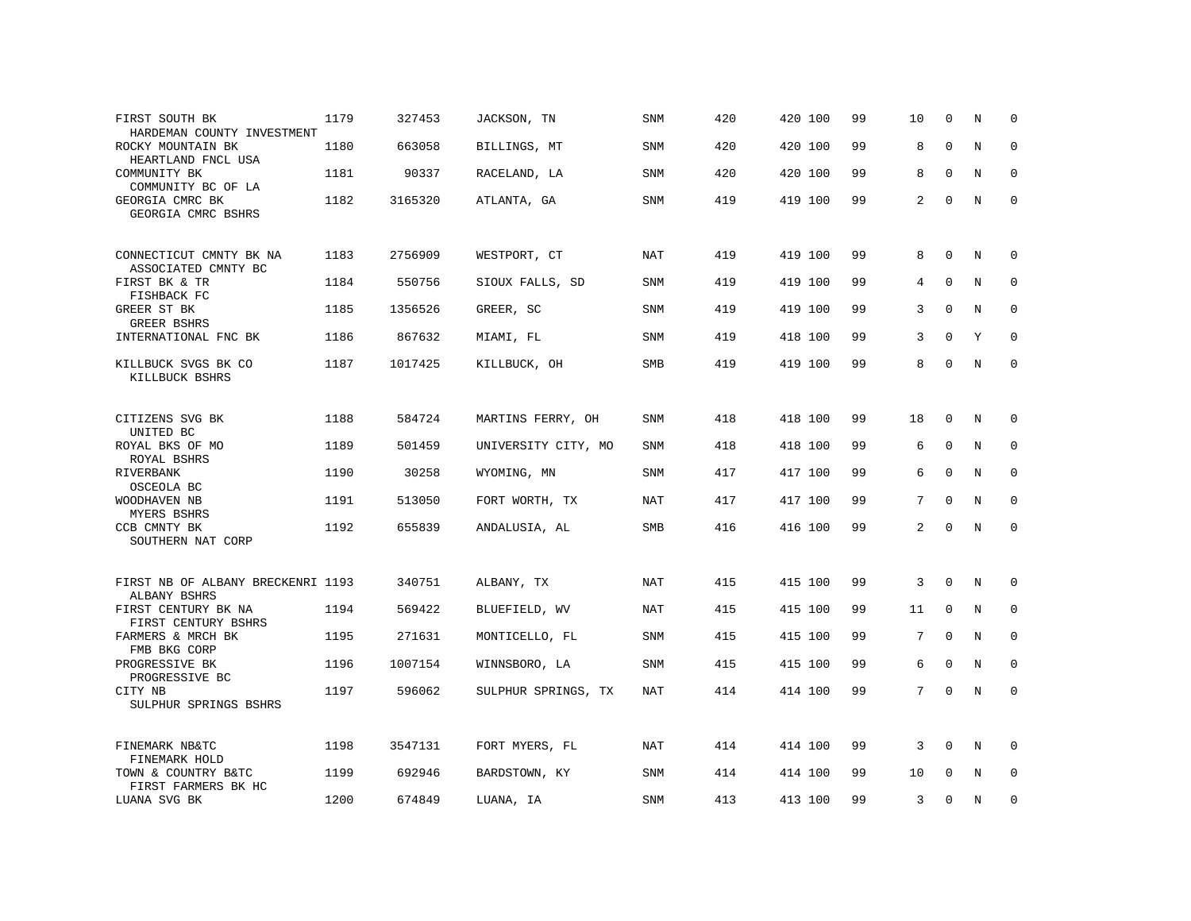| FIRST SOUTH BK<br>HARDEMAN COUNTY INVESTMENT      | 1179 | 327453  | JACKSON, TN         | <b>SNM</b> | 420 | 420 100 | 99 | 10 | $\Omega$    | N           | $\Omega$    |
|---------------------------------------------------|------|---------|---------------------|------------|-----|---------|----|----|-------------|-------------|-------------|
| ROCKY MOUNTAIN BK<br>HEARTLAND FNCL USA           | 1180 | 663058  | BILLINGS, MT        | SNM        | 420 | 420 100 | 99 | 8  | $\mathbf 0$ | $\mathbf N$ | 0           |
| COMMUNITY BK<br>COMMUNITY BC OF LA                | 1181 | 90337   | RACELAND, LA        | <b>SNM</b> | 420 | 420 100 | 99 | 8  | $\Omega$    | N           | 0           |
| GEORGIA CMRC BK<br>GEORGIA CMRC BSHRS             | 1182 | 3165320 | ATLANTA, GA         | SNM        | 419 | 419 100 | 99 | 2  | $\mathbf 0$ | $\mathbf N$ | $\mathsf 0$ |
| CONNECTICUT CMNTY BK NA<br>ASSOCIATED CMNTY BC    | 1183 | 2756909 | WESTPORT, CT        | <b>NAT</b> | 419 | 419 100 | 99 | 8  | $\mathbf 0$ | N           | 0           |
| FIRST BK & TR<br>FISHBACK FC                      | 1184 | 550756  | SIOUX FALLS, SD     | <b>SNM</b> | 419 | 419 100 | 99 | 4  | $\Omega$    | N           | 0           |
| GREER ST BK<br><b>GREER BSHRS</b>                 | 1185 | 1356526 | GREER, SC           | <b>SNM</b> | 419 | 419 100 | 99 | 3  | $\Omega$    | $\mathbf N$ | 0           |
| INTERNATIONAL FNC BK                              | 1186 | 867632  | MIAMI, FL           | <b>SNM</b> | 419 | 418 100 | 99 | 3  | $\Omega$    | Y           | $\Omega$    |
| KILLBUCK SVGS BK CO<br>KILLBUCK BSHRS             | 1187 | 1017425 | KILLBUCK, OH        | SMB        | 419 | 419 100 | 99 | 8  | $\Omega$    | $\mathbb N$ | $\mathbf 0$ |
| CITIZENS SVG BK<br>UNITED BC                      | 1188 | 584724  | MARTINS FERRY, OH   | <b>SNM</b> | 418 | 418 100 | 99 | 18 | $\mathbf 0$ | N           | 0           |
| ROYAL BKS OF MO                                   | 1189 | 501459  | UNIVERSITY CITY, MO | SNM        | 418 | 418 100 | 99 | 6  | $\Omega$    | N           | 0           |
| ROYAL BSHRS<br>RIVERBANK<br>OSCEOLA BC            | 1190 | 30258   | WYOMING, MN         | <b>SNM</b> | 417 | 417 100 | 99 | 6  | $\Omega$    | N           | 0           |
| WOODHAVEN NB<br>MYERS BSHRS                       | 1191 | 513050  | FORT WORTH, TX      | <b>NAT</b> | 417 | 417 100 | 99 | 7  | $\mathbf 0$ | $\rm N$     | $\mathbf 0$ |
| CCB CMNTY BK<br>SOUTHERN NAT CORP                 | 1192 | 655839  | ANDALUSIA, AL       | SMB        | 416 | 416 100 | 99 | 2  | $\Omega$    | N           | $\mathbf 0$ |
| FIRST NB OF ALBANY BRECKENRI 1193<br>ALBANY BSHRS |      | 340751  | ALBANY, TX          | NAT        | 415 | 415 100 | 99 | 3  | $\mathbf 0$ | N           | 0           |
| FIRST CENTURY BK NA<br>FIRST CENTURY BSHRS        | 1194 | 569422  | BLUEFIELD, WV       | <b>NAT</b> | 415 | 415 100 | 99 | 11 | $\mathbf 0$ | $\mathbf N$ | 0           |
| FARMERS & MRCH BK<br>FMB BKG CORP                 | 1195 | 271631  | MONTICELLO, FL      | SNM        | 415 | 415 100 | 99 | 7  | $\Omega$    | N           | $\mathbf 0$ |
| PROGRESSIVE BK<br>PROGRESSIVE BC                  | 1196 | 1007154 | WINNSBORO, LA       | SNM        | 415 | 415 100 | 99 | 6  | $\mathbf 0$ | $\mathbf N$ | $\mathbf 0$ |
| CITY NB<br>SULPHUR SPRINGS BSHRS                  | 1197 | 596062  | SULPHUR SPRINGS, TX | <b>NAT</b> | 414 | 414 100 | 99 | 7  | $\Omega$    | $\rm N$     | $\mathbf 0$ |
| FINEMARK NB&TC<br>FINEMARK HOLD                   | 1198 | 3547131 | FORT MYERS, FL      | NAT        | 414 | 414 100 | 99 | 3  | $\Omega$    | N           | 0           |
| TOWN & COUNTRY B&TC<br>FIRST FARMERS BK HC        | 1199 | 692946  | BARDSTOWN, KY       | SNM        | 414 | 414 100 | 99 | 10 | $\mathbf 0$ | N           | 0           |
| LUANA SVG BK                                      | 1200 | 674849  | LUANA, IA           | <b>SNM</b> | 413 | 413 100 | 99 | 3  | $\Omega$    | N           | $\mathbf 0$ |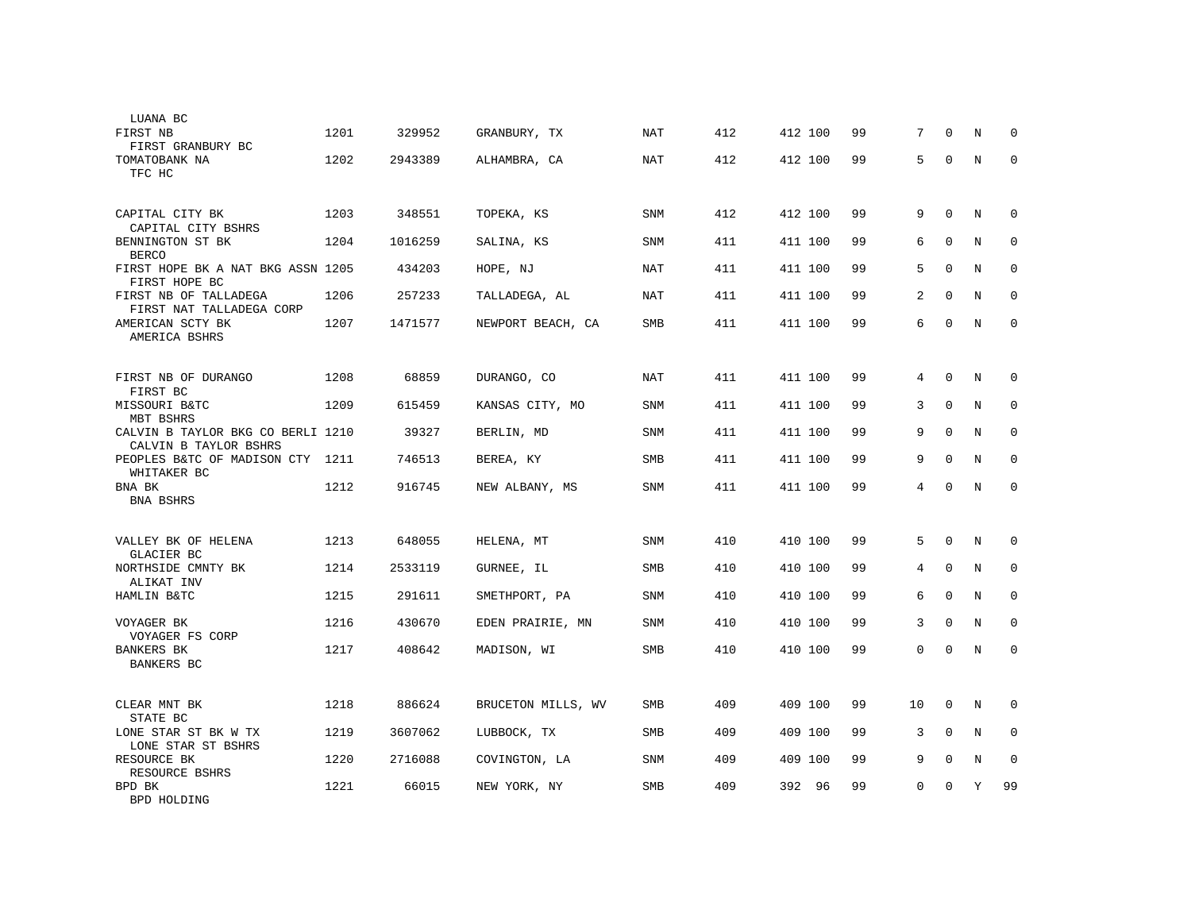| LUANA BC                                                   |      |         |                    |            |     |         |    |                |             |             |              |
|------------------------------------------------------------|------|---------|--------------------|------------|-----|---------|----|----------------|-------------|-------------|--------------|
| FIRST NB<br>FIRST GRANBURY BC                              | 1201 | 329952  | GRANBURY, TX       | NAT        | 412 | 412 100 | 99 | 7              | $\Omega$    | N           | $\mathbf 0$  |
| TOMATOBANK NA<br>TFC HC                                    | 1202 | 2943389 | ALHAMBRA, CA       | NAT        | 412 | 412 100 | 99 | 5              | $\mathbf 0$ | N           | $\mathbf 0$  |
| CAPITAL CITY BK<br>CAPITAL CITY BSHRS                      | 1203 | 348551  | TOPEKA, KS         | <b>SNM</b> | 412 | 412 100 | 99 | 9              | $\mathbf 0$ | N           | 0            |
| BENNINGTON ST BK<br><b>BERCO</b>                           | 1204 | 1016259 | SALINA, KS         | <b>SNM</b> | 411 | 411 100 | 99 | 6              | $\Omega$    | N           | $\Omega$     |
| FIRST HOPE BK A NAT BKG ASSN 1205<br>FIRST HOPE BC         |      | 434203  | HOPE, NJ           | NAT        | 411 | 411 100 | 99 | 5              | $\mathbf 0$ | $\mathbf N$ | $\mathbf 0$  |
| FIRST NB OF TALLADEGA<br>FIRST NAT TALLADEGA CORP          | 1206 | 257233  | TALLADEGA, AL      | <b>NAT</b> | 411 | 411 100 | 99 | 2              | $\Omega$    | N           | 0            |
| AMERICAN SCTY BK<br>AMERICA BSHRS                          | 1207 | 1471577 | NEWPORT BEACH, CA  | <b>SMB</b> | 411 | 411 100 | 99 | 6              | $\Omega$    | N           | $\Omega$     |
| FIRST NB OF DURANGO<br>FIRST BC                            | 1208 | 68859   | DURANGO, CO        | <b>NAT</b> | 411 | 411 100 | 99 | 4              | $\Omega$    | N           | $\mathbf 0$  |
| MISSOURI B&TC<br>MBT BSHRS                                 | 1209 | 615459  | KANSAS CITY, MO    | SNM        | 411 | 411 100 | 99 | 3              | $\Omega$    | N           | $\Omega$     |
| CALVIN B TAYLOR BKG CO BERLI 1210<br>CALVIN B TAYLOR BSHRS |      | 39327   | BERLIN, MD         | <b>SNM</b> | 411 | 411 100 | 99 | 9              | $\Omega$    | N           | $\mathbf 0$  |
| PEOPLES B&TC OF MADISON CTY 1211<br>WHITAKER BC            |      | 746513  | BEREA, KY          | <b>SMB</b> | 411 | 411 100 | 99 | 9              | $\mathbf 0$ | N           | $\mathbf{0}$ |
| BNA BK<br>BNA BSHRS                                        | 1212 | 916745  | NEW ALBANY, MS     | <b>SNM</b> | 411 | 411 100 | 99 | $\overline{4}$ | $\mathbf 0$ | N           | $\mathbf{0}$ |
| VALLEY BK OF HELENA<br>GLACIER BC                          | 1213 | 648055  | HELENA, MT         | SNM        | 410 | 410 100 | 99 | 5              | $\Omega$    | N           | 0            |
| NORTHSIDE CMNTY BK<br>ALIKAT INV                           | 1214 | 2533119 | GURNEE, IL         | <b>SMB</b> | 410 | 410 100 | 99 | 4              | $\mathbf 0$ | N           | $\mathbf 0$  |
| HAMLIN B&TC                                                | 1215 | 291611  | SMETHPORT, PA      | <b>SNM</b> | 410 | 410 100 | 99 | 6              | $\Omega$    | N           | $\Omega$     |
| VOYAGER BK<br>VOYAGER FS CORP                              | 1216 | 430670  | EDEN PRAIRIE, MN   | <b>SNM</b> | 410 | 410 100 | 99 | 3              | $\Omega$    | N           | $\Omega$     |
| <b>BANKERS BK</b><br><b>BANKERS BC</b>                     | 1217 | 408642  | MADISON, WI        | <b>SMB</b> | 410 | 410 100 | 99 | $\Omega$       | $\Omega$    | $\mathbf N$ | $\mathbf{0}$ |
| CLEAR MNT BK<br>STATE BC                                   | 1218 | 886624  | BRUCETON MILLS, WV | <b>SMB</b> | 409 | 409 100 | 99 | 10             | $\Omega$    | N           | $\Omega$     |
| LONE STAR ST BK W TX<br>LONE STAR ST BSHRS                 | 1219 | 3607062 | LUBBOCK, TX        | <b>SMB</b> | 409 | 409 100 | 99 | 3              | $\mathbf 0$ | N           | $\mathbf 0$  |
| RESOURCE BK<br>RESOURCE BSHRS                              | 1220 | 2716088 | COVINGTON, LA      | <b>SNM</b> | 409 | 409 100 | 99 | 9              | $\mathbf 0$ | N           | $\mathbf 0$  |
| BPD BK<br>BPD HOLDING                                      | 1221 | 66015   | NEW YORK, NY       | <b>SMB</b> | 409 | 392 96  | 99 | $\Omega$       | $\Omega$    | Y           | 99           |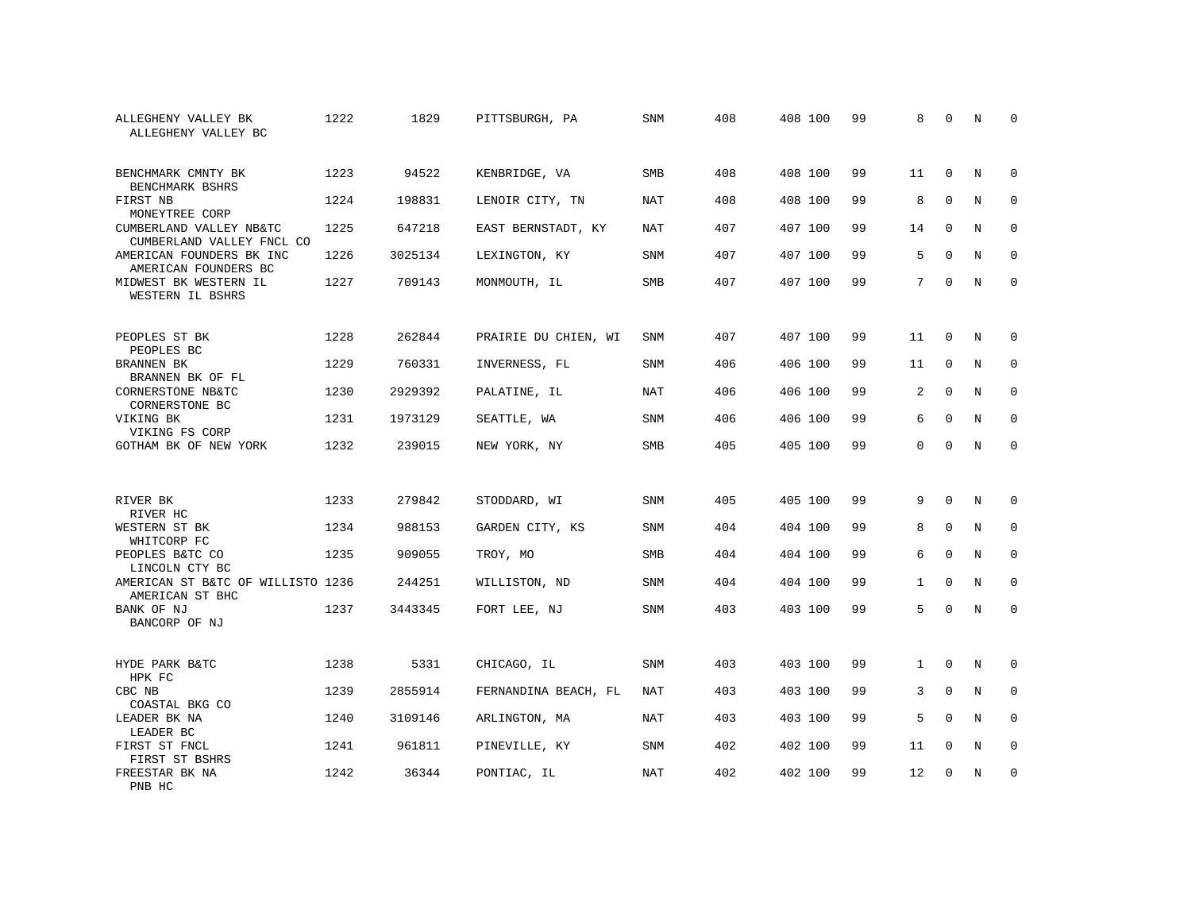| ALLEGHENY VALLEY BK<br>ALLEGHENY VALLEY BC           | 1222 | 1829    | PITTSBURGH, PA       | SNM        | 408 | 408 100 | 99 | 8            | $\mathbf 0$  | N           | U            |
|------------------------------------------------------|------|---------|----------------------|------------|-----|---------|----|--------------|--------------|-------------|--------------|
| BENCHMARK CMNTY BK<br>BENCHMARK BSHRS                | 1223 | 94522   | KENBRIDGE, VA        | <b>SMB</b> | 408 | 408 100 | 99 | 11           | $\mathbf{0}$ | N           | $\Omega$     |
| FIRST NB<br>MONEYTREE CORP                           | 1224 | 198831  | LENOIR CITY, TN      | <b>NAT</b> | 408 | 408 100 | 99 | 8            | $\mathbf 0$  | $\mathbf N$ | $\mathbf{0}$ |
| CUMBERLAND VALLEY NB&TC<br>CUMBERLAND VALLEY FNCL CO | 1225 | 647218  | EAST BERNSTADT, KY   | <b>NAT</b> | 407 | 407 100 | 99 | 14           | $\Omega$     | N           | $\mathbf{0}$ |
| AMERICAN FOUNDERS BK INC<br>AMERICAN FOUNDERS BC     | 1226 | 3025134 | LEXINGTON, KY        | SNM        | 407 | 407 100 | 99 | 5            | $\mathbf 0$  | N           | 0            |
| MIDWEST BK WESTERN IL<br>WESTERN IL BSHRS            | 1227 | 709143  | MONMOUTH, IL         | <b>SMB</b> | 407 | 407 100 | 99 | 7            | $\Omega$     | N           | $\Omega$     |
| PEOPLES ST BK<br>PEOPLES BC                          | 1228 | 262844  | PRAIRIE DU CHIEN, WI | SNM        | 407 | 407 100 | 99 | 11           | $\mathbf{0}$ | N           | 0            |
| BRANNEN BK<br>BRANNEN BK OF FL                       | 1229 | 760331  | INVERNESS, FL        | SNM        | 406 | 406 100 | 99 | 11           | $\mathbf{0}$ | N           | $\mathbf 0$  |
| CORNERSTONE NB&TC<br>CORNERSTONE BC                  | 1230 | 2929392 | PALATINE, IL         | NAT        | 406 | 406 100 | 99 | 2            | $\mathbf 0$  | N           | 0            |
| VIKING BK<br>VIKING FS CORP                          | 1231 | 1973129 | SEATTLE, WA          | <b>SNM</b> | 406 | 406 100 | 99 | 6            | $\Omega$     | N           | $\mathbf{0}$ |
| GOTHAM BK OF NEW YORK                                | 1232 | 239015  | NEW YORK, NY         | SMB        | 405 | 405 100 | 99 | $\mathbf{0}$ | $\mathbf 0$  | N           | $\mathbf 0$  |
| RIVER BK<br>RIVER HC                                 | 1233 | 279842  | STODDARD, WI         | SNM        | 405 | 405 100 | 99 | 9            | $\Omega$     | N           | $\mathbf 0$  |
| WESTERN ST BK<br>WHITCORP FC                         | 1234 | 988153  | GARDEN CITY, KS      | SNM        | 404 | 404 100 | 99 | 8            | $\mathbf 0$  | N           | 0            |
| PEOPLES B&TC CO<br>LINCOLN CTY BC                    | 1235 | 909055  | TROY, MO             | SMB        | 404 | 404 100 | 99 | 6            | $\Omega$     | N           | $\mathbf 0$  |
| AMERICAN ST B&TC OF WILLISTO 1236<br>AMERICAN ST BHC |      | 244251  | WILLISTON, ND        | <b>SNM</b> | 404 | 404 100 | 99 | 1            | $\mathbf 0$  | N           | $\mathbf 0$  |
| BANK OF NJ<br>BANCORP OF NJ                          | 1237 | 3443345 | FORT LEE, NJ         | SNM        | 403 | 403 100 | 99 | 5            | $\mathbf 0$  | $\mathbf N$ | $\mathbf 0$  |
| HYDE PARK B&TC<br>HPK FC                             | 1238 | 5331    | CHICAGO, IL          | SNM        | 403 | 403 100 | 99 | $\mathbf{1}$ | $\mathbf 0$  | N           | 0            |
| CBC NB<br>COASTAL BKG CO                             | 1239 | 2855914 | FERNANDINA BEACH, FL | NAT        | 403 | 403 100 | 99 | 3            | $\mathbf 0$  | N           | 0            |
| LEADER BK NA<br>LEADER BC                            | 1240 | 3109146 | ARLINGTON, MA        | <b>NAT</b> | 403 | 403 100 | 99 | 5            | $\mathbf 0$  | N           | $\mathbf 0$  |
| FIRST ST FNCL<br>FIRST ST BSHRS                      | 1241 | 961811  | PINEVILLE, KY        | SNM        | 402 | 402 100 | 99 | 11           | 0            | N           | 0            |
| FREESTAR BK NA<br>PNB HC                             | 1242 | 36344   | PONTIAC, IL          | <b>NAT</b> | 402 | 402 100 | 99 | 12           | 0            | N           | 0            |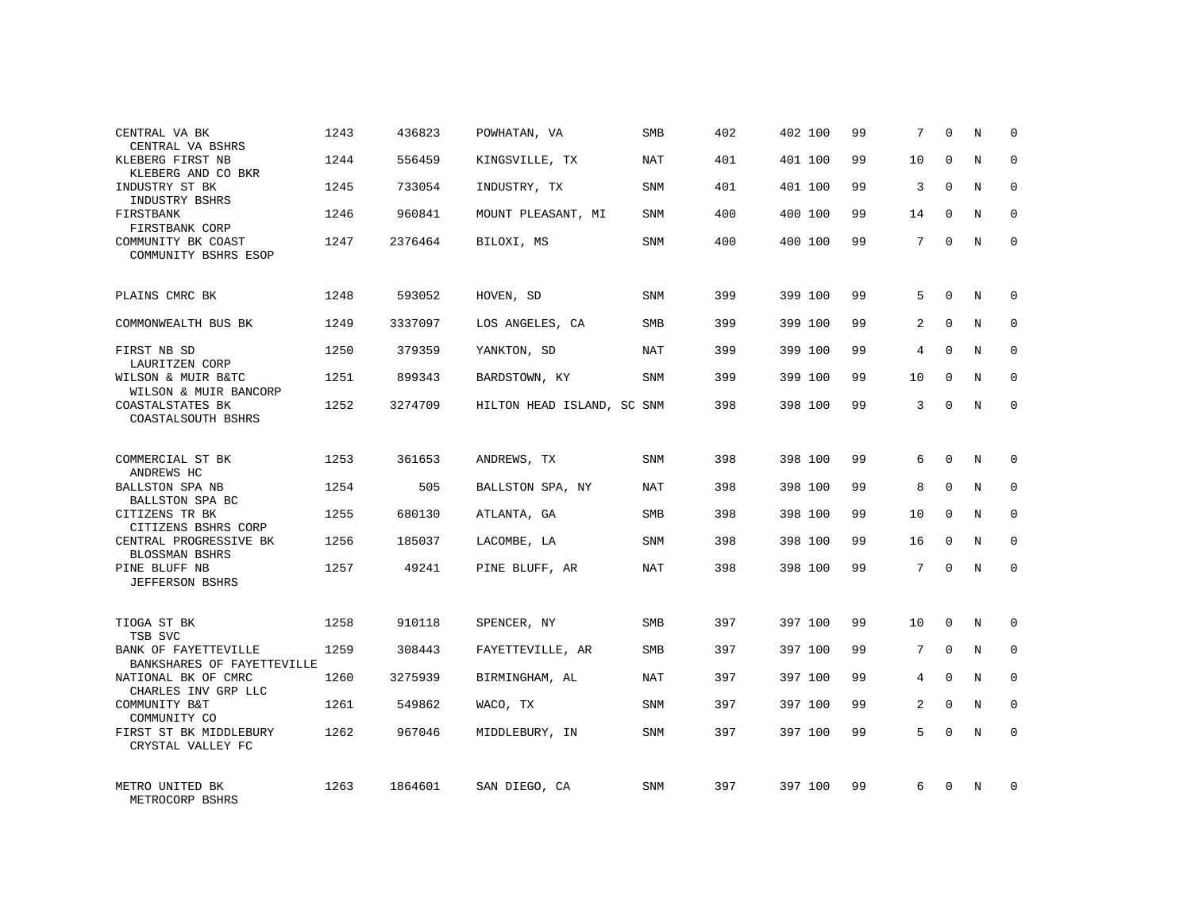| CENTRAL VA BK<br>CENTRAL VA BSHRS                  | 1243 | 436823  | POWHATAN, VA               | SMB        | 402 | 402 100 | 99 | 7               | $\Omega$ | N          | $\Omega$    |
|----------------------------------------------------|------|---------|----------------------------|------------|-----|---------|----|-----------------|----------|------------|-------------|
| KLEBERG FIRST NB<br>KLEBERG AND CO BKR             | 1244 | 556459  | KINGSVILLE, TX             | NAT        | 401 | 401 100 | 99 | 10              | $\Omega$ | N          | $\Omega$    |
| INDUSTRY ST BK<br>INDUSTRY BSHRS                   | 1245 | 733054  | INDUSTRY, TX               | SNM        | 401 | 401 100 | 99 | 3               | $\Omega$ | N          | $\mathbf 0$ |
| FIRSTBANK<br>FIRSTBANK CORP                        | 1246 | 960841  | MOUNT PLEASANT, MI         | <b>SNM</b> | 400 | 400 100 | 99 | 14              | $\Omega$ | N          | $\Omega$    |
| COMMUNITY BK COAST<br>COMMUNITY BSHRS ESOP         | 1247 | 2376464 | BILOXI, MS                 | <b>SNM</b> | 400 | 400 100 | 99 | 7               | $\Omega$ | N          | $\Omega$    |
| PLAINS CMRC BK                                     | 1248 | 593052  | HOVEN, SD                  | <b>SNM</b> | 399 | 399 100 | 99 | 5               | $\Omega$ | N          | $\Omega$    |
| COMMONWEALTH BUS BK                                | 1249 | 3337097 | LOS ANGELES, CA            | <b>SMB</b> | 399 | 399 100 | 99 | 2               | $\Omega$ | $_{\rm N}$ | $\Omega$    |
| FIRST NB SD<br>LAURITZEN CORP                      | 1250 | 379359  | YANKTON, SD                | NAT        | 399 | 399 100 | 99 | 4               | $\Omega$ | N          | $\Omega$    |
| WILSON & MUIR B&TC<br>WILSON & MUIR BANCORP        | 1251 | 899343  | BARDSTOWN, KY              | <b>SNM</b> | 399 | 399 100 | 99 | 10              | $\Omega$ | N          | $\Omega$    |
| COASTALSTATES BK<br>COASTALSOUTH BSHRS             | 1252 | 3274709 | HILTON HEAD ISLAND, SC SNM |            | 398 | 398 100 | 99 | 3               | $\Omega$ | N          | $\mathbf 0$ |
| COMMERCIAL ST BK<br>ANDREWS HC                     | 1253 | 361653  | ANDREWS, TX                | SNM        | 398 | 398 100 | 99 | $6\overline{6}$ | $\Omega$ | N          | $\Omega$    |
| <b>BALLSTON SPA NB</b><br>BALLSTON SPA BC          | 1254 | 505     | BALLSTON SPA, NY           | NAT        | 398 | 398 100 | 99 | 8               | $\Omega$ | $_{\rm N}$ | $\mathbf 0$ |
| CITIZENS TR BK<br>CITIZENS BSHRS CORP              | 1255 | 680130  | ATLANTA, GA                | <b>SMB</b> | 398 | 398 100 | 99 | 10              | $\Omega$ | N          | $\Omega$    |
| CENTRAL PROGRESSIVE BK<br>BLOSSMAN BSHRS           | 1256 | 185037  | LACOMBE, LA                | <b>SNM</b> | 398 | 398 100 | 99 | 16              | $\Omega$ | N          | $\mathbf 0$ |
| PINE BLUFF NB<br><b>JEFFERSON BSHRS</b>            | 1257 | 49241   | PINE BLUFF, AR             | <b>NAT</b> | 398 | 398 100 | 99 | 7               | $\Omega$ | $_{\rm N}$ | $\Omega$    |
| TIOGA ST BK<br>TSB SVC                             | 1258 | 910118  | SPENCER, NY                | <b>SMB</b> | 397 | 397 100 | 99 | 10              | $\Omega$ | N          | $\Omega$    |
| BANK OF FAYETTEVILLE<br>BANKSHARES OF FAYETTEVILLE | 1259 | 308443  | FAYETTEVILLE, AR           | SMB        | 397 | 397 100 | 99 | 7               | $\Omega$ | N          | $\Omega$    |
| NATIONAL BK OF CMRC<br>CHARLES INV GRP LLC         | 1260 | 3275939 | BIRMINGHAM, AL             | NAT        | 397 | 397 100 | 99 | 4               | $\Omega$ | N          | $\Omega$    |
| COMMUNITY B&T<br>COMMUNITY CO                      | 1261 | 549862  | WACO, TX                   | <b>SNM</b> | 397 | 397 100 | 99 | 2               | $\Omega$ | $_{\rm N}$ | $\Omega$    |
| FIRST ST BK MIDDLEBURY<br>CRYSTAL VALLEY FC        | 1262 | 967046  | MIDDLEBURY, IN             | <b>SNM</b> | 397 | 397 100 | 99 | 5               | $\Omega$ | N          | $\Omega$    |
| METRO UNITED BK<br>METROCORP BSHRS                 | 1263 | 1864601 | SAN DIEGO, CA              | <b>SNM</b> | 397 | 397 100 | 99 | 6               | $\Omega$ | N          | $\Omega$    |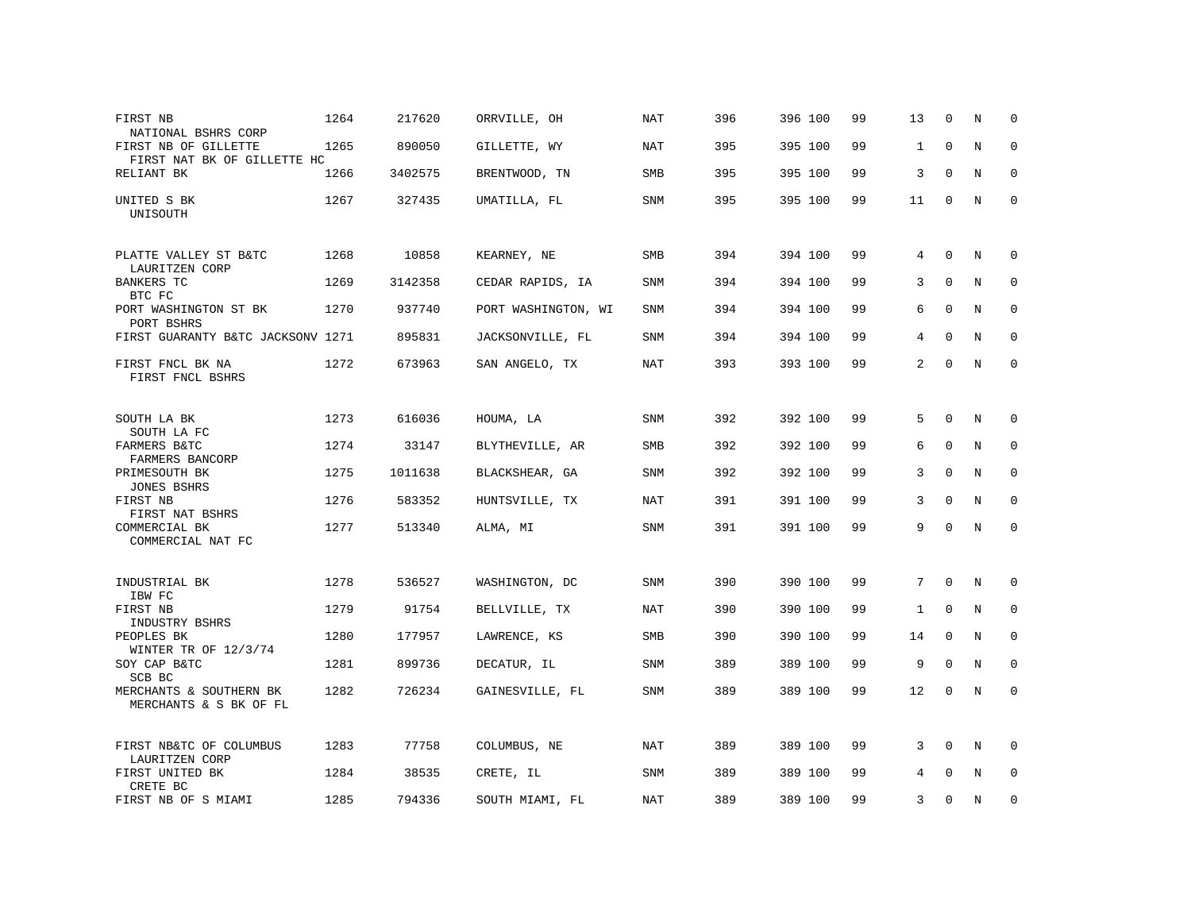| FIRST NB<br>NATIONAL BSHRS CORP                     | 1264 | 217620  | ORRVILLE, OH        | NAT        | 396 | 396 100 | 99 | 13           | $\Omega$    | N           | $\Omega$    |
|-----------------------------------------------------|------|---------|---------------------|------------|-----|---------|----|--------------|-------------|-------------|-------------|
| FIRST NB OF GILLETTE<br>FIRST NAT BK OF GILLETTE HC | 1265 | 890050  | GILLETTE, WY        | <b>NAT</b> | 395 | 395 100 | 99 | $\mathbf{1}$ | $\mathbf 0$ | $\rm N$     | $\mathbf 0$ |
| RELIANT BK                                          | 1266 | 3402575 | BRENTWOOD, TN       | <b>SMB</b> | 395 | 395 100 | 99 | 3            | $\Omega$    | N           | $\mathbf 0$ |
| UNITED S BK<br>UNISOUTH                             | 1267 | 327435  | UMATILLA, FL        | SNM        | 395 | 395 100 | 99 | 11           | $\mathbf 0$ | N           | $\mathbf 0$ |
| PLATTE VALLEY ST B&TC<br>LAURITZEN CORP             | 1268 | 10858   | KEARNEY, NE         | SMB        | 394 | 394 100 | 99 | 4            | $\mathbf 0$ | N           | 0           |
| <b>BANKERS TC</b><br>BTC FC                         | 1269 | 3142358 | CEDAR RAPIDS, IA    | SNM        | 394 | 394 100 | 99 | 3            | $\mathbf 0$ | N           | 0           |
| PORT WASHINGTON ST BK<br>PORT BSHRS                 | 1270 | 937740  | PORT WASHINGTON, WI | <b>SNM</b> | 394 | 394 100 | 99 | 6            | $\mathbf 0$ | N           | $\mathbf 0$ |
| FIRST GUARANTY B&TC JACKSONV 1271                   |      | 895831  | JACKSONVILLE, FL    | SNM        | 394 | 394 100 | 99 | 4            | $\mathbf 0$ | $\rm N$     | $\mathbf 0$ |
| FIRST FNCL BK NA<br>FIRST FNCL BSHRS                | 1272 | 673963  | SAN ANGELO, TX      | <b>NAT</b> | 393 | 393 100 | 99 | 2            | $\Omega$    | N           | $\mathbf 0$ |
| SOUTH LA BK                                         | 1273 | 616036  | HOUMA, LA           | <b>SNM</b> | 392 | 392 100 | 99 | 5            | $\Omega$    | N           | $\Omega$    |
| SOUTH LA FC<br>FARMERS B&TC<br>FARMERS BANCORP      | 1274 | 33147   | BLYTHEVILLE, AR     | SMB        | 392 | 392 100 | 99 | 6            | $\Omega$    | N           | 0           |
| PRIMESOUTH BK<br><b>JONES BSHRS</b>                 | 1275 | 1011638 | BLACKSHEAR, GA      | SNM        | 392 | 392 100 | 99 | 3            | $\Omega$    | N           | $\mathbf 0$ |
| FIRST NB<br>FIRST NAT BSHRS                         | 1276 | 583352  | HUNTSVILLE, TX      | NAT        | 391 | 391 100 | 99 | 3            | $\Omega$    | N           | $\mathbf 0$ |
| COMMERCIAL BK<br>COMMERCIAL NAT FC                  | 1277 | 513340  | ALMA, MI            | SNM        | 391 | 391 100 | 99 | 9            | $\mathbf 0$ | $\mathbf N$ | $\mathbf 0$ |
| INDUSTRIAL BK<br>IBW FC                             | 1278 | 536527  | WASHINGTON, DC      | SNM        | 390 | 390 100 | 99 | 7            | $\mathbf 0$ | N           | 0           |
| FIRST NB<br>INDUSTRY BSHRS                          | 1279 | 91754   | BELLVILLE, TX       | NAT        | 390 | 390 100 | 99 | $\mathbf{1}$ | $\mathbf 0$ | N           | 0           |
| PEOPLES BK<br>WINTER TR OF 12/3/74                  | 1280 | 177957  | LAWRENCE, KS        | SMB        | 390 | 390 100 | 99 | 14           | $\mathbf 0$ | N           | $\mathbf 0$ |
| SOY CAP B&TC<br>SCB BC                              | 1281 | 899736  | DECATUR, IL         | <b>SNM</b> | 389 | 389 100 | 99 | 9            | $\Omega$    | N           | $\Omega$    |
| MERCHANTS & SOUTHERN BK<br>MERCHANTS & S BK OF FL   | 1282 | 726234  | GAINESVILLE, FL     | <b>SNM</b> | 389 | 389 100 | 99 | 12           | 0           | N           | $\mathbf 0$ |
| FIRST NB&TC OF COLUMBUS<br>LAURITZEN CORP           | 1283 | 77758   | COLUMBUS, NE        | NAT        | 389 | 389 100 | 99 | 3            | $\Omega$    | N           | $\Omega$    |
| FIRST UNITED BK<br>CRETE BC                         | 1284 | 38535   | CRETE, IL           | SNM        | 389 | 389 100 | 99 | 4            | $\mathbf 0$ | N           | $\mathbf 0$ |
| FIRST NB OF S MIAMI                                 | 1285 | 794336  | SOUTH MIAMI, FL     | NAT        | 389 | 389 100 | 99 | 3            | $\Omega$    | N           | $\mathbf 0$ |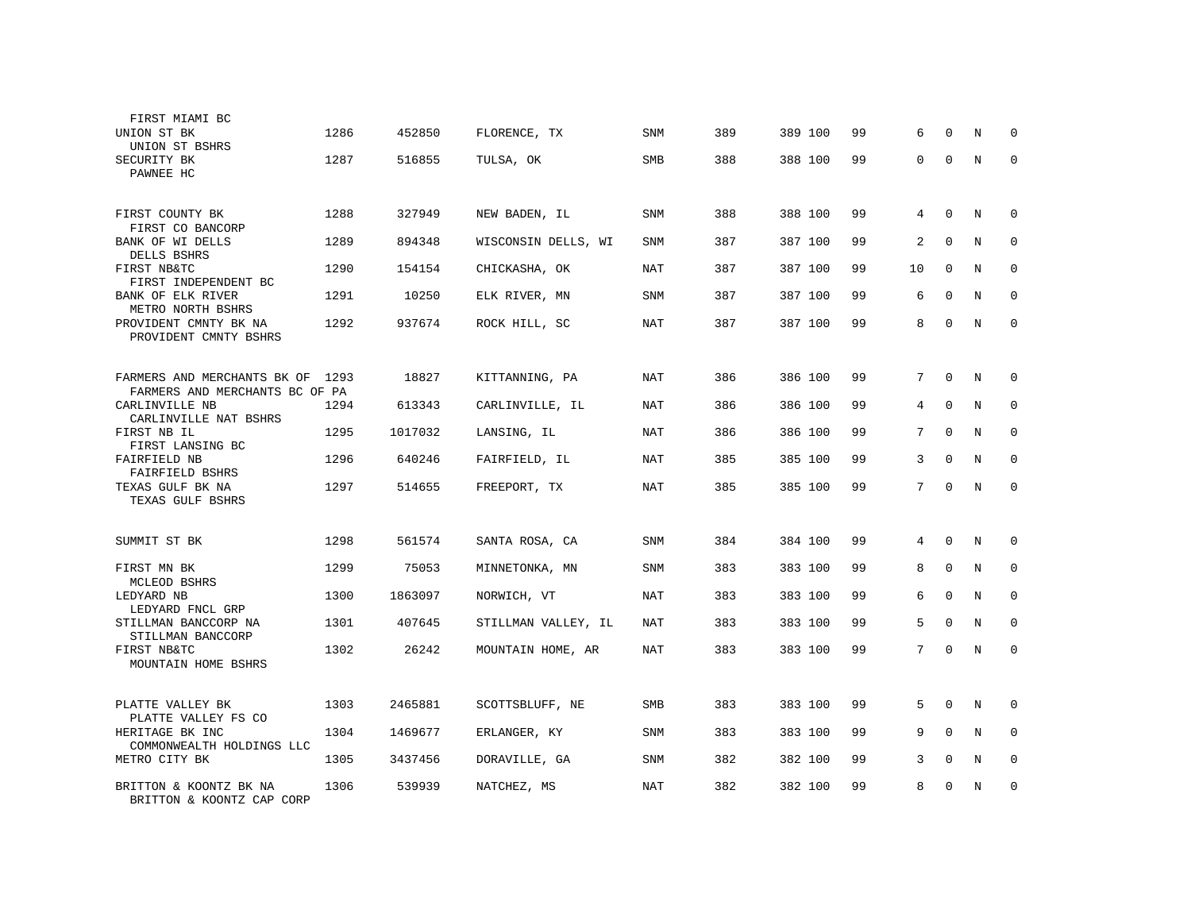| FIRST MIAMI BC<br>UNION ST BK<br>UNION ST BSHRS               | 1286 | 452850  | FLORENCE, TX        | <b>SNM</b> | 389 | 389 100 | 99 | 6               | $\Omega$    | N           | $\Omega$    |
|---------------------------------------------------------------|------|---------|---------------------|------------|-----|---------|----|-----------------|-------------|-------------|-------------|
| SECURITY BK<br>PAWNEE HC                                      | 1287 | 516855  | TULSA, OK           | <b>SMB</b> | 388 | 388 100 | 99 | $\mathbf{0}$    | $\mathbf 0$ | N           | $\mathbf 0$ |
| FIRST COUNTY BK<br>FIRST CO BANCORP                           | 1288 | 327949  | NEW BADEN, IL       | <b>SNM</b> | 388 | 388 100 | 99 | 4               | $\Omega$    | N           | $\Omega$    |
| BANK OF WI DELLS<br>DELLS BSHRS                               | 1289 | 894348  | WISCONSIN DELLS, WI | <b>SNM</b> | 387 | 387 100 | 99 | $\overline{a}$  | $\Omega$    | $\rm N$     | $\mathbf 0$ |
| FIRST NB&TC<br>FIRST INDEPENDENT BC                           | 1290 | 154154  | CHICKASHA, OK       | <b>NAT</b> | 387 | 387 100 | 99 | 10              | $\Omega$    | N           | $\Omega$    |
| BANK OF ELK RIVER<br>METRO NORTH BSHRS                        | 1291 | 10250   | ELK RIVER, MN       | <b>SNM</b> | 387 | 387 100 | 99 | 6               | $\Omega$    | N           | $\Omega$    |
| PROVIDENT CMNTY BK NA<br>PROVIDENT CMNTY BSHRS                | 1292 | 937674  | ROCK HILL, SC       | <b>NAT</b> | 387 | 387 100 | 99 | 8               | $\Omega$    | $\mathbb N$ | $\mathbf 0$ |
| FARMERS AND MERCHANTS BK OF<br>FARMERS AND MERCHANTS BC OF PA | 1293 | 18827   | KITTANNING, PA      | NAT        | 386 | 386 100 | 99 | $7\overline{ }$ | $\Omega$    | N           | $\Omega$    |
| CARLINVILLE NB<br>CARLINVILLE NAT BSHRS                       | 1294 | 613343  | CARLINVILLE, IL     | <b>NAT</b> | 386 | 386 100 | 99 | 4               | $\mathbf 0$ | N           | 0           |
| FIRST NB IL<br>FIRST LANSING BC                               | 1295 | 1017032 | LANSING, IL         | NAT        | 386 | 386 100 | 99 | 7               | $\Omega$    | N           | 0           |
| FAIRFIELD NB<br>FAIRFIELD BSHRS                               | 1296 | 640246  | FAIRFIELD, IL       | <b>NAT</b> | 385 | 385 100 | 99 | 3               | $\mathbf 0$ | $\rm N$     | $\mathbf 0$ |
| TEXAS GULF BK NA<br>TEXAS GULF BSHRS                          | 1297 | 514655  | FREEPORT, TX        | <b>NAT</b> | 385 | 385 100 | 99 | $7\overline{ }$ | $\Omega$    | N           | $\Omega$    |
| SUMMIT ST BK                                                  | 1298 | 561574  | SANTA ROSA, CA      | <b>SNM</b> | 384 | 384 100 | 99 | 4               | $\mathbf 0$ | N           | 0           |
| FIRST MN BK<br>MCLEOD BSHRS                                   | 1299 | 75053   | MINNETONKA, MN      | <b>SNM</b> | 383 | 383 100 | 99 | 8               | $\Omega$    | N           | $\Omega$    |
| LEDYARD NB<br>LEDYARD FNCL GRP                                | 1300 | 1863097 | NORWICH, VT         | NAT        | 383 | 383 100 | 99 | 6               | $\Omega$    | N           | 0           |
| STILLMAN BANCCORP NA<br>STILLMAN BANCCORP                     | 1301 | 407645  | STILLMAN VALLEY, IL | NAT        | 383 | 383 100 | 99 | 5               | $\Omega$    | N           | $\mathbf 0$ |
| FIRST NB&TC<br>MOUNTAIN HOME BSHRS                            | 1302 | 26242   | MOUNTAIN HOME, AR   | NAT        | 383 | 383 100 | 99 | 7               | $\Omega$    | N           | $\Omega$    |
| PLATTE VALLEY BK<br>PLATTE VALLEY FS CO                       | 1303 | 2465881 | SCOTTSBLUFF, NE     | SMB        | 383 | 383 100 | 99 | 5               | $\mathbf 0$ | N           | 0           |
| HERITAGE BK INC<br>COMMONWEALTH HOLDINGS LLC                  | 1304 | 1469677 | ERLANGER, KY        | <b>SNM</b> | 383 | 383 100 | 99 | 9               | $\Omega$    | N           | 0           |
| METRO CITY BK                                                 | 1305 | 3437456 | DORAVILLE, GA       | <b>SNM</b> | 382 | 382 100 | 99 | 3               | $\mathbf 0$ | $\rm N$     | $\mathbf 0$ |
| BRITTON & KOONTZ BK NA<br>BRITTON & KOONTZ CAP CORP           | 1306 | 539939  | NATCHEZ, MS         | NAT        | 382 | 382 100 | 99 | 8               | $\Omega$    | N           | 0           |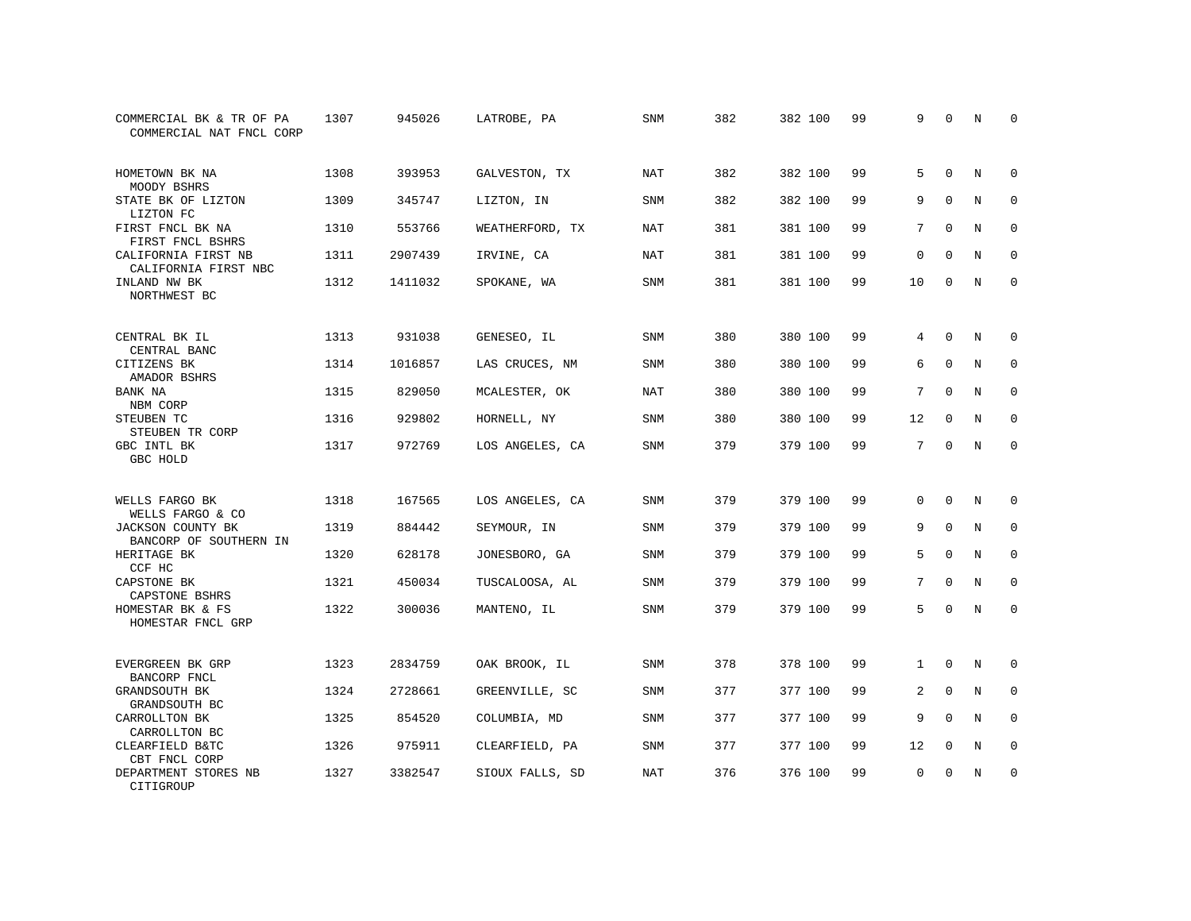| COMMERCIAL BK & TR OF PA<br>COMMERCIAL NAT FNCL CORP | 1307 | 945026  | LATROBE, PA     | SNM        | 382 | 382 100 | 99 | 9            | 0           | N           | 0           |
|------------------------------------------------------|------|---------|-----------------|------------|-----|---------|----|--------------|-------------|-------------|-------------|
| HOMETOWN BK NA<br>MOODY BSHRS                        | 1308 | 393953  | GALVESTON, TX   | <b>NAT</b> | 382 | 382 100 | 99 | 5            | $\Omega$    | $_{\rm N}$  | $\Omega$    |
| STATE BK OF LIZTON<br>LIZTON FC                      | 1309 | 345747  | LIZTON, IN      | SNM        | 382 | 382 100 | 99 | 9            | $\mathbf 0$ | N           | $\mathbf 0$ |
| FIRST FNCL BK NA<br>FIRST FNCL BSHRS                 | 1310 | 553766  | WEATHERFORD, TX | <b>NAT</b> | 381 | 381 100 | 99 | 7            | $\Omega$    | N           | $\mathbf 0$ |
| CALIFORNIA FIRST NB<br>CALIFORNIA FIRST NBC          | 1311 | 2907439 | IRVINE, CA      | NAT        | 381 | 381 100 | 99 | $\mathbf 0$  | $\mathbf 0$ | N           | 0           |
| INLAND NW BK<br>NORTHWEST BC                         | 1312 | 1411032 | SPOKANE, WA     | <b>SNM</b> | 381 | 381 100 | 99 | 10           | $\mathbf 0$ | N           | $\mathbf 0$ |
| CENTRAL BK IL<br>CENTRAL BANC                        | 1313 | 931038  | GENESEO, IL     | SNM        | 380 | 380 100 | 99 | 4            | $\mathbf 0$ | N           | 0           |
| CITIZENS BK<br>AMADOR BSHRS                          | 1314 | 1016857 | LAS CRUCES, NM  | <b>SNM</b> | 380 | 380 100 | 99 | 6            | $\Omega$    | $\mathbf N$ | $\mathbf 0$ |
| BANK NA<br>NBM CORP                                  | 1315 | 829050  | MCALESTER, OK   | <b>NAT</b> | 380 | 380 100 | 99 | 7            | $\mathbf 0$ | N           | 0           |
| STEUBEN TC<br>STEUBEN TR CORP                        | 1316 | 929802  | HORNELL, NY     | <b>SNM</b> | 380 | 380 100 | 99 | 12           | $\Omega$    | $\mathbf N$ | $\mathbf 0$ |
| GBC INTL BK<br>GBC HOLD                              | 1317 | 972769  | LOS ANGELES, CA | SNM        | 379 | 379 100 | 99 | 7            | $\Omega$    | N           | $\Omega$    |
| WELLS FARGO BK<br>WELLS FARGO & CO                   | 1318 | 167565  | LOS ANGELES, CA | <b>SNM</b> | 379 | 379 100 | 99 | $\Omega$     | $\Omega$    | N           | 0           |
| JACKSON COUNTY BK<br>BANCORP OF SOUTHERN IN          | 1319 | 884442  | SEYMOUR, IN     | SNM        | 379 | 379 100 | 99 | 9            | $\mathbf 0$ | N           | 0           |
| HERITAGE BK<br>CCF HC                                | 1320 | 628178  | JONESBORO, GA   | SNM        | 379 | 379 100 | 99 | 5            | $\Omega$    | N           | $\mathbf 0$ |
| CAPSTONE BK<br>CAPSTONE BSHRS                        | 1321 | 450034  | TUSCALOOSA, AL  | <b>SNM</b> | 379 | 379 100 | 99 | 7            | $\Omega$    | $_{\rm N}$  | $\mathbf 0$ |
| HOMESTAR BK & FS<br>HOMESTAR FNCL GRP                | 1322 | 300036  | MANTENO, IL     | SNM        | 379 | 379 100 | 99 | 5            | $\mathbf 0$ | N           | $\mathbf 0$ |
| EVERGREEN BK GRP<br>BANCORP FNCL                     | 1323 | 2834759 | OAK BROOK, IL   | SNM        | 378 | 378 100 | 99 | $\mathbf{1}$ | $\mathbf 0$ | N           | 0           |
| GRANDSOUTH BK<br>GRANDSOUTH BC                       | 1324 | 2728661 | GREENVILLE, SC  | SNM        | 377 | 377 100 | 99 | 2            | $\mathbf 0$ | N           | 0           |
| CARROLLTON BK<br>CARROLLTON BC                       | 1325 | 854520  | COLUMBIA, MD    | <b>SNM</b> | 377 | 377 100 | 99 | 9            | $\Omega$    | N           | $\mathbf 0$ |
| CLEARFIELD B&TC<br>CBT FNCL CORP                     | 1326 | 975911  | CLEARFIELD, PA  | SNM        | 377 | 377 100 | 99 | 12           | 0           | N           | 0           |
| DEPARTMENT STORES NB<br>CITIGROUP                    | 1327 | 3382547 | SIOUX FALLS, SD | <b>NAT</b> | 376 | 376 100 | 99 | $\mathbf 0$  | $\Omega$    | N           | $\mathbf 0$ |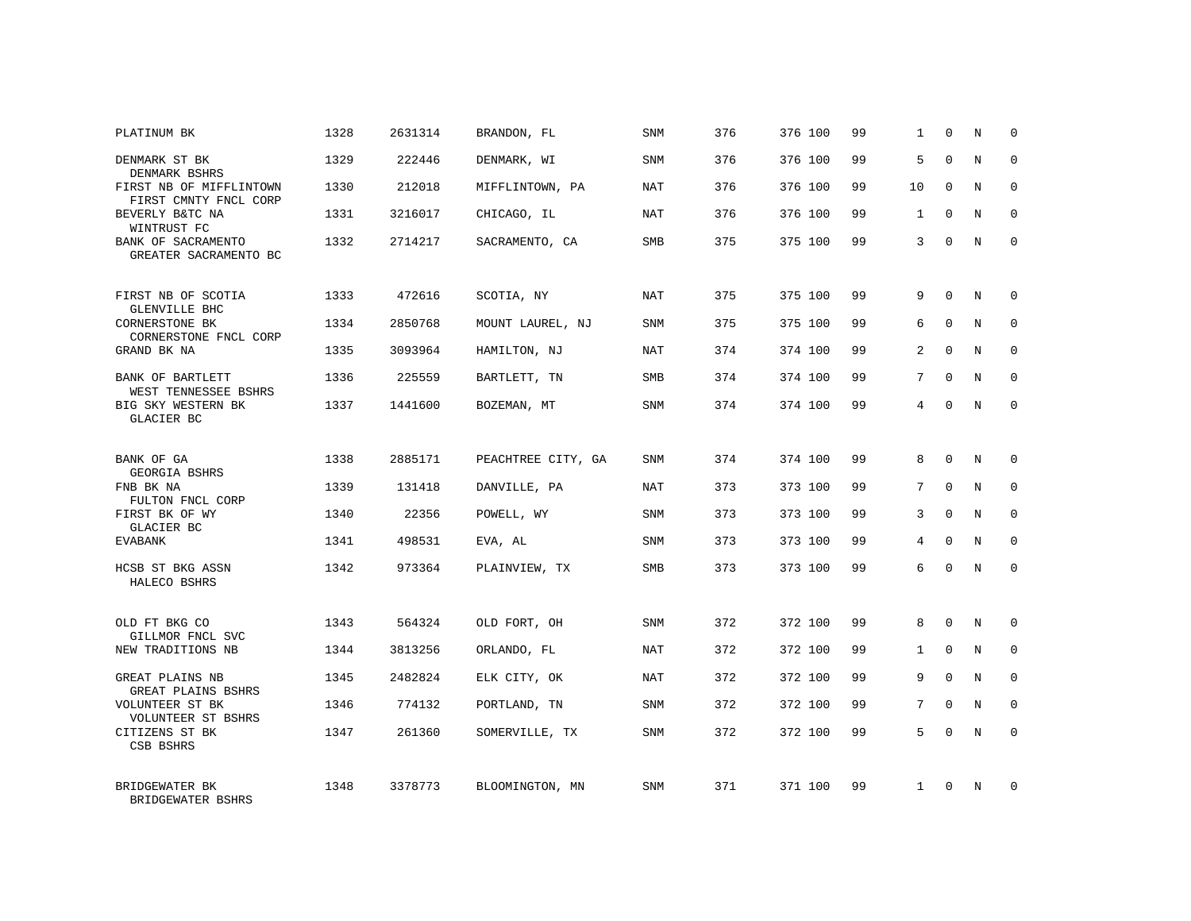| PLATINUM BK                                              | 1328 | 2631314 | BRANDON, FL        | SNM        | 376 | 376 100 | 99 | 1            | $\Omega$    | N          | $\Omega$    |
|----------------------------------------------------------|------|---------|--------------------|------------|-----|---------|----|--------------|-------------|------------|-------------|
| DENMARK ST BK<br>DENMARK BSHRS                           | 1329 | 222446  | DENMARK, WI        | SNM        | 376 | 376 100 | 99 | 5            | $\Omega$    | N          | $\Omega$    |
| FIRST NB OF MIFFLINTOWN<br>FIRST CMNTY FNCL CORP         | 1330 | 212018  | MIFFLINTOWN, PA    | <b>NAT</b> | 376 | 376 100 | 99 | 10           | $\mathbf 0$ | N          | $\mathbf 0$ |
| BEVERLY B&TC NA<br>WINTRUST FC                           | 1331 | 3216017 | CHICAGO, IL        | <b>NAT</b> | 376 | 376 100 | 99 | $\mathbf{1}$ | $\Omega$    | N          | $\Omega$    |
| BANK OF SACRAMENTO<br>GREATER SACRAMENTO BC              | 1332 | 2714217 | SACRAMENTO, CA     | <b>SMB</b> | 375 | 375 100 | 99 | 3            | $\Omega$    | N          | $\Omega$    |
| FIRST NB OF SCOTIA                                       | 1333 | 472616  | SCOTIA, NY         | <b>NAT</b> | 375 | 375 100 | 99 | 9            | $\Omega$    | N          | $\Omega$    |
| GLENVILLE BHC<br>CORNERSTONE BK<br>CORNERSTONE FNCL CORP | 1334 | 2850768 | MOUNT LAUREL, NJ   | SNM        | 375 | 375 100 | 99 | 6            | $\Omega$    | $_{\rm N}$ | $\Omega$    |
| GRAND BK NA                                              | 1335 | 3093964 | HAMILTON, NJ       | NAT        | 374 | 374 100 | 99 | 2            | $\Omega$    | N          | $\Omega$    |
| BANK OF BARTLETT<br>WEST TENNESSEE BSHRS                 | 1336 | 225559  | BARTLETT, TN       | <b>SMB</b> | 374 | 374 100 | 99 | 7            | $\Omega$    | N          | $\Omega$    |
| BIG SKY WESTERN BK<br>GLACIER BC                         | 1337 | 1441600 | BOZEMAN, MT        | SNM        | 374 | 374 100 | 99 | 4            | $\Omega$    | N          | $\mathbf 0$ |
| BANK OF GA<br>GEORGIA BSHRS                              | 1338 | 2885171 | PEACHTREE CITY, GA | SNM        | 374 | 374 100 | 99 | 8            | $\Omega$    | N          | $\Omega$    |
| FNB BK NA<br>FULTON FNCL CORP                            | 1339 | 131418  | DANVILLE, PA       | NAT        | 373 | 373 100 | 99 | 7            | $\mathbf 0$ | N          | $\mathbf 0$ |
| FIRST BK OF WY<br>GLACIER BC                             | 1340 | 22356   | POWELL, WY         | <b>SNM</b> | 373 | 373 100 | 99 | 3            | $\Omega$    | N          | $\Omega$    |
| <b>EVABANK</b>                                           | 1341 | 498531  | EVA, AL            | SNM        | 373 | 373 100 | 99 | 4            | $\Omega$    | N          | $\mathbf 0$ |
| HCSB ST BKG ASSN<br>HALECO BSHRS                         | 1342 | 973364  | PLAINVIEW, TX      | <b>SMB</b> | 373 | 373 100 | 99 | 6            | $\Omega$    | N          | $\Omega$    |
| OLD FT BKG CO                                            | 1343 | 564324  | OLD FORT, OH       | <b>SNM</b> | 372 | 372 100 | 99 | 8            | $\Omega$    | N          | $\Omega$    |
| GILLMOR FNCL SVC<br>NEW TRADITIONS NB                    | 1344 | 3813256 | ORLANDO, FL        | NAT        | 372 | 372 100 | 99 | $\mathbf{1}$ | $\Omega$    | $_{\rm N}$ | $\Omega$    |
| GREAT PLAINS NB<br>GREAT PLAINS BSHRS                    | 1345 | 2482824 | ELK CITY, OK       | NAT        | 372 | 372 100 | 99 | 9            | $\Omega$    | N          | $\Omega$    |
| VOLUNTEER ST BK<br>VOLUNTEER ST BSHRS                    | 1346 | 774132  | PORTLAND, TN       | <b>SNM</b> | 372 | 372 100 | 99 | 7            | $\Omega$    | $_{\rm N}$ | $\Omega$    |
| CITIZENS ST BK<br>CSB BSHRS                              | 1347 | 261360  | SOMERVILLE, TX     | <b>SNM</b> | 372 | 372 100 | 99 | 5            | $\Omega$    | N          | $\Omega$    |
| BRIDGEWATER BK<br>BRIDGEWATER BSHRS                      | 1348 | 3378773 | BLOOMINGTON, MN    | <b>SNM</b> | 371 | 371 100 | 99 | $\mathbf{1}$ | $\Omega$    | $_{\rm N}$ | $\Omega$    |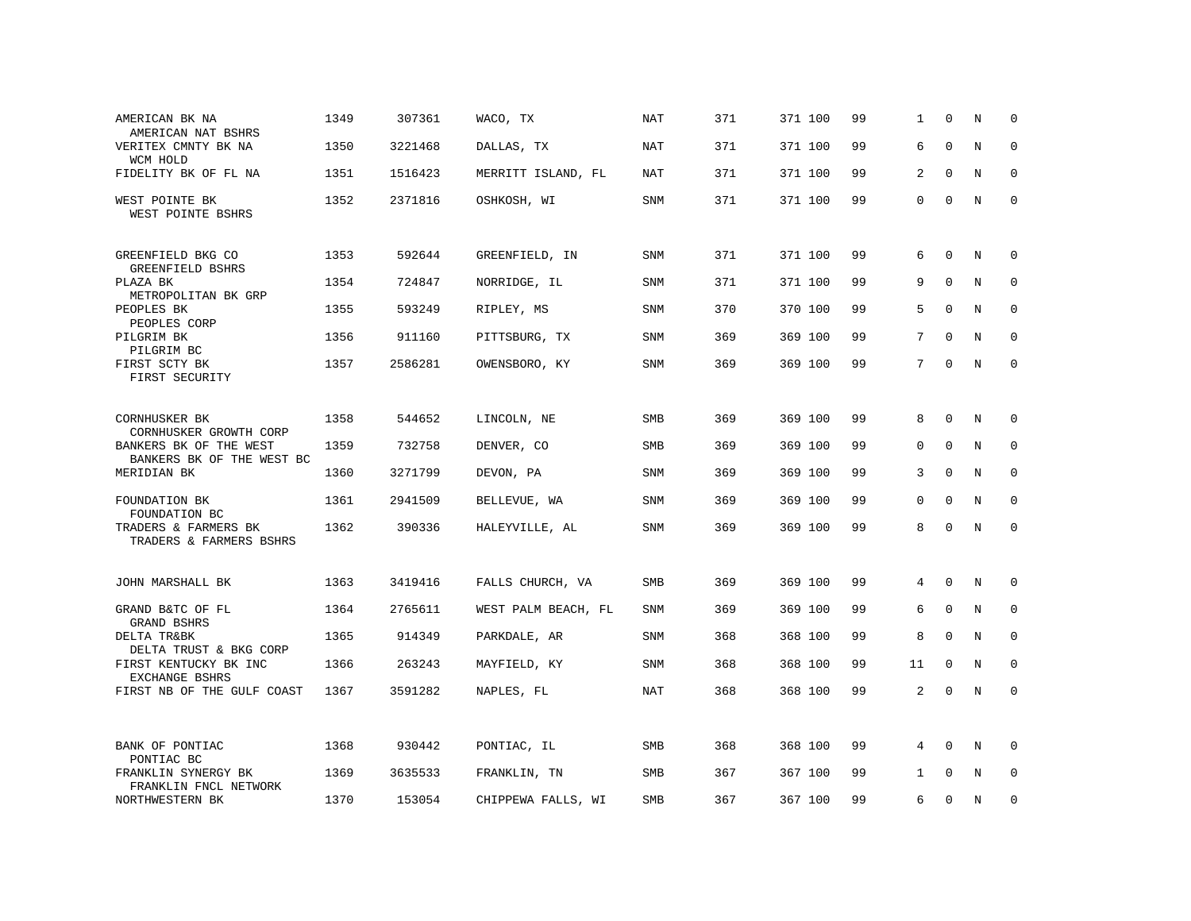| AMERICAN BK NA<br>AMERICAN NAT BSHRS                                          | 1349 | 307361  | WACO, TX            | NAT        | 371 | 371 100 | 99 | 1           | $\Omega$    | N           | $\Omega$    |
|-------------------------------------------------------------------------------|------|---------|---------------------|------------|-----|---------|----|-------------|-------------|-------------|-------------|
| VERITEX CMNTY BK NA<br>WCM HOLD                                               | 1350 | 3221468 | DALLAS, TX          | <b>NAT</b> | 371 | 371 100 | 99 | 6           | $\mathbf 0$ | $\rm N$     | $\mathbf 0$ |
| FIDELITY BK OF FL NA                                                          | 1351 | 1516423 | MERRITT ISLAND, FL  | <b>NAT</b> | 371 | 371 100 | 99 | 2           | $\Omega$    | N           | $\mathbf 0$ |
| WEST POINTE BK<br>WEST POINTE BSHRS                                           | 1352 | 2371816 | OSHKOSH, WI         | SNM        | 371 | 371 100 | 99 | $\mathbf 0$ | $\Omega$    | N           | $\mathbf 0$ |
| GREENFIELD BKG CO<br>GREENFIELD BSHRS                                         | 1353 | 592644  | GREENFIELD, IN      | SNM        | 371 | 371 100 | 99 | 6           | 0           | N           | 0           |
| PLAZA BK<br>METROPOLITAN BK GRP                                               | 1354 | 724847  | NORRIDGE, IL        | SNM        | 371 | 371 100 | 99 | 9           | $\mathbf 0$ | N           | 0           |
| PEOPLES BK<br>PEOPLES CORP                                                    | 1355 | 593249  | RIPLEY, MS          | <b>SNM</b> | 370 | 370 100 | 99 | 5           | $\Omega$    | N           | $\mathbf 0$ |
| PILGRIM BK<br>PILGRIM BC                                                      | 1356 | 911160  | PITTSBURG, TX       | SNM        | 369 | 369 100 | 99 | 7           | $\Omega$    | $\rm N$     | $\mathbf 0$ |
| FIRST SCTY BK<br>FIRST SECURITY                                               | 1357 | 2586281 | OWENSBORO, KY       | SNM        | 369 | 369 100 | 99 | 7           | $\Omega$    | N           | $\mathbf 0$ |
| CORNHUSKER BK                                                                 | 1358 | 544652  | LINCOLN, NE         | <b>SMB</b> | 369 | 369 100 | 99 | 8           | $\Omega$    | N           | $\Omega$    |
| CORNHUSKER GROWTH CORP<br>BANKERS BK OF THE WEST<br>BANKERS BK OF THE WEST BC | 1359 | 732758  | DENVER, CO          | SMB        | 369 | 369 100 | 99 | $\mathbf 0$ | $\Omega$    | N           | 0           |
| MERIDIAN BK                                                                   | 1360 | 3271799 | DEVON, PA           | SNM        | 369 | 369 100 | 99 | 3           | $\Omega$    | N           | $\mathbf 0$ |
| FOUNDATION BK<br>FOUNDATION BC                                                | 1361 | 2941509 | BELLEVUE, WA        | <b>SNM</b> | 369 | 369 100 | 99 | $\Omega$    | $\Omega$    | N           | $\mathbf 0$ |
| TRADERS & FARMERS BK<br>TRADERS & FARMERS BSHRS                               | 1362 | 390336  | HALEYVILLE, AL      | SNM        | 369 | 369 100 | 99 | 8           | $\mathbf 0$ | $\mathbf N$ | $\mathbf 0$ |
| JOHN MARSHALL BK                                                              | 1363 | 3419416 | FALLS CHURCH, VA    | SMB        | 369 | 369 100 | 99 | 4           | $\mathbf 0$ | N           | 0           |
| GRAND B&TC OF FL<br>GRAND BSHRS                                               | 1364 | 2765611 | WEST PALM BEACH, FL | <b>SNM</b> | 369 | 369 100 | 99 | 6           | $\mathbf 0$ | N           | 0           |
| DELTA TR&BK<br>DELTA TRUST & BKG CORP                                         | 1365 | 914349  | PARKDALE, AR        | SNM        | 368 | 368 100 | 99 | 8           | $\mathbf 0$ | N           | $\mathbf 0$ |
| FIRST KENTUCKY BK INC<br><b>EXCHANGE BSHRS</b>                                | 1366 | 263243  | MAYFIELD, KY        | <b>SNM</b> | 368 | 368 100 | 99 | 11          | $\Omega$    | N           | $\Omega$    |
| FIRST NB OF THE GULF COAST                                                    | 1367 | 3591282 | NAPLES, FL          | <b>NAT</b> | 368 | 368 100 | 99 | 2           | $\Omega$    | N           | $\mathbf 0$ |
| BANK OF PONTIAC<br>PONTIAC BC                                                 | 1368 | 930442  | PONTIAC, IL         | SMB        | 368 | 368 100 | 99 | 4           | $\Omega$    | N           | $\Omega$    |
| FRANKLIN SYNERGY BK<br>FRANKLIN FNCL NETWORK                                  | 1369 | 3635533 | FRANKLIN, TN        | SMB        | 367 | 367 100 | 99 | 1           | $\mathbf 0$ | N           | $\mathbf 0$ |
| NORTHWESTERN BK                                                               | 1370 | 153054  | CHIPPEWA FALLS, WI  | <b>SMB</b> | 367 | 367 100 | 99 | 6           | $\Omega$    | N           | $\mathbf 0$ |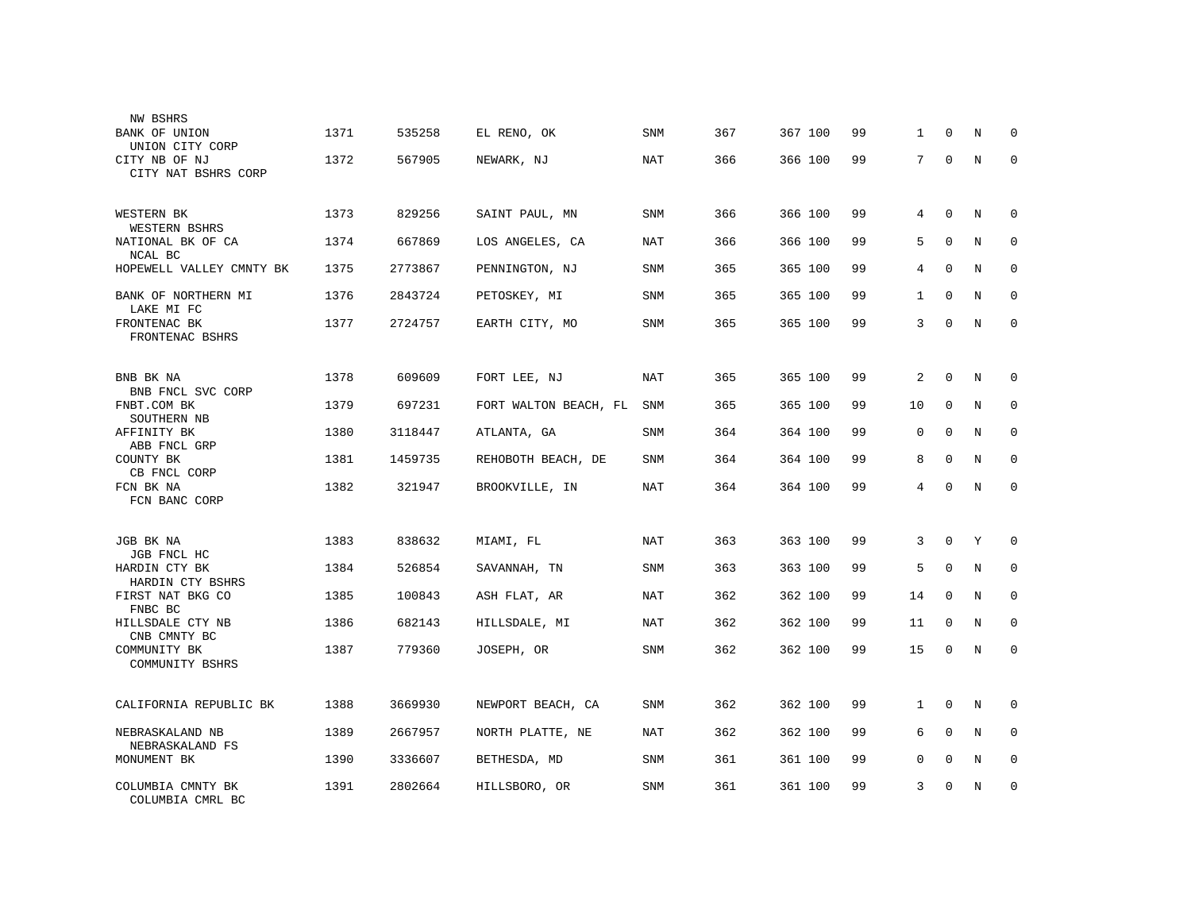| NW BSHRS                                        |      |         |                       |            |     |         |    |                |             |         |             |
|-------------------------------------------------|------|---------|-----------------------|------------|-----|---------|----|----------------|-------------|---------|-------------|
| BANK OF UNION<br>UNION CITY CORP                | 1371 | 535258  | EL RENO, OK           | <b>SNM</b> | 367 | 367 100 | 99 | 1              | $\Omega$    | N       | $\Omega$    |
| CITY NB OF NJ<br>CITY NAT BSHRS CORP            | 1372 | 567905  | NEWARK, NJ            | <b>NAT</b> | 366 | 366 100 | 99 | 7              | $\mathbf 0$ | N       | $\Omega$    |
| WESTERN BK<br>WESTERN BSHRS                     | 1373 | 829256  | SAINT PAUL, MN        | SNM        | 366 | 366 100 | 99 | 4              | $\mathbf 0$ | N       | 0           |
| NATIONAL BK OF CA<br>NCAL BC                    | 1374 | 667869  | LOS ANGELES, CA       | <b>NAT</b> | 366 | 366 100 | 99 | 5              | $\mathbf 0$ | $\rm N$ | 0           |
| HOPEWELL VALLEY CMNTY BK                        | 1375 | 2773867 | PENNINGTON, NJ        | SNM        | 365 | 365 100 | 99 | $\overline{4}$ | $\mathbf 0$ | $\rm N$ | 0           |
| BANK OF NORTHERN MI<br>LAKE MI FC               | 1376 | 2843724 | PETOSKEY, MI          | SNM        | 365 | 365 100 | 99 | $\mathbf{1}$   | $\mathbf 0$ | N       | $\mathbf 0$ |
| FRONTENAC BK<br>FRONTENAC BSHRS                 | 1377 | 2724757 | EARTH CITY, MO        | SNM        | 365 | 365 100 | 99 | 3              | $\mathbf 0$ | N       | $\mathbf 0$ |
| BNB BK NA                                       | 1378 | 609609  | FORT LEE, NJ          | NAT        | 365 | 365 100 | 99 | 2              | 0           | N       | 0           |
| BNB FNCL SVC CORP<br>FNBT.COM BK<br>SOUTHERN NB | 1379 | 697231  | FORT WALTON BEACH, FL | SNM        | 365 | 365 100 | 99 | 10             | $\mathbf 0$ | N       | 0           |
| AFFINITY BK<br>ABB FNCL GRP                     | 1380 | 3118447 | ATLANTA, GA           | SNM        | 364 | 364 100 | 99 | $\mathbf 0$    | 0           | N       | 0           |
| COUNTY BK<br>CB FNCL CORP                       | 1381 | 1459735 | REHOBOTH BEACH, DE    | SNM        | 364 | 364 100 | 99 | 8              | $\Omega$    | N       | $\Omega$    |
| FCN BK NA<br>FCN BANC CORP                      | 1382 | 321947  | BROOKVILLE, IN        | NAT        | 364 | 364 100 | 99 | 4              | $\Omega$    | N       | $\mathbf 0$ |
| JGB BK NA<br>JGB FNCL HC                        | 1383 | 838632  | MIAMI, FL             | NAT        | 363 | 363 100 | 99 | 3              | $\Omega$    | Υ       | $\Omega$    |
| HARDIN CTY BK<br>HARDIN CTY BSHRS               | 1384 | 526854  | SAVANNAH, TN          | SNM        | 363 | 363 100 | 99 | 5              | $\Omega$    | N       | $\Omega$    |
| FIRST NAT BKG CO<br>FNBC BC                     | 1385 | 100843  | ASH FLAT, AR          | NAT        | 362 | 362 100 | 99 | 14             | $\Omega$    | N       | $\mathbf 0$ |
| HILLSDALE CTY NB<br>CNB CMNTY BC                | 1386 | 682143  | HILLSDALE, MI         | <b>NAT</b> | 362 | 362 100 | 99 | 11             | $\Omega$    | N       | $\Omega$    |
| COMMUNITY BK<br>COMMUNITY BSHRS                 | 1387 | 779360  | JOSEPH, OR            | SNM        | 362 | 362 100 | 99 | 15             | 0           | N       | $\mathbf 0$ |
| CALIFORNIA REPUBLIC BK                          | 1388 | 3669930 | NEWPORT BEACH, CA     | SNM        | 362 | 362 100 | 99 | $\mathbf{1}$   | $\mathbf 0$ | N       | $\mathbf 0$ |
| NEBRASKALAND NB<br>NEBRASKALAND FS              | 1389 | 2667957 | NORTH PLATTE, NE      | <b>NAT</b> | 362 | 362 100 | 99 | 6              | $\mathbf 0$ | N       | $\mathbf 0$ |
| MONUMENT BK                                     | 1390 | 3336607 | BETHESDA, MD          | SNM        | 361 | 361 100 | 99 | $\mathbf 0$    | $\mathbf 0$ | N       | 0           |
| COLUMBIA CMNTY BK<br>COLUMBIA CMRL BC           | 1391 | 2802664 | HILLSBORO, OR         | SNM        | 361 | 361 100 | 99 | 3              | $\Omega$    | N       | 0           |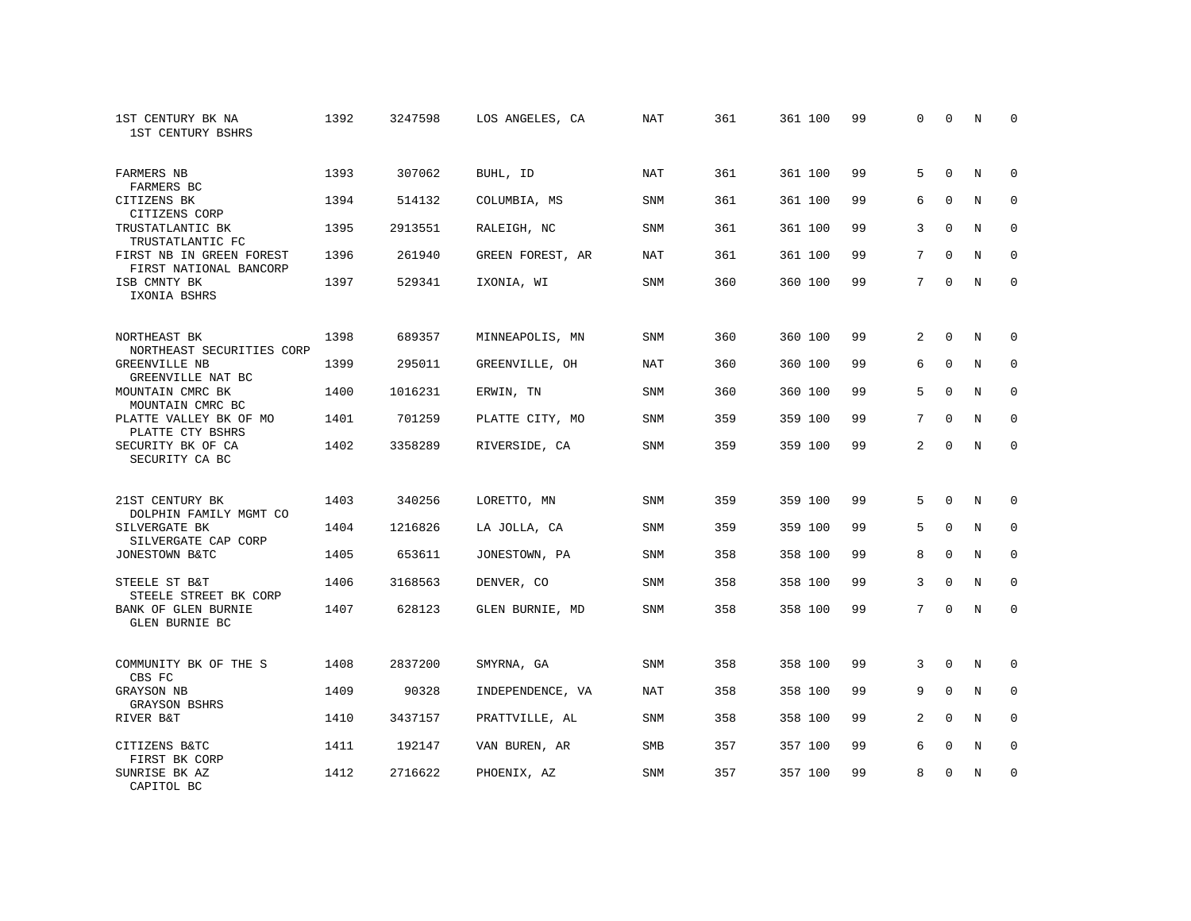| 1ST CENTURY BK NA<br>1ST CENTURY BSHRS             | 1392 | 3247598 | LOS ANGELES, CA  | NAT        | 361 | 361 100 | 99 | $\Omega$       | $\Omega$    | N           | $\Omega$    |
|----------------------------------------------------|------|---------|------------------|------------|-----|---------|----|----------------|-------------|-------------|-------------|
| FARMERS NB<br>FARMERS BC                           | 1393 | 307062  | BUHL, ID         | <b>NAT</b> | 361 | 361 100 | 99 | 5              | $\Omega$    | N           | $\mathbf 0$ |
| CITIZENS BK<br>CITIZENS CORP                       | 1394 | 514132  | COLUMBIA, MS     | <b>SNM</b> | 361 | 361 100 | 99 | 6              | $\Omega$    | N           | $\mathbf 0$ |
| TRUSTATLANTIC BK<br>TRUSTATLANTIC FC               | 1395 | 2913551 | RALEIGH, NC      | <b>SNM</b> | 361 | 361 100 | 99 | 3              | $\Omega$    | N           | $\Omega$    |
| FIRST NB IN GREEN FOREST<br>FIRST NATIONAL BANCORP | 1396 | 261940  | GREEN FOREST, AR | <b>NAT</b> | 361 | 361 100 | 99 | 7              | $\Omega$    | N           | $\mathbf 0$ |
| ISB CMNTY BK<br>IXONIA BSHRS                       | 1397 | 529341  | IXONIA, WI       | <b>SNM</b> | 360 | 360 100 | 99 | 7              | $\Omega$    | $_{\rm N}$  | $\Omega$    |
| NORTHEAST BK<br>NORTHEAST SECURITIES CORP          | 1398 | 689357  | MINNEAPOLIS, MN  | <b>SNM</b> | 360 | 360 100 | 99 | 2              | $\Omega$    | N           | 0           |
| GREENVILLE NB<br>GREENVILLE NAT BC                 | 1399 | 295011  | GREENVILLE, OH   | NAT        | 360 | 360 100 | 99 | 6              | $\mathbf 0$ | N           | $\mathbf 0$ |
| MOUNTAIN CMRC BK<br>MOUNTAIN CMRC BC               | 1400 | 1016231 | ERWIN, TN        | <b>SNM</b> | 360 | 360 100 | 99 | 5              | $\Omega$    | N           | $\mathbf 0$ |
| PLATTE VALLEY BK OF MO<br>PLATTE CTY BSHRS         | 1401 | 701259  | PLATTE CITY, MO  | SNM        | 359 | 359 100 | 99 | 7              | $\mathbf 0$ | $\mathbf N$ | $\mathbf 0$ |
| SECURITY BK OF CA<br>SECURITY CA BC                | 1402 | 3358289 | RIVERSIDE, CA    | <b>SNM</b> | 359 | 359 100 | 99 | $\overline{2}$ | $\Omega$    | N           | $\mathbf 0$ |
| 21ST CENTURY BK<br>DOLPHIN FAMILY MGMT CO          | 1403 | 340256  | LORETTO, MN      | <b>SNM</b> | 359 | 359 100 | 99 | 5              | $\Omega$    | N           | 0           |
| SILVERGATE BK<br>SILVERGATE CAP CORP               | 1404 | 1216826 | LA JOLLA, CA     | SNM        | 359 | 359 100 | 99 | 5              | $\Omega$    | N           | $\mathbf 0$ |
| JONESTOWN B&TC                                     | 1405 | 653611  | JONESTOWN, PA    | SNM        | 358 | 358 100 | 99 | 8              | $\mathbf 0$ | N           | 0           |
| STEELE ST B&T<br>STEELE STREET BK CORP             | 1406 | 3168563 | DENVER, CO       | SNM        | 358 | 358 100 | 99 | 3              | $\Omega$    | $\mathbf N$ | $\mathbf 0$ |
| BANK OF GLEN BURNIE<br>GLEN BURNIE BC              | 1407 | 628123  | GLEN BURNIE, MD  | SNM        | 358 | 358 100 | 99 | 7              | $\mathbf 0$ | $\mathbf N$ | $\mathbf 0$ |
| COMMUNITY BK OF THE S<br>CBS FC                    | 1408 | 2837200 | SMYRNA, GA       | <b>SNM</b> | 358 | 358 100 | 99 | 3              | $\Omega$    | $_{\rm N}$  | 0           |
| GRAYSON NB<br><b>GRAYSON BSHRS</b>                 | 1409 | 90328   | INDEPENDENCE, VA | NAT        | 358 | 358 100 | 99 | 9              | $\mathbf 0$ | N           | $\mathbf 0$ |
| RIVER B&T                                          | 1410 | 3437157 | PRATTVILLE, AL   | <b>SNM</b> | 358 | 358 100 | 99 | 2              | $\Omega$    | N           | $\mathbf 0$ |
| CITIZENS B&TC<br>FIRST BK CORP                     | 1411 | 192147  | VAN BUREN, AR    | SMB        | 357 | 357 100 | 99 | 6              | $\mathbf 0$ | N           | 0           |
| SUNRISE BK AZ<br>CAPITOL BC                        | 1412 | 2716622 | PHOENIX, AZ      | <b>SNM</b> | 357 | 357 100 | 99 | 8              | $\Omega$    | N           | $\mathbf 0$ |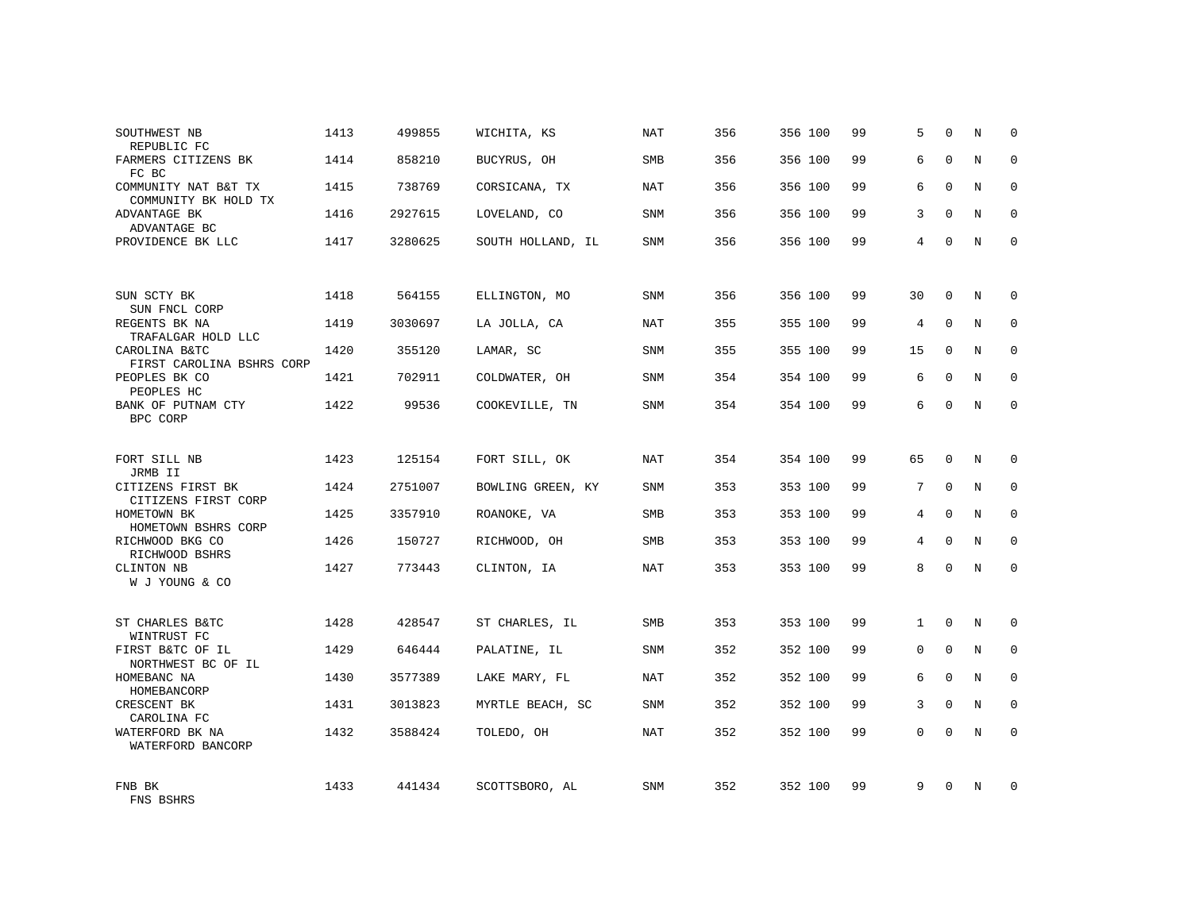| SOUTHWEST NB<br>REPUBLIC FC                  | 1413 | 499855  | WICHITA, KS       | <b>NAT</b> | 356 | 356 100 | 99 | 5            | $\Omega$    | N           | $\mathbf 0$  |
|----------------------------------------------|------|---------|-------------------|------------|-----|---------|----|--------------|-------------|-------------|--------------|
| FARMERS CITIZENS BK<br>FC BC                 | 1414 | 858210  | BUCYRUS, OH       | SMB        | 356 | 356 100 | 99 | 6            | $\Omega$    | $\mathbb N$ | $\Omega$     |
| COMMUNITY NAT B&T TX<br>COMMUNITY BK HOLD TX | 1415 | 738769  | CORSICANA, TX     | <b>NAT</b> | 356 | 356 100 | 99 | 6            | $\Omega$    | N           | $\mathbf 0$  |
| ADVANTAGE BK<br>ADVANTAGE BC                 | 1416 | 2927615 | LOVELAND, CO      | SNM        | 356 | 356 100 | 99 | 3            | $\Omega$    | $\mathbf N$ | $\mathbf{0}$ |
| PROVIDENCE BK LLC                            | 1417 | 3280625 | SOUTH HOLLAND, IL | SNM        | 356 | 356 100 | 99 | 4            | $\Omega$    | N           | $\Omega$     |
|                                              |      |         |                   |            |     |         |    |              |             |             |              |
| SUN SCTY BK<br>SUN FNCL CORP                 | 1418 | 564155  | ELLINGTON, MO     | SNM        | 356 | 356 100 | 99 | 30           | $\Omega$    | N           | $\Omega$     |
| REGENTS BK NA<br>TRAFALGAR HOLD LLC          | 1419 | 3030697 | LA JOLLA, CA      | NAT        | 355 | 355 100 | 99 | 4            | $\Omega$    | N           | $\mathbf{0}$ |
| CAROLINA B&TC<br>FIRST CAROLINA BSHRS CORP   | 1420 | 355120  | LAMAR, SC         | SNM        | 355 | 355 100 | 99 | 15           | $\Omega$    | N           | $\mathbf 0$  |
| PEOPLES BK CO<br>PEOPLES HC                  | 1421 | 702911  | COLDWATER, OH     | SNM        | 354 | 354 100 | 99 | 6            | $\Omega$    | N           | $\Omega$     |
| BANK OF PUTNAM CTY<br>BPC CORP               | 1422 | 99536   | COOKEVILLE, TN    | <b>SNM</b> | 354 | 354 100 | 99 | 6            | $\mathbf 0$ | N           | $\mathbf{0}$ |
|                                              |      |         |                   |            |     |         |    |              |             |             |              |
| FORT SILL NB<br>JRMB II                      | 1423 | 125154  | FORT SILL, OK     | <b>NAT</b> | 354 | 354 100 | 99 | 65           | $\Omega$    | N           | $\mathbf 0$  |
| CITIZENS FIRST BK<br>CITIZENS FIRST CORP     | 1424 | 2751007 | BOWLING GREEN, KY | SNM        | 353 | 353 100 | 99 | 7            | $\mathbf 0$ | $\mathbf N$ | $\mathbf 0$  |
| HOMETOWN BK<br>HOMETOWN BSHRS CORP           | 1425 | 3357910 | ROANOKE, VA       | <b>SMB</b> | 353 | 353 100 | 99 | 4            | $\Omega$    | N           | $\mathbf 0$  |
| RICHWOOD BKG CO<br>RICHWOOD BSHRS            | 1426 | 150727  | RICHWOOD, OH      | SMB        | 353 | 353 100 | 99 | 4            | $\mathbf 0$ | N           | $\mathbf 0$  |
| CLINTON NB<br>W J YOUNG & CO                 | 1427 | 773443  | CLINTON, IA       | NAT        | 353 | 353 100 | 99 | 8            | $\Omega$    | N           | $\Omega$     |
|                                              |      |         |                   |            |     |         |    |              |             |             |              |
| ST CHARLES B&TC<br>WINTRUST FC               | 1428 | 428547  | ST CHARLES, IL    | SMB        | 353 | 353 100 | 99 | $\mathbf{1}$ | $\mathbf 0$ | N           | $\mathbf 0$  |
| FIRST B&TC OF IL<br>NORTHWEST BC OF IL       | 1429 | 646444  | PALATINE, IL      | SNM        | 352 | 352 100 | 99 | $\mathbf 0$  | $\mathbf 0$ | N           | $\mathbf 0$  |
| HOMEBANC NA<br>HOMEBANCORP                   | 1430 | 3577389 | LAKE MARY, FL     | NAT        | 352 | 352 100 | 99 | 6            | $\Omega$    | N           | $\mathbf 0$  |
| CRESCENT BK<br>CAROLINA FC                   | 1431 | 3013823 | MYRTLE BEACH, SC  | SNM        | 352 | 352 100 | 99 | 3            | $\Omega$    | $_{\rm N}$  | $\mathbf 0$  |
| WATERFORD BK NA<br>WATERFORD BANCORP         | 1432 | 3588424 | TOLEDO, OH        | NAT        | 352 | 352 100 | 99 | $\Omega$     | $\Omega$    | N           | $\mathbf 0$  |
| FNB BK<br>FNS BSHRS                          | 1433 | 441434  | SCOTTSBORO, AL    | <b>SNM</b> | 352 | 352 100 | 99 | 9            | $\Omega$    | N           | $\Omega$     |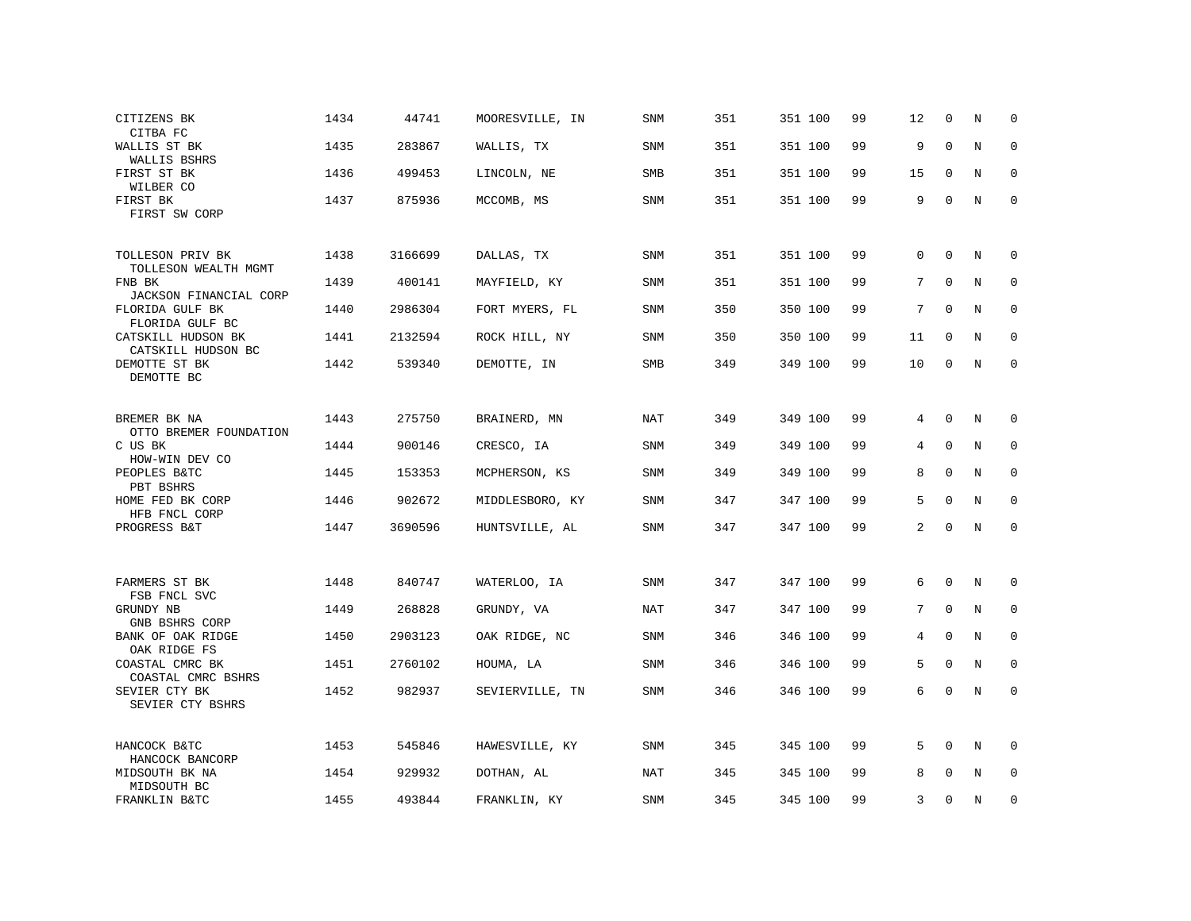| CITIZENS BK<br>CITBA FC                             | 1434 | 44741   | MOORESVILLE, IN | <b>SNM</b> | 351 | 351 100 | 99 | 12       | $\Omega$    | N           | $\Omega$    |
|-----------------------------------------------------|------|---------|-----------------|------------|-----|---------|----|----------|-------------|-------------|-------------|
| WALLIS ST BK<br>WALLIS BSHRS                        | 1435 | 283867  | WALLIS, TX      | SNM        | 351 | 351 100 | 99 | 9        | $\mathbf 0$ | $\rm N$     | $\mathbf 0$ |
| FIRST ST BK<br>WILBER CO                            | 1436 | 499453  | LINCOLN, NE     | SMB        | 351 | 351 100 | 99 | 15       | $\mathbf 0$ | N           | $\mathbf 0$ |
| FIRST BK<br>FIRST SW CORP                           | 1437 | 875936  | MCCOMB, MS      | SNM        | 351 | 351 100 | 99 | 9        | $\Omega$    | N           | $\mathbf 0$ |
| TOLLESON PRIV BK<br>TOLLESON WEALTH MGMT            | 1438 | 3166699 | DALLAS, TX      | SNM        | 351 | 351 100 | 99 | $\Omega$ | $\mathbf 0$ | N           | 0           |
| FNB BK<br>JACKSON FINANCIAL CORP                    | 1439 | 400141  | MAYFIELD, KY    | SNM        | 351 | 351 100 | 99 | 7        | 0           | N           | 0           |
| FLORIDA GULF BK<br>FLORIDA GULF BC                  | 1440 | 2986304 | FORT MYERS, FL  | SNM        | 350 | 350 100 | 99 | 7        | $\mathbf 0$ | $\mathbf N$ | $\mathbf 0$ |
| CATSKILL HUDSON BK<br>CATSKILL HUDSON BC            | 1441 | 2132594 | ROCK HILL, NY   | <b>SNM</b> | 350 | 350 100 | 99 | 11       | $\Omega$    | N           | $\Omega$    |
| DEMOTTE ST BK<br>DEMOTTE BC                         | 1442 | 539340  | DEMOTTE, IN     | SMB        | 349 | 349 100 | 99 | 10       | 0           | N           | $\mathbf 0$ |
| BREMER BK NA                                        | 1443 | 275750  | BRAINERD, MN    | NAT        | 349 | 349 100 | 99 | 4        | $\Omega$    | N           | 0           |
| OTTO BREMER FOUNDATION<br>C US BK<br>HOW-WIN DEV CO | 1444 | 900146  | CRESCO, IA      | SNM        | 349 | 349 100 | 99 | 4        | $\mathbf 0$ | $\mathbb N$ | $\mathbf 0$ |
| PEOPLES B&TC<br>PBT BSHRS                           | 1445 | 153353  | MCPHERSON, KS   | SNM        | 349 | 349 100 | 99 | 8        | $\mathbf 0$ | N           | $\mathbf 0$ |
| HOME FED BK CORP<br>HFB FNCL CORP                   | 1446 | 902672  | MIDDLESBORO, KY | <b>SNM</b> | 347 | 347 100 | 99 | 5        | $\Omega$    | N           | $\mathbf 0$ |
| PROGRESS B&T                                        | 1447 | 3690596 | HUNTSVILLE, AL  | SNM        | 347 | 347 100 | 99 | 2        | $\mathbf 0$ | N           | $\mathbf 0$ |
| FARMERS ST BK                                       | 1448 | 840747  | WATERLOO, IA    | SNM        | 347 | 347 100 | 99 | 6        | 0           | N           | 0           |
| FSB FNCL SVC                                        |      |         |                 |            |     |         |    |          |             |             |             |
| GRUNDY NB<br>GNB BSHRS CORP                         | 1449 | 268828  | GRUNDY, VA      | <b>NAT</b> | 347 | 347 100 | 99 | 7        | $\mathbf 0$ | N           | 0           |
| BANK OF OAK RIDGE<br>OAK RIDGE FS                   | 1450 | 2903123 | OAK RIDGE, NC   | <b>SNM</b> | 346 | 346 100 | 99 | 4        | $\Omega$    | N           | $\Omega$    |
| COASTAL CMRC BK<br>COASTAL CMRC BSHRS               | 1451 | 2760102 | HOUMA, LA       | SNM        | 346 | 346 100 | 99 | 5        | $\Omega$    | N           | 0           |
| SEVIER CTY BK<br>SEVIER CTY BSHRS                   | 1452 | 982937  | SEVIERVILLE, TN | SNM        | 346 | 346 100 | 99 | 6        | 0           | N           | $\mathbf 0$ |
| HANCOCK B&TC<br>HANCOCK BANCORP                     | 1453 | 545846  | HAWESVILLE, KY  | SNM        | 345 | 345 100 | 99 | 5        | $\mathbf 0$ | N           | 0           |
| MIDSOUTH BK NA<br>MIDSOUTH BC                       | 1454 | 929932  | DOTHAN, AL      | NAT        | 345 | 345 100 | 99 | 8        | $\Omega$    | N           | 0           |
| FRANKLIN B&TC                                       | 1455 | 493844  | FRANKLIN, KY    | SNM        | 345 | 345 100 | 99 | 3        | $\Omega$    | N           | $\mathbf 0$ |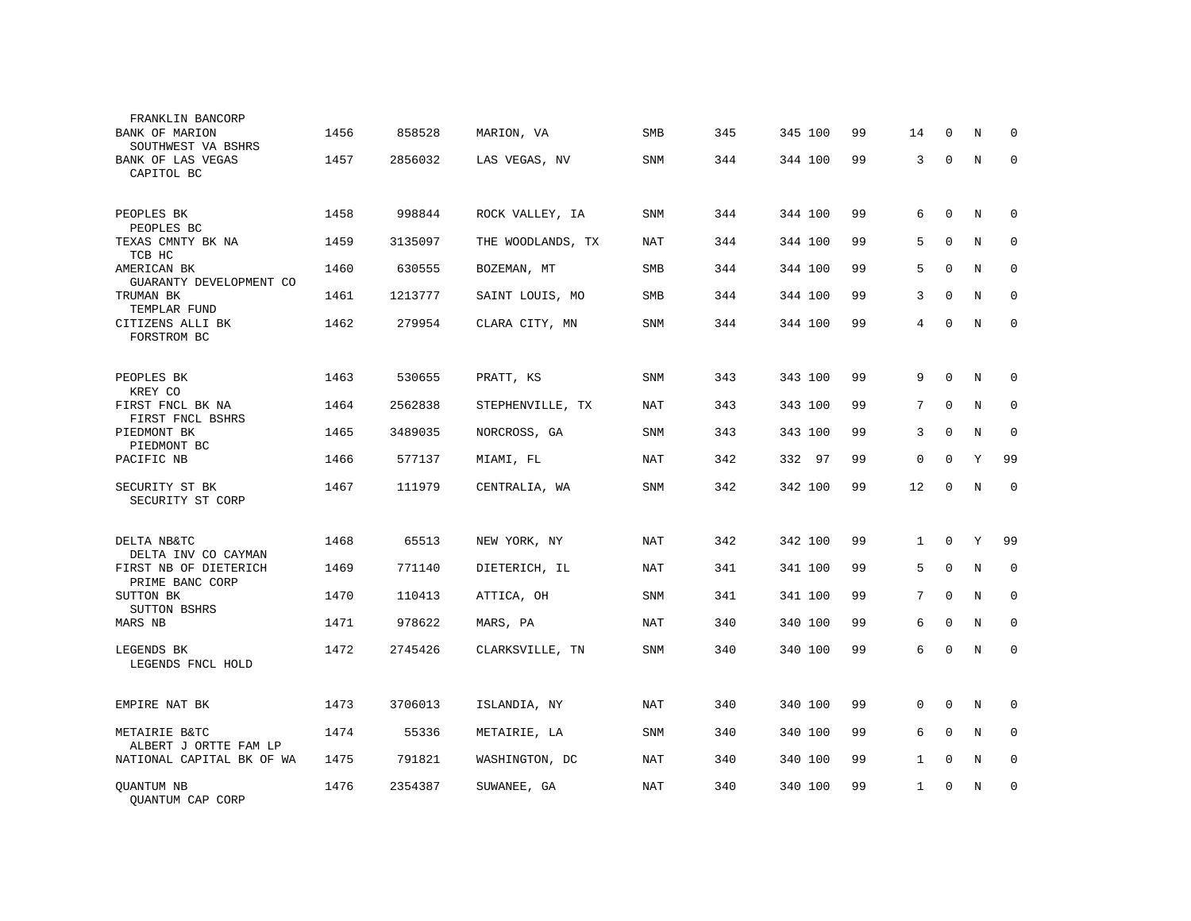| FRANKLIN BANCORP<br>BANK OF MARION<br>SOUTHWEST VA BSHRS | 1456 | 858528  | MARION, VA        | <b>SMB</b> | 345 | 345 100 | 99 | 14             | $\Omega$     | N           | 0            |
|----------------------------------------------------------|------|---------|-------------------|------------|-----|---------|----|----------------|--------------|-------------|--------------|
| BANK OF LAS VEGAS<br>CAPITOL BC                          | 1457 | 2856032 | LAS VEGAS, NV     | SNM        | 344 | 344 100 | 99 | 3              | $\mathbf 0$  | $\mathbf N$ | $\mathbf 0$  |
| PEOPLES BK<br>PEOPLES BC                                 | 1458 | 998844  | ROCK VALLEY, IA   | <b>SNM</b> | 344 | 344 100 | 99 | 6              | $\mathbf{0}$ | N           | 0            |
| TEXAS CMNTY BK NA<br>TCB HC                              | 1459 | 3135097 | THE WOODLANDS, TX | <b>NAT</b> | 344 | 344 100 | 99 | 5              | $\mathbf 0$  | $\mathbf N$ | $\mathbf{0}$ |
| AMERICAN BK<br>GUARANTY DEVELOPMENT CO                   | 1460 | 630555  | BOZEMAN, MT       | <b>SMB</b> | 344 | 344 100 | 99 | 5              | $\Omega$     | N           | $\mathbf 0$  |
| TRUMAN BK<br>TEMPLAR FUND                                | 1461 | 1213777 | SAINT LOUIS, MO   | <b>SMB</b> | 344 | 344 100 | 99 | 3              | $\Omega$     | N           | 0            |
| CITIZENS ALLI BK<br>FORSTROM BC                          | 1462 | 279954  | CLARA CITY, MN    | SNM        | 344 | 344 100 | 99 | $\overline{4}$ | $\mathbf 0$  | $\mathbf N$ | $\mathbf 0$  |
|                                                          |      |         |                   |            |     |         |    |                |              |             |              |
| PEOPLES BK<br>KREY CO                                    | 1463 | 530655  | PRATT, KS         | SNM        | 343 | 343 100 | 99 | 9              | $\Omega$     | N           | 0            |
| FIRST FNCL BK NA<br>FIRST FNCL BSHRS                     | 1464 | 2562838 | STEPHENVILLE, TX  | <b>NAT</b> | 343 | 343 100 | 99 | 7              | $\mathbf 0$  | N           | $\mathbf 0$  |
| PIEDMONT BK<br>PIEDMONT BC                               | 1465 | 3489035 | NORCROSS, GA      | <b>SNM</b> | 343 | 343 100 | 99 | 3              | $\Omega$     | N           | $\mathbf 0$  |
| PACIFIC NB                                               | 1466 | 577137  | MIAMI, FL         | <b>NAT</b> | 342 | 332 97  | 99 | $\mathbf{0}$   | $\mathbf 0$  | Y           | 99           |
| SECURITY ST BK<br>SECURITY ST CORP                       | 1467 | 111979  | CENTRALIA, WA     | SNM        | 342 | 342 100 | 99 | 12             | $\Omega$     | $\rm N$     | $\mathbf 0$  |
| DELTA NB&TC                                              | 1468 | 65513   | NEW YORK, NY      | <b>NAT</b> | 342 | 342 100 | 99 | $\mathbf 1$    | $\mathbf 0$  | Y           | 99           |
| DELTA INV CO CAYMAN<br>FIRST NB OF DIETERICH             | 1469 | 771140  | DIETERICH, IL     | <b>NAT</b> | 341 | 341 100 | 99 | 5              | $\Omega$     | N           | $\Omega$     |
| PRIME BANC CORP<br>SUTTON BK<br>SUTTON BSHRS             | 1470 | 110413  | ATTICA, OH        | SNM        | 341 | 341 100 | 99 | 7              | $\Omega$     | N           | $\mathbf 0$  |
| MARS NB                                                  | 1471 | 978622  | MARS, PA          | <b>NAT</b> | 340 | 340 100 | 99 | 6              | $\Omega$     | N           | $\mathbf{0}$ |
| LEGENDS BK<br>LEGENDS FNCL HOLD                          | 1472 | 2745426 | CLARKSVILLE, TN   | <b>SNM</b> | 340 | 340 100 | 99 | 6              | $\Omega$     | N           | $\mathbf{0}$ |
| EMPIRE NAT BK                                            | 1473 | 3706013 | ISLANDIA, NY      | <b>NAT</b> | 340 | 340 100 | 99 | $\mathbf 0$    | $\mathbf 0$  | N           | 0            |
| METAIRIE B&TC<br>ALBERT J ORTTE FAM LP                   | 1474 | 55336   | METAIRIE, LA      | <b>SNM</b> | 340 | 340 100 | 99 | 6              | $\Omega$     | N           | $\mathbf 0$  |
| NATIONAL CAPITAL BK OF WA                                | 1475 | 791821  | WASHINGTON, DC    | <b>NAT</b> | 340 | 340 100 | 99 | $\mathbf{1}$   | $\mathbf 0$  | $\mathbf N$ | $\mathbf{0}$ |
| QUANTUM NB<br>OUANTUM CAP CORP                           | 1476 | 2354387 | SUWANEE, GA       | NAT        | 340 | 340 100 | 99 | $\mathbf{1}$   | $\Omega$     | N           | 0            |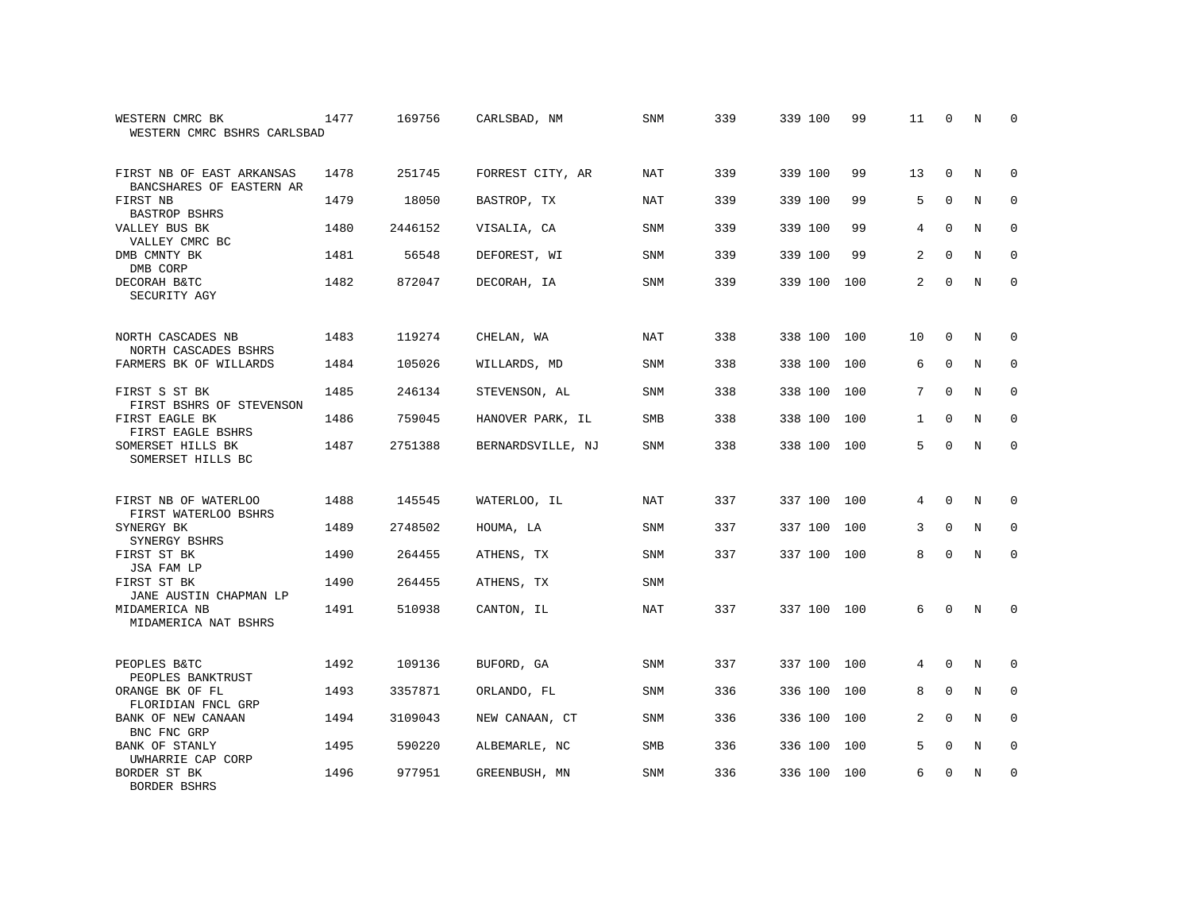| WESTERN CMRC BK<br>WESTERN CMRC BSHRS CARLSBAD        | 1477 | 169756  | CARLSBAD, NM      | SNM        | 339 | 339 100     | 99  | 11             | $\Omega$    | N           | $\Omega$    |
|-------------------------------------------------------|------|---------|-------------------|------------|-----|-------------|-----|----------------|-------------|-------------|-------------|
| FIRST NB OF EAST ARKANSAS<br>BANCSHARES OF EASTERN AR | 1478 | 251745  | FORREST CITY, AR  | <b>NAT</b> | 339 | 339 100     | 99  | 13             | $\mathbf 0$ | N           | 0           |
| FIRST NB<br><b>BASTROP BSHRS</b>                      | 1479 | 18050   | BASTROP, TX       | <b>NAT</b> | 339 | 339 100     | 99  | 5              | $\Omega$    | N           | $\mathbf 0$ |
| VALLEY BUS BK<br>VALLEY CMRC BC                       | 1480 | 2446152 | VISALIA, CA       | <b>SNM</b> | 339 | 339 100     | 99  | 4              | $\Omega$    | N           | $\Omega$    |
| DMB CMNTY BK<br>DMB CORP                              | 1481 | 56548   | DEFOREST, WI      | <b>SNM</b> | 339 | 339 100     | 99  | 2              | $\Omega$    | $_{\rm N}$  | $\mathbf 0$ |
| DECORAH B&TC<br>SECURITY AGY                          | 1482 | 872047  | DECORAH, IA       | <b>SNM</b> | 339 | 339 100     | 100 | $\overline{2}$ | $\Omega$    | N           | $\Omega$    |
| NORTH CASCADES NB<br>NORTH CASCADES BSHRS             | 1483 | 119274  | CHELAN, WA        | <b>NAT</b> | 338 | 338 100     | 100 | 10             | $\Omega$    | N           | 0           |
| FARMERS BK OF WILLARDS                                | 1484 | 105026  | WILLARDS, MD      | SNM        | 338 | 338 100     | 100 | 6              | $\mathbf 0$ | N           | $\mathbf 0$ |
| FIRST S ST BK<br>FIRST BSHRS OF STEVENSON             | 1485 | 246134  | STEVENSON, AL     | <b>SNM</b> | 338 | 338 100     | 100 | 7              | $\Omega$    | N           | $\mathbf 0$ |
| FIRST EAGLE BK<br>FIRST EAGLE BSHRS                   | 1486 | 759045  | HANOVER PARK, IL  | SMB        | 338 | 338 100     | 100 | $\mathbf{1}$   | $\mathbf 0$ | $\rm N$     | $\mathbf 0$ |
| SOMERSET HILLS BK<br>SOMERSET HILLS BC                | 1487 | 2751388 | BERNARDSVILLE, NJ | <b>SNM</b> | 338 | 338 100     | 100 | 5              | $\Omega$    | N           | $\mathbf 0$ |
| FIRST NB OF WATERLOO<br>FIRST WATERLOO BSHRS          | 1488 | 145545  | WATERLOO, IL      | <b>NAT</b> | 337 | 337 100     | 100 | 4              | $\Omega$    | N           | 0           |
| SYNERGY BK<br>SYNERGY BSHRS                           | 1489 | 2748502 | HOUMA, LA         | SNM        | 337 | 337 100     | 100 | 3              | $\Omega$    | N           | $\mathbf 0$ |
| FIRST ST BK<br>JSA FAM LP                             | 1490 | 264455  | ATHENS, TX        | SNM        | 337 | 337 100     | 100 | 8              | 0           | N           | $\mathbf 0$ |
| FIRST ST BK<br>JANE AUSTIN CHAPMAN LP                 | 1490 | 264455  | ATHENS, TX        | <b>SNM</b> |     |             |     |                |             |             |             |
| MIDAMERICA NB<br>MIDAMERICA NAT BSHRS                 | 1491 | 510938  | CANTON, IL        | <b>NAT</b> | 337 | 337 100 100 |     | 6              | $\Omega$    | $\mathbb N$ | $\mathbf 0$ |
| PEOPLES B&TC<br>PEOPLES BANKTRUST                     | 1492 | 109136  | BUFORD, GA        | <b>SNM</b> | 337 | 337 100     | 100 | 4              | $\Omega$    | N           | $\Omega$    |
| ORANGE BK OF FL<br>FLORIDIAN FNCL GRP                 | 1493 | 3357871 | ORLANDO, FL       | SNM        | 336 | 336 100     | 100 | 8              | $\mathbf 0$ | N           | 0           |
| BANK OF NEW CANAAN<br>BNC FNC GRP                     | 1494 | 3109043 | NEW CANAAN, CT    | SNM        | 336 | 336 100     | 100 | 2              | $\Omega$    | N           | $\Omega$    |
| BANK OF STANLY<br>UWHARRIE CAP CORP                   | 1495 | 590220  | ALBEMARLE, NC     | SMB        | 336 | 336 100     | 100 | 5              | 0           | N           | 0           |
| BORDER ST BK<br>BORDER BSHRS                          | 1496 | 977951  | GREENBUSH, MN     | <b>SNM</b> | 336 | 336 100     | 100 | 6              | $\Omega$    | N           | $\mathbf 0$ |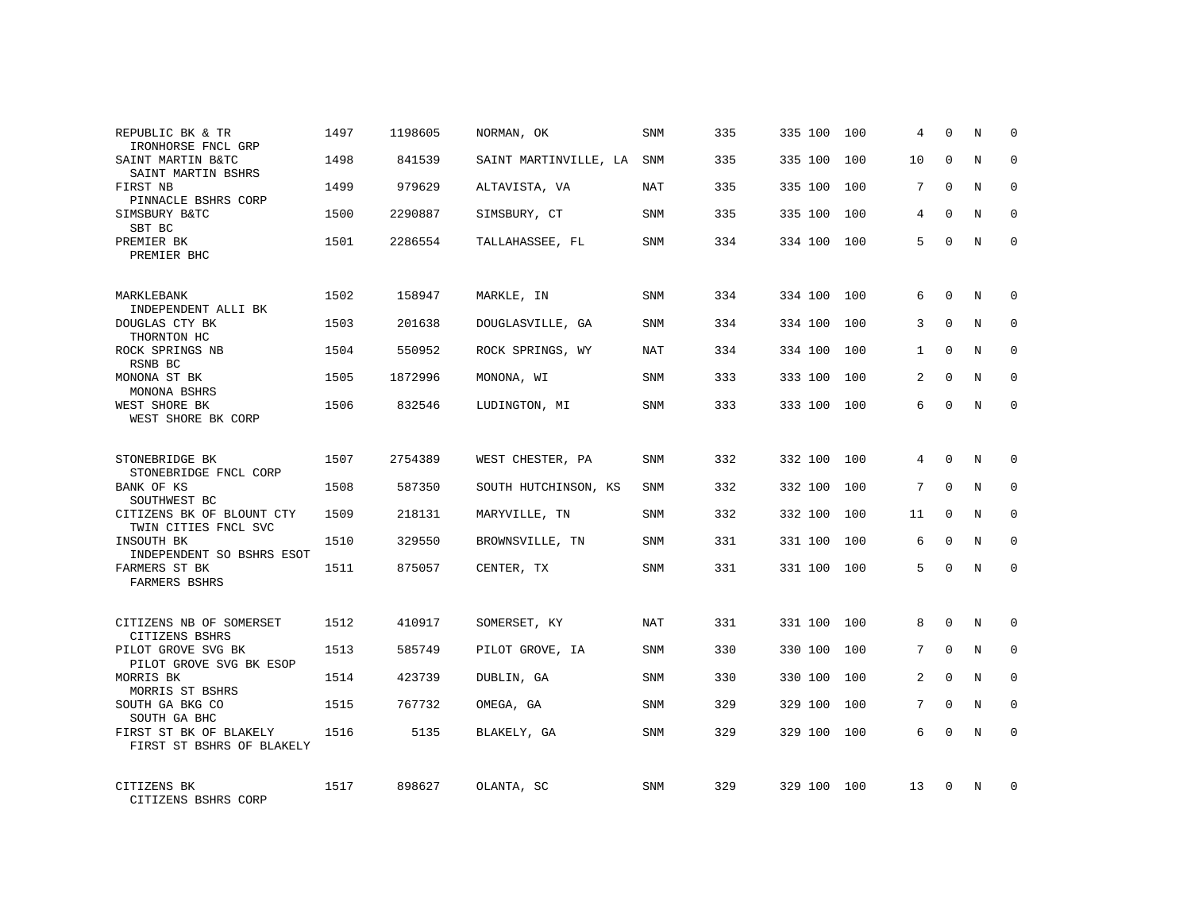| REPUBLIC BK & TR<br>IRONHORSE FNCL GRP               | 1497 | 1198605 | NORMAN, OK            | SNM        | 335 | 335 100     | 100 | 4  | $\Omega$    | N          | $\mathbf 0$  |
|------------------------------------------------------|------|---------|-----------------------|------------|-----|-------------|-----|----|-------------|------------|--------------|
| SAINT MARTIN B&TC<br>SAINT MARTIN BSHRS              | 1498 | 841539  | SAINT MARTINVILLE, LA | SNM        | 335 | 335 100     | 100 | 10 | $\Omega$    | N          | $\mathbf{0}$ |
| FIRST NB<br>PINNACLE BSHRS CORP                      | 1499 | 979629  | ALTAVISTA, VA         | <b>NAT</b> | 335 | 335 100     | 100 | 7  | $\Omega$    | N          | $\mathbf 0$  |
| SIMSBURY B&TC<br>SBT BC                              | 1500 | 2290887 | SIMSBURY, CT          | SNM        | 335 | 335 100     | 100 | 4  | $\Omega$    | N          | $\Omega$     |
| PREMIER BK<br>PREMIER BHC                            | 1501 | 2286554 | TALLAHASSEE, FL       | SNM        | 334 | 334 100     | 100 | 5  | $\Omega$    | N          | $\Omega$     |
| MARKLEBANK                                           | 1502 | 158947  | MARKLE, IN            | SNM        | 334 | 334 100     | 100 | 6  | $\Omega$    | N          | $\Omega$     |
| INDEPENDENT ALLI BK<br>DOUGLAS CTY BK<br>THORNTON HC | 1503 | 201638  | DOUGLASVILLE, GA      | SNM        | 334 | 334 100     | 100 | 3  | $\Omega$    | $_{\rm N}$ | $\Omega$     |
| ROCK SPRINGS NB<br>RSNB BC                           | 1504 | 550952  | ROCK SPRINGS, WY      | NAT        | 334 | 334 100     | 100 | 1  | $\Omega$    | N          | $\mathbf 0$  |
| MONONA ST BK<br>MONONA BSHRS                         | 1505 | 1872996 | MONONA, WI            | SNM        | 333 | 333 100     | 100 | 2  | $\Omega$    | N          | $\Omega$     |
| WEST SHORE BK<br>WEST SHORE BK CORP                  | 1506 | 832546  | LUDINGTON, MI         | SNM        | 333 | 333 100     | 100 | 6  | $\Omega$    | N          | $\mathbf 0$  |
| STONEBRIDGE BK<br>STONEBRIDGE FNCL CORP              | 1507 | 2754389 | WEST CHESTER, PA      | SNM        | 332 | 332 100     | 100 | 4  | $\Omega$    | N          | $\Omega$     |
| BANK OF KS<br>SOUTHWEST BC                           | 1508 | 587350  | SOUTH HUTCHINSON, KS  | <b>SNM</b> | 332 | 332 100     | 100 | 7  | $\Omega$    | N          | $\mathbf{0}$ |
| CITIZENS BK OF BLOUNT CTY<br>TWIN CITIES FNCL SVC    | 1509 | 218131  | MARYVILLE, TN         | SNM        | 332 | 332 100     | 100 | 11 | $\Omega$    | N          | $\Omega$     |
| INSOUTH BK<br>INDEPENDENT SO BSHRS ESOT              | 1510 | 329550  | BROWNSVILLE, TN       | SNM        | 331 | 331 100     | 100 | 6  | $\mathbf 0$ | N          | $\mathbf{0}$ |
| FARMERS ST BK<br>FARMERS BSHRS                       | 1511 | 875057  | CENTER, TX            | <b>SNM</b> | 331 | 331 100     | 100 | 5  | $\Omega$    | N          | $\Omega$     |
| CITIZENS NB OF SOMERSET<br>CITIZENS BSHRS            | 1512 | 410917  | SOMERSET, KY          | NAT        | 331 | 331 100     | 100 | 8  | $\Omega$    | N          | $\Omega$     |
| PILOT GROVE SVG BK<br>PILOT GROVE SVG BK ESOP        | 1513 | 585749  | PILOT GROVE, IA       | SNM        | 330 | 330 100     | 100 | 7  | $\Omega$    | N          | $\Omega$     |
| MORRIS BK<br>MORRIS ST BSHRS                         | 1514 | 423739  | DUBLIN, GA            | SNM        | 330 | 330 100     | 100 | 2  | $\Omega$    | N          | $\mathbf 0$  |
| SOUTH GA BKG CO<br>SOUTH GA BHC                      | 1515 | 767732  | OMEGA, GA             | SNM        | 329 | 329 100     | 100 | 7  | $\Omega$    | N          | $\Omega$     |
| FIRST ST BK OF BLAKELY<br>FIRST ST BSHRS OF BLAKELY  | 1516 | 5135    | BLAKELY, GA           | SNM        | 329 | 329 100     | 100 | 6  | $\Omega$    | N          | $\Omega$     |
| CITIZENS BK<br>CITIZENS BSHRS CORP                   | 1517 | 898627  | OLANTA, SC            | SNM        | 329 | 329 100 100 |     | 13 | $\Omega$    | N          | $\Omega$     |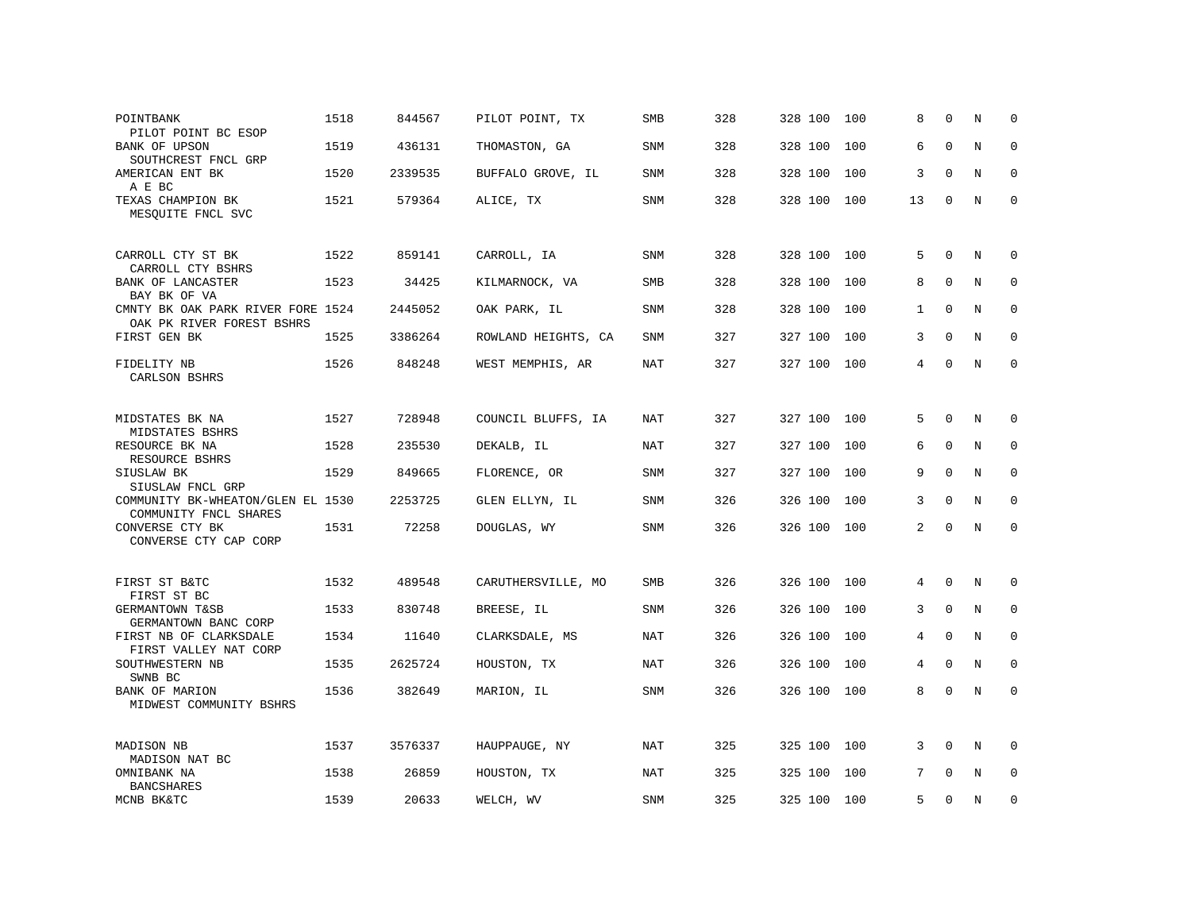| POINTBANK<br>PILOT POINT BC ESOP                               | 1518 | 844567  | PILOT POINT, TX     | <b>SMB</b> | 328 | 328 100     | 100 | 8              | $\Omega$    | N           | $\Omega$    |
|----------------------------------------------------------------|------|---------|---------------------|------------|-----|-------------|-----|----------------|-------------|-------------|-------------|
| BANK OF UPSON<br>SOUTHCREST FNCL GRP                           | 1519 | 436131  | THOMASTON, GA       | SNM        | 328 | 328 100     | 100 | 6              | $\Omega$    | N           | $\mathbf 0$ |
| AMERICAN ENT BK<br>A E BC                                      | 1520 | 2339535 | BUFFALO GROVE, IL   | SNM        | 328 | 328 100     | 100 | 3              | $\mathbf 0$ | N           | $\mathbf 0$ |
| TEXAS CHAMPION BK<br>MESQUITE FNCL SVC                         | 1521 | 579364  | ALICE, TX           | SNM        | 328 | 328 100     | 100 | 13             | $\Omega$    | N           | $\mathbf 0$ |
| CARROLL CTY ST BK<br>CARROLL CTY BSHRS                         | 1522 | 859141  | CARROLL, IA         | SNM        | 328 | 328 100     | 100 | 5              | $\mathbf 0$ | N           | 0           |
| BANK OF LANCASTER<br>BAY BK OF VA                              | 1523 | 34425   | KILMARNOCK, VA      | SMB        | 328 | 328 100     | 100 | 8              | $\mathbf 0$ | $\mathbf N$ | 0           |
| CMNTY BK OAK PARK RIVER FORE 1524<br>OAK PK RIVER FOREST BSHRS |      | 2445052 | OAK PARK, IL        | SNM        | 328 | 328 100     | 100 | $\mathbf{1}$   | $\Omega$    | N           | $\Omega$    |
| FIRST GEN BK                                                   | 1525 | 3386264 | ROWLAND HEIGHTS, CA | <b>SNM</b> | 327 | 327 100     | 100 | 3              | $\Omega$    | N           | $\mathbf 0$ |
| FIDELITY NB<br>CARLSON BSHRS                                   | 1526 | 848248  | WEST MEMPHIS, AR    | <b>NAT</b> | 327 | 327 100     | 100 | 4              | $\mathbf 0$ | $\mathbf N$ | $\mathbf 0$ |
| MIDSTATES BK NA<br>MIDSTATES BSHRS                             | 1527 | 728948  | COUNCIL BLUFFS, IA  | <b>NAT</b> | 327 | 327 100     | 100 | 5              | $\Omega$    | N           | $\Omega$    |
| RESOURCE BK NA<br>RESOURCE BSHRS                               | 1528 | 235530  | DEKALB, IL          | NAT        | 327 | 327 100     | 100 | 6              | $\Omega$    | N           | $\Omega$    |
| SIUSLAW BK<br>SIUSLAW FNCL GRP                                 | 1529 | 849665  | FLORENCE, OR        | SNM        | 327 | 327 100     | 100 | 9              | $\Omega$    | N           | $\Omega$    |
| COMMUNITY BK-WHEATON/GLEN EL 1530<br>COMMUNITY FNCL SHARES     |      | 2253725 | GLEN ELLYN, IL      | SNM        | 326 | 326 100     | 100 | 3              | $\Omega$    | N           | $\mathbf 0$ |
| CONVERSE CTY BK<br>CONVERSE CTY CAP CORP                       | 1531 | 72258   | DOUGLAS, WY         | <b>SNM</b> | 326 | 326 100     | 100 | $\overline{2}$ | $\Omega$    | N           | $\Omega$    |
| FIRST ST B&TC<br>FIRST ST BC                                   | 1532 | 489548  | CARUTHERSVILLE, MO  | <b>SMB</b> | 326 | 326 100     | 100 | 4              | $\Omega$    | N           | 0           |
| GERMANTOWN T&SB<br>GERMANTOWN BANC CORP                        | 1533 | 830748  | BREESE, IL          | <b>SNM</b> | 326 | 326 100     | 100 | 3              | $\mathbf 0$ | N           | 0           |
| FIRST NB OF CLARKSDALE<br>FIRST VALLEY NAT CORP                | 1534 | 11640   | CLARKSDALE, MS      | <b>NAT</b> | 326 | 326 100     | 100 | 4              | $\mathbf 0$ | N           | $\mathbf 0$ |
| SOUTHWESTERN NB<br>SWNB BC                                     | 1535 | 2625724 | HOUSTON, TX         | NAT        | 326 | 326 100     | 100 | 4              | $\Omega$    | N           | $\Omega$    |
| BANK OF MARION<br>MIDWEST COMMUNITY BSHRS                      | 1536 | 382649  | MARION, IL          | <b>SNM</b> | 326 | 326 100     | 100 | 8              | $\mathbf 0$ | $\mathbf N$ | $\mathbf 0$ |
| MADISON NB<br>MADISON NAT BC                                   | 1537 | 3576337 | HAUPPAUGE, NY       | NAT        | 325 | 325 100     | 100 | 3              | $\Omega$    | N           | $\Omega$    |
| OMNIBANK NA<br><b>BANCSHARES</b>                               | 1538 | 26859   | HOUSTON, TX         | NAT        | 325 | 325 100     | 100 | 7              | $\Omega$    | N           | $\mathbf 0$ |
| MCNB BK&TC                                                     | 1539 | 20633   | WELCH, WV           | <b>SNM</b> | 325 | 325 100 100 |     | 5              | $\Omega$    | N           | $\Omega$    |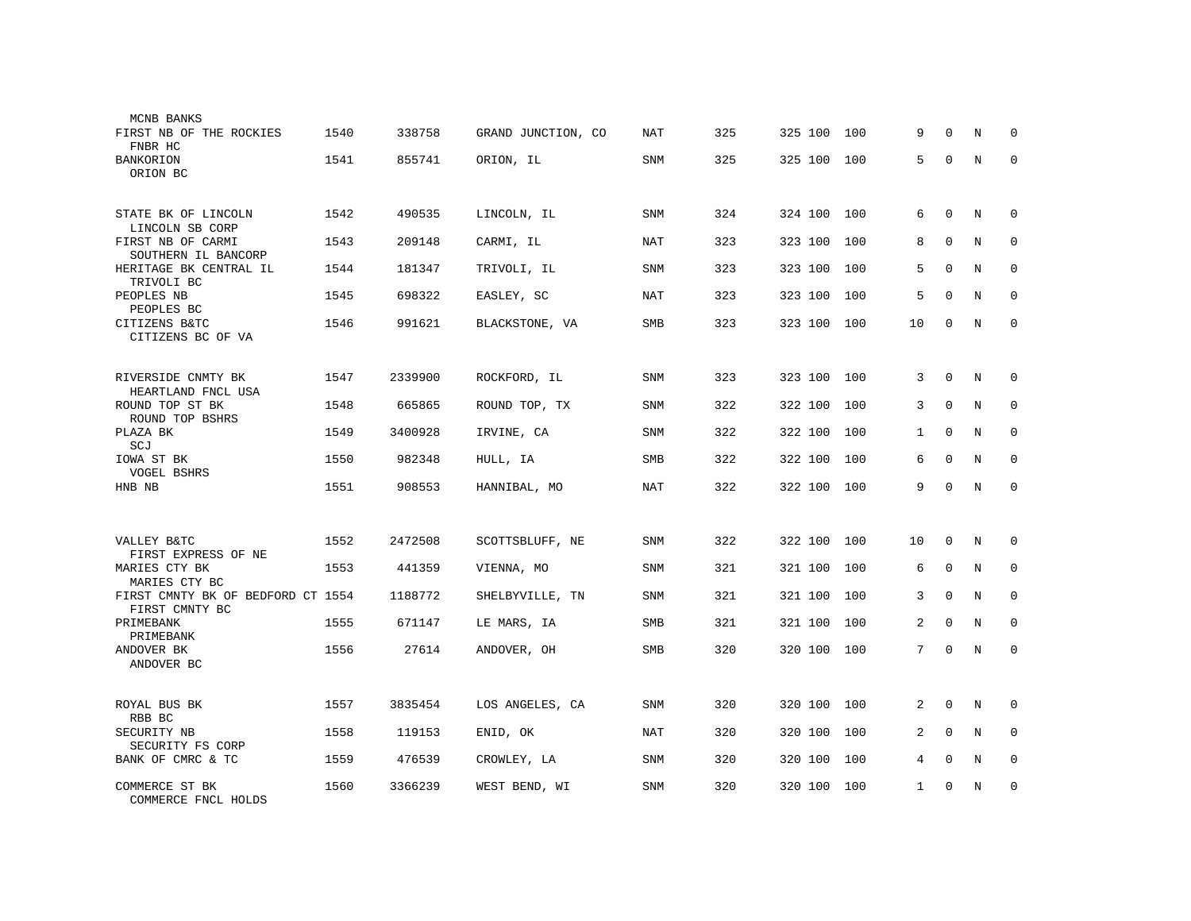| MCNB BANKS<br>FIRST NB OF THE ROCKIES               | 1540 | 338758  | GRAND JUNCTION, CO | NAT        | 325 | 325 100 | 100 | 9            | $\Omega$    | N           | $\Omega$    |
|-----------------------------------------------------|------|---------|--------------------|------------|-----|---------|-----|--------------|-------------|-------------|-------------|
| FNBR HC<br>BANKORION                                | 1541 | 855741  | ORION, IL          | SNM        | 325 | 325 100 | 100 | 5            | $\Omega$    | $\rm N$     | $\Omega$    |
| ORION BC                                            |      |         |                    |            |     |         |     |              |             |             |             |
| STATE BK OF LINCOLN<br>LINCOLN SB CORP              | 1542 | 490535  | LINCOLN, IL        | SNM        | 324 | 324 100 | 100 | 6            | $\mathbf 0$ | N           | 0           |
| FIRST NB OF CARMI<br>SOUTHERN IL BANCORP            | 1543 | 209148  | CARMI, IL          | <b>NAT</b> | 323 | 323 100 | 100 | 8            | $\mathbf 0$ | $\mathbf N$ | $\mathbf 0$ |
| HERITAGE BK CENTRAL IL<br>TRIVOLI BC                | 1544 | 181347  | TRIVOLI, IL        | SNM        | 323 | 323 100 | 100 | 5            | $\mathbf 0$ | N           | 0           |
| PEOPLES NB<br>PEOPLES BC                            | 1545 | 698322  | EASLEY, SC         | NAT        | 323 | 323 100 | 100 | 5            | 0           | N           | 0           |
| CITIZENS B&TC<br>CITIZENS BC OF VA                  | 1546 | 991621  | BLACKSTONE, VA     | SMB        | 323 | 323 100 | 100 | 10           | 0           | N           | $\mathbf 0$ |
| RIVERSIDE CNMTY BK                                  | 1547 | 2339900 | ROCKFORD, IL       | SNM        | 323 | 323 100 | 100 | 3            | $\Omega$    | N           | $\Omega$    |
| HEARTLAND FNCL USA<br>ROUND TOP ST BK               | 1548 | 665865  | ROUND TOP, TX      | SNM        | 322 | 322 100 | 100 | 3            | $\Omega$    | N           | $\Omega$    |
| ROUND TOP BSHRS<br>PLAZA BK<br>SCJ                  | 1549 | 3400928 | IRVINE, CA         | <b>SNM</b> | 322 | 322 100 | 100 | $\mathbf{1}$ | $\Omega$    | $_{\rm N}$  | $\Omega$    |
| IOWA ST BK<br>VOGEL BSHRS                           | 1550 | 982348  | HULL, IA           | <b>SMB</b> | 322 | 322 100 | 100 | 6            | $\mathbf 0$ | N           | $\mathbf 0$ |
| HNB NB                                              | 1551 | 908553  | HANNIBAL, MO       | NAT        | 322 | 322 100 | 100 | 9            | $\mathbf 0$ | N           | $\mathbf 0$ |
|                                                     |      |         |                    |            |     |         |     |              |             |             |             |
| VALLEY B&TC<br>FIRST EXPRESS OF NE                  | 1552 | 2472508 | SCOTTSBLUFF, NE    | SNM        | 322 | 322 100 | 100 | 10           | $\mathbf 0$ | N           | 0           |
| MARIES CTY BK<br>MARIES CTY BC                      | 1553 | 441359  | VIENNA, MO         | SNM        | 321 | 321 100 | 100 | 6            | 0           | N           | 0           |
| FIRST CMNTY BK OF BEDFORD CT 1554<br>FIRST CMNTY BC |      | 1188772 | SHELBYVILLE, TN    | SNM        | 321 | 321 100 | 100 | 3            | $\Omega$    | N           | 0           |
| PRIMEBANK<br>PRIMEBANK                              | 1555 | 671147  | LE MARS, IA        | SMB        | 321 | 321 100 | 100 | 2            | $\Omega$    | N           | $\Omega$    |
| ANDOVER BK<br>ANDOVER BC                            | 1556 | 27614   | ANDOVER, OH        | <b>SMB</b> | 320 | 320 100 | 100 | 7            | $\Omega$    | N           | $\Omega$    |
| ROYAL BUS BK                                        | 1557 | 3835454 | LOS ANGELES, CA    | <b>SNM</b> | 320 | 320 100 | 100 | 2            | $\mathbf 0$ | N           | 0           |
| RBB BC<br>SECURITY NB                               | 1558 | 119153  | ENID, OK           | NAT        | 320 | 320 100 | 100 | 2            | $\mathbf 0$ | N           | $\mathbf 0$ |
| SECURITY FS CORP<br>BANK OF CMRC & TC               | 1559 | 476539  | CROWLEY, LA        | SNM        | 320 | 320 100 | 100 | 4            | $\mathbf 0$ | N           | $\mathbf 0$ |
| COMMERCE ST BK<br>COMMERCE FNCL HOLDS               | 1560 | 3366239 | WEST BEND, WI      | SNM        | 320 | 320 100 | 100 | 1            | $\Omega$    | N           | $\mathbf 0$ |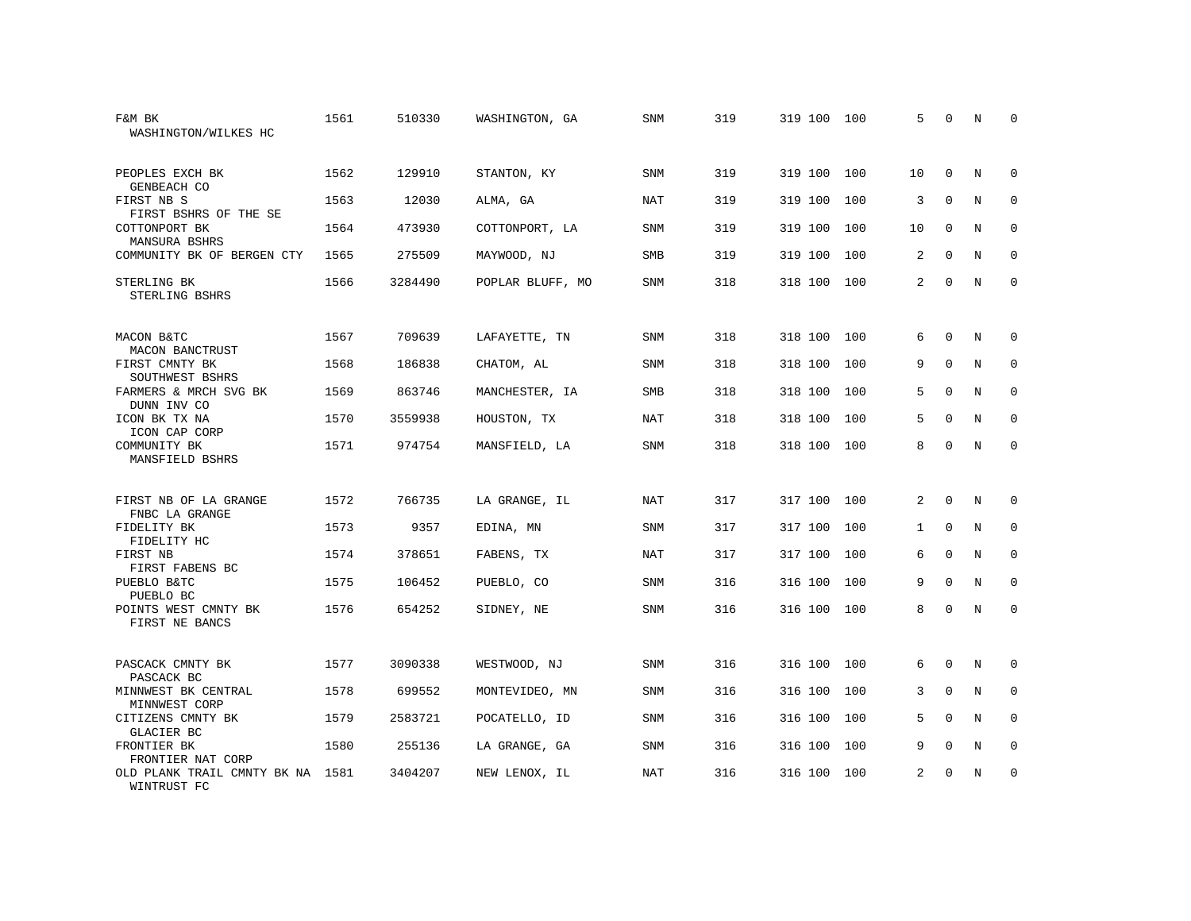| F&M BK<br>WASHINGTON/WILKES HC                  | 1561 | 510330  | WASHINGTON, GA   | SNM        | 319 | 319 100 | 100 | 5            | $\Omega$    | N           | <sup>0</sup> |
|-------------------------------------------------|------|---------|------------------|------------|-----|---------|-----|--------------|-------------|-------------|--------------|
| PEOPLES EXCH BK<br>GENBEACH CO                  | 1562 | 129910  | STANTON, KY      | SNM        | 319 | 319 100 | 100 | 10           | $\Omega$    | N           | $\Omega$     |
| FIRST NB S<br>FIRST BSHRS OF THE SE             | 1563 | 12030   | ALMA, GA         | NAT        | 319 | 319 100 | 100 | 3            | $\mathbf 0$ | N           | $\mathbf 0$  |
| COTTONPORT BK<br>MANSURA BSHRS                  | 1564 | 473930  | COTTONPORT, LA   | <b>SNM</b> | 319 | 319 100 | 100 | 10           | 0           | N           | $\mathbf 0$  |
| COMMUNITY BK OF BERGEN CTY                      | 1565 | 275509  | MAYWOOD, NJ      | <b>SMB</b> | 319 | 319 100 | 100 | 2            | $\mathbf 0$ | N           | $\mathbf 0$  |
| STERLING BK<br>STERLING BSHRS                   | 1566 | 3284490 | POPLAR BLUFF, MO | SNM        | 318 | 318 100 | 100 | 2            | $\mathbf 0$ | $\mathbf N$ | $\mathbf 0$  |
| MACON B&TC<br>MACON BANCTRUST                   | 1567 | 709639  | LAFAYETTE, TN    | SNM        | 318 | 318 100 | 100 | 6            | 0           | N           | $\mathbf 0$  |
| FIRST CMNTY BK<br>SOUTHWEST BSHRS               | 1568 | 186838  | CHATOM, AL       | SNM        | 318 | 318 100 | 100 | 9            | $\mathbf 0$ | N           | 0            |
| FARMERS & MRCH SVG BK<br>DUNN INV CO            | 1569 | 863746  | MANCHESTER, IA   | <b>SMB</b> | 318 | 318 100 | 100 | 5            | 0           | N           | 0            |
| ICON BK TX NA<br>ICON CAP CORP                  | 1570 | 3559938 | HOUSTON, TX      | <b>NAT</b> | 318 | 318 100 | 100 | 5            | $\mathbf 0$ | N           | $\mathbf 0$  |
| COMMUNITY BK<br>MANSFIELD BSHRS                 | 1571 | 974754  | MANSFIELD, LA    | <b>SNM</b> | 318 | 318 100 | 100 | 8            | $\mathbf 0$ | $\mathbf N$ | $\mathbf 0$  |
| FIRST NB OF LA GRANGE<br>FNBC LA GRANGE         | 1572 | 766735  | LA GRANGE, IL    | NAT        | 317 | 317 100 | 100 | 2            | 0           | N           | $\mathbf 0$  |
| FIDELITY BK<br>FIDELITY HC                      | 1573 | 9357    | EDINA, MN        | SNM        | 317 | 317 100 | 100 | $\mathbf{1}$ | 0           | N           | 0            |
| FIRST NB<br>FIRST FABENS BC                     | 1574 | 378651  | FABENS, TX       | <b>NAT</b> | 317 | 317 100 | 100 | 6            | $\mathbf 0$ | N           | $\mathbf 0$  |
| PUEBLO B&TC<br>PUEBLO BC                        | 1575 | 106452  | PUEBLO, CO       | <b>SNM</b> | 316 | 316 100 | 100 | 9            | $\Omega$    | N           | $\mathbf 0$  |
| POINTS WEST CMNTY BK<br>FIRST NE BANCS          | 1576 | 654252  | SIDNEY, NE       | SNM        | 316 | 316 100 | 100 | 8            | $\Omega$    | N           | $\mathbf 0$  |
| PASCACK CMNTY BK<br>PASCACK BC                  | 1577 | 3090338 | WESTWOOD, NJ     | SNM        | 316 | 316 100 | 100 | 6            | 0           | N           | $\mathbf 0$  |
| MINNWEST BK CENTRAL<br>MINNWEST CORP            | 1578 | 699552  | MONTEVIDEO, MN   | <b>SNM</b> | 316 | 316 100 | 100 | 3            | $\mathbf 0$ | N           | $\mathbf 0$  |
| CITIZENS CMNTY BK<br><b>GLACIER BC</b>          | 1579 | 2583721 | POCATELLO, ID    | <b>SNM</b> | 316 | 316 100 | 100 | 5            | $\Omega$    | $\rm N$     | $\mathbf 0$  |
| FRONTIER BK<br>FRONTIER NAT CORP                | 1580 | 255136  | LA GRANGE, GA    | SNM        | 316 | 316 100 | 100 | 9            | $\mathbf 0$ | N           | $\mathbf 0$  |
| OLD PLANK TRAIL CMNTY BK NA 1581<br>WINTRUST FC |      | 3404207 | NEW LENOX, IL    | NAT        | 316 | 316 100 | 100 | 2            | 0           | N           | $\Omega$     |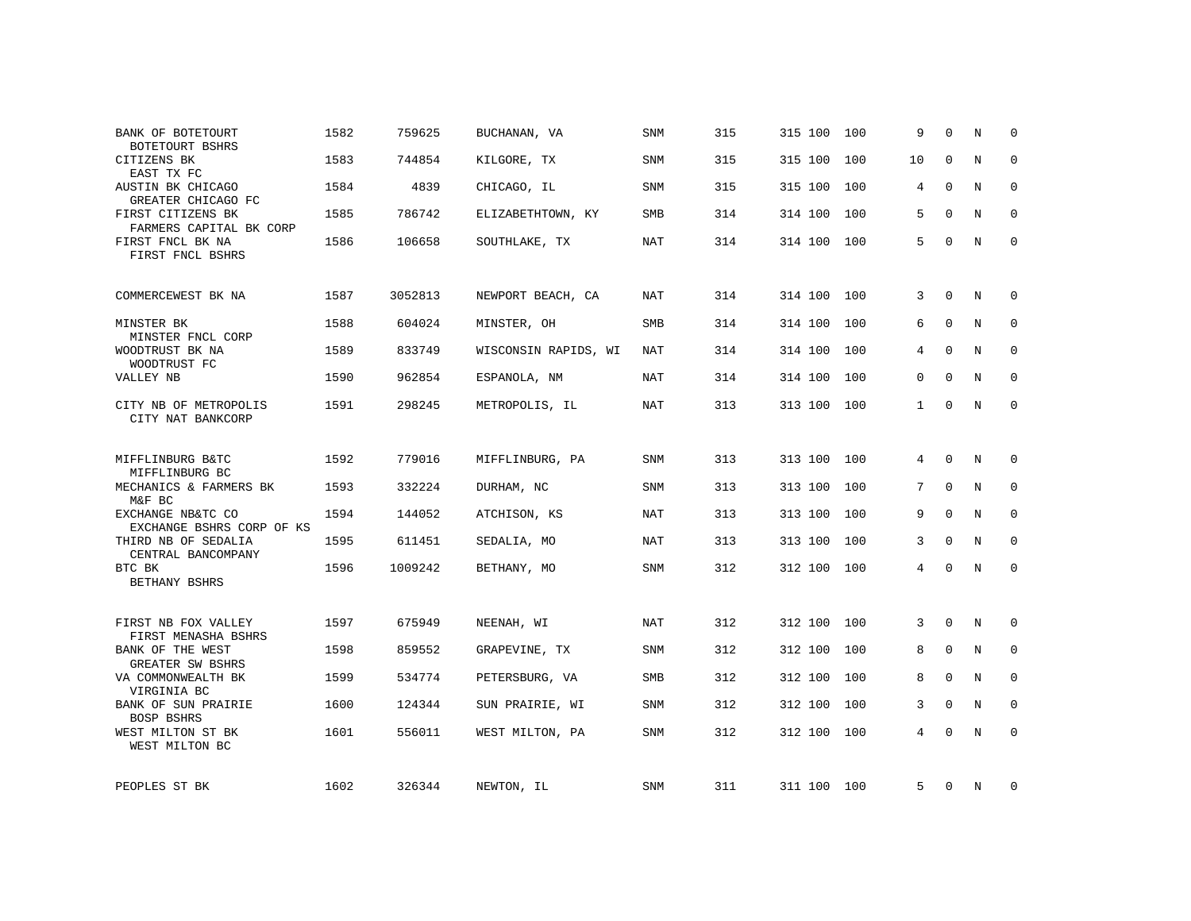| BANK OF BOTETOURT<br>BOTETOURT BSHRS                     | 1582 | 759625  | BUCHANAN, VA         | <b>SNM</b> | 315 | 315 100     | 100 | 9            | $\Omega$    | N           | $\mathbf 0$         |
|----------------------------------------------------------|------|---------|----------------------|------------|-----|-------------|-----|--------------|-------------|-------------|---------------------|
| CITIZENS BK<br>EAST TX FC                                | 1583 | 744854  | KILGORE, TX          | SNM        | 315 | 315 100     | 100 | 10           | $\mathbf 0$ | N           | $\mathbf 0$         |
| AUSTIN BK CHICAGO<br>GREATER CHICAGO FC                  | 1584 | 4839    | CHICAGO, IL          | SNM        | 315 | 315 100     | 100 | 4            | 0           | N           | $\mathbf 0$         |
| FIRST CITIZENS BK<br>FARMERS CAPITAL BK CORP             | 1585 | 786742  | ELIZABETHTOWN, KY    | <b>SMB</b> | 314 | 314 100     | 100 | 5            | $\Omega$    | N           | $\mathbf 0$         |
| FIRST FNCL BK NA<br>FIRST FNCL BSHRS                     | 1586 | 106658  | SOUTHLAKE, TX        | NAT        | 314 | 314 100 100 |     | 5            | $\Omega$    | N           | $\mathbf 0$         |
| COMMERCEWEST BK NA                                       | 1587 | 3052813 | NEWPORT BEACH, CA    | NAT        | 314 | 314 100 100 |     | 3            | 0           | N           | 0                   |
| MINSTER BK<br>MINSTER FNCL CORP                          | 1588 | 604024  | MINSTER, OH          | <b>SMB</b> | 314 | 314 100     | 100 | 6            | $\Omega$    | $\mathbb N$ | $\mathbf 0$         |
| WOODTRUST BK NA<br>WOODTRUST FC                          | 1589 | 833749  | WISCONSIN RAPIDS, WI | NAT        | 314 | 314 100     | 100 | 4            | $\Omega$    | N           | $\mathbf 0$         |
| VALLEY NB                                                | 1590 | 962854  | ESPANOLA, NM         | NAT        | 314 | 314 100     | 100 | $\mathbf 0$  | $\mathbf 0$ | N           | $\mathbf 0$         |
| CITY NB OF METROPOLIS<br>CITY NAT BANKCORP               | 1591 | 298245  | METROPOLIS, IL       | NAT        | 313 | 313 100 100 |     | $\mathbf{1}$ | $\mathbf 0$ | N           | $\mathbf 0$         |
| MIFFLINBURG B&TC                                         | 1592 | 779016  | MIFFLINBURG, PA      | SNM        | 313 | 313 100 100 |     | 4            | 0           | N           | 0                   |
| MIFFLINBURG BC<br>MECHANICS & FARMERS BK                 | 1593 | 332224  | DURHAM, NC           | SNM        | 313 | 313 100     | 100 | 7            | $\mathbf 0$ | N           | 0                   |
| M&F BC<br>EXCHANGE NB&TC CO<br>EXCHANGE BSHRS CORP OF KS | 1594 | 144052  | ATCHISON, KS         | <b>NAT</b> | 313 | 313 100     | 100 | 9            | $\mathbf 0$ | $\mathbf N$ | $\mathbf 0$         |
| THIRD NB OF SEDALIA<br>CENTRAL BANCOMPANY                | 1595 | 611451  | SEDALIA, MO          | NAT        | 313 | 313 100     | 100 | 3            | $\mathbf 0$ | N           | $\mathbf 0$         |
| BTC BK<br>BETHANY BSHRS                                  | 1596 | 1009242 | BETHANY, MO          | SNM        | 312 | 312 100     | 100 | 4            | $\mathbf 0$ | N           | $\mathsf{O}\xspace$ |
| FIRST NB FOX VALLEY<br>FIRST MENASHA BSHRS               | 1597 | 675949  | NEENAH, WI           | NAT        | 312 | 312 100 100 |     | 3            | $\mathbf 0$ | N           | 0                   |
| BANK OF THE WEST<br>GREATER SW BSHRS                     | 1598 | 859552  | GRAPEVINE, TX        | SNM        | 312 | 312 100     | 100 | 8            | 0           | N           | $\mathbf 0$         |
| VA COMMONWEALTH BK<br>VIRGINIA BC                        | 1599 | 534774  | PETERSBURG, VA       | SMB        | 312 | 312 100     | 100 | 8            | $\mathbf 0$ | N           | $\mathbf 0$         |
| BANK OF SUN PRAIRIE<br>BOSP BSHRS                        | 1600 | 124344  | SUN PRAIRIE, WI      | <b>SNM</b> | 312 | 312 100     | 100 | 3            | $\Omega$    | N           | $\Omega$            |
| WEST MILTON ST BK<br>WEST MILTON BC                      | 1601 | 556011  | WEST MILTON, PA      | SNM        | 312 | 312 100     | 100 | 4            | $\Omega$    | N           | $\mathbf 0$         |
| PEOPLES ST BK                                            | 1602 | 326344  | NEWTON, IL           | SNM        | 311 | 311 100 100 |     | 5            | 0           | N           | 0                   |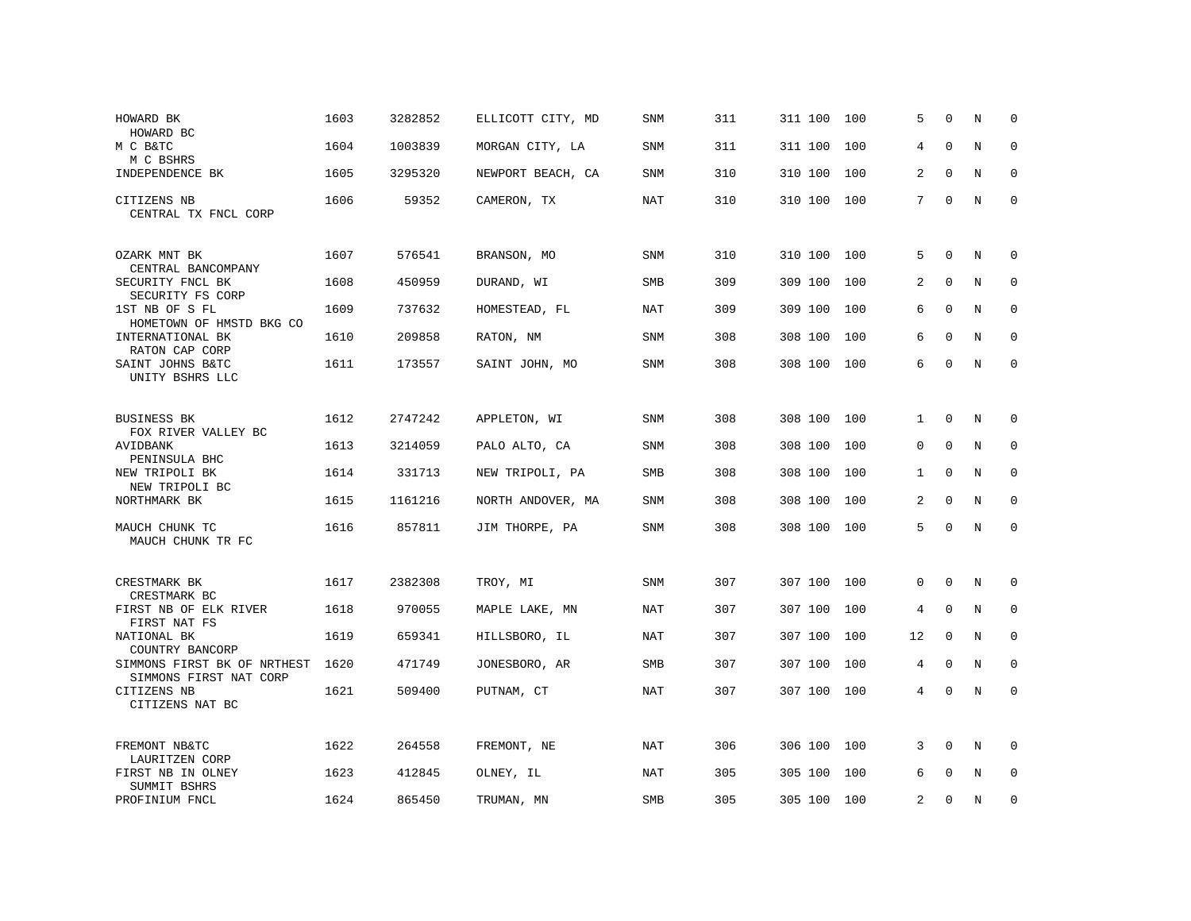| HOWARD BK<br>HOWARD BC                                   | 1603 | 3282852 | ELLICOTT CITY, MD | <b>SNM</b> | 311 | 311 100     | 100 | 5        | $\Omega$    | N           | $\mathbf 0$ |
|----------------------------------------------------------|------|---------|-------------------|------------|-----|-------------|-----|----------|-------------|-------------|-------------|
| M C B&TC<br>M C BSHRS                                    | 1604 | 1003839 | MORGAN CITY, LA   | SNM        | 311 | 311 100     | 100 | 4        | $\Omega$    | N           | $\mathbf 0$ |
| INDEPENDENCE BK                                          | 1605 | 3295320 | NEWPORT BEACH, CA | SNM        | 310 | 310 100     | 100 | 2        | $\mathbf 0$ | N           | $\mathbf 0$ |
| CITIZENS NB<br>CENTRAL TX FNCL CORP                      | 1606 | 59352   | CAMERON, TX       | <b>NAT</b> | 310 | 310 100 100 |     | 7        | $\mathbf 0$ | N           | $\mathbf 0$ |
| OZARK MNT BK<br>CENTRAL BANCOMPANY                       | 1607 | 576541  | BRANSON, MO       | <b>SNM</b> | 310 | 310 100 100 |     | 5        | $\mathbf 0$ | N           | 0           |
| SECURITY FNCL BK<br>SECURITY FS CORP                     | 1608 | 450959  | DURAND, WI        | <b>SMB</b> | 309 | 309 100     | 100 | 2        | $\mathbf 0$ | $\mathbf N$ | $\mathbf 0$ |
| 1ST NB OF S FL<br>HOMETOWN OF HMSTD BKG CO               | 1609 | 737632  | HOMESTEAD, FL     | <b>NAT</b> | 309 | 309 100     | 100 | 6        | $\Omega$    | N           | $\mathbf 0$ |
| INTERNATIONAL BK<br>RATON CAP CORP                       | 1610 | 209858  | RATON, NM         | SNM        | 308 | 308 100     | 100 | 6        | $\mathbf 0$ | N           | $\mathbf 0$ |
| SAINT JOHNS B&TC<br>UNITY BSHRS LLC                      | 1611 | 173557  | SAINT JOHN, MO    | <b>SNM</b> | 308 | 308 100 100 |     | 6        | $\mathbf 0$ | N           | $\mathbf 0$ |
| <b>BUSINESS BK</b><br>FOX RIVER VALLEY BC                | 1612 | 2747242 | APPLETON, WI      | SNM        | 308 | 308 100     | 100 | 1        | $\Omega$    | N           | $\mathbf 0$ |
| AVIDBANK<br>PENINSULA BHC                                | 1613 | 3214059 | PALO ALTO, CA     | SNM        | 308 | 308 100     | 100 | $\Omega$ | $\Omega$    | N           | $\mathbf 0$ |
| NEW TRIPOLI BK<br>NEW TRIPOLI BC                         | 1614 | 331713  | NEW TRIPOLI, PA   | SMB        | 308 | 308 100     | 100 | 1        | $\Omega$    | N           | $\mathbf 0$ |
| NORTHMARK BK                                             | 1615 | 1161216 | NORTH ANDOVER, MA | SNM        | 308 | 308 100     | 100 | 2        | $\mathbf 0$ | N           | $\mathbf 0$ |
| MAUCH CHUNK TC<br>MAUCH CHUNK TR FC                      | 1616 | 857811  | JIM THORPE, PA    | <b>SNM</b> | 308 | 308 100     | 100 | 5        | $\mathbf 0$ | N           | $\mathbf 0$ |
| CRESTMARK BK<br>CRESTMARK BC                             | 1617 | 2382308 | TROY, MI          | SNM        | 307 | 307 100     | 100 | $\Omega$ | $\Omega$    | N           | $\mathbf 0$ |
| FIRST NB OF ELK RIVER<br>FIRST NAT FS                    | 1618 | 970055  | MAPLE LAKE, MN    | NAT        | 307 | 307 100     | 100 | 4        | $\mathbf 0$ | N           | 0           |
| NATIONAL BK<br>COUNTRY BANCORP                           | 1619 | 659341  | HILLSBORO, IL     | <b>NAT</b> | 307 | 307 100     | 100 | 12       | $\mathbf 0$ | N           | $\mathbf 0$ |
| SIMMONS FIRST BK OF NRTHEST                              | 1620 | 471749  | JONESBORO, AR     | <b>SMB</b> | 307 | 307 100     | 100 | 4        | $\Omega$    | N           | $\mathbf 0$ |
| SIMMONS FIRST NAT CORP<br>CITIZENS NB<br>CITIZENS NAT BC | 1621 | 509400  | PUTNAM, CT        | <b>NAT</b> | 307 | 307 100 100 |     | 4        | $\mathbf 0$ | $\mathbf N$ | $\mathbf 0$ |
| FREMONT NB&TC<br>LAURITZEN CORP                          | 1622 | 264558  | FREMONT, NE       | NAT        | 306 | 306 100     | 100 | 3        | 0           | N           | $\mathbf 0$ |
| FIRST NB IN OLNEY<br>SUMMIT BSHRS                        | 1623 | 412845  | OLNEY, IL         | NAT        | 305 | 305 100     | 100 | 6        | 0           | N           | $\mathbf 0$ |
| PROFINIUM FNCL                                           | 1624 | 865450  | TRUMAN, MN        | SMB        | 305 | 305 100 100 |     | 2        | $\Omega$    | N           | $\mathbf 0$ |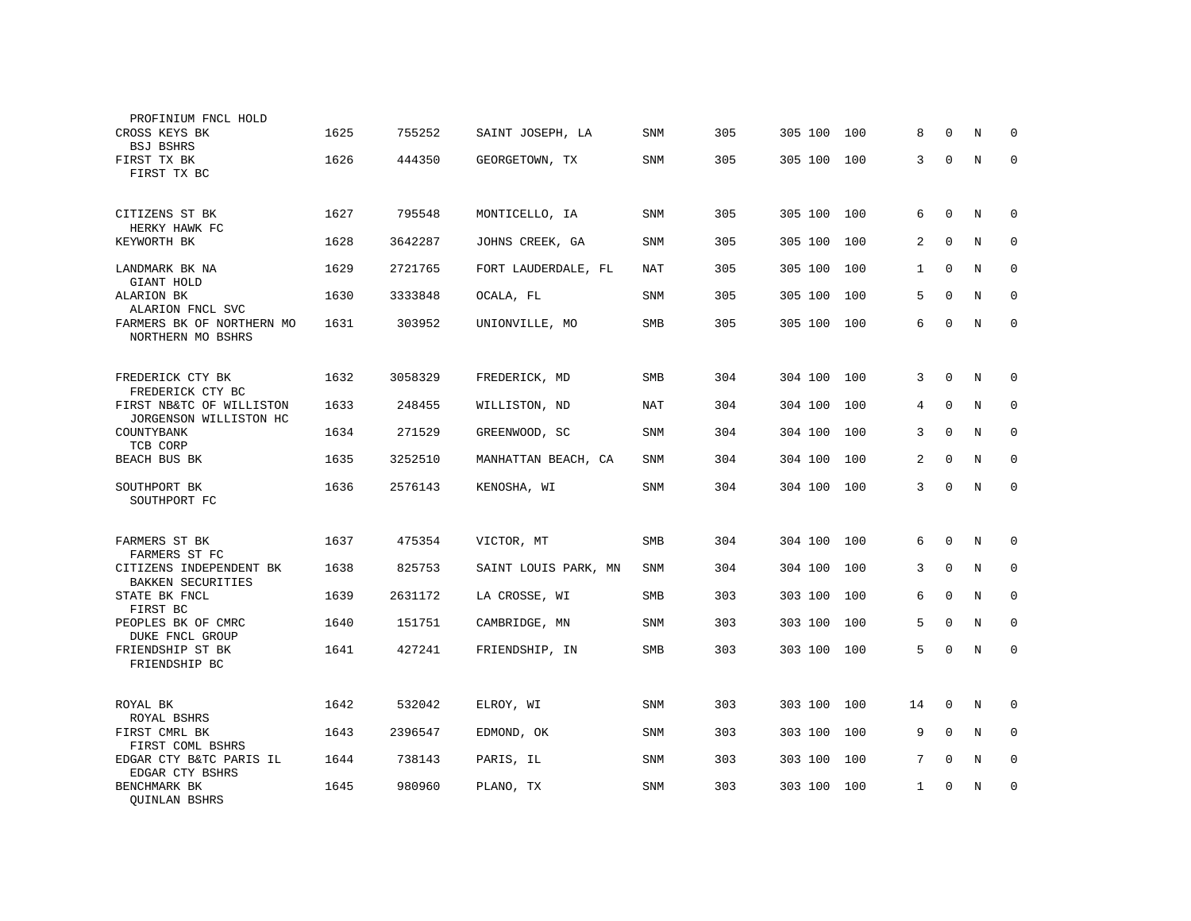| PROFINIUM FNCL HOLD                                  |      |         |                      |            |     |             |     |              |             |             |             |
|------------------------------------------------------|------|---------|----------------------|------------|-----|-------------|-----|--------------|-------------|-------------|-------------|
| CROSS KEYS BK<br><b>BSJ BSHRS</b>                    | 1625 | 755252  | SAINT JOSEPH, LA     | <b>SNM</b> | 305 | 305 100     | 100 | 8            | $\Omega$    | N           | 0           |
| FIRST TX BK<br>FIRST TX BC                           | 1626 | 444350  | GEORGETOWN, TX       | <b>SNM</b> | 305 | 305 100     | 100 | 3            | $\mathbf 0$ | N           | $\mathbf 0$ |
| CITIZENS ST BK<br>HERKY HAWK FC                      | 1627 | 795548  | MONTICELLO, IA       | <b>SNM</b> | 305 | 305 100     | 100 | 6            | $\mathbf 0$ | N           | 0           |
| KEYWORTH BK                                          | 1628 | 3642287 | JOHNS CREEK, GA      | <b>SNM</b> | 305 | 305 100     | 100 | 2            | $\mathbf 0$ | N           | 0           |
| LANDMARK BK NA<br>GIANT HOLD                         | 1629 | 2721765 | FORT LAUDERDALE, FL  | <b>NAT</b> | 305 | 305 100     | 100 | $\mathbf{1}$ | $\mathbf 0$ | $\mathbb N$ | 0           |
| ALARION BK<br>ALARION FNCL SVC                       | 1630 | 3333848 | OCALA, FL            | <b>SNM</b> | 305 | 305 100     | 100 | 5            | $\mathbf 0$ | N           | $\mathbf 0$ |
| FARMERS BK OF NORTHERN MO<br>NORTHERN MO BSHRS       | 1631 | 303952  | UNIONVILLE, MO       | SMB        | 305 | 305 100 100 |     | 6            | $\mathbf 0$ | N           | $\mathbf 0$ |
| FREDERICK CTY BK                                     | 1632 | 3058329 | FREDERICK, MD        | <b>SMB</b> | 304 | 304 100 100 |     | 3            | $\mathbf 0$ | N           | 0           |
| FREDERICK CTY BC<br>FIRST NB&TC OF WILLISTON         | 1633 | 248455  | WILLISTON, ND        | <b>NAT</b> | 304 | 304 100     | 100 | 4            | $\mathbf 0$ | N           | 0           |
| JORGENSON WILLISTON HC<br>COUNTYBANK<br>TCB CORP     | 1634 | 271529  | GREENWOOD, SC        | <b>SNM</b> | 304 | 304 100     | 100 | 3            | $\Omega$    | N           | 0           |
| BEACH BUS BK                                         | 1635 | 3252510 | MANHATTAN BEACH, CA  | SNM        | 304 | 304 100     | 100 | 2            | $\Omega$    | N           | 0           |
| SOUTHPORT BK<br>SOUTHPORT FC                         | 1636 | 2576143 | KENOSHA, WI          | SNM        | 304 | 304 100 100 |     | 3            | $\mathbf 0$ | N           | $\mathbf 0$ |
|                                                      |      |         |                      |            |     |             |     |              |             |             |             |
| FARMERS ST BK<br>FARMERS ST FC                       | 1637 | 475354  | VICTOR, MT           | <b>SMB</b> | 304 | 304 100     | 100 | 6            | $\Omega$    | N           | $\Omega$    |
| CITIZENS INDEPENDENT BK<br><b>BAKKEN SECURITIES</b>  | 1638 | 825753  | SAINT LOUIS PARK, MN | <b>SNM</b> | 304 | 304 100     | 100 | 3            | $\Omega$    | N           | 0           |
| STATE BK FNCL<br>FIRST BC                            | 1639 | 2631172 | LA CROSSE, WI        | SMB        | 303 | 303 100     | 100 | 6            | $\Omega$    | N           | $\mathbf 0$ |
| PEOPLES BK OF CMRC                                   | 1640 | 151751  | CAMBRIDGE, MN        | SNM        | 303 | 303 100     | 100 | 5            | $\Omega$    | N           | $\Omega$    |
| DUKE FNCL GROUP<br>FRIENDSHIP ST BK<br>FRIENDSHIP BC | 1641 | 427241  | FRIENDSHIP, IN       | SMB        | 303 | 303 100     | 100 | 5            | $\mathbf 0$ | N           | $\mathbf 0$ |
|                                                      |      |         |                      |            |     |             |     |              |             |             |             |
| ROYAL BK<br>ROYAL BSHRS                              | 1642 | 532042  | ELROY, WI            | <b>SNM</b> | 303 | 303 100     | 100 | 14           | 0           | N           | 0           |
| FIRST CMRL BK<br>FIRST COML BSHRS                    | 1643 | 2396547 | EDMOND, OK           | <b>SNM</b> | 303 | 303 100     | 100 | 9            | $\mathbf 0$ | N           | 0           |
| EDGAR CTY B&TC PARIS IL<br>EDGAR CTY BSHRS           | 1644 | 738143  | PARIS, IL            | <b>SNM</b> | 303 | 303 100     | 100 | 7            | $\mathbf 0$ | N           | 0           |
| BENCHMARK BK<br>QUINLAN BSHRS                        | 1645 | 980960  | PLANO, TX            | SNM        | 303 | 303 100     | 100 | $\mathbf{1}$ | $\Omega$    | N           | 0           |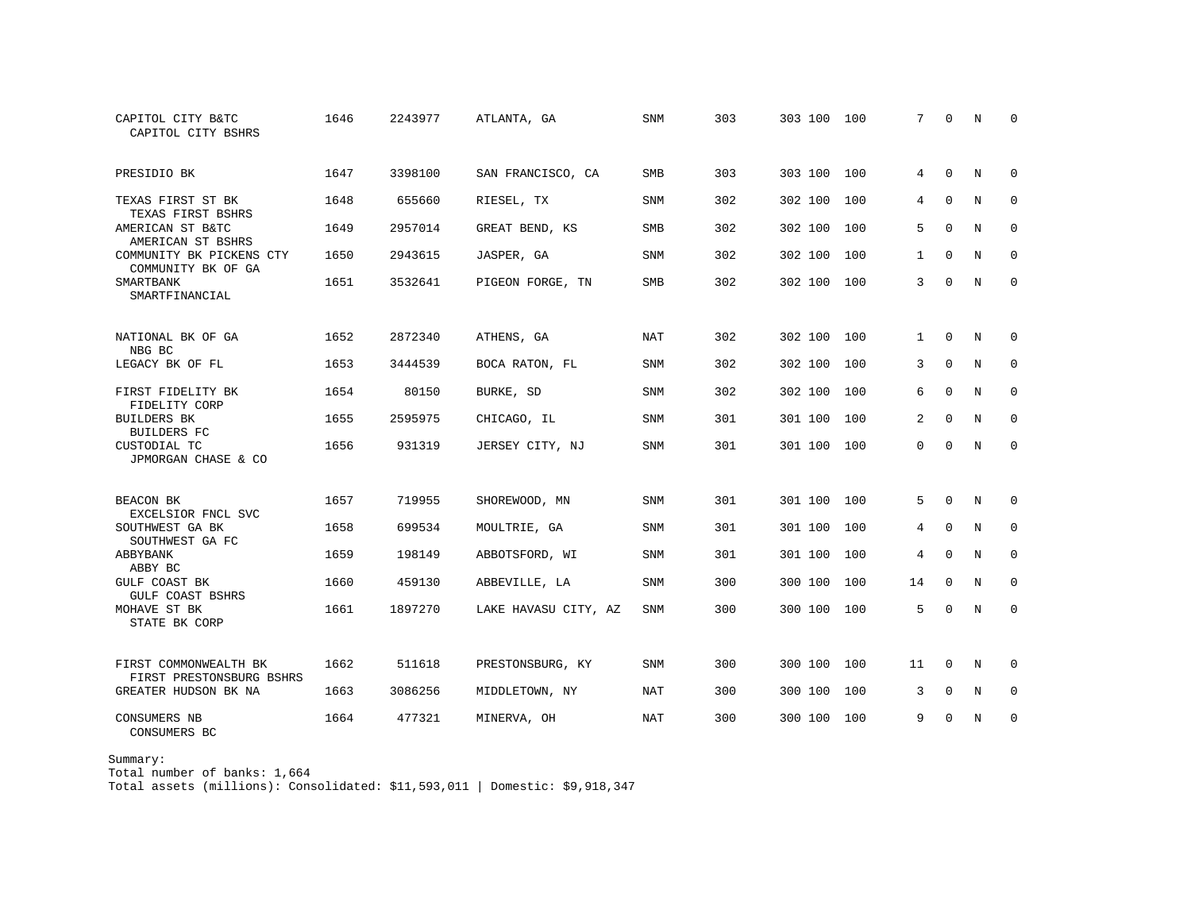| CAPITOL CITY B&TC<br>CAPITOL CITY BSHRS           | 1646 | 2243977 | ATLANTA, GA          | SNM        | 303 | 303 100     | 100 | 7            | $\Omega$    | N           | $\Omega$    |
|---------------------------------------------------|------|---------|----------------------|------------|-----|-------------|-----|--------------|-------------|-------------|-------------|
| PRESIDIO BK                                       | 1647 | 3398100 | SAN FRANCISCO, CA    | SMB        | 303 | 303 100 100 |     | 4            | $\mathbf 0$ | N           | 0           |
| TEXAS FIRST ST BK<br>TEXAS FIRST BSHRS            | 1648 | 655660  | RIESEL, TX           | <b>SNM</b> | 302 | 302 100     | 100 | 4            | $\Omega$    | N           | $\mathbf 0$ |
| AMERICAN ST B&TC<br>AMERICAN ST BSHRS             | 1649 | 2957014 | GREAT BEND, KS       | SMB        | 302 | 302 100     | 100 | 5            | $\Omega$    | N           | 0           |
| COMMUNITY BK PICKENS CTY<br>COMMUNITY BK OF GA    | 1650 | 2943615 | JASPER, GA           | SNM        | 302 | 302 100     | 100 | $\mathbf{1}$ | $\Omega$    | N           | 0           |
| SMARTBANK<br>SMARTFINANCIAL                       | 1651 | 3532641 | PIGEON FORGE, TN     | <b>SMB</b> | 302 | 302 100     | 100 | 3            | $\mathbf 0$ | $\mathbf N$ | $\mathbf 0$ |
| NATIONAL BK OF GA<br>NBG BC                       | 1652 | 2872340 | ATHENS, GA           | NAT        | 302 | 302 100     | 100 | 1            | $\mathbf 0$ | N           | 0           |
| LEGACY BK OF FL                                   | 1653 | 3444539 | BOCA RATON, FL       | <b>SNM</b> | 302 | 302 100     | 100 | 3            | 0           | N           | $\mathbf 0$ |
| FIRST FIDELITY BK<br>FIDELITY CORP                | 1654 | 80150   | BURKE, SD            | <b>SNM</b> | 302 | 302 100     | 100 | 6            | $\mathbf 0$ | N           | 0           |
| <b>BUILDERS BK</b><br><b>BUILDERS FC</b>          | 1655 | 2595975 | CHICAGO, IL          | <b>SNM</b> | 301 | 301 100     | 100 | 2            | $\Omega$    | $_{\rm N}$  | $\Omega$    |
| CUSTODIAL TC<br>JPMORGAN CHASE & CO               | 1656 | 931319  | JERSEY CITY, NJ      | <b>SNM</b> | 301 | 301 100     | 100 | $\Omega$     | $\Omega$    | $_{\rm N}$  | $\Omega$    |
| BEACON BK<br>EXCELSIOR FNCL SVC                   | 1657 | 719955  | SHOREWOOD, MN        | <b>SNM</b> | 301 | 301 100     | 100 | 5            | $\Omega$    | N           | 0           |
| SOUTHWEST GA BK<br>SOUTHWEST GA FC                | 1658 | 699534  | MOULTRIE, GA         | <b>SNM</b> | 301 | 301 100     | 100 | 4            | $\Omega$    | N           | $\mathbf 0$ |
| ABBYBANK<br>ABBY BC                               | 1659 | 198149  | ABBOTSFORD, WI       | <b>SNM</b> | 301 | 301 100     | 100 | 4            | $\Omega$    | $_{\rm N}$  | $\mathbf 0$ |
| <b>GULF COAST BK</b><br>GULF COAST BSHRS          | 1660 | 459130  | ABBEVILLE, LA        | <b>SNM</b> | 300 | 300 100     | 100 | 14           | 0           | N           | $\mathbf 0$ |
| MOHAVE ST BK<br>STATE BK CORP                     | 1661 | 1897270 | LAKE HAVASU CITY, AZ | SNM        | 300 | 300 100     | 100 | 5            | $\Omega$    | N           | 0           |
| FIRST COMMONWEALTH BK<br>FIRST PRESTONSBURG BSHRS | 1662 | 511618  | PRESTONSBURG, KY     | <b>SNM</b> | 300 | 300 100     | 100 | 11           | $\Omega$    | N           | 0           |
| GREATER HUDSON BK NA                              | 1663 | 3086256 | MIDDLETOWN, NY       | <b>NAT</b> | 300 | 300 100     | 100 | 3            | $\Omega$    | $_{\rm N}$  | $\mathbf 0$ |
| CONSUMERS NB<br>CONSUMERS BC                      | 1664 | 477321  | MINERVA, OH          | NAT        | 300 | 300 100     | 100 | 9            | $\Omega$    | N           | 0           |

Summary:

Total number of banks: 1,664

Total assets (millions): Consolidated: \$11,593,011 | Domestic: \$9,918,347